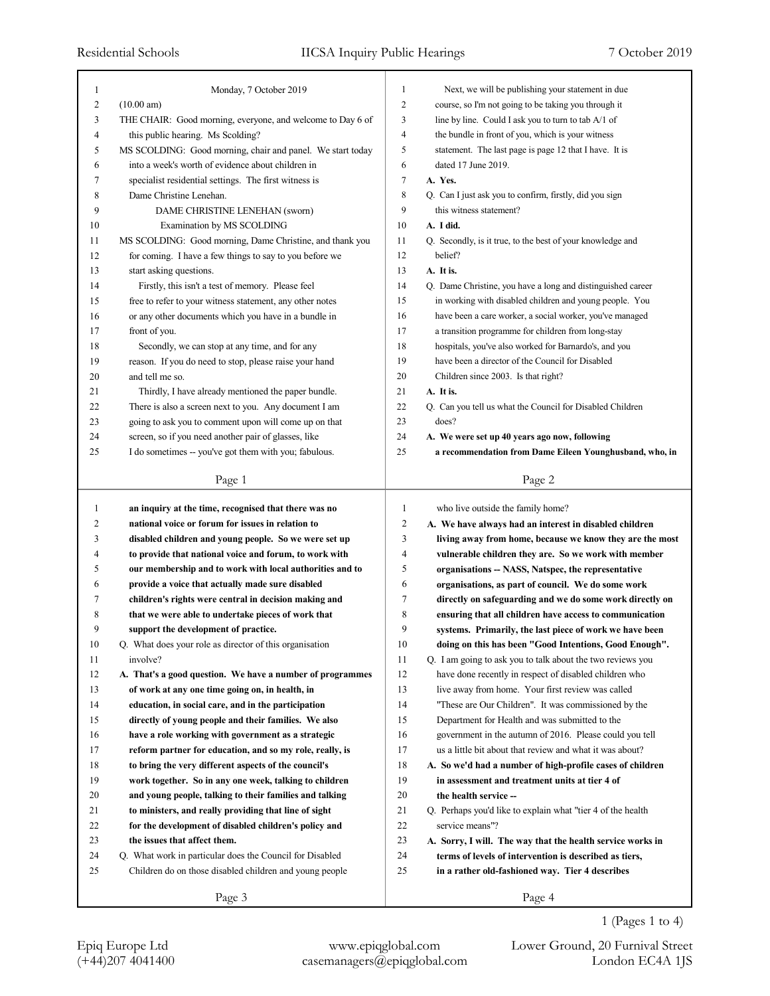| 1            | Monday, 7 October 2019                                     | 1              | Next, we will be publishing your statement in due            |
|--------------|------------------------------------------------------------|----------------|--------------------------------------------------------------|
| 2            | (10.00 am)                                                 | 2              | course, so I'm not going to be taking you through it         |
| 3            | THE CHAIR: Good morning, everyone, and welcome to Day 6 of | 3              | line by line. Could I ask you to turn to tab A/1 of          |
| 4            | this public hearing. Ms Scolding?                          | $\overline{4}$ | the bundle in front of you, which is your witness            |
| 5            | MS SCOLDING: Good morning, chair and panel. We start today | 5              | statement. The last page is page 12 that I have. It is       |
| 6            | into a week's worth of evidence about children in          | 6              | dated 17 June 2019.                                          |
| 7            | specialist residential settings. The first witness is      | $\tau$         | A. Yes.                                                      |
| 8            | Dame Christine Lenehan.                                    | 8              | Q. Can I just ask you to confirm, firstly, did you sign      |
| 9            | DAME CHRISTINE LENEHAN (sworn)                             | 9              | this witness statement?                                      |
| 10           | Examination by MS SCOLDING                                 | 10             | A. I did.                                                    |
| 11           | MS SCOLDING: Good morning, Dame Christine, and thank you   | 11             | Q. Secondly, is it true, to the best of your knowledge and   |
| 12           | for coming. I have a few things to say to you before we    | 12             | belief?                                                      |
| 13           | start asking questions.                                    | 13             | A. It is.                                                    |
| 14           | Firstly, this isn't a test of memory. Please feel          | 14             | Q. Dame Christine, you have a long and distinguished career  |
| 15           | free to refer to your witness statement, any other notes   | 15             | in working with disabled children and young people. You      |
| 16           | or any other documents which you have in a bundle in       | 16             | have been a care worker, a social worker, you've managed     |
| 17           | front of you.                                              | 17             | a transition programme for children from long-stay           |
| 18           | Secondly, we can stop at any time, and for any             | 18             | hospitals, you've also worked for Barnardo's, and you        |
| 19           | reason. If you do need to stop, please raise your hand     | 19             | have been a director of the Council for Disabled             |
| 20           | and tell me so.                                            | 20             | Children since 2003. Is that right?                          |
| 21           | Thirdly, I have already mentioned the paper bundle.        | 21             | A. It is.                                                    |
| 22           | There is also a screen next to you. Any document I am      | 22             | Q. Can you tell us what the Council for Disabled Children    |
| 23           | going to ask you to comment upon will come up on that      | 23             | does?                                                        |
| 24           | screen, so if you need another pair of glasses, like       | 24             | A. We were set up 40 years ago now, following                |
| 25           | I do sometimes -- you've got them with you; fabulous.      | 25             | a recommendation from Dame Eileen Younghusband, who, in      |
|              |                                                            |                |                                                              |
|              | Page 1                                                     |                | Page 2                                                       |
| $\mathbf{1}$ | an inquiry at the time, recognised that there was no       | 1              | who live outside the family home?                            |
| 2            | national voice or forum for issues in relation to          | $\overline{c}$ | A. We have always had an interest in disabled children       |
| 3            | disabled children and young people. So we were set up      | 3              | living away from home, because we know they are the most     |
| 4            | to provide that national voice and forum, to work with     | $\overline{4}$ | vulnerable children they are. So we work with member         |
| 5            | our membership and to work with local authorities and to   | 5              | organisations -- NASS, Natspec, the representative           |
| 6            | provide a voice that actually made sure disabled           | 6              | organisations, as part of council. We do some work           |
| 7            | children's rights were central in decision making and      | $\tau$         | directly on safeguarding and we do some work directly on     |
| 8            | that we were able to undertake pieces of work that         | 8              | ensuring that all children have access to communication      |
| 9            | support the development of practice.                       | 9              | systems. Primarily, the last piece of work we have been      |
| 10           | Q. What does your role as director of this organisation    | $10\,$         | doing on this has been "Good Intentions, Good Enough".       |
| 11           | involve?                                                   | 11             | Q. I am going to ask you to talk about the two reviews you   |
| 12           | A. That's a good question. We have a number of programmes  | 12             | have done recently in respect of disabled children who       |
| 13           | of work at any one time going on, in health, in            | 13             | live away from home. Your first review was called            |
| 14           | education, in social care, and in the participation        | 14             | "These are Our Children". It was commissioned by the         |
| 15           | directly of young people and their families. We also       | 15             | Department for Health and was submitted to the               |
| 16           | have a role working with government as a strategic         | 16             | government in the autumn of 2016. Please could you tell      |
| 17           |                                                            | 17             |                                                              |
|              | reform partner for education, and so my role, really, is   |                | us a little bit about that review and what it was about?     |
| 18           | to bring the very different aspects of the council's       | 18             | A. So we'd had a number of high-profile cases of children    |
| 19           | work together. So in any one week, talking to children     | 19             | in assessment and treatment units at tier 4 of               |
| 20           | and young people, talking to their families and talking    | 20             | the health service --                                        |
| 21           | to ministers, and really providing that line of sight      | 21             | Q. Perhaps you'd like to explain what "tier 4 of the health" |
| 22           | for the development of disabled children's policy and      | $22\,$         | service means"?                                              |
| 23           | the issues that affect them.                               | 23             | A. Sorry, I will. The way that the health service works in   |
| 24           | Q. What work in particular does the Council for Disabled   | 24             | terms of levels of intervention is described as tiers,       |
| 25           | Children do on those disabled children and young people    | 25             | in a rather old-fashioned way. Tier 4 describes              |
|              | Page 3                                                     |                | Page 4                                                       |

1 (Pages 1 to 4)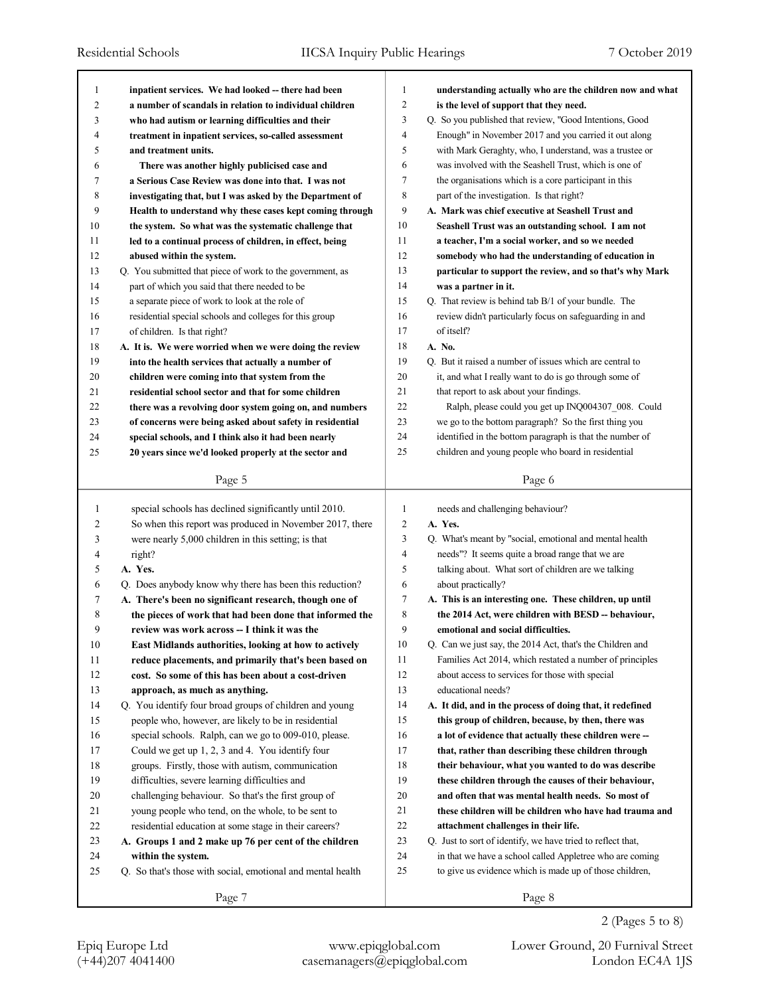| 1  | inpatient services. We had looked -- there had been         | 1              | understanding actually who are the children now and what    |
|----|-------------------------------------------------------------|----------------|-------------------------------------------------------------|
| 2  | a number of scandals in relation to individual children     | 2              | is the level of support that they need.                     |
| 3  | who had autism or learning difficulties and their           | 3              | Q. So you published that review, "Good Intentions, Good     |
| 4  | treatment in inpatient services, so-called assessment       | $\overline{4}$ | Enough" in November 2017 and you carried it out along       |
| 5  | and treatment units.                                        | 5              | with Mark Geraghty, who, I understand, was a trustee or     |
| 6  | There was another highly publicised case and                | 6              | was involved with the Seashell Trust, which is one of       |
| 7  | a Serious Case Review was done into that. I was not         | 7              | the organisations which is a core participant in this       |
| 8  | investigating that, but I was asked by the Department of    | 8              | part of the investigation. Is that right?                   |
| 9  | Health to understand why these cases kept coming through    | 9              | A. Mark was chief executive at Seashell Trust and           |
| 10 | the system. So what was the systematic challenge that       | 10             | Seashell Trust was an outstanding school. I am not          |
| 11 | led to a continual process of children, in effect, being    | 11             | a teacher, I'm a social worker, and so we needed            |
| 12 | abused within the system.                                   | 12             | somebody who had the understanding of education in          |
| 13 | Q. You submitted that piece of work to the government, as   | 13             | particular to support the review, and so that's why Mark    |
| 14 | part of which you said that there needed to be              | 14             | was a partner in it.                                        |
| 15 | a separate piece of work to look at the role of             | 15             | Q. That review is behind tab B/1 of your bundle. The        |
| 16 | residential special schools and colleges for this group     | 16             | review didn't particularly focus on safeguarding in and     |
| 17 | of children. Is that right?                                 | 17             | of itself?                                                  |
| 18 | A. It is. We were worried when we were doing the review     | 18             | A. No.                                                      |
| 19 | into the health services that actually a number of          | 19             | Q. But it raised a number of issues which are central to    |
| 20 | children were coming into that system from the              | 20             | it, and what I really want to do is go through some of      |
| 21 | residential school sector and that for some children        | 21             | that report to ask about your findings.                     |
| 22 | there was a revolving door system going on, and numbers     | 22             | Ralph, please could you get up INQ004307 008. Could         |
| 23 | of concerns were being asked about safety in residential    | 23             | we go to the bottom paragraph? So the first thing you       |
| 24 | special schools, and I think also it had been nearly        | 24             | identified in the bottom paragraph is that the number of    |
| 25 | 20 years since we'd looked properly at the sector and       | 25             | children and young people who board in residential          |
|    |                                                             |                |                                                             |
|    | Page 5                                                      |                | Page 6                                                      |
|    |                                                             |                |                                                             |
|    |                                                             |                |                                                             |
| 1  | special schools has declined significantly until 2010.      | 1              | needs and challenging behaviour?                            |
| 2  | So when this report was produced in November 2017, there    | $\overline{c}$ | A. Yes.                                                     |
| 3  | were nearly 5,000 children in this setting; is that         | 3              | Q. What's meant by "social, emotional and mental health     |
| 4  | right?                                                      | 4              | needs"? It seems quite a broad range that we are            |
| 5  | A. Yes.                                                     | 5              | talking about. What sort of children are we talking         |
| 6  | Q. Does anybody know why there has been this reduction?     | 6              | about practically?                                          |
| 7  | A. There's been no significant research, though one of      | 7              | A. This is an interesting one. These children, up until     |
| 8  | the pieces of work that had been done that informed the     | 8              | the 2014 Act, were children with BESD -- behaviour,         |
| 9  | review was work across -- I think it was the                | 9              | emotional and social difficulties.                          |
| 10 | East Midlands authorities, looking at how to actively       | 10             | Q. Can we just say, the 2014 Act, that's the Children and   |
| 11 | reduce placements, and primarily that's been based on       | 11             | Families Act 2014, which restated a number of principles    |
| 12 | cost. So some of this has been about a cost-driven          | 12             | about access to services for those with special             |
| 13 | approach, as much as anything.                              | 13             | educational needs?                                          |
| 14 | Q. You identify four broad groups of children and young     | 14             | A. It did, and in the process of doing that, it redefined   |
| 15 | people who, however, are likely to be in residential        | 15             | this group of children, because, by then, there was         |
| 16 | special schools. Ralph, can we go to 009-010, please.       | 16             | a lot of evidence that actually these children were --      |
| 17 | Could we get up 1, 2, 3 and 4. You identify four            | 17             | that, rather than describing these children through         |
| 18 | groups. Firstly, those with autism, communication           | 18             | their behaviour, what you wanted to do was describe         |
| 19 | difficulties, severe learning difficulties and              | 19             | these children through the causes of their behaviour,       |
| 20 | challenging behaviour. So that's the first group of         | 20             | and often that was mental health needs. So most of          |
| 21 | young people who tend, on the whole, to be sent to          | 21             | these children will be children who have had trauma and     |
| 22 | residential education at some stage in their careers?       | 22             | attachment challenges in their life.                        |
| 23 | A. Groups 1 and 2 make up 76 per cent of the children       | 23             | Q. Just to sort of identify, we have tried to reflect that, |
| 24 | within the system.                                          | 24             | in that we have a school called Appletree who are coming    |
| 25 | Q. So that's those with social, emotional and mental health | 25             | to give us evidence which is made up of those children,     |
|    | Page 7                                                      |                | Page 8                                                      |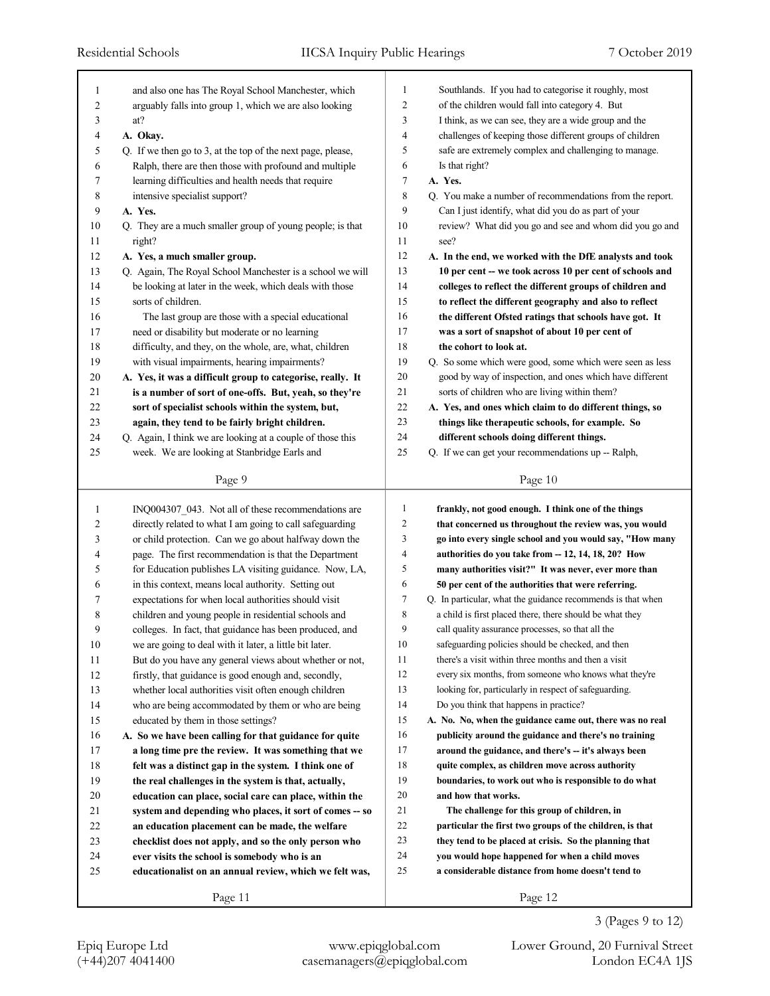| 1            | and also one has The Royal School Manchester, which         | 1              | Southlands. If you had to categorise it roughly, most       |
|--------------|-------------------------------------------------------------|----------------|-------------------------------------------------------------|
| 2            | arguably falls into group 1, which we are also looking      | $\overline{2}$ | of the children would fall into category 4. But             |
| 3            | at?                                                         | 3              | I think, as we can see, they are a wide group and the       |
| 4            | A. Okay.                                                    | 4              | challenges of keeping those different groups of children    |
| 5            | Q. If we then go to 3, at the top of the next page, please, | 5              | safe are extremely complex and challenging to manage.       |
| 6            | Ralph, there are then those with profound and multiple      | 6              | Is that right?                                              |
| 7            | learning difficulties and health needs that require         | $\tau$         | A. Yes.                                                     |
| 8            | intensive specialist support?                               | 8              | Q. You make a number of recommendations from the report.    |
| 9            | A. Yes.                                                     | 9              | Can I just identify, what did you do as part of your        |
| 10           | Q. They are a much smaller group of young people; is that   | 10             | review? What did you go and see and whom did you go and     |
| 11           | right?                                                      | 11             | see?                                                        |
| 12           | A. Yes, a much smaller group.                               | 12             | A. In the end, we worked with the DfE analysts and took     |
| 13           | Q. Again, The Royal School Manchester is a school we will   | 13             | 10 per cent -- we took across 10 per cent of schools and    |
| 14           | be looking at later in the week, which deals with those     | 14             | colleges to reflect the different groups of children and    |
| 15           | sorts of children.                                          | 15             | to reflect the different geography and also to reflect      |
| 16           | The last group are those with a special educational         | 16             | the different Ofsted ratings that schools have got. It      |
| 17           | need or disability but moderate or no learning              | 17             | was a sort of snapshot of about 10 per cent of              |
| 18           | difficulty, and they, on the whole, are, what, children     | 18             | the cohort to look at.                                      |
| 19           | with visual impairments, hearing impairments?               | 19             | Q. So some which were good, some which were seen as less    |
| 20           | A. Yes, it was a difficult group to categorise, really. It  | $20\,$         | good by way of inspection, and ones which have different    |
| 21           | is a number of sort of one-offs. But, yeah, so they're      | 21             | sorts of children who are living within them?               |
| 22           | sort of specialist schools within the system, but,          | 22             | A. Yes, and ones which claim to do different things, so     |
| 23           | again, they tend to be fairly bright children.              | 23             | things like therapeutic schools, for example. So            |
| 24           | Q. Again, I think we are looking at a couple of those this  | 24             | different schools doing different things.                   |
| 25           | week. We are looking at Stanbridge Earls and                | 25             | Q. If we can get your recommendations up -- Ralph,          |
|              |                                                             |                |                                                             |
|              | Page 9                                                      |                | Page 10                                                     |
|              |                                                             |                |                                                             |
|              |                                                             |                |                                                             |
| $\mathbf{1}$ | INQ004307_043. Not all of these recommendations are         | $\mathbf{1}$   | frankly, not good enough. I think one of the things         |
| 2            | directly related to what I am going to call safeguarding    | $\overline{c}$ | that concerned us throughout the review was, you would      |
| 3            | or child protection. Can we go about halfway down the       | 3              | go into every single school and you would say, "How many    |
| 4            | page. The first recommendation is that the Department       | 4              | authorities do you take from -- 12, 14, 18, 20? How         |
| 5            | for Education publishes LA visiting guidance. Now, LA,      | 5              | many authorities visit?" It was never, ever more than       |
| 6            | in this context, means local authority. Setting out         | 6              | 50 per cent of the authorities that were referring.         |
| 7            | expectations for when local authorities should visit        | 7              | Q. In particular, what the guidance recommends is that when |
| 8            | children and young people in residential schools and        | 8              | a child is first placed there, there should be what they    |
| 9            | colleges. In fact, that guidance has been produced, and     | 9              | call quality assurance processes, so that all the           |
| 10           | we are going to deal with it later, a little bit later.     | 10             | safeguarding policies should be checked, and then           |
| 11           | But do you have any general views about whether or not,     | 11             | there's a visit within three months and then a visit        |
| 12           | firstly, that guidance is good enough and, secondly,        | 12             | every six months, from someone who knows what they're       |
| 13           | whether local authorities visit often enough children       | 13             | looking for, particularly in respect of safeguarding.       |
| 14           | who are being accommodated by them or who are being         | 14             | Do you think that happens in practice?                      |
| 15           | educated by them in those settings?                         | 15             | A. No. No, when the guidance came out, there was no real    |
| 16           | A. So we have been calling for that guidance for quite      | 16             | publicity around the guidance and there's no training       |
| 17           | a long time pre the review. It was something that we        | 17             | around the guidance, and there's -- it's always been        |
| 18           | felt was a distinct gap in the system. I think one of       | 18             | quite complex, as children move across authority            |
| 19           | the real challenges in the system is that, actually,        | 19             | boundaries, to work out who is responsible to do what       |
| 20           | education can place, social care can place, within the      | $20\,$         | and how that works.                                         |
| 21           | system and depending who places, it sort of comes -- so     | 21             | The challenge for this group of children, in                |
| 22           | an education placement can be made, the welfare             | $22\,$         | particular the first two groups of the children, is that    |
| 23           | checklist does not apply, and so the only person who        | 23             | they tend to be placed at crisis. So the planning that      |
| 24           | ever visits the school is somebody who is an                | 24             | you would hope happened for when a child moves              |
| 25           | educationalist on an annual review, which we felt was,      | 25             | a considerable distance from home doesn't tend to           |
|              | Page 11                                                     |                | Page 12                                                     |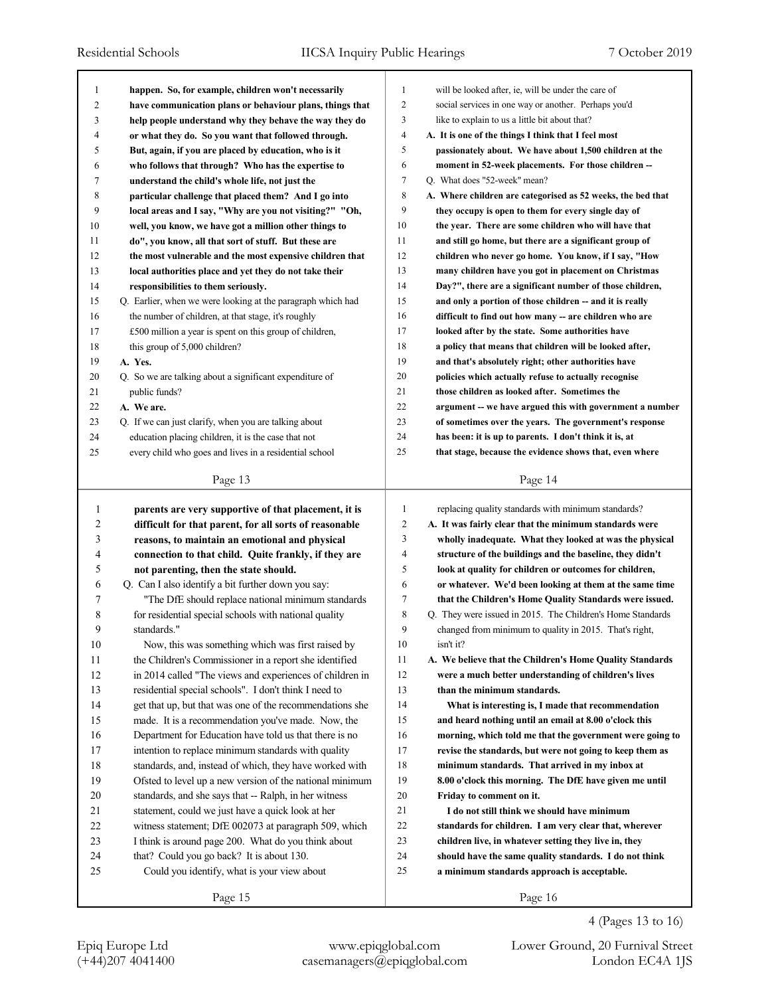| 1  | happen. So, for example, children won't necessarily         | 1              | will be looked after, ie, will be under the care of         |
|----|-------------------------------------------------------------|----------------|-------------------------------------------------------------|
| 2  | have communication plans or behaviour plans, things that    | 2              | social services in one way or another. Perhaps you'd        |
| 3  | help people understand why they behave the way they do      | 3              | like to explain to us a little bit about that?              |
| 4  | or what they do. So you want that followed through.         | $\overline{4}$ | A. It is one of the things I think that I feel most         |
| 5  | But, again, if you are placed by education, who is it       | 5              | passionately about. We have about 1,500 children at the     |
| 6  | who follows that through? Who has the expertise to          | 6              | moment in 52-week placements. For those children --         |
| 7  | understand the child's whole life, not just the             | $\tau$         | Q. What does "52-week" mean?                                |
| 8  | particular challenge that placed them? And I go into        | 8              | A. Where children are categorised as 52 weeks, the bed that |
| 9  | local areas and I say, "Why are you not visiting?" "Oh,     | 9              | they occupy is open to them for every single day of         |
| 10 | well, you know, we have got a million other things to       | 10             | the year. There are some children who will have that        |
| 11 | do", you know, all that sort of stuff. But these are        | 11             | and still go home, but there are a significant group of     |
| 12 | the most vulnerable and the most expensive children that    | 12             | children who never go home. You know, if I say, "How        |
| 13 | local authorities place and yet they do not take their      | 13             | many children have you got in placement on Christmas        |
| 14 | responsibilities to them seriously.                         | 14             | Day?", there are a significant number of those children,    |
| 15 | Q. Earlier, when we were looking at the paragraph which had | 15             | and only a portion of those children -- and it is really    |
| 16 | the number of children, at that stage, it's roughly         | 16             | difficult to find out how many -- are children who are      |
| 17 | £500 million a year is spent on this group of children,     | 17             | looked after by the state. Some authorities have            |
| 18 | this group of 5,000 children?                               | 18             | a policy that means that children will be looked after,     |
| 19 | A. Yes.                                                     | 19             | and that's absolutely right; other authorities have         |
| 20 | Q. So we are talking about a significant expenditure of     | 20             | policies which actually refuse to actually recognise        |
| 21 | public funds?                                               | 21             | those children as looked after. Sometimes the               |
| 22 | A. We are.                                                  | 22             | argument -- we have argued this with government a number    |
| 23 | Q. If we can just clarify, when you are talking about       | 23             | of sometimes over the years. The government's response      |
| 24 | education placing children, it is the case that not         | 24             | has been: it is up to parents. I don't think it is, at      |
| 25 | every child who goes and lives in a residential school      | 25             | that stage, because the evidence shows that, even where     |
|    |                                                             |                |                                                             |
|    | Page 13                                                     |                | Page 14                                                     |
|    |                                                             |                |                                                             |
|    |                                                             |                |                                                             |
| 1  | parents are very supportive of that placement, it is        | $\mathbf{1}$   | replacing quality standards with minimum standards?         |
| 2  | difficult for that parent, for all sorts of reasonable      | 2              | A. It was fairly clear that the minimum standards were      |
| 3  | reasons, to maintain an emotional and physical              | 3              | wholly inadequate. What they looked at was the physical     |
| 4  | connection to that child. Quite frankly, if they are        | 4              | structure of the buildings and the baseline, they didn't    |
| 5  | not parenting, then the state should.                       | 5              | look at quality for children or outcomes for children,      |
| 6  | Q. Can I also identify a bit further down you say:          | 6              | or whatever. We'd been looking at them at the same time     |
| 7  | "The DfE should replace national minimum standards"         | 7              | that the Children's Home Quality Standards were issued.     |
| 8  | for residential special schools with national quality       | 8              | Q. They were issued in 2015. The Children's Home Standards  |
| 9  | standards."                                                 | 9              | changed from minimum to quality in 2015. That's right,      |
| 10 | Now, this was something which was first raised by           | $10\,$         | isn't it?                                                   |
| 11 | the Children's Commissioner in a report she identified      | 11             | A. We believe that the Children's Home Quality Standards    |
| 12 | in 2014 called "The views and experiences of children in    | 12             | were a much better understanding of children's lives        |
| 13 | residential special schools". I don't think I need to       | 13             | than the minimum standards.                                 |
| 14 | get that up, but that was one of the recommendations she    | 14             | What is interesting is, I made that recommendation          |
| 15 | made. It is a recommendation you've made. Now, the          | 15             | and heard nothing until an email at 8.00 o'clock this       |
| 16 | Department for Education have told us that there is no      | 16             | morning, which told me that the government were going to    |
| 17 | intention to replace minimum standards with quality         | 17             | revise the standards, but were not going to keep them as    |
| 18 | standards, and, instead of which, they have worked with     | 18             | minimum standards. That arrived in my inbox at              |
| 19 | Ofsted to level up a new version of the national minimum    | 19             | 8.00 o'clock this morning. The DfE have given me until      |
| 20 | standards, and she says that -- Ralph, in her witness       | 20             | Friday to comment on it.                                    |
| 21 | statement, could we just have a quick look at her           | 21             | I do not still think we should have minimum                 |
| 22 | witness statement; DfE 002073 at paragraph 509, which       | $22\,$         | standards for children. I am very clear that, wherever      |
| 23 | I think is around page 200. What do you think about         | 23             | children live, in whatever setting they live in, they       |
| 24 | that? Could you go back? It is about 130.                   | 24             | should have the same quality standards. I do not think      |
| 25 | Could you identify, what is your view about                 | 25             | a minimum standards approach is acceptable.                 |
|    | Page 15                                                     |                | Page 16                                                     |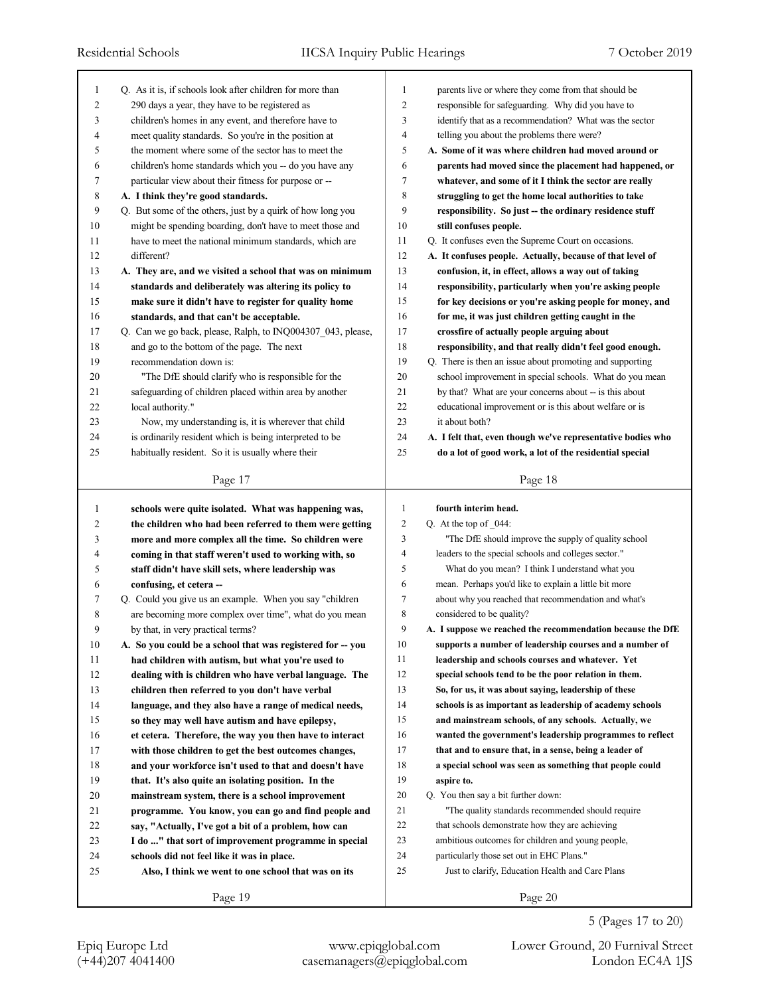| 1              | Q. As it is, if schools look after children for more than      | 1              | parents live or where they come from that should be         |
|----------------|----------------------------------------------------------------|----------------|-------------------------------------------------------------|
| $\overline{c}$ | 290 days a year, they have to be registered as                 | $\overline{c}$ | responsible for safeguarding. Why did you have to           |
| 3              | children's homes in any event, and therefore have to           | 3              | identify that as a recommendation? What was the sector      |
| 4              | meet quality standards. So you're in the position at           | $\overline{4}$ | telling you about the problems there were?                  |
| 5              | the moment where some of the sector has to meet the            | 5              | A. Some of it was where children had moved around or        |
| 6              | children's home standards which you -- do you have any         | 6              | parents had moved since the placement had happened, or      |
| 7              | particular view about their fitness for purpose or --          | 7              | whatever, and some of it I think the sector are really      |
| 8              | A. I think they're good standards.                             | 8              | struggling to get the home local authorities to take        |
| 9              | Q. But some of the others, just by a quirk of how long you     | 9              | responsibility. So just -- the ordinary residence stuff     |
| 10             | might be spending boarding, don't have to meet those and       | 10             | still confuses people.                                      |
| 11             | have to meet the national minimum standards, which are         | 11             | Q. It confuses even the Supreme Court on occasions.         |
| 12             | different?                                                     | 12             | A. It confuses people. Actually, because of that level of   |
| 13             | A. They are, and we visited a school that was on minimum       | 13             | confusion, it, in effect, allows a way out of taking        |
| 14             | standards and deliberately was altering its policy to          | 14             | responsibility, particularly when you're asking people      |
| 15             | make sure it didn't have to register for quality home          | 15             | for key decisions or you're asking people for money, and    |
| 16             | standards, and that can't be acceptable.                       | 16             | for me, it was just children getting caught in the          |
| 17             | Q. Can we go back, please, Ralph, to INQ004307_043, please,    | 17             | crossfire of actually people arguing about                  |
| 18             | and go to the bottom of the page. The next                     | 18             | responsibility, and that really didn't feel good enough.    |
| 19             | recommendation down is:                                        | 19             | Q. There is then an issue about promoting and supporting    |
| 20             | "The DfE should clarify who is responsible for the             | 20             | school improvement in special schools. What do you mean     |
| 21             | safeguarding of children placed within area by another         | 21             | by that? What are your concerns about -- is this about      |
| 22             | local authority."                                              | 22             | educational improvement or is this about welfare or is      |
| 23             | Now, my understanding is, it is wherever that child            | 23             | it about both?                                              |
| 24             | is ordinarily resident which is being interpreted to be        | 24             | A. I felt that, even though we've representative bodies who |
| 25             | habitually resident. So it is usually where their              | 25             | do a lot of good work, a lot of the residential special     |
|                |                                                                |                |                                                             |
|                | Page 17                                                        |                | Page 18                                                     |
|                |                                                                |                |                                                             |
|                |                                                                |                |                                                             |
| $\mathbf{1}$   | schools were quite isolated. What was happening was,           | 1              | fourth interim head.                                        |
| 2              | the children who had been referred to them were getting        | $\overline{2}$ | Q. At the top of $044$ :                                    |
| 3              | more and more complex all the time. So children were           | 3<br>4         | "The DfE should improve the supply of quality school        |
| 4              | coming in that staff weren't used to working with, so          |                | leaders to the special schools and colleges sector."        |
| 5              | staff didn't have skill sets, where leadership was             | 5<br>6         | What do you mean? I think I understand what you             |
| 6              | confusing, et cetera --                                        | $\tau$         | mean. Perhaps you'd like to explain a little bit more       |
| 7              | Q. Could you give us an example. When you say "children        |                | about why you reached that recommendation and what's        |
| 8<br>9         | are becoming more complex over time", what do you mean         | 8<br>9         | considered to be quality?                                   |
|                | by that, in very practical terms?                              |                | A. I suppose we reached the recommendation because the DfE  |
| 10             | A. So you could be a school that was registered for -- you     | 10             | supports a number of leadership courses and a number of     |
| 11             | had children with autism, but what you're used to              | 11             | leadership and schools courses and whatever. Yet            |
| 12             | dealing with is children who have verbal language. The         | 12             | special schools tend to be the poor relation in them.       |
| 13             | children then referred to you don't have verbal                | 13             | So, for us, it was about saying, leadership of these        |
| 14             | language, and they also have a range of medical needs,         | 14             | schools is as important as leadership of academy schools    |
| 15             | so they may well have autism and have epilepsy,                | 15             | and mainstream schools, of any schools. Actually, we        |
| 16             | et cetera. Therefore, the way you then have to interact        | 16             | wanted the government's leadership programmes to reflect    |
| 17             | with those children to get the best outcomes changes,          | 17             | that and to ensure that, in a sense, being a leader of      |
| 18             | and your workforce isn't used to that and doesn't have         | 18             | a special school was seen as something that people could    |
| 19             | that. It's also quite an isolating position. In the            | 19             | aspire to.                                                  |
| 20             | mainstream system, there is a school improvement               | 20             | Q. You then say a bit further down:                         |
| 21             | programme. You know, you can go and find people and            | 21             | "The quality standards recommended should require"          |
| 22             | say, "Actually, I've got a bit of a problem, how can           | 22             | that schools demonstrate how they are achieving             |
| 23             | I do " that sort of improvement programme in special           | 23             | ambitious outcomes for children and young people,           |
| 24             | schools did not feel like it was in place.                     | 24<br>25       | particularly those set out in EHC Plans."                   |
| 25             | Also, I think we went to one school that was on its<br>Page 19 |                | Just to clarify, Education Health and Care Plans<br>Page 20 |

5 (Pages 17 to 20)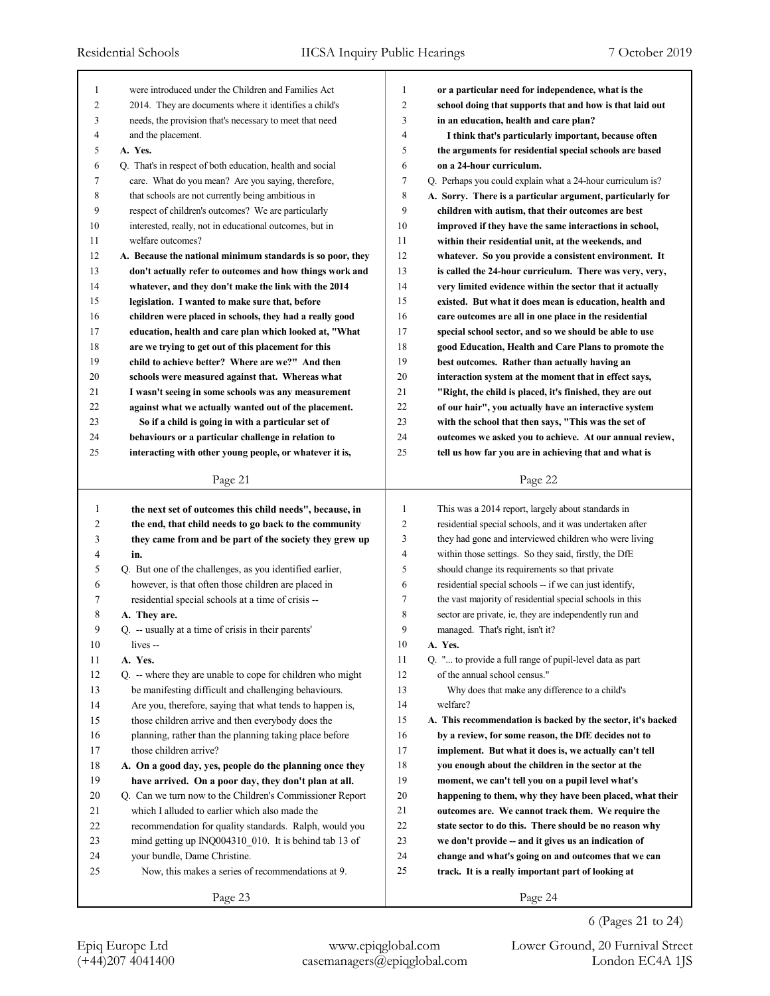| 1  | were introduced under the Children and Families Act        | 1              | or a particular need for independence, what is the          |
|----|------------------------------------------------------------|----------------|-------------------------------------------------------------|
| 2  | 2014. They are documents where it identifies a child's     | $\overline{2}$ | school doing that supports that and how is that laid out    |
| 3  | needs, the provision that's necessary to meet that need    | 3              | in an education, health and care plan?                      |
| 4  | and the placement.                                         | 4              | I think that's particularly important, because often        |
| 5  | A. Yes.                                                    | 5              | the arguments for residential special schools are based     |
| 6  | Q. That's in respect of both education, health and social  | 6              | on a 24-hour curriculum.                                    |
| 7  | care. What do you mean? Are you saying, therefore,         | 7              | Q. Perhaps you could explain what a 24-hour curriculum is?  |
| 8  | that schools are not currently being ambitious in          | 8              | A. Sorry. There is a particular argument, particularly for  |
| 9  | respect of children's outcomes? We are particularly        | 9              | children with autism, that their outcomes are best          |
| 10 | interested, really, not in educational outcomes, but in    | 10             | improved if they have the same interactions in school,      |
| 11 | welfare outcomes?                                          | 11             | within their residential unit, at the weekends, and         |
| 12 | A. Because the national minimum standards is so poor, they | 12             | whatever. So you provide a consistent environment. It       |
| 13 | don't actually refer to outcomes and how things work and   | 13             | is called the 24-hour curriculum. There was very, very,     |
| 14 | whatever, and they don't make the link with the 2014       | 14             | very limited evidence within the sector that it actually    |
| 15 | legislation. I wanted to make sure that, before            | 15             | existed. But what it does mean is education, health and     |
| 16 | children were placed in schools, they had a really good    | 16             | care outcomes are all in one place in the residential       |
| 17 | education, health and care plan which looked at, "What     | 17             | special school sector, and so we should be able to use      |
| 18 | are we trying to get out of this placement for this        | 18             | good Education, Health and Care Plans to promote the        |
| 19 | child to achieve better? Where are we?" And then           | 19             | best outcomes. Rather than actually having an               |
| 20 | schools were measured against that. Whereas what           | 20             | interaction system at the moment that in effect says,       |
| 21 | I wasn't seeing in some schools was any measurement        | 21             | "Right, the child is placed, it's finished, they are out    |
| 22 | against what we actually wanted out of the placement.      | 22             | of our hair", you actually have an interactive system       |
| 23 | So if a child is going in with a particular set of         | 23             | with the school that then says, "This was the set of        |
| 24 | behaviours or a particular challenge in relation to        | 24             | outcomes we asked you to achieve. At our annual review,     |
| 25 | interacting with other young people, or whatever it is,    | 25             | tell us how far you are in achieving that and what is       |
|    | Page 21                                                    |                | Page 22                                                     |
|    |                                                            |                |                                                             |
|    |                                                            |                |                                                             |
| 1  | the next set of outcomes this child needs", because, in    | 1              | This was a 2014 report, largely about standards in          |
| 2  | the end, that child needs to go back to the community      | $\overline{2}$ | residential special schools, and it was undertaken after    |
| 3  | they came from and be part of the society they grew up     | 3              | they had gone and interviewed children who were living      |
| 4  | in.                                                        | 4              | within those settings. So they said, firstly, the DfE       |
| 5  | Q. But one of the challenges, as you identified earlier,   | 5              | should change its requirements so that private              |
| 6  | however, is that often those children are placed in        | 6              | residential special schools -- if we can just identify,     |
| 7  | residential special schools at a time of crisis --         | 7              | the vast majority of residential special schools in this    |
| 8  | A. They are.                                               | 8              | sector are private, ie, they are independently run and      |
| 9  | Q. -- usually at a time of crisis in their parents'        | 9              | managed. That's right, isn't it?                            |
| 10 | lives --                                                   | 10             | A. Yes.                                                     |
| 11 | A. Yes.                                                    | 11             | Q. " to provide a full range of pupil-level data as part    |
| 12 | Q. -- where they are unable to cope for children who might | 12             | of the annual school census."                               |
| 13 | be manifesting difficult and challenging behaviours.       | 13             | Why does that make any difference to a child's              |
| 14 | Are you, therefore, saying that what tends to happen is,   | 14             | welfare?                                                    |
| 15 | those children arrive and then everybody does the          | 15             | A. This recommendation is backed by the sector, it's backed |
| 16 | planning, rather than the planning taking place before     | 16             | by a review, for some reason, the DfE decides not to        |
| 17 | those children arrive?                                     | 17             | implement. But what it does is, we actually can't tell      |
| 18 | A. On a good day, yes, people do the planning once they    | 18             | you enough about the children in the sector at the          |
| 19 | have arrived. On a poor day, they don't plan at all.       | 19             | moment, we can't tell you on a pupil level what's           |
| 20 | Q. Can we turn now to the Children's Commissioner Report   | 20             | happening to them, why they have been placed, what their    |
| 21 | which I alluded to earlier which also made the             | 21             | outcomes are. We cannot track them. We require the          |
| 22 | recommendation for quality standards. Ralph, would you     | 22             | state sector to do this. There should be no reason why      |
| 23 | mind getting up INQ004310_010. It is behind tab 13 of      | 23             | we don't provide -- and it gives us an indication of        |
| 24 | your bundle, Dame Christine.                               | 24             | change and what's going on and outcomes that we can         |
| 25 | Now, this makes a series of recommendations at 9.          | 25             | track. It is a really important part of looking at          |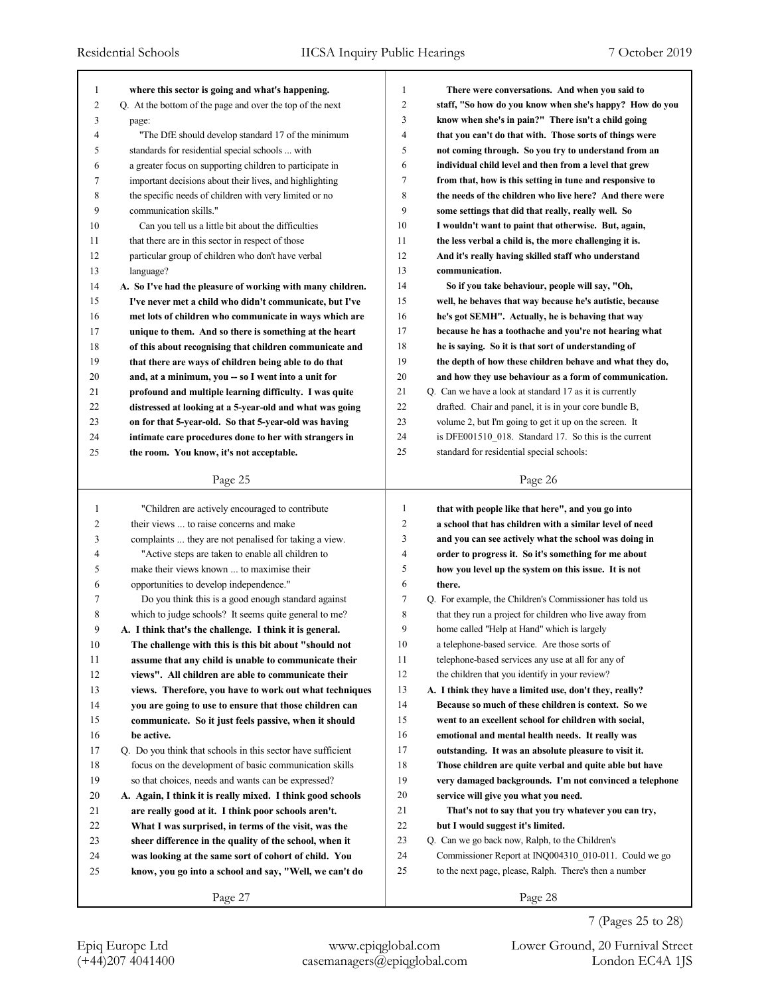| 1              | where this sector is going and what's happening.            | $\mathbf{1}$   | There were conversations. And when you said to           |
|----------------|-------------------------------------------------------------|----------------|----------------------------------------------------------|
| $\overline{c}$ | Q. At the bottom of the page and over the top of the next   | $\overline{2}$ | staff, "So how do you know when she's happy? How do you  |
| 3              | page:                                                       | 3              | know when she's in pain?" There isn't a child going      |
| 4              | "The DfE should develop standard 17 of the minimum          | $\overline{4}$ | that you can't do that with. Those sorts of things were  |
| 5              | standards for residential special schools  with             | 5              | not coming through. So you try to understand from an     |
| 6              | a greater focus on supporting children to participate in    | 6              | individual child level and then from a level that grew   |
| 7              | important decisions about their lives, and highlighting     | 7              | from that, how is this setting in tune and responsive to |
| 8              | the specific needs of children with very limited or no      | 8              | the needs of the children who live here? And there were  |
| 9              | communication skills."                                      | 9              | some settings that did that really, really well. So      |
| 10             | Can you tell us a little bit about the difficulties         | 10             | I wouldn't want to paint that otherwise. But, again,     |
| 11             | that there are in this sector in respect of those           | 11             | the less verbal a child is, the more challenging it is.  |
| 12             | particular group of children who don't have verbal          | 12             | And it's really having skilled staff who understand      |
| 13             | language?                                                   | 13             | communication.                                           |
| 14             | A. So I've had the pleasure of working with many children.  | 14             | So if you take behaviour, people will say, "Oh,          |
| 15             | I've never met a child who didn't communicate, but I've     | 15             | well, he behaves that way because he's autistic, because |
| 16             | met lots of children who communicate in ways which are      | 16             | he's got SEMH". Actually, he is behaving that way        |
| 17             | unique to them. And so there is something at the heart      | 17             | because he has a toothache and you're not hearing what   |
| 18             | of this about recognising that children communicate and     | 18             | he is saying. So it is that sort of understanding of     |
| 19             | that there are ways of children being able to do that       | 19             | the depth of how these children behave and what they do, |
| 20             | and, at a minimum, you -- so I went into a unit for         | 20             | and how they use behaviour as a form of communication.   |
| 21             | profound and multiple learning difficulty. I was quite      | 21             | Q. Can we have a look at standard 17 as it is currently  |
| 22             | distressed at looking at a 5-year-old and what was going    | 22             | drafted. Chair and panel, it is in your core bundle B,   |
| 23             | on for that 5-year-old. So that 5-year-old was having       | 23             | volume 2, but I'm going to get it up on the screen. It   |
| 24             | intimate care procedures done to her with strangers in      | 24             | is DFE001510 018. Standard 17. So this is the current    |
| 25             | the room. You know, it's not acceptable.                    | 25             | standard for residential special schools:                |
|                |                                                             |                |                                                          |
|                | Page 25                                                     |                | Page 26                                                  |
|                |                                                             |                |                                                          |
|                |                                                             |                |                                                          |
| $\mathbf{1}$   | "Children are actively encouraged to contribute             | $\mathbf{1}$   | that with people like that here", and you go into        |
| 2              | their views  to raise concerns and make                     | $\overline{c}$ | a school that has children with a similar level of need  |
| 3              | complaints  they are not penalised for taking a view.       | 3              | and you can see actively what the school was doing in    |
| 4              | "Active steps are taken to enable all children to           | 4              | order to progress it. So it's something for me about     |
| 5              | make their views known  to maximise their                   | 5              | how you level up the system on this issue. It is not     |
| 6              | opportunities to develop independence."                     | 6              | there.                                                   |
| 7              | Do you think this is a good enough standard against         | 7              | Q. For example, the Children's Commissioner has told us  |
| 8              | which to judge schools? It seems quite general to me?       | 8              | that they run a project for children who live away from  |
| 9              | A. I think that's the challenge. I think it is general.     | 9              | home called "Help at Hand" which is largely              |
| 10             | The challenge with this is this bit about "should not       | 10             | a telephone-based service. Are those sorts of            |
| 11             | assume that any child is unable to communicate their        | 11             | telephone-based services any use at all for any of       |
| 12             | views". All children are able to communicate their          | 12             | the children that you identify in your review?           |
| 13             | views. Therefore, you have to work out what techniques      | 13             | A. I think they have a limited use, don't they, really?  |
| 14             | you are going to use to ensure that those children can      | 14             | Because so much of these children is context. So we      |
| 15             | communicate. So it just feels passive, when it should       | 15             | went to an excellent school for children with social,    |
| 16             | be active.                                                  | 16             | emotional and mental health needs. It really was         |
| 17             | Q. Do you think that schools in this sector have sufficient | 17             | outstanding. It was an absolute pleasure to visit it.    |
| 18             | focus on the development of basic communication skills      | 18             | Those children are quite verbal and quite able but have  |
| 19             | so that choices, needs and wants can be expressed?          | 19             | very damaged backgrounds. I'm not convinced a telephone  |
| 20             | A. Again, I think it is really mixed. I think good schools  | 20             | service will give you what you need.                     |
| 21             | are really good at it. I think poor schools aren't.         | 21             | That's not to say that you try whatever you can try,     |
| 22             | What I was surprised, in terms of the visit, was the        | 22             | but I would suggest it's limited.                        |
| 23             | sheer difference in the quality of the school, when it      | 23             | Q. Can we go back now, Ralph, to the Children's          |
| 24             | was looking at the same sort of cohort of child. You        | 24             | Commissioner Report at INQ004310 010-011. Could we go    |
| 25             | know, you go into a school and say, "Well, we can't do      | 25             | to the next page, please, Ralph. There's then a number   |
|                | Page 27                                                     |                | Page 28                                                  |

7 (Pages 25 to 28)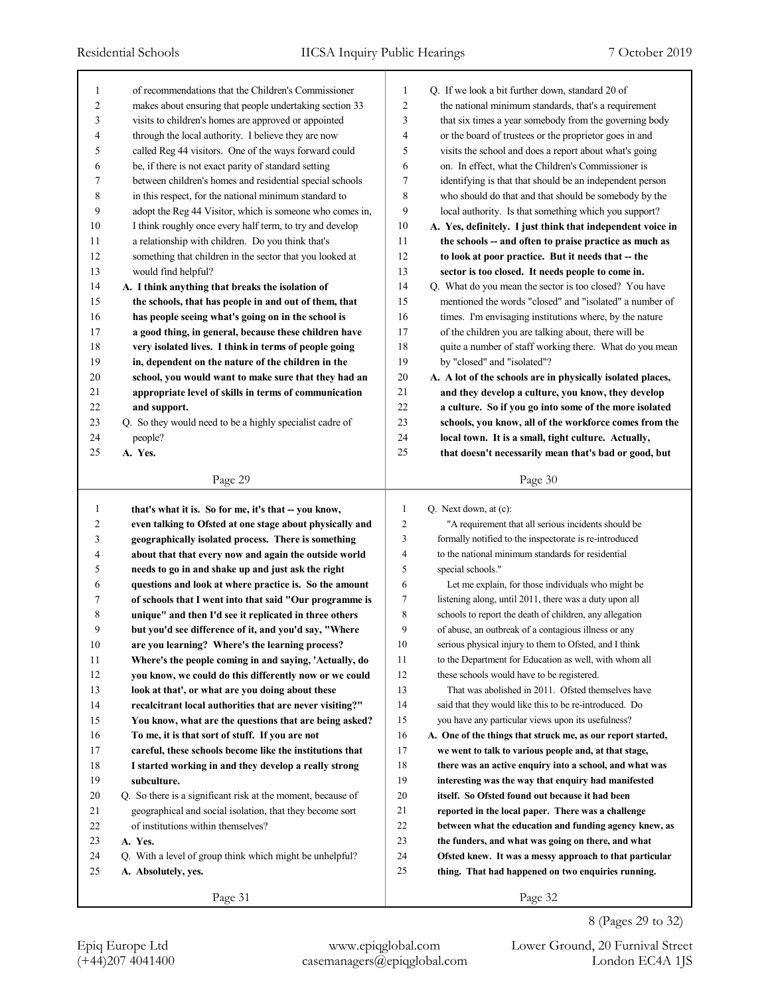| 1                | of recommendations that the Children's Commissioner         | 1              | Q. If we look a bit further down, standard 20 of            |
|------------------|-------------------------------------------------------------|----------------|-------------------------------------------------------------|
| $\boldsymbol{2}$ | makes about ensuring that people undertaking section 33     | $\overline{c}$ | the national minimum standards, that's a requirement        |
| 3                | visits to children's homes are approved or appointed        | 3              | that six times a year somebody from the governing body      |
| 4                | through the local authority. I believe they are now         | $\overline{4}$ | or the board of trustees or the proprietor goes in and      |
| 5                | called Reg 44 visitors. One of the ways forward could       | 5              | visits the school and does a report about what's going      |
| 6                | be, if there is not exact parity of standard setting        | 6              | on. In effect, what the Children's Commissioner is          |
| 7                | between children's homes and residential special schools    | 7              | identifying is that that should be an independent person    |
| 8                | in this respect, for the national minimum standard to       | 8              | who should do that and that should be somebody by the       |
| 9                | adopt the Reg 44 Visitor, which is someone who comes in,    | 9              | local authority. Is that something which you support?       |
| 10               | I think roughly once every half term, to try and develop    | 10             | A. Yes, definitely. I just think that independent voice in  |
| 11               | a relationship with children. Do you think that's           | 11             | the schools -- and often to praise practice as much as      |
| 12               | something that children in the sector that you looked at    | 12             | to look at poor practice. But it needs that -- the          |
| 13               | would find helpful?                                         | 13             | sector is too closed. It needs people to come in.           |
| 14               | A. I think anything that breaks the isolation of            | 14             | Q. What do you mean the sector is too closed? You have      |
| 15               | the schools, that has people in and out of them, that       | 15             | mentioned the words "closed" and "isolated" a number of     |
| 16               | has people seeing what's going on in the school is          | 16             | times. I'm envisaging institutions where, by the nature     |
| 17               | a good thing, in general, because these children have       | 17             | of the children you are talking about, there will be        |
| 18               | very isolated lives. I think in terms of people going       | 18             | quite a number of staff working there. What do you mean     |
| 19               | in, dependent on the nature of the children in the          | 19             | by "closed" and "isolated"?                                 |
| 20               | school, you would want to make sure that they had an        | $20\,$         | A. A lot of the schools are in physically isolated places,  |
| 21               | appropriate level of skills in terms of communication       | 21             | and they develop a culture, you know, they develop          |
| 22               | and support.                                                | 22             | a culture. So if you go into some of the more isolated      |
| 23               | Q. So they would need to be a highly specialist cadre of    | 23             | schools, you know, all of the workforce comes from the      |
| 24               | people?                                                     | 24             | local town. It is a small, tight culture. Actually,         |
| 25               | A. Yes.                                                     | 25             | that doesn't necessarily mean that's bad or good, but       |
|                  |                                                             |                |                                                             |
|                  | Page 29                                                     |                | Page 30                                                     |
|                  |                                                             |                |                                                             |
|                  |                                                             |                |                                                             |
| 1                | that's what it is. So for me, it's that -- you know,        | 1              | Q. Next down, at (c):                                       |
| 2                | even talking to Ofsted at one stage about physically and    | $\overline{c}$ | "A requirement that all serious incidents should be         |
| 3                | geographically isolated process. There is something         | 3              | formally notified to the inspectorate is re-introduced      |
| 4                | about that that every now and again the outside world       | 4              | to the national minimum standards for residential           |
| 5                | needs to go in and shake up and just ask the right          | 5              | special schools."                                           |
| 6                | questions and look at where practice is. So the amount      | 6              | Let me explain, for those individuals who might be          |
| 7                | of schools that I went into that said "Our programme is     | 7              | listening along, until 2011, there was a duty upon all      |
| 8                | unique" and then I'd see it replicated in three others      | 8              | schools to report the death of children, any allegation     |
| 9                | but you'd see difference of it, and you'd say, "Where       | 9              | of abuse, an outbreak of a contagious illness or any        |
| 10               | are you learning? Where's the learning process?             | $10\,$         | serious physical injury to them to Ofsted, and I think      |
| 11               | Where's the people coming in and saying, 'Actually, do      | 11             | to the Department for Education as well, with whom all      |
| 12               | you know, we could do this differently now or we could      | 12             | these schools would have to be registered.                  |
| 13               | look at that', or what are you doing about these            | 13             | That was abolished in 2011. Ofsted themselves have          |
| 14               | recalcitrant local authorities that are never visiting?"    | 14             | said that they would like this to be re-introduced. Do      |
| 15               | You know, what are the questions that are being asked?      | 15             | you have any particular views upon its usefulness?          |
| 16               | To me, it is that sort of stuff. If you are not             | 16             | A. One of the things that struck me, as our report started, |
| 17               | careful, these schools become like the institutions that    | 17             | we went to talk to various people and, at that stage,       |
| 18               | I started working in and they develop a really strong       | 18             | there was an active enquiry into a school, and what was     |
| 19               | subculture.                                                 | 19             | interesting was the way that enquiry had manifested         |
| 20               | Q. So there is a significant risk at the moment, because of | 20             | itself. So Ofsted found out because it had been             |
| 21               | geographical and social isolation, that they become sort    | 21             | reported in the local paper. There was a challenge          |
| 22               | of institutions within themselves?                          | 22             | between what the education and funding agency knew, as      |
| 23               | A. Yes.                                                     | 23             | the funders, and what was going on there, and what          |
| 24               | Q. With a level of group think which might be unhelpful?    | 24             | Ofsted knew. It was a messy approach to that particular     |
| 25               | A. Absolutely, yes.                                         | 25             | thing. That had happened on two enquiries running.          |

(+44)207 4041400 casemanagers@epiqglobal.com London EC4A 1JS

Epiq Europe Ltd www.epiqglobal.com Lower Ground, 20 Furnival Street

8 (Pages 29 to 32)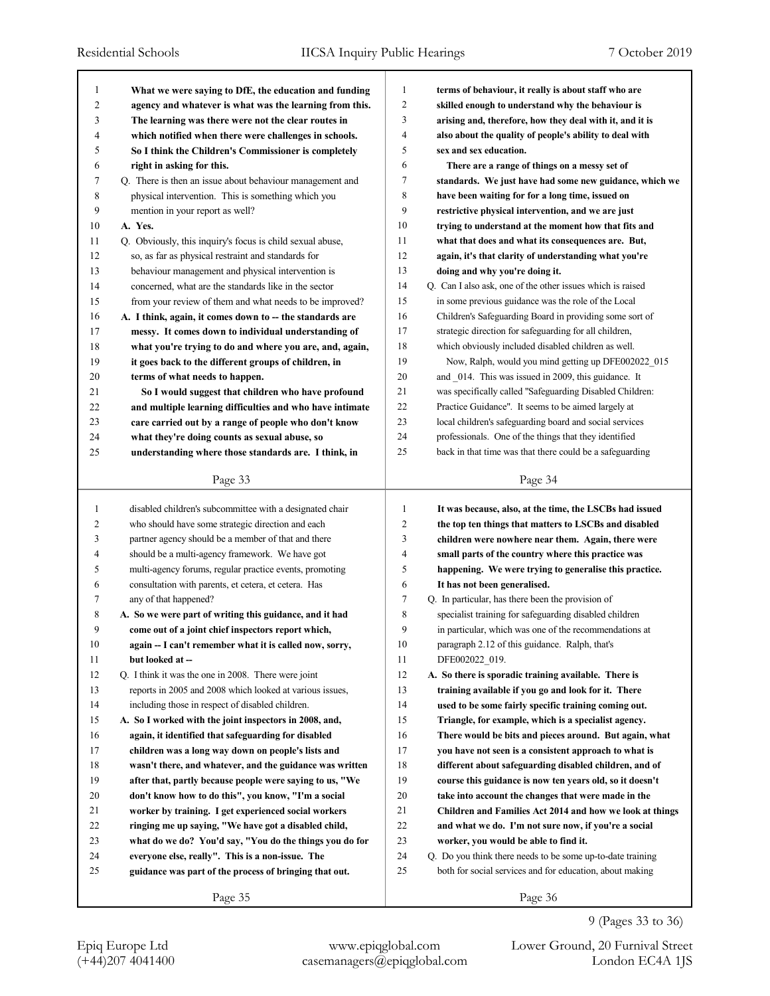| -1             | What we were saying to DfE, the education and funding     | 1              | terms of behaviour, it really is about staff who are       |
|----------------|-----------------------------------------------------------|----------------|------------------------------------------------------------|
| $\overline{2}$ | agency and whatever is what was the learning from this.   | $\overline{c}$ | skilled enough to understand why the behaviour is          |
| 3              | The learning was there were not the clear routes in       | 3              | arising and, therefore, how they deal with it, and it is   |
| 4              | which notified when there were challenges in schools.     | $\overline{4}$ | also about the quality of people's ability to deal with    |
| 5              | So I think the Children's Commissioner is completely      | 5              | sex and sex education.                                     |
| 6              | right in asking for this.                                 | 6              | There are a range of things on a messy set of              |
| 7              | Q. There is then an issue about behaviour management and  | 7              | standards. We just have had some new guidance, which we    |
| 8              | physical intervention. This is something which you        | 8              | have been waiting for for a long time, issued on           |
| 9              | mention in your report as well?                           | 9              | restrictive physical intervention, and we are just         |
| 10             | A. Yes.                                                   | 10             | trying to understand at the moment how that fits and       |
| 11             | Q. Obviously, this inquiry's focus is child sexual abuse, | 11             | what that does and what its consequences are. But,         |
| 12             | so, as far as physical restraint and standards for        | 12             | again, it's that clarity of understanding what you're      |
| 13             | behaviour management and physical intervention is         | 13             | doing and why you're doing it.                             |
| 14             | concerned, what are the standards like in the sector      | 14             | Q. Can I also ask, one of the other issues which is raised |
| 15             | from your review of them and what needs to be improved?   | 15             | in some previous guidance was the role of the Local        |
| 16             | A. I think, again, it comes down to -- the standards are  | 16             | Children's Safeguarding Board in providing some sort of    |
| 17             | messy. It comes down to individual understanding of       | 17             | strategic direction for safeguarding for all children,     |
| 18             | what you're trying to do and where you are, and, again,   | 18             | which obviously included disabled children as well.        |
| 19             | it goes back to the different groups of children, in      | 19             | Now, Ralph, would you mind getting up DFE002022_015        |
| 20             | terms of what needs to happen.                            | 20             | and 014. This was issued in 2009, this guidance. It        |
| 21             | So I would suggest that children who have profound        | 21             | was specifically called "Safeguarding Disabled Children:   |
| 22             | and multiple learning difficulties and who have intimate  | 22             | Practice Guidance". It seems to be aimed largely at        |
| 23             | care carried out by a range of people who don't know      | 23             | local children's safeguarding board and social services    |
| 24             | what they're doing counts as sexual abuse, so             | 24             | professionals. One of the things that they identified      |
| 25             | understanding where those standards are. I think, in      | 25             | back in that time was that there could be a safeguarding   |
|                |                                                           |                |                                                            |
|                | Page 33                                                   |                | Page 34                                                    |
|                |                                                           |                |                                                            |
|                |                                                           |                |                                                            |
| 1              | disabled children's subcommittee with a designated chair  | 1              | It was because, also, at the time, the LSCBs had issued    |
| 2              | who should have some strategic direction and each         | $\overline{c}$ | the top ten things that matters to LSCBs and disabled      |
| 3              | partner agency should be a member of that and there       | 3              | children were nowhere near them. Again, there were         |
| 4              | should be a multi-agency framework. We have got           | $\overline{4}$ | small parts of the country where this practice was         |
| 5              | multi-agency forums, regular practice events, promoting   | 5              | happening. We were trying to generalise this practice.     |
| 6              | consultation with parents, et cetera, et cetera. Has      | 6              | It has not been generalised.                               |
| 7              | any of that happened?                                     | 7              | Q. In particular, has there been the provision of          |
| 8              | A. So we were part of writing this guidance, and it had   | 8              | specialist training for safeguarding disabled children     |
| 9              | come out of a joint chief inspectors report which,        | 9              | in particular, which was one of the recommendations at     |
| 10             | again -- I can't remember what it is called now, sorry,   | 10             | paragraph 2.12 of this guidance. Ralph, that's             |
| 11             | but looked at --                                          | 11             | DFE002022 019.                                             |
| 12             | Q. I think it was the one in 2008. There were joint       | 12             | A. So there is sporadic training available. There is       |
| 13             | reports in 2005 and 2008 which looked at various issues,  | 13             | training available if you go and look for it. There        |
| 14             | including those in respect of disabled children.          | 14             | used to be some fairly specific training coming out.       |
| 15             | A. So I worked with the joint inspectors in 2008, and,    | 15             | Triangle, for example, which is a specialist agency.       |
| 16             | again, it identified that safeguarding for disabled       | 16             | There would be bits and pieces around. But again, what     |
| 17             | children was a long way down on people's lists and        | 17             | you have not seen is a consistent approach to what is      |
| 18             | wasn't there, and whatever, and the guidance was written  | 18             | different about safeguarding disabled children, and of     |
| 19             | after that, partly because people were saying to us, "We  | 19             | course this guidance is now ten years old, so it doesn't   |
| 20             | don't know how to do this", you know, "I'm a social       | 20             | take into account the changes that were made in the        |
| 21             | worker by training. I get experienced social workers      | 21             | Children and Families Act 2014 and how we look at things   |
| 22             | ringing me up saying, "We have got a disabled child,      | 22             | and what we do. I'm not sure now, if you're a social       |
| 23             | what do we do? You'd say, "You do the things you do for   | 23             | worker, you would be able to find it.                      |
| 24             | everyone else, really". This is a non-issue. The          | 24             | Q. Do you think there needs to be some up-to-date training |
| 25             | guidance was part of the process of bringing that out.    | 25             | both for social services and for education, about making   |
|                | Page 35                                                   |                | Page 36                                                    |

9 (Pages 33 to 36)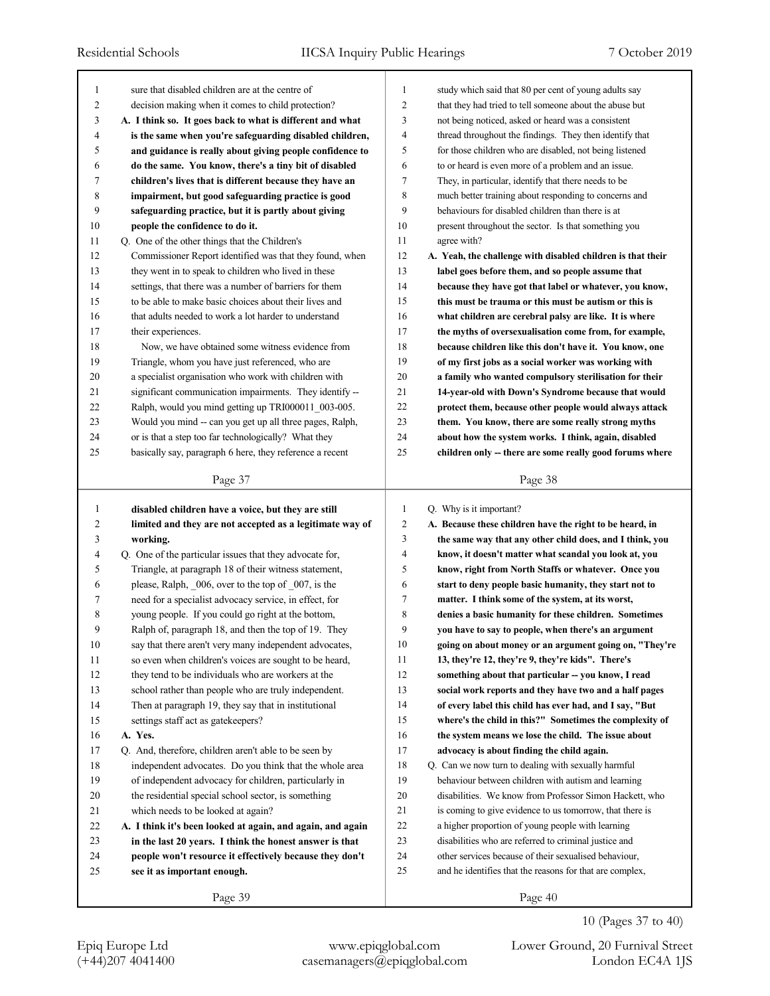| 1      | sure that disabled children are at the centre of           | 1              | study which said that 80 per cent of young adults say       |
|--------|------------------------------------------------------------|----------------|-------------------------------------------------------------|
| 2      | decision making when it comes to child protection?         | $\overline{2}$ | that they had tried to tell someone about the abuse but     |
| 3      | A. I think so. It goes back to what is different and what  | 3              | not being noticed, asked or heard was a consistent          |
| 4      | is the same when you're safeguarding disabled children,    | $\overline{4}$ | thread throughout the findings. They then identify that     |
| 5      | and guidance is really about giving people confidence to   | 5              | for those children who are disabled, not being listened     |
| 6      | do the same. You know, there's a tiny bit of disabled      | 6              | to or heard is even more of a problem and an issue.         |
| 7      | children's lives that is different because they have an    | 7              | They, in particular, identify that there needs to be        |
| 8      | impairment, but good safeguarding practice is good         | 8              | much better training about responding to concerns and       |
| 9      | safeguarding practice, but it is partly about giving       | 9              | behaviours for disabled children than there is at           |
| 10     | people the confidence to do it.                            | 10             | present throughout the sector. Is that something you        |
| 11     | Q. One of the other things that the Children's             | 11             | agree with?                                                 |
| 12     | Commissioner Report identified was that they found, when   | 12             | A. Yeah, the challenge with disabled children is that their |
| 13     | they went in to speak to children who lived in these       | 13             | label goes before them, and so people assume that           |
| 14     | settings, that there was a number of barriers for them     | 14             | because they have got that label or whatever, you know,     |
| 15     | to be able to make basic choices about their lives and     | 15             | this must be trauma or this must be autism or this is       |
| 16     | that adults needed to work a lot harder to understand      | 16             | what children are cerebral palsy are like. It is where      |
| 17     | their experiences.                                         | 17             | the myths of oversexualisation come from, for example,      |
| 18     | Now, we have obtained some witness evidence from           | 18             | because children like this don't have it. You know, one     |
| 19     | Triangle, whom you have just referenced, who are           | 19             | of my first jobs as a social worker was working with        |
| 20     | a specialist organisation who work with children with      | 20             | a family who wanted compulsory sterilisation for their      |
| 21     | significant communication impairments. They identify --    | 21             | 14-year-old with Down's Syndrome because that would         |
| 22     | Ralph, would you mind getting up TRI000011_003-005.        | 22             | protect them, because other people would always attack      |
| 23     | Would you mind -- can you get up all three pages, Ralph,   | 23             | them. You know, there are some really strong myths          |
| 24     | or is that a step too far technologically? What they       | 24             | about how the system works. I think, again, disabled        |
| 25     | basically say, paragraph 6 here, they reference a recent   | 25             | children only -- there are some really good forums where    |
|        |                                                            |                |                                                             |
|        | Page 37                                                    |                | Page 38                                                     |
|        |                                                            |                |                                                             |
|        |                                                            |                |                                                             |
| 1      | disabled children have a voice, but they are still         | 1              | Q. Why is it important?                                     |
| 2      | limited and they are not accepted as a legitimate way of   | $\overline{2}$ | A. Because these children have the right to be heard, in    |
| 3      | working.                                                   | 3              | the same way that any other child does, and I think, you    |
| 4      | Q. One of the particular issues that they advocate for,    | $\overline{4}$ | know, it doesn't matter what scandal you look at, you       |
| 5      | Triangle, at paragraph 18 of their witness statement,      | 5              | know, right from North Staffs or whatever. Once you         |
| 6      | please, Ralph, 006, over to the top of 007, is the         | 6              | start to deny people basic humanity, they start not to      |
| 7      | need for a specialist advocacy service, in effect, for     | 7              | matter. I think some of the system, at its worst,           |
| 8      | young people. If you could go right at the bottom,         | 8              | denies a basic humanity for these children. Sometimes       |
| 9      | Ralph of, paragraph 18, and then the top of 19. They       | 9              | you have to say to people, when there's an argument         |
| $10\,$ | say that there aren't very many independent advocates,     | $10\,$         | going on about money or an argument going on, "They're      |
| 11     | so even when children's voices are sought to be heard,     | 11             | 13, they're 12, they're 9, they're kids". There's           |
| 12     | they tend to be individuals who are workers at the         | 12             | something about that particular -- you know, I read         |
| 13     | school rather than people who are truly independent.       | 13             | social work reports and they have two and a half pages      |
| 14     | Then at paragraph 19, they say that in institutional       | 14             | of every label this child has ever had, and I say, "But     |
| 15     | settings staff act as gatekeepers?                         | 15             | where's the child in this?" Sometimes the complexity of     |
| 16     | A. Yes.                                                    | 16             | the system means we lose the child. The issue about         |
| 17     | Q. And, therefore, children aren't able to be seen by      | 17             | advocacy is about finding the child again.                  |
| 18     | independent advocates. Do you think that the whole area    | 18             | Q. Can we now turn to dealing with sexually harmful         |
| 19     | of independent advocacy for children, particularly in      | 19             | behaviour between children with autism and learning         |
| 20     | the residential special school sector, is something        | 20             | disabilities. We know from Professor Simon Hackett, who     |
| 21     | which needs to be looked at again?                         | 21             | is coming to give evidence to us tomorrow, that there is    |
| 22     | A. I think it's been looked at again, and again, and again | 22             | a higher proportion of young people with learning           |
| 23     | in the last 20 years. I think the honest answer is that    | 23             | disabilities who are referred to criminal justice and       |
| 24     | people won't resource it effectively because they don't    | 24             | other services because of their sexualised behaviour,       |
| 25     | see it as important enough.                                | 25             | and he identifies that the reasons for that are complex,    |
|        | Page 39                                                    |                | Page 40                                                     |

10 (Pages 37 to 40)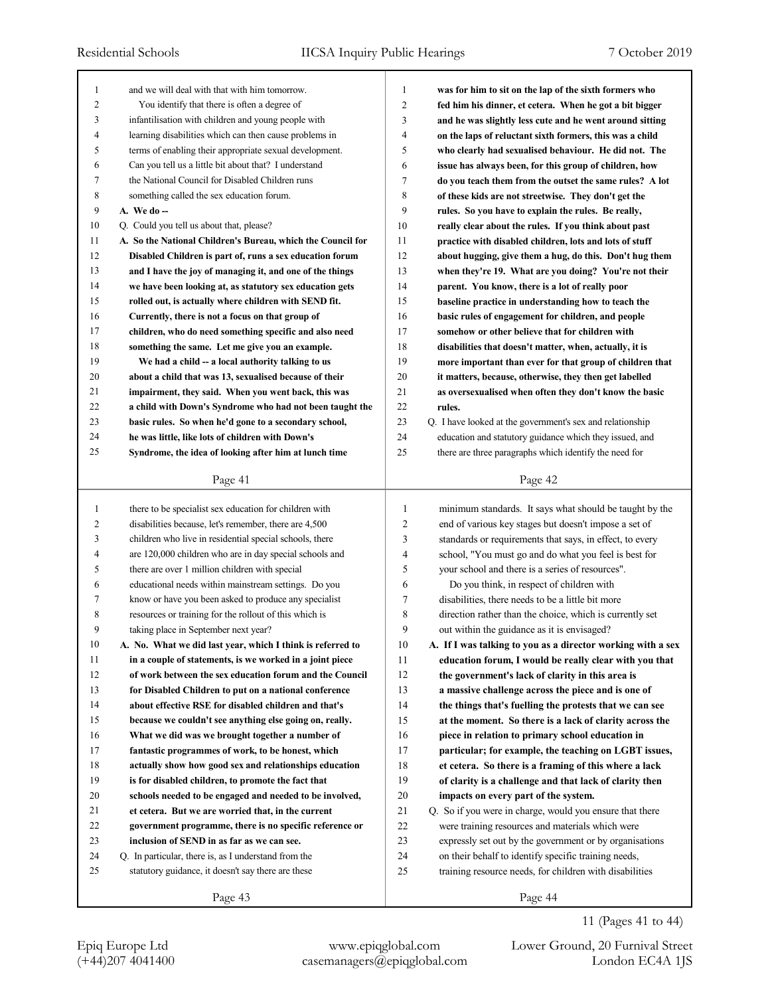| 1      | and we will deal with that with him tomorrow.               | 1  | was for him to sit on the lap of the sixth formers who      |
|--------|-------------------------------------------------------------|----|-------------------------------------------------------------|
| 2      | You identify that there is often a degree of                | 2  | fed him his dinner, et cetera. When he got a bit bigger     |
| 3      | infantilisation with children and young people with         | 3  | and he was slightly less cute and he went around sitting    |
| 4      | learning disabilities which can then cause problems in      | 4  | on the laps of reluctant sixth formers, this was a child    |
| 5      | terms of enabling their appropriate sexual development.     | 5  | who clearly had sexualised behaviour. He did not. The       |
| 6      | Can you tell us a little bit about that? I understand       | 6  | issue has always been, for this group of children, how      |
| 7      | the National Council for Disabled Children runs             | 7  | do you teach them from the outset the same rules? A lot     |
| 8      | something called the sex education forum.                   | 8  | of these kids are not streetwise. They don't get the        |
| 9      | $A.$ We do $-$                                              | 9  | rules. So you have to explain the rules. Be really,         |
| $10\,$ | Q. Could you tell us about that, please?                    | 10 | really clear about the rules. If you think about past       |
| 11     | A. So the National Children's Bureau, which the Council for | 11 | practice with disabled children, lots and lots of stuff     |
| 12     | Disabled Children is part of, runs a sex education forum    | 12 | about hugging, give them a hug, do this. Don't hug them     |
| 13     | and I have the joy of managing it, and one of the things    | 13 | when they're 19. What are you doing? You're not their       |
| 14     | we have been looking at, as statutory sex education gets    | 14 | parent. You know, there is a lot of really poor             |
| 15     | rolled out, is actually where children with SEND fit.       | 15 | baseline practice in understanding how to teach the         |
| 16     | Currently, there is not a focus on that group of            | 16 | basic rules of engagement for children, and people          |
| 17     | children, who do need something specific and also need      | 17 | somehow or other believe that for children with             |
| 18     | something the same. Let me give you an example.             | 18 | disabilities that doesn't matter, when, actually, it is     |
| 19     | We had a child -- a local authority talking to us           | 19 | more important than ever for that group of children that    |
| 20     | about a child that was 13, sexualised because of their      | 20 | it matters, because, otherwise, they then get labelled      |
| 21     | impairment, they said. When you went back, this was         | 21 | as oversexualised when often they don't know the basic      |
| 22     | a child with Down's Syndrome who had not been taught the    | 22 | rules.                                                      |
| 23     | basic rules. So when he'd gone to a secondary school,       | 23 | Q. I have looked at the government's sex and relationship   |
| 24     | he was little, like lots of children with Down's            | 24 | education and statutory guidance which they issued, and     |
| 25     | Syndrome, the idea of looking after him at lunch time       | 25 | there are three paragraphs which identify the need for      |
|        |                                                             |    |                                                             |
|        | Page 41                                                     |    | Page 42                                                     |
|        |                                                             |    |                                                             |
|        |                                                             |    |                                                             |
| 1      | there to be specialist sex education for children with      | 1  | minimum standards. It says what should be taught by the     |
| 2      | disabilities because, let's remember, there are 4,500       | 2  | end of various key stages but doesn't impose a set of       |
| 3      | children who live in residential special schools, there     | 3  | standards or requirements that says, in effect, to every    |
| 4      | are 120,000 children who are in day special schools and     | 4  | school, "You must go and do what you feel is best for       |
| 5      | there are over 1 million children with special              | 5  | your school and there is a series of resources".            |
| 6      | educational needs within mainstream settings. Do you        | 6  | Do you think, in respect of children with                   |
| 7      | know or have you been asked to produce any specialist       | 7  | disabilities, there needs to be a little bit more           |
| 8      | resources or training for the rollout of this which is      | 8  | direction rather than the choice, which is currently set    |
| 9      | taking place in September next year?                        | 9  | out within the guidance as it is envisaged?                 |
| 10     | A. No. What we did last year, which I think is referred to  | 10 | A. If I was talking to you as a director working with a sex |
| 11     | in a couple of statements, is we worked in a joint piece    | 11 | education forum, I would be really clear with you that      |
| 12     | of work between the sex education forum and the Council     | 12 | the government's lack of clarity in this area is            |
| 13     | for Disabled Children to put on a national conference       | 13 | a massive challenge across the piece and is one of          |
| 14     | about effective RSE for disabled children and that's        | 14 | the things that's fuelling the protests that we can see     |
| 15     | because we couldn't see anything else going on, really.     | 15 | at the moment. So there is a lack of clarity across the     |
| 16     | What we did was we brought together a number of             | 16 | piece in relation to primary school education in            |
| 17     | fantastic programmes of work, to be honest, which           | 17 | particular; for example, the teaching on LGBT issues,       |
| 18     | actually show how good sex and relationships education      | 18 | et cetera. So there is a framing of this where a lack       |
| 19     | is for disabled children, to promote the fact that          | 19 | of clarity is a challenge and that lack of clarity then     |
| 20     | schools needed to be engaged and needed to be involved,     | 20 | impacts on every part of the system.                        |
| 21     | et cetera. But we are worried that, in the current          | 21 | Q. So if you were in charge, would you ensure that there    |
| 22     | government programme, there is no specific reference or     | 22 | were training resources and materials which were            |
| 23     | inclusion of SEND in as far as we can see.                  | 23 | expressly set out by the government or by organisations     |
| 24     | Q. In particular, there is, as I understand from the        | 24 | on their behalf to identify specific training needs,        |
| 25     | statutory guidance, it doesn't say there are these          | 25 | training resource needs, for children with disabilities     |

11 (Pages 41 to 44)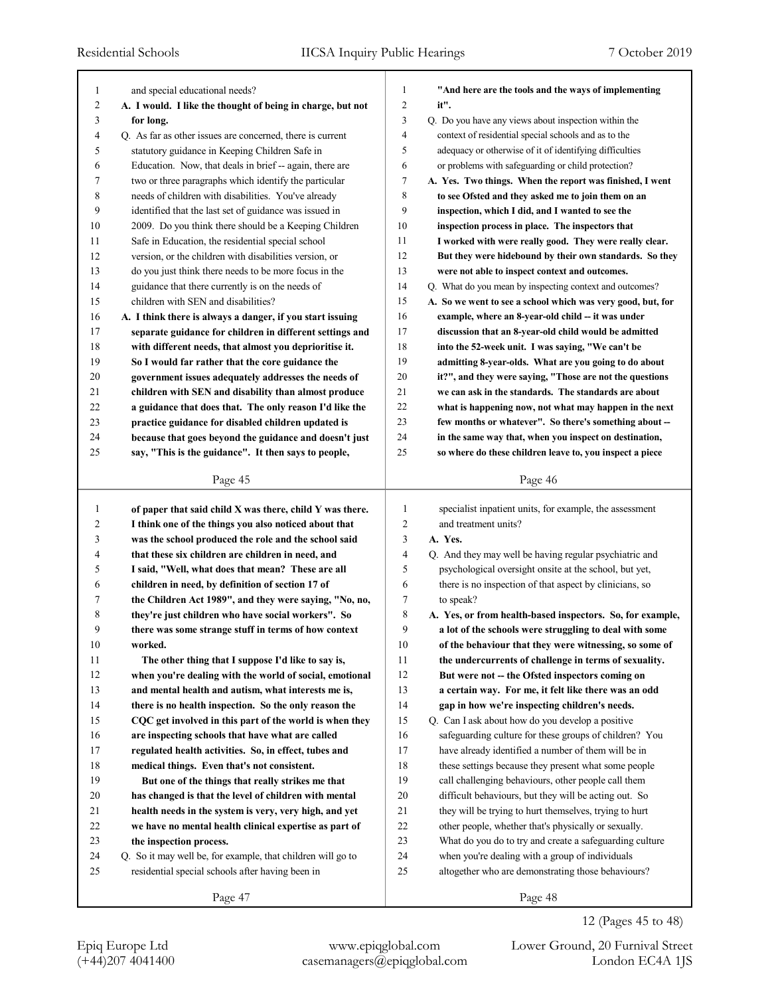|              |                                                                                              | 1              | "And here are the tools and the ways of implementing        |
|--------------|----------------------------------------------------------------------------------------------|----------------|-------------------------------------------------------------|
| 1<br>2       | and special educational needs?<br>A. I would. I like the thought of being in charge, but not | $\overline{c}$ | it".                                                        |
| 3            |                                                                                              | 3              | Q. Do you have any views about inspection within the        |
| 4            | for long.<br>Q. As far as other issues are concerned, there is current                       | $\overline{4}$ | context of residential special schools and as to the        |
| 5            | statutory guidance in Keeping Children Safe in                                               | 5              | adequacy or otherwise of it of identifying difficulties     |
| 6            |                                                                                              | 6              | or problems with safeguarding or child protection?          |
| 7            | Education. Now, that deals in brief -- again, there are                                      | 7              | A. Yes. Two things. When the report was finished, I went    |
|              | two or three paragraphs which identify the particular                                        | 8              |                                                             |
| 8            | needs of children with disabilities. You've already                                          | 9              | to see Ofsted and they asked me to join them on an          |
| 9            | identified that the last set of guidance was issued in                                       |                | inspection, which I did, and I wanted to see the            |
| 10           | 2009. Do you think there should be a Keeping Children                                        | 10             | inspection process in place. The inspectors that            |
| 11           | Safe in Education, the residential special school                                            | 11             | I worked with were really good. They were really clear.     |
| 12           | version, or the children with disabilities version, or                                       | 12             | But they were hidebound by their own standards. So they     |
| 13           | do you just think there needs to be more focus in the                                        | 13             | were not able to inspect context and outcomes.              |
| 14           | guidance that there currently is on the needs of                                             | 14             | Q. What do you mean by inspecting context and outcomes?     |
| 15           | children with SEN and disabilities?                                                          | 15             | A. So we went to see a school which was very good, but, for |
| 16           | A. I think there is always a danger, if you start issuing                                    | 16             | example, where an 8-year-old child -- it was under          |
| 17           | separate guidance for children in different settings and                                     | 17             | discussion that an 8-year-old child would be admitted       |
| 18           | with different needs, that almost you deprioritise it.                                       | 18             | into the 52-week unit. I was saying, "We can't be           |
| 19           | So I would far rather that the core guidance the                                             | 19             | admitting 8-year-olds. What are you going to do about       |
| 20           | government issues adequately addresses the needs of                                          | 20             | it?", and they were saying, "Those are not the questions    |
| 21           | children with SEN and disability than almost produce                                         | 21             | we can ask in the standards. The standards are about        |
| 22           | a guidance that does that. The only reason I'd like the                                      | 22             | what is happening now, not what may happen in the next      |
| 23           | practice guidance for disabled children updated is                                           | 23             | few months or whatever". So there's something about --      |
| 24           | because that goes beyond the guidance and doesn't just                                       | 24             | in the same way that, when you inspect on destination,      |
| 25           | say, "This is the guidance". It then says to people,                                         | 25             | so where do these children leave to, you inspect a piece    |
|              | Page 45                                                                                      |                | Page 46                                                     |
|              |                                                                                              |                |                                                             |
|              |                                                                                              |                |                                                             |
|              |                                                                                              | $\mathbf{1}$   |                                                             |
| $\mathbf{1}$ | of paper that said child X was there, child Y was there.                                     | 2              | specialist inpatient units, for example, the assessment     |
| 2            | I think one of the things you also noticed about that                                        |                | and treatment units?                                        |
| 3            | was the school produced the role and the school said                                         | 3<br>4         | A. Yes.                                                     |
| 4            | that these six children are children in need, and                                            |                | Q. And they may well be having regular psychiatric and      |
| 5            | I said, "Well, what does that mean? These are all                                            | 5              | psychological oversight onsite at the school, but yet,      |
| 6            | children in need, by definition of section 17 of                                             | 6              | there is no inspection of that aspect by clinicians, so     |
| 7            | the Children Act 1989", and they were saying, "No, no,                                       | 7              | to speak?                                                   |
| 8            | they're just children who have social workers". So                                           | 8              | A. Yes, or from health-based inspectors. So, for example,   |
| 9            | there was some strange stuff in terms of how context                                         | 9              | a lot of the schools were struggling to deal with some      |
| 10           | worked.                                                                                      | 10             | of the behaviour that they were witnessing, so some of      |
| 11           | The other thing that I suppose I'd like to say is,                                           | 11             | the undercurrents of challenge in terms of sexuality.       |
| 12           | when you're dealing with the world of social, emotional                                      | 12             | But were not -- the Ofsted inspectors coming on             |
| 13           | and mental health and autism, what interests me is,                                          | 13             | a certain way. For me, it felt like there was an odd        |
| 14           | there is no health inspection. So the only reason the                                        | 14             | gap in how we're inspecting children's needs.               |
| 15           | CQC get involved in this part of the world is when they                                      | 15             | Q. Can I ask about how do you develop a positive            |
| 16           | are inspecting schools that have what are called                                             | 16             | safeguarding culture for these groups of children? You      |
| 17           | regulated health activities. So, in effect, tubes and                                        | 17             | have already identified a number of them will be in         |
| 18           | medical things. Even that's not consistent.                                                  | 18             | these settings because they present what some people        |
| 19           | But one of the things that really strikes me that                                            | 19             | call challenging behaviours, other people call them         |
| 20           | has changed is that the level of children with mental                                        | 20             | difficult behaviours, but they will be acting out. So       |
| 21           | health needs in the system is very, very high, and yet                                       | 21             | they will be trying to hurt themselves, trying to hurt      |
| 22           | we have no mental health clinical expertise as part of                                       | 22             | other people, whether that's physically or sexually.        |
| 23           | the inspection process.                                                                      | 23             | What do you do to try and create a safeguarding culture     |
| 24           | Q. So it may well be, for example, that children will go to                                  | 24             | when you're dealing with a group of individuals             |
| 25           | residential special schools after having been in                                             | 25             | altogether who are demonstrating those behaviours?          |
|              | Page 47                                                                                      |                | Page 48                                                     |

12 (Pages 45 to 48)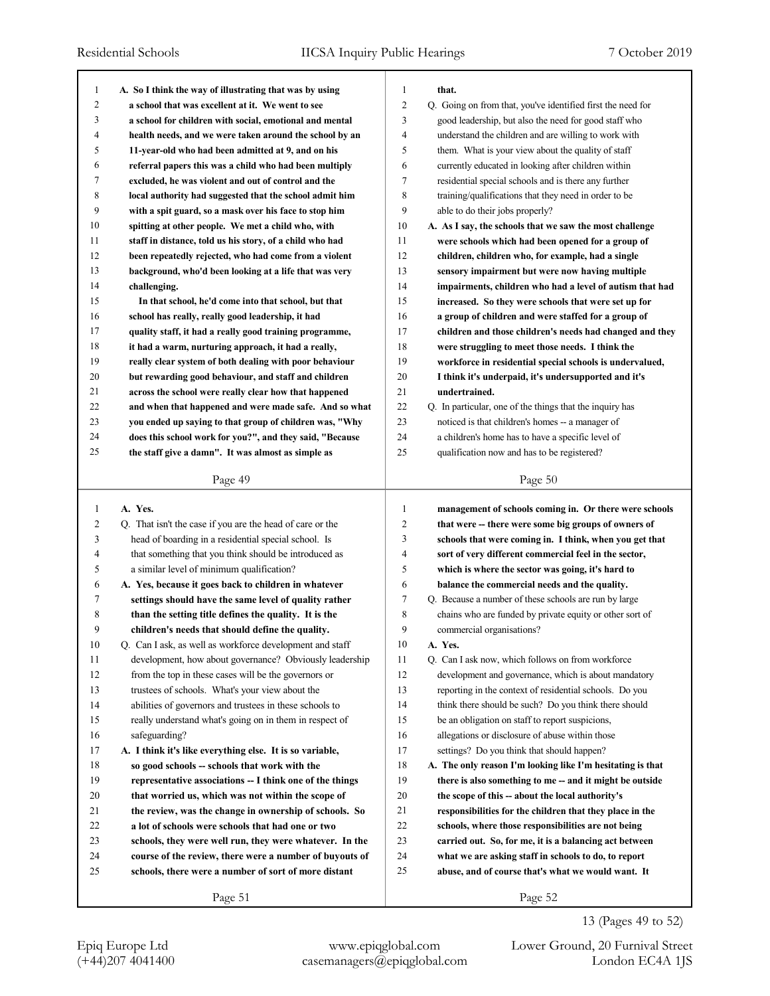| 1  |                                                                                                                     | $\mathbf{1}$   | that.                                                       |
|----|---------------------------------------------------------------------------------------------------------------------|----------------|-------------------------------------------------------------|
| 2  | A. So I think the way of illustrating that was by using<br>a school that was excellent at it. We went to see        | $\overline{c}$ | Q. Going on from that, you've identified first the need for |
| 3  |                                                                                                                     | 3              |                                                             |
|    | a school for children with social, emotional and mental                                                             | $\overline{4}$ | good leadership, but also the need for good staff who       |
| 4  | health needs, and we were taken around the school by an                                                             |                | understand the children and are willing to work with        |
| 5  | 11-year-old who had been admitted at 9, and on his                                                                  | 5              | them. What is your view about the quality of staff          |
| 6  | referral papers this was a child who had been multiply                                                              | 6              | currently educated in looking after children within         |
| 7  | excluded, he was violent and out of control and the                                                                 | 7              | residential special schools and is there any further        |
| 8  | local authority had suggested that the school admit him                                                             | 8              | training/qualifications that they need in order to be       |
| 9  | with a spit guard, so a mask over his face to stop him                                                              | 9              | able to do their jobs properly?                             |
| 10 | spitting at other people. We met a child who, with                                                                  | 10             | A. As I say, the schools that we saw the most challenge     |
| 11 | staff in distance, told us his story, of a child who had                                                            | 11             | were schools which had been opened for a group of           |
| 12 | been repeatedly rejected, who had come from a violent                                                               | 12             | children, children who, for example, had a single           |
| 13 | background, who'd been looking at a life that was very                                                              | 13             | sensory impairment but were now having multiple             |
| 14 | challenging.                                                                                                        | 14             | impairments, children who had a level of autism that had    |
| 15 | In that school, he'd come into that school, but that                                                                | 15             | increased. So they were schools that were set up for        |
| 16 | school has really, really good leadership, it had                                                                   | 16             | a group of children and were staffed for a group of         |
| 17 | quality staff, it had a really good training programme,                                                             | 17             | children and those children's needs had changed and they    |
| 18 | it had a warm, nurturing approach, it had a really,                                                                 | 18             | were struggling to meet those needs. I think the            |
| 19 | really clear system of both dealing with poor behaviour                                                             | 19             | workforce in residential special schools is undervalued,    |
| 20 | but rewarding good behaviour, and staff and children                                                                | 20             | I think it's underpaid, it's undersupported and it's        |
| 21 | across the school were really clear how that happened                                                               | 21             | undertrained.                                               |
| 22 | and when that happened and were made safe. And so what                                                              | 22             | Q. In particular, one of the things that the inquiry has    |
| 23 | you ended up saying to that group of children was, "Why                                                             | 23             | noticed is that children's homes -- a manager of            |
| 24 | does this school work for you?", and they said, "Because                                                            | 24             | a children's home has to have a specific level of           |
| 25 | the staff give a damn". It was almost as simple as                                                                  | 25             | qualification now and has to be registered?                 |
|    | Page 49                                                                                                             |                | Page 50                                                     |
|    |                                                                                                                     |                |                                                             |
|    |                                                                                                                     |                |                                                             |
| 1  | A. Yes.                                                                                                             | $\mathbf{1}$   | management of schools coming in. Or there were schools      |
| 2  | Q. That isn't the case if you are the head of care or the                                                           | $\overline{c}$ | that were – there were some big groups of owners of         |
| 3  | head of boarding in a residential special school. Is                                                                | 3              | schools that were coming in. I think, when you get that     |
| 4  | that something that you think should be introduced as                                                               | 4              | sort of very different commercial feel in the sector,       |
| 5  | a similar level of minimum qualification?                                                                           | 5              | which is where the sector was going, it's hard to           |
| 6  |                                                                                                                     | 6              | balance the commercial needs and the quality.               |
| 7  | A. Yes, because it goes back to children in whatever                                                                | 7              | Q. Because a number of these schools are run by large       |
| 8  | settings should have the same level of quality rather                                                               | 8              | chains who are funded by private equity or other sort of    |
| 9  | than the setting title defines the quality. It is the                                                               | 9              | commercial organisations?                                   |
| 10 | children's needs that should define the quality.                                                                    | 10             | A. Yes.                                                     |
| 11 | Q. Can I ask, as well as workforce development and staff<br>development, how about governance? Obviously leadership | 11             | Q. Can I ask now, which follows on from workforce           |
| 12 | from the top in these cases will be the governors or                                                                | 12             | development and governance, which is about mandatory        |
| 13 | trustees of schools. What's your view about the                                                                     | 13             | reporting in the context of residential schools. Do you     |
|    |                                                                                                                     | 14             |                                                             |
| 14 | abilities of governors and trustees in these schools to                                                             | 15             | think there should be such? Do you think there should       |
| 15 | really understand what's going on in them in respect of                                                             |                | be an obligation on staff to report suspicions,             |
| 16 | safeguarding?                                                                                                       | 16             | allegations or disclosure of abuse within those             |
| 17 | A. I think it's like everything else. It is so variable,                                                            | 17             | settings? Do you think that should happen?                  |
| 18 | so good schools -- schools that work with the                                                                       | 18             | A. The only reason I'm looking like I'm hesitating is that  |
| 19 | representative associations -- I think one of the things                                                            | 19             | there is also something to me -- and it might be outside    |
| 20 | that worried us, which was not within the scope of                                                                  | 20             | the scope of this -- about the local authority's            |
| 21 | the review, was the change in ownership of schools. So                                                              | 21             | responsibilities for the children that they place in the    |
| 22 | a lot of schools were schools that had one or two                                                                   | 22             | schools, where those responsibilities are not being         |
| 23 | schools, they were well run, they were whatever. In the                                                             | 23             | carried out. So, for me, it is a balancing act between      |
| 24 | course of the review, there were a number of buyouts of                                                             | 24             | what we are asking staff in schools to do, to report        |
| 25 | schools, there were a number of sort of more distant                                                                | 25             | abuse, and of course that's what we would want. It          |

(+44)207 4041400 casemanagers@epiqglobal.com London EC4A 1JS Epiq Europe Ltd www.epiqglobal.com Lower Ground, 20 Furnival Street

13 (Pages 49 to 52)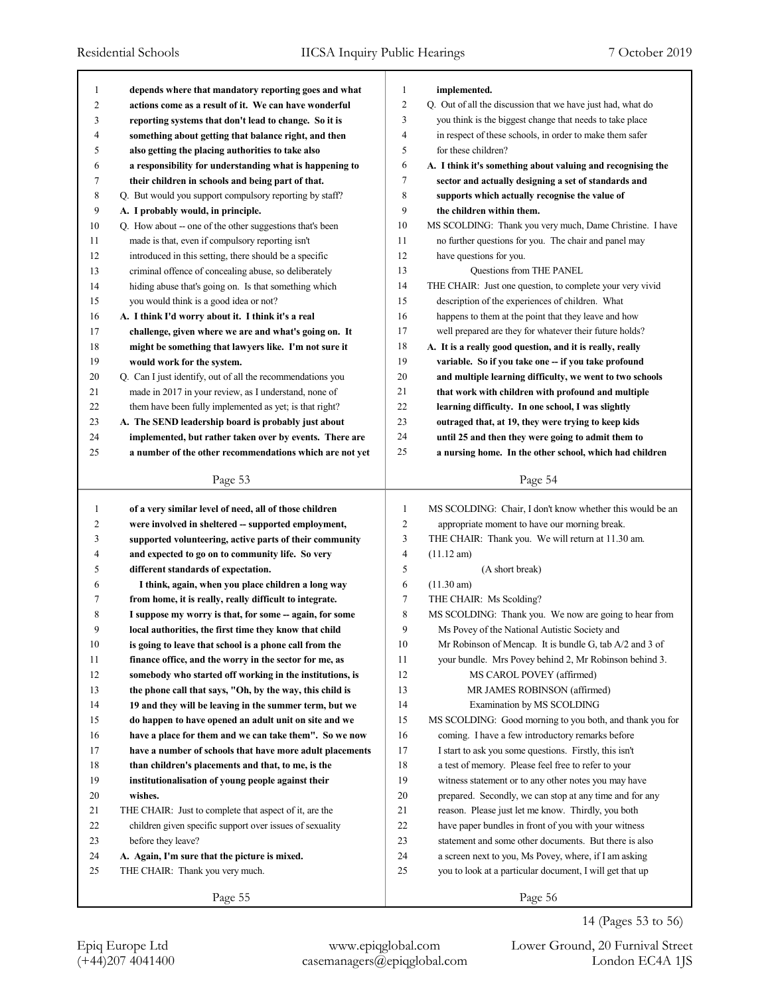| 1<br>depends where that mandatory reporting goes and what<br>implemented.<br>1<br>$\overline{c}$<br>Q. Out of all the discussion that we have just had, what do<br>2<br>actions come as a result of it. We can have wonderful<br>3<br>you think is the biggest change that needs to take place<br>3<br>reporting systems that don't lead to change. So it is<br>$\overline{4}$<br>in respect of these schools, in order to make them safer<br>4<br>something about getting that balance right, and then<br>5<br>5<br>for these children?<br>also getting the placing authorities to take also<br>6<br>6<br>a responsibility for understanding what is happening to<br>A. I think it's something about valuing and recognising the<br>7<br>7<br>their children in schools and being part of that.<br>sector and actually designing a set of standards and<br>8<br>8<br>Q. But would you support compulsory reporting by staff?<br>supports which actually recognise the value of<br>9<br>9<br>A. I probably would, in principle.<br>the children within them.<br>10<br>MS SCOLDING: Thank you very much, Dame Christine. I have<br>10<br>Q. How about -- one of the other suggestions that's been<br>11<br>no further questions for you. The chair and panel may<br>made is that, even if compulsory reporting isn't<br>11<br>12<br>12<br>introduced in this setting, there should be a specific<br>have questions for you.<br>13<br>Questions from THE PANEL<br>13<br>criminal offence of concealing abuse, so deliberately<br>14<br>14<br>hiding abuse that's going on. Is that something which<br>THE CHAIR: Just one question, to complete your very vivid<br>15<br>description of the experiences of children. What<br>15<br>you would think is a good idea or not?<br>16<br>16<br>happens to them at the point that they leave and how<br>A. I think I'd worry about it. I think it's a real<br>17<br>well prepared are they for whatever their future holds?<br>17<br>challenge, given where we are and what's going on. It<br>18<br>18<br>A. It is a really good question, and it is really, really<br>might be something that lawyers like. I'm not sure it<br>19<br>19<br>would work for the system.<br>variable. So if you take one -- if you take profound<br>20<br>20<br>Q. Can I just identify, out of all the recommendations you<br>and multiple learning difficulty, we went to two schools<br>21<br>21<br>made in 2017 in your review, as I understand, none of<br>that work with children with profound and multiple<br>22<br>22<br>them have been fully implemented as yet; is that right?<br>learning difficulty. In one school, I was slightly<br>23<br>23<br>A. The SEND leadership board is probably just about<br>outraged that, at 19, they were trying to keep kids<br>24<br>24<br>implemented, but rather taken over by events. There are<br>until 25 and then they were going to admit them to<br>25<br>25<br>a number of the other recommendations which are not yet<br>a nursing home. In the other school, which had children<br>Page 53<br>Page 54<br>1<br>MS SCOLDING: Chair, I don't know whether this would be an<br>of a very similar level of need, all of those children<br>1<br>$\overline{c}$<br>2<br>appropriate moment to have our morning break.<br>were involved in sheltered -- supported employment,<br>3<br>3<br>THE CHAIR: Thank you. We will return at 11.30 am.<br>supported volunteering, active parts of their community<br>$\overline{4}$<br>4<br>and expected to go on to community life. So very<br>$(11.12 \text{ am})$<br>5<br>5<br>different standards of expectation.<br>(A short break)<br>6<br>(11.30 am)<br>6<br>I think, again, when you place children a long way<br>7<br>7<br>from home, it is really, really difficult to integrate.<br>THE CHAIR: Ms Scolding?<br>8<br>8<br>I suppose my worry is that, for some -- again, for some<br>MS SCOLDING: Thank you. We now are going to hear from<br>9<br>9<br>Ms Povey of the National Autistic Society and<br>local authorities, the first time they know that child<br>10<br>10<br>is going to leave that school is a phone call from the<br>Mr Robinson of Mencap. It is bundle G, tab A/2 and 3 of<br>11<br>your bundle. Mrs Povey behind 2, Mr Robinson behind 3.<br>11<br>finance office, and the worry in the sector for me, as<br>12<br>12<br>somebody who started off working in the institutions, is<br>MS CAROL POVEY (affirmed)<br>13<br>13<br>the phone call that says, "Oh, by the way, this child is<br>MR JAMES ROBINSON (affirmed)<br>14<br>14<br>19 and they will be leaving in the summer term, but we<br>Examination by MS SCOLDING<br>15<br>15<br>MS SCOLDING: Good morning to you both, and thank you for<br>do happen to have opened an adult unit on site and we<br>16<br>16<br>coming. I have a few introductory remarks before<br>have a place for them and we can take them". So we now<br>17<br>I start to ask you some questions. Firstly, this isn't<br>17<br>have a number of schools that have more adult placements<br>18<br>18<br>a test of memory. Please feel free to refer to your<br>than children's placements and that, to me, is the<br>19<br>19<br>institutionalisation of young people against their<br>witness statement or to any other notes you may have<br>wishes.<br>20<br>prepared. Secondly, we can stop at any time and for any<br>20<br>21<br>21<br>THE CHAIR: Just to complete that aspect of it, are the<br>reason. Please just let me know. Thirdly, you both<br>22<br>22<br>children given specific support over issues of sexuality<br>have paper bundles in front of you with your witness<br>23<br>statement and some other documents. But there is also<br>23<br>before they leave?<br>24<br>24<br>a screen next to you, Ms Povey, where, if I am asking<br>A. Again, I'm sure that the picture is mixed. |    |                                 |    |                                                          |
|---------------------------------------------------------------------------------------------------------------------------------------------------------------------------------------------------------------------------------------------------------------------------------------------------------------------------------------------------------------------------------------------------------------------------------------------------------------------------------------------------------------------------------------------------------------------------------------------------------------------------------------------------------------------------------------------------------------------------------------------------------------------------------------------------------------------------------------------------------------------------------------------------------------------------------------------------------------------------------------------------------------------------------------------------------------------------------------------------------------------------------------------------------------------------------------------------------------------------------------------------------------------------------------------------------------------------------------------------------------------------------------------------------------------------------------------------------------------------------------------------------------------------------------------------------------------------------------------------------------------------------------------------------------------------------------------------------------------------------------------------------------------------------------------------------------------------------------------------------------------------------------------------------------------------------------------------------------------------------------------------------------------------------------------------------------------------------------------------------------------------------------------------------------------------------------------------------------------------------------------------------------------------------------------------------------------------------------------------------------------------------------------------------------------------------------------------------------------------------------------------------------------------------------------------------------------------------------------------------------------------------------------------------------------------------------------------------------------------------------------------------------------------------------------------------------------------------------------------------------------------------------------------------------------------------------------------------------------------------------------------------------------------------------------------------------------------------------------------------------------------------------------------------------------------------------------------------------------------------------------------------------------------------------------------------------------------------------------------------------------------------------------------------------------------------------------------------------------------------------------------------------------------------------------------------------------------------------------------------------------------------------------------------------------------------------------------------------------------------------------------------------------------------------------------------------------------------------------------------------------------------------------------------------------------------------------------------------------------------------------------------------------------------------------------------------------------------------------------------------------------------------------------------------------------------------------------------------------------------------------------------------------------------------------------------------------------------------------------------------------------------------------------------------------------------------------------------------------------------------------------------------------------------------------------------------------------------------------------------------------------------------------------------------------------------------------------------------------------------------------------------------------------------------------------------------------------------------------------------------------------------------------------------------------------------------------------------------------------------------------------------------------------------------------------------------------------------------------------------------------------------------------------------------------------------------------------------------------------------------------------------------------------------------------------------------------------------------------------------------------------------------------------------------------------------------------------------------------------------------------------------------------------------------------------------------------------------------------------------------------------------------------------------------------------------------------------------------------------------------------------------------------------------------------------------------------------------------------------------------------------------------|----|---------------------------------|----|----------------------------------------------------------|
|                                                                                                                                                                                                                                                                                                                                                                                                                                                                                                                                                                                                                                                                                                                                                                                                                                                                                                                                                                                                                                                                                                                                                                                                                                                                                                                                                                                                                                                                                                                                                                                                                                                                                                                                                                                                                                                                                                                                                                                                                                                                                                                                                                                                                                                                                                                                                                                                                                                                                                                                                                                                                                                                                                                                                                                                                                                                                                                                                                                                                                                                                                                                                                                                                                                                                                                                                                                                                                                                                                                                                                                                                                                                                                                                                                                                                                                                                                                                                                                                                                                                                                                                                                                                                                                                                                                                                                                                                                                                                                                                                                                                                                                                                                                                                                                                                                                                                                                                                                                                                                                                                                                                                                                                                                                                                                                                                                                                                                                                                                                                                                                                                                                                                                                                                                                                                                                                                       |    |                                 |    |                                                          |
|                                                                                                                                                                                                                                                                                                                                                                                                                                                                                                                                                                                                                                                                                                                                                                                                                                                                                                                                                                                                                                                                                                                                                                                                                                                                                                                                                                                                                                                                                                                                                                                                                                                                                                                                                                                                                                                                                                                                                                                                                                                                                                                                                                                                                                                                                                                                                                                                                                                                                                                                                                                                                                                                                                                                                                                                                                                                                                                                                                                                                                                                                                                                                                                                                                                                                                                                                                                                                                                                                                                                                                                                                                                                                                                                                                                                                                                                                                                                                                                                                                                                                                                                                                                                                                                                                                                                                                                                                                                                                                                                                                                                                                                                                                                                                                                                                                                                                                                                                                                                                                                                                                                                                                                                                                                                                                                                                                                                                                                                                                                                                                                                                                                                                                                                                                                                                                                                                       |    |                                 |    |                                                          |
|                                                                                                                                                                                                                                                                                                                                                                                                                                                                                                                                                                                                                                                                                                                                                                                                                                                                                                                                                                                                                                                                                                                                                                                                                                                                                                                                                                                                                                                                                                                                                                                                                                                                                                                                                                                                                                                                                                                                                                                                                                                                                                                                                                                                                                                                                                                                                                                                                                                                                                                                                                                                                                                                                                                                                                                                                                                                                                                                                                                                                                                                                                                                                                                                                                                                                                                                                                                                                                                                                                                                                                                                                                                                                                                                                                                                                                                                                                                                                                                                                                                                                                                                                                                                                                                                                                                                                                                                                                                                                                                                                                                                                                                                                                                                                                                                                                                                                                                                                                                                                                                                                                                                                                                                                                                                                                                                                                                                                                                                                                                                                                                                                                                                                                                                                                                                                                                                                       |    |                                 |    |                                                          |
|                                                                                                                                                                                                                                                                                                                                                                                                                                                                                                                                                                                                                                                                                                                                                                                                                                                                                                                                                                                                                                                                                                                                                                                                                                                                                                                                                                                                                                                                                                                                                                                                                                                                                                                                                                                                                                                                                                                                                                                                                                                                                                                                                                                                                                                                                                                                                                                                                                                                                                                                                                                                                                                                                                                                                                                                                                                                                                                                                                                                                                                                                                                                                                                                                                                                                                                                                                                                                                                                                                                                                                                                                                                                                                                                                                                                                                                                                                                                                                                                                                                                                                                                                                                                                                                                                                                                                                                                                                                                                                                                                                                                                                                                                                                                                                                                                                                                                                                                                                                                                                                                                                                                                                                                                                                                                                                                                                                                                                                                                                                                                                                                                                                                                                                                                                                                                                                                                       |    |                                 |    |                                                          |
|                                                                                                                                                                                                                                                                                                                                                                                                                                                                                                                                                                                                                                                                                                                                                                                                                                                                                                                                                                                                                                                                                                                                                                                                                                                                                                                                                                                                                                                                                                                                                                                                                                                                                                                                                                                                                                                                                                                                                                                                                                                                                                                                                                                                                                                                                                                                                                                                                                                                                                                                                                                                                                                                                                                                                                                                                                                                                                                                                                                                                                                                                                                                                                                                                                                                                                                                                                                                                                                                                                                                                                                                                                                                                                                                                                                                                                                                                                                                                                                                                                                                                                                                                                                                                                                                                                                                                                                                                                                                                                                                                                                                                                                                                                                                                                                                                                                                                                                                                                                                                                                                                                                                                                                                                                                                                                                                                                                                                                                                                                                                                                                                                                                                                                                                                                                                                                                                                       |    |                                 |    |                                                          |
|                                                                                                                                                                                                                                                                                                                                                                                                                                                                                                                                                                                                                                                                                                                                                                                                                                                                                                                                                                                                                                                                                                                                                                                                                                                                                                                                                                                                                                                                                                                                                                                                                                                                                                                                                                                                                                                                                                                                                                                                                                                                                                                                                                                                                                                                                                                                                                                                                                                                                                                                                                                                                                                                                                                                                                                                                                                                                                                                                                                                                                                                                                                                                                                                                                                                                                                                                                                                                                                                                                                                                                                                                                                                                                                                                                                                                                                                                                                                                                                                                                                                                                                                                                                                                                                                                                                                                                                                                                                                                                                                                                                                                                                                                                                                                                                                                                                                                                                                                                                                                                                                                                                                                                                                                                                                                                                                                                                                                                                                                                                                                                                                                                                                                                                                                                                                                                                                                       |    |                                 |    |                                                          |
|                                                                                                                                                                                                                                                                                                                                                                                                                                                                                                                                                                                                                                                                                                                                                                                                                                                                                                                                                                                                                                                                                                                                                                                                                                                                                                                                                                                                                                                                                                                                                                                                                                                                                                                                                                                                                                                                                                                                                                                                                                                                                                                                                                                                                                                                                                                                                                                                                                                                                                                                                                                                                                                                                                                                                                                                                                                                                                                                                                                                                                                                                                                                                                                                                                                                                                                                                                                                                                                                                                                                                                                                                                                                                                                                                                                                                                                                                                                                                                                                                                                                                                                                                                                                                                                                                                                                                                                                                                                                                                                                                                                                                                                                                                                                                                                                                                                                                                                                                                                                                                                                                                                                                                                                                                                                                                                                                                                                                                                                                                                                                                                                                                                                                                                                                                                                                                                                                       |    |                                 |    |                                                          |
|                                                                                                                                                                                                                                                                                                                                                                                                                                                                                                                                                                                                                                                                                                                                                                                                                                                                                                                                                                                                                                                                                                                                                                                                                                                                                                                                                                                                                                                                                                                                                                                                                                                                                                                                                                                                                                                                                                                                                                                                                                                                                                                                                                                                                                                                                                                                                                                                                                                                                                                                                                                                                                                                                                                                                                                                                                                                                                                                                                                                                                                                                                                                                                                                                                                                                                                                                                                                                                                                                                                                                                                                                                                                                                                                                                                                                                                                                                                                                                                                                                                                                                                                                                                                                                                                                                                                                                                                                                                                                                                                                                                                                                                                                                                                                                                                                                                                                                                                                                                                                                                                                                                                                                                                                                                                                                                                                                                                                                                                                                                                                                                                                                                                                                                                                                                                                                                                                       |    |                                 |    |                                                          |
|                                                                                                                                                                                                                                                                                                                                                                                                                                                                                                                                                                                                                                                                                                                                                                                                                                                                                                                                                                                                                                                                                                                                                                                                                                                                                                                                                                                                                                                                                                                                                                                                                                                                                                                                                                                                                                                                                                                                                                                                                                                                                                                                                                                                                                                                                                                                                                                                                                                                                                                                                                                                                                                                                                                                                                                                                                                                                                                                                                                                                                                                                                                                                                                                                                                                                                                                                                                                                                                                                                                                                                                                                                                                                                                                                                                                                                                                                                                                                                                                                                                                                                                                                                                                                                                                                                                                                                                                                                                                                                                                                                                                                                                                                                                                                                                                                                                                                                                                                                                                                                                                                                                                                                                                                                                                                                                                                                                                                                                                                                                                                                                                                                                                                                                                                                                                                                                                                       |    |                                 |    |                                                          |
|                                                                                                                                                                                                                                                                                                                                                                                                                                                                                                                                                                                                                                                                                                                                                                                                                                                                                                                                                                                                                                                                                                                                                                                                                                                                                                                                                                                                                                                                                                                                                                                                                                                                                                                                                                                                                                                                                                                                                                                                                                                                                                                                                                                                                                                                                                                                                                                                                                                                                                                                                                                                                                                                                                                                                                                                                                                                                                                                                                                                                                                                                                                                                                                                                                                                                                                                                                                                                                                                                                                                                                                                                                                                                                                                                                                                                                                                                                                                                                                                                                                                                                                                                                                                                                                                                                                                                                                                                                                                                                                                                                                                                                                                                                                                                                                                                                                                                                                                                                                                                                                                                                                                                                                                                                                                                                                                                                                                                                                                                                                                                                                                                                                                                                                                                                                                                                                                                       |    |                                 |    |                                                          |
|                                                                                                                                                                                                                                                                                                                                                                                                                                                                                                                                                                                                                                                                                                                                                                                                                                                                                                                                                                                                                                                                                                                                                                                                                                                                                                                                                                                                                                                                                                                                                                                                                                                                                                                                                                                                                                                                                                                                                                                                                                                                                                                                                                                                                                                                                                                                                                                                                                                                                                                                                                                                                                                                                                                                                                                                                                                                                                                                                                                                                                                                                                                                                                                                                                                                                                                                                                                                                                                                                                                                                                                                                                                                                                                                                                                                                                                                                                                                                                                                                                                                                                                                                                                                                                                                                                                                                                                                                                                                                                                                                                                                                                                                                                                                                                                                                                                                                                                                                                                                                                                                                                                                                                                                                                                                                                                                                                                                                                                                                                                                                                                                                                                                                                                                                                                                                                                                                       |    |                                 |    |                                                          |
|                                                                                                                                                                                                                                                                                                                                                                                                                                                                                                                                                                                                                                                                                                                                                                                                                                                                                                                                                                                                                                                                                                                                                                                                                                                                                                                                                                                                                                                                                                                                                                                                                                                                                                                                                                                                                                                                                                                                                                                                                                                                                                                                                                                                                                                                                                                                                                                                                                                                                                                                                                                                                                                                                                                                                                                                                                                                                                                                                                                                                                                                                                                                                                                                                                                                                                                                                                                                                                                                                                                                                                                                                                                                                                                                                                                                                                                                                                                                                                                                                                                                                                                                                                                                                                                                                                                                                                                                                                                                                                                                                                                                                                                                                                                                                                                                                                                                                                                                                                                                                                                                                                                                                                                                                                                                                                                                                                                                                                                                                                                                                                                                                                                                                                                                                                                                                                                                                       |    |                                 |    |                                                          |
|                                                                                                                                                                                                                                                                                                                                                                                                                                                                                                                                                                                                                                                                                                                                                                                                                                                                                                                                                                                                                                                                                                                                                                                                                                                                                                                                                                                                                                                                                                                                                                                                                                                                                                                                                                                                                                                                                                                                                                                                                                                                                                                                                                                                                                                                                                                                                                                                                                                                                                                                                                                                                                                                                                                                                                                                                                                                                                                                                                                                                                                                                                                                                                                                                                                                                                                                                                                                                                                                                                                                                                                                                                                                                                                                                                                                                                                                                                                                                                                                                                                                                                                                                                                                                                                                                                                                                                                                                                                                                                                                                                                                                                                                                                                                                                                                                                                                                                                                                                                                                                                                                                                                                                                                                                                                                                                                                                                                                                                                                                                                                                                                                                                                                                                                                                                                                                                                                       |    |                                 |    |                                                          |
|                                                                                                                                                                                                                                                                                                                                                                                                                                                                                                                                                                                                                                                                                                                                                                                                                                                                                                                                                                                                                                                                                                                                                                                                                                                                                                                                                                                                                                                                                                                                                                                                                                                                                                                                                                                                                                                                                                                                                                                                                                                                                                                                                                                                                                                                                                                                                                                                                                                                                                                                                                                                                                                                                                                                                                                                                                                                                                                                                                                                                                                                                                                                                                                                                                                                                                                                                                                                                                                                                                                                                                                                                                                                                                                                                                                                                                                                                                                                                                                                                                                                                                                                                                                                                                                                                                                                                                                                                                                                                                                                                                                                                                                                                                                                                                                                                                                                                                                                                                                                                                                                                                                                                                                                                                                                                                                                                                                                                                                                                                                                                                                                                                                                                                                                                                                                                                                                                       |    |                                 |    |                                                          |
|                                                                                                                                                                                                                                                                                                                                                                                                                                                                                                                                                                                                                                                                                                                                                                                                                                                                                                                                                                                                                                                                                                                                                                                                                                                                                                                                                                                                                                                                                                                                                                                                                                                                                                                                                                                                                                                                                                                                                                                                                                                                                                                                                                                                                                                                                                                                                                                                                                                                                                                                                                                                                                                                                                                                                                                                                                                                                                                                                                                                                                                                                                                                                                                                                                                                                                                                                                                                                                                                                                                                                                                                                                                                                                                                                                                                                                                                                                                                                                                                                                                                                                                                                                                                                                                                                                                                                                                                                                                                                                                                                                                                                                                                                                                                                                                                                                                                                                                                                                                                                                                                                                                                                                                                                                                                                                                                                                                                                                                                                                                                                                                                                                                                                                                                                                                                                                                                                       |    |                                 |    |                                                          |
|                                                                                                                                                                                                                                                                                                                                                                                                                                                                                                                                                                                                                                                                                                                                                                                                                                                                                                                                                                                                                                                                                                                                                                                                                                                                                                                                                                                                                                                                                                                                                                                                                                                                                                                                                                                                                                                                                                                                                                                                                                                                                                                                                                                                                                                                                                                                                                                                                                                                                                                                                                                                                                                                                                                                                                                                                                                                                                                                                                                                                                                                                                                                                                                                                                                                                                                                                                                                                                                                                                                                                                                                                                                                                                                                                                                                                                                                                                                                                                                                                                                                                                                                                                                                                                                                                                                                                                                                                                                                                                                                                                                                                                                                                                                                                                                                                                                                                                                                                                                                                                                                                                                                                                                                                                                                                                                                                                                                                                                                                                                                                                                                                                                                                                                                                                                                                                                                                       |    |                                 |    |                                                          |
|                                                                                                                                                                                                                                                                                                                                                                                                                                                                                                                                                                                                                                                                                                                                                                                                                                                                                                                                                                                                                                                                                                                                                                                                                                                                                                                                                                                                                                                                                                                                                                                                                                                                                                                                                                                                                                                                                                                                                                                                                                                                                                                                                                                                                                                                                                                                                                                                                                                                                                                                                                                                                                                                                                                                                                                                                                                                                                                                                                                                                                                                                                                                                                                                                                                                                                                                                                                                                                                                                                                                                                                                                                                                                                                                                                                                                                                                                                                                                                                                                                                                                                                                                                                                                                                                                                                                                                                                                                                                                                                                                                                                                                                                                                                                                                                                                                                                                                                                                                                                                                                                                                                                                                                                                                                                                                                                                                                                                                                                                                                                                                                                                                                                                                                                                                                                                                                                                       |    |                                 |    |                                                          |
|                                                                                                                                                                                                                                                                                                                                                                                                                                                                                                                                                                                                                                                                                                                                                                                                                                                                                                                                                                                                                                                                                                                                                                                                                                                                                                                                                                                                                                                                                                                                                                                                                                                                                                                                                                                                                                                                                                                                                                                                                                                                                                                                                                                                                                                                                                                                                                                                                                                                                                                                                                                                                                                                                                                                                                                                                                                                                                                                                                                                                                                                                                                                                                                                                                                                                                                                                                                                                                                                                                                                                                                                                                                                                                                                                                                                                                                                                                                                                                                                                                                                                                                                                                                                                                                                                                                                                                                                                                                                                                                                                                                                                                                                                                                                                                                                                                                                                                                                                                                                                                                                                                                                                                                                                                                                                                                                                                                                                                                                                                                                                                                                                                                                                                                                                                                                                                                                                       |    |                                 |    |                                                          |
|                                                                                                                                                                                                                                                                                                                                                                                                                                                                                                                                                                                                                                                                                                                                                                                                                                                                                                                                                                                                                                                                                                                                                                                                                                                                                                                                                                                                                                                                                                                                                                                                                                                                                                                                                                                                                                                                                                                                                                                                                                                                                                                                                                                                                                                                                                                                                                                                                                                                                                                                                                                                                                                                                                                                                                                                                                                                                                                                                                                                                                                                                                                                                                                                                                                                                                                                                                                                                                                                                                                                                                                                                                                                                                                                                                                                                                                                                                                                                                                                                                                                                                                                                                                                                                                                                                                                                                                                                                                                                                                                                                                                                                                                                                                                                                                                                                                                                                                                                                                                                                                                                                                                                                                                                                                                                                                                                                                                                                                                                                                                                                                                                                                                                                                                                                                                                                                                                       |    |                                 |    |                                                          |
|                                                                                                                                                                                                                                                                                                                                                                                                                                                                                                                                                                                                                                                                                                                                                                                                                                                                                                                                                                                                                                                                                                                                                                                                                                                                                                                                                                                                                                                                                                                                                                                                                                                                                                                                                                                                                                                                                                                                                                                                                                                                                                                                                                                                                                                                                                                                                                                                                                                                                                                                                                                                                                                                                                                                                                                                                                                                                                                                                                                                                                                                                                                                                                                                                                                                                                                                                                                                                                                                                                                                                                                                                                                                                                                                                                                                                                                                                                                                                                                                                                                                                                                                                                                                                                                                                                                                                                                                                                                                                                                                                                                                                                                                                                                                                                                                                                                                                                                                                                                                                                                                                                                                                                                                                                                                                                                                                                                                                                                                                                                                                                                                                                                                                                                                                                                                                                                                                       |    |                                 |    |                                                          |
|                                                                                                                                                                                                                                                                                                                                                                                                                                                                                                                                                                                                                                                                                                                                                                                                                                                                                                                                                                                                                                                                                                                                                                                                                                                                                                                                                                                                                                                                                                                                                                                                                                                                                                                                                                                                                                                                                                                                                                                                                                                                                                                                                                                                                                                                                                                                                                                                                                                                                                                                                                                                                                                                                                                                                                                                                                                                                                                                                                                                                                                                                                                                                                                                                                                                                                                                                                                                                                                                                                                                                                                                                                                                                                                                                                                                                                                                                                                                                                                                                                                                                                                                                                                                                                                                                                                                                                                                                                                                                                                                                                                                                                                                                                                                                                                                                                                                                                                                                                                                                                                                                                                                                                                                                                                                                                                                                                                                                                                                                                                                                                                                                                                                                                                                                                                                                                                                                       |    |                                 |    |                                                          |
|                                                                                                                                                                                                                                                                                                                                                                                                                                                                                                                                                                                                                                                                                                                                                                                                                                                                                                                                                                                                                                                                                                                                                                                                                                                                                                                                                                                                                                                                                                                                                                                                                                                                                                                                                                                                                                                                                                                                                                                                                                                                                                                                                                                                                                                                                                                                                                                                                                                                                                                                                                                                                                                                                                                                                                                                                                                                                                                                                                                                                                                                                                                                                                                                                                                                                                                                                                                                                                                                                                                                                                                                                                                                                                                                                                                                                                                                                                                                                                                                                                                                                                                                                                                                                                                                                                                                                                                                                                                                                                                                                                                                                                                                                                                                                                                                                                                                                                                                                                                                                                                                                                                                                                                                                                                                                                                                                                                                                                                                                                                                                                                                                                                                                                                                                                                                                                                                                       |    |                                 |    |                                                          |
|                                                                                                                                                                                                                                                                                                                                                                                                                                                                                                                                                                                                                                                                                                                                                                                                                                                                                                                                                                                                                                                                                                                                                                                                                                                                                                                                                                                                                                                                                                                                                                                                                                                                                                                                                                                                                                                                                                                                                                                                                                                                                                                                                                                                                                                                                                                                                                                                                                                                                                                                                                                                                                                                                                                                                                                                                                                                                                                                                                                                                                                                                                                                                                                                                                                                                                                                                                                                                                                                                                                                                                                                                                                                                                                                                                                                                                                                                                                                                                                                                                                                                                                                                                                                                                                                                                                                                                                                                                                                                                                                                                                                                                                                                                                                                                                                                                                                                                                                                                                                                                                                                                                                                                                                                                                                                                                                                                                                                                                                                                                                                                                                                                                                                                                                                                                                                                                                                       |    |                                 |    |                                                          |
|                                                                                                                                                                                                                                                                                                                                                                                                                                                                                                                                                                                                                                                                                                                                                                                                                                                                                                                                                                                                                                                                                                                                                                                                                                                                                                                                                                                                                                                                                                                                                                                                                                                                                                                                                                                                                                                                                                                                                                                                                                                                                                                                                                                                                                                                                                                                                                                                                                                                                                                                                                                                                                                                                                                                                                                                                                                                                                                                                                                                                                                                                                                                                                                                                                                                                                                                                                                                                                                                                                                                                                                                                                                                                                                                                                                                                                                                                                                                                                                                                                                                                                                                                                                                                                                                                                                                                                                                                                                                                                                                                                                                                                                                                                                                                                                                                                                                                                                                                                                                                                                                                                                                                                                                                                                                                                                                                                                                                                                                                                                                                                                                                                                                                                                                                                                                                                                                                       |    |                                 |    |                                                          |
|                                                                                                                                                                                                                                                                                                                                                                                                                                                                                                                                                                                                                                                                                                                                                                                                                                                                                                                                                                                                                                                                                                                                                                                                                                                                                                                                                                                                                                                                                                                                                                                                                                                                                                                                                                                                                                                                                                                                                                                                                                                                                                                                                                                                                                                                                                                                                                                                                                                                                                                                                                                                                                                                                                                                                                                                                                                                                                                                                                                                                                                                                                                                                                                                                                                                                                                                                                                                                                                                                                                                                                                                                                                                                                                                                                                                                                                                                                                                                                                                                                                                                                                                                                                                                                                                                                                                                                                                                                                                                                                                                                                                                                                                                                                                                                                                                                                                                                                                                                                                                                                                                                                                                                                                                                                                                                                                                                                                                                                                                                                                                                                                                                                                                                                                                                                                                                                                                       |    |                                 |    |                                                          |
|                                                                                                                                                                                                                                                                                                                                                                                                                                                                                                                                                                                                                                                                                                                                                                                                                                                                                                                                                                                                                                                                                                                                                                                                                                                                                                                                                                                                                                                                                                                                                                                                                                                                                                                                                                                                                                                                                                                                                                                                                                                                                                                                                                                                                                                                                                                                                                                                                                                                                                                                                                                                                                                                                                                                                                                                                                                                                                                                                                                                                                                                                                                                                                                                                                                                                                                                                                                                                                                                                                                                                                                                                                                                                                                                                                                                                                                                                                                                                                                                                                                                                                                                                                                                                                                                                                                                                                                                                                                                                                                                                                                                                                                                                                                                                                                                                                                                                                                                                                                                                                                                                                                                                                                                                                                                                                                                                                                                                                                                                                                                                                                                                                                                                                                                                                                                                                                                                       |    |                                 |    |                                                          |
|                                                                                                                                                                                                                                                                                                                                                                                                                                                                                                                                                                                                                                                                                                                                                                                                                                                                                                                                                                                                                                                                                                                                                                                                                                                                                                                                                                                                                                                                                                                                                                                                                                                                                                                                                                                                                                                                                                                                                                                                                                                                                                                                                                                                                                                                                                                                                                                                                                                                                                                                                                                                                                                                                                                                                                                                                                                                                                                                                                                                                                                                                                                                                                                                                                                                                                                                                                                                                                                                                                                                                                                                                                                                                                                                                                                                                                                                                                                                                                                                                                                                                                                                                                                                                                                                                                                                                                                                                                                                                                                                                                                                                                                                                                                                                                                                                                                                                                                                                                                                                                                                                                                                                                                                                                                                                                                                                                                                                                                                                                                                                                                                                                                                                                                                                                                                                                                                                       |    |                                 |    |                                                          |
|                                                                                                                                                                                                                                                                                                                                                                                                                                                                                                                                                                                                                                                                                                                                                                                                                                                                                                                                                                                                                                                                                                                                                                                                                                                                                                                                                                                                                                                                                                                                                                                                                                                                                                                                                                                                                                                                                                                                                                                                                                                                                                                                                                                                                                                                                                                                                                                                                                                                                                                                                                                                                                                                                                                                                                                                                                                                                                                                                                                                                                                                                                                                                                                                                                                                                                                                                                                                                                                                                                                                                                                                                                                                                                                                                                                                                                                                                                                                                                                                                                                                                                                                                                                                                                                                                                                                                                                                                                                                                                                                                                                                                                                                                                                                                                                                                                                                                                                                                                                                                                                                                                                                                                                                                                                                                                                                                                                                                                                                                                                                                                                                                                                                                                                                                                                                                                                                                       |    |                                 |    |                                                          |
|                                                                                                                                                                                                                                                                                                                                                                                                                                                                                                                                                                                                                                                                                                                                                                                                                                                                                                                                                                                                                                                                                                                                                                                                                                                                                                                                                                                                                                                                                                                                                                                                                                                                                                                                                                                                                                                                                                                                                                                                                                                                                                                                                                                                                                                                                                                                                                                                                                                                                                                                                                                                                                                                                                                                                                                                                                                                                                                                                                                                                                                                                                                                                                                                                                                                                                                                                                                                                                                                                                                                                                                                                                                                                                                                                                                                                                                                                                                                                                                                                                                                                                                                                                                                                                                                                                                                                                                                                                                                                                                                                                                                                                                                                                                                                                                                                                                                                                                                                                                                                                                                                                                                                                                                                                                                                                                                                                                                                                                                                                                                                                                                                                                                                                                                                                                                                                                                                       |    |                                 |    |                                                          |
|                                                                                                                                                                                                                                                                                                                                                                                                                                                                                                                                                                                                                                                                                                                                                                                                                                                                                                                                                                                                                                                                                                                                                                                                                                                                                                                                                                                                                                                                                                                                                                                                                                                                                                                                                                                                                                                                                                                                                                                                                                                                                                                                                                                                                                                                                                                                                                                                                                                                                                                                                                                                                                                                                                                                                                                                                                                                                                                                                                                                                                                                                                                                                                                                                                                                                                                                                                                                                                                                                                                                                                                                                                                                                                                                                                                                                                                                                                                                                                                                                                                                                                                                                                                                                                                                                                                                                                                                                                                                                                                                                                                                                                                                                                                                                                                                                                                                                                                                                                                                                                                                                                                                                                                                                                                                                                                                                                                                                                                                                                                                                                                                                                                                                                                                                                                                                                                                                       |    |                                 |    |                                                          |
|                                                                                                                                                                                                                                                                                                                                                                                                                                                                                                                                                                                                                                                                                                                                                                                                                                                                                                                                                                                                                                                                                                                                                                                                                                                                                                                                                                                                                                                                                                                                                                                                                                                                                                                                                                                                                                                                                                                                                                                                                                                                                                                                                                                                                                                                                                                                                                                                                                                                                                                                                                                                                                                                                                                                                                                                                                                                                                                                                                                                                                                                                                                                                                                                                                                                                                                                                                                                                                                                                                                                                                                                                                                                                                                                                                                                                                                                                                                                                                                                                                                                                                                                                                                                                                                                                                                                                                                                                                                                                                                                                                                                                                                                                                                                                                                                                                                                                                                                                                                                                                                                                                                                                                                                                                                                                                                                                                                                                                                                                                                                                                                                                                                                                                                                                                                                                                                                                       |    |                                 |    |                                                          |
|                                                                                                                                                                                                                                                                                                                                                                                                                                                                                                                                                                                                                                                                                                                                                                                                                                                                                                                                                                                                                                                                                                                                                                                                                                                                                                                                                                                                                                                                                                                                                                                                                                                                                                                                                                                                                                                                                                                                                                                                                                                                                                                                                                                                                                                                                                                                                                                                                                                                                                                                                                                                                                                                                                                                                                                                                                                                                                                                                                                                                                                                                                                                                                                                                                                                                                                                                                                                                                                                                                                                                                                                                                                                                                                                                                                                                                                                                                                                                                                                                                                                                                                                                                                                                                                                                                                                                                                                                                                                                                                                                                                                                                                                                                                                                                                                                                                                                                                                                                                                                                                                                                                                                                                                                                                                                                                                                                                                                                                                                                                                                                                                                                                                                                                                                                                                                                                                                       |    |                                 |    |                                                          |
|                                                                                                                                                                                                                                                                                                                                                                                                                                                                                                                                                                                                                                                                                                                                                                                                                                                                                                                                                                                                                                                                                                                                                                                                                                                                                                                                                                                                                                                                                                                                                                                                                                                                                                                                                                                                                                                                                                                                                                                                                                                                                                                                                                                                                                                                                                                                                                                                                                                                                                                                                                                                                                                                                                                                                                                                                                                                                                                                                                                                                                                                                                                                                                                                                                                                                                                                                                                                                                                                                                                                                                                                                                                                                                                                                                                                                                                                                                                                                                                                                                                                                                                                                                                                                                                                                                                                                                                                                                                                                                                                                                                                                                                                                                                                                                                                                                                                                                                                                                                                                                                                                                                                                                                                                                                                                                                                                                                                                                                                                                                                                                                                                                                                                                                                                                                                                                                                                       |    |                                 |    |                                                          |
|                                                                                                                                                                                                                                                                                                                                                                                                                                                                                                                                                                                                                                                                                                                                                                                                                                                                                                                                                                                                                                                                                                                                                                                                                                                                                                                                                                                                                                                                                                                                                                                                                                                                                                                                                                                                                                                                                                                                                                                                                                                                                                                                                                                                                                                                                                                                                                                                                                                                                                                                                                                                                                                                                                                                                                                                                                                                                                                                                                                                                                                                                                                                                                                                                                                                                                                                                                                                                                                                                                                                                                                                                                                                                                                                                                                                                                                                                                                                                                                                                                                                                                                                                                                                                                                                                                                                                                                                                                                                                                                                                                                                                                                                                                                                                                                                                                                                                                                                                                                                                                                                                                                                                                                                                                                                                                                                                                                                                                                                                                                                                                                                                                                                                                                                                                                                                                                                                       |    |                                 |    |                                                          |
|                                                                                                                                                                                                                                                                                                                                                                                                                                                                                                                                                                                                                                                                                                                                                                                                                                                                                                                                                                                                                                                                                                                                                                                                                                                                                                                                                                                                                                                                                                                                                                                                                                                                                                                                                                                                                                                                                                                                                                                                                                                                                                                                                                                                                                                                                                                                                                                                                                                                                                                                                                                                                                                                                                                                                                                                                                                                                                                                                                                                                                                                                                                                                                                                                                                                                                                                                                                                                                                                                                                                                                                                                                                                                                                                                                                                                                                                                                                                                                                                                                                                                                                                                                                                                                                                                                                                                                                                                                                                                                                                                                                                                                                                                                                                                                                                                                                                                                                                                                                                                                                                                                                                                                                                                                                                                                                                                                                                                                                                                                                                                                                                                                                                                                                                                                                                                                                                                       |    |                                 |    |                                                          |
|                                                                                                                                                                                                                                                                                                                                                                                                                                                                                                                                                                                                                                                                                                                                                                                                                                                                                                                                                                                                                                                                                                                                                                                                                                                                                                                                                                                                                                                                                                                                                                                                                                                                                                                                                                                                                                                                                                                                                                                                                                                                                                                                                                                                                                                                                                                                                                                                                                                                                                                                                                                                                                                                                                                                                                                                                                                                                                                                                                                                                                                                                                                                                                                                                                                                                                                                                                                                                                                                                                                                                                                                                                                                                                                                                                                                                                                                                                                                                                                                                                                                                                                                                                                                                                                                                                                                                                                                                                                                                                                                                                                                                                                                                                                                                                                                                                                                                                                                                                                                                                                                                                                                                                                                                                                                                                                                                                                                                                                                                                                                                                                                                                                                                                                                                                                                                                                                                       |    |                                 |    |                                                          |
|                                                                                                                                                                                                                                                                                                                                                                                                                                                                                                                                                                                                                                                                                                                                                                                                                                                                                                                                                                                                                                                                                                                                                                                                                                                                                                                                                                                                                                                                                                                                                                                                                                                                                                                                                                                                                                                                                                                                                                                                                                                                                                                                                                                                                                                                                                                                                                                                                                                                                                                                                                                                                                                                                                                                                                                                                                                                                                                                                                                                                                                                                                                                                                                                                                                                                                                                                                                                                                                                                                                                                                                                                                                                                                                                                                                                                                                                                                                                                                                                                                                                                                                                                                                                                                                                                                                                                                                                                                                                                                                                                                                                                                                                                                                                                                                                                                                                                                                                                                                                                                                                                                                                                                                                                                                                                                                                                                                                                                                                                                                                                                                                                                                                                                                                                                                                                                                                                       |    |                                 |    |                                                          |
|                                                                                                                                                                                                                                                                                                                                                                                                                                                                                                                                                                                                                                                                                                                                                                                                                                                                                                                                                                                                                                                                                                                                                                                                                                                                                                                                                                                                                                                                                                                                                                                                                                                                                                                                                                                                                                                                                                                                                                                                                                                                                                                                                                                                                                                                                                                                                                                                                                                                                                                                                                                                                                                                                                                                                                                                                                                                                                                                                                                                                                                                                                                                                                                                                                                                                                                                                                                                                                                                                                                                                                                                                                                                                                                                                                                                                                                                                                                                                                                                                                                                                                                                                                                                                                                                                                                                                                                                                                                                                                                                                                                                                                                                                                                                                                                                                                                                                                                                                                                                                                                                                                                                                                                                                                                                                                                                                                                                                                                                                                                                                                                                                                                                                                                                                                                                                                                                                       |    |                                 |    |                                                          |
|                                                                                                                                                                                                                                                                                                                                                                                                                                                                                                                                                                                                                                                                                                                                                                                                                                                                                                                                                                                                                                                                                                                                                                                                                                                                                                                                                                                                                                                                                                                                                                                                                                                                                                                                                                                                                                                                                                                                                                                                                                                                                                                                                                                                                                                                                                                                                                                                                                                                                                                                                                                                                                                                                                                                                                                                                                                                                                                                                                                                                                                                                                                                                                                                                                                                                                                                                                                                                                                                                                                                                                                                                                                                                                                                                                                                                                                                                                                                                                                                                                                                                                                                                                                                                                                                                                                                                                                                                                                                                                                                                                                                                                                                                                                                                                                                                                                                                                                                                                                                                                                                                                                                                                                                                                                                                                                                                                                                                                                                                                                                                                                                                                                                                                                                                                                                                                                                                       |    |                                 |    |                                                          |
|                                                                                                                                                                                                                                                                                                                                                                                                                                                                                                                                                                                                                                                                                                                                                                                                                                                                                                                                                                                                                                                                                                                                                                                                                                                                                                                                                                                                                                                                                                                                                                                                                                                                                                                                                                                                                                                                                                                                                                                                                                                                                                                                                                                                                                                                                                                                                                                                                                                                                                                                                                                                                                                                                                                                                                                                                                                                                                                                                                                                                                                                                                                                                                                                                                                                                                                                                                                                                                                                                                                                                                                                                                                                                                                                                                                                                                                                                                                                                                                                                                                                                                                                                                                                                                                                                                                                                                                                                                                                                                                                                                                                                                                                                                                                                                                                                                                                                                                                                                                                                                                                                                                                                                                                                                                                                                                                                                                                                                                                                                                                                                                                                                                                                                                                                                                                                                                                                       |    |                                 |    |                                                          |
|                                                                                                                                                                                                                                                                                                                                                                                                                                                                                                                                                                                                                                                                                                                                                                                                                                                                                                                                                                                                                                                                                                                                                                                                                                                                                                                                                                                                                                                                                                                                                                                                                                                                                                                                                                                                                                                                                                                                                                                                                                                                                                                                                                                                                                                                                                                                                                                                                                                                                                                                                                                                                                                                                                                                                                                                                                                                                                                                                                                                                                                                                                                                                                                                                                                                                                                                                                                                                                                                                                                                                                                                                                                                                                                                                                                                                                                                                                                                                                                                                                                                                                                                                                                                                                                                                                                                                                                                                                                                                                                                                                                                                                                                                                                                                                                                                                                                                                                                                                                                                                                                                                                                                                                                                                                                                                                                                                                                                                                                                                                                                                                                                                                                                                                                                                                                                                                                                       |    |                                 |    |                                                          |
|                                                                                                                                                                                                                                                                                                                                                                                                                                                                                                                                                                                                                                                                                                                                                                                                                                                                                                                                                                                                                                                                                                                                                                                                                                                                                                                                                                                                                                                                                                                                                                                                                                                                                                                                                                                                                                                                                                                                                                                                                                                                                                                                                                                                                                                                                                                                                                                                                                                                                                                                                                                                                                                                                                                                                                                                                                                                                                                                                                                                                                                                                                                                                                                                                                                                                                                                                                                                                                                                                                                                                                                                                                                                                                                                                                                                                                                                                                                                                                                                                                                                                                                                                                                                                                                                                                                                                                                                                                                                                                                                                                                                                                                                                                                                                                                                                                                                                                                                                                                                                                                                                                                                                                                                                                                                                                                                                                                                                                                                                                                                                                                                                                                                                                                                                                                                                                                                                       |    |                                 |    |                                                          |
|                                                                                                                                                                                                                                                                                                                                                                                                                                                                                                                                                                                                                                                                                                                                                                                                                                                                                                                                                                                                                                                                                                                                                                                                                                                                                                                                                                                                                                                                                                                                                                                                                                                                                                                                                                                                                                                                                                                                                                                                                                                                                                                                                                                                                                                                                                                                                                                                                                                                                                                                                                                                                                                                                                                                                                                                                                                                                                                                                                                                                                                                                                                                                                                                                                                                                                                                                                                                                                                                                                                                                                                                                                                                                                                                                                                                                                                                                                                                                                                                                                                                                                                                                                                                                                                                                                                                                                                                                                                                                                                                                                                                                                                                                                                                                                                                                                                                                                                                                                                                                                                                                                                                                                                                                                                                                                                                                                                                                                                                                                                                                                                                                                                                                                                                                                                                                                                                                       |    |                                 |    |                                                          |
|                                                                                                                                                                                                                                                                                                                                                                                                                                                                                                                                                                                                                                                                                                                                                                                                                                                                                                                                                                                                                                                                                                                                                                                                                                                                                                                                                                                                                                                                                                                                                                                                                                                                                                                                                                                                                                                                                                                                                                                                                                                                                                                                                                                                                                                                                                                                                                                                                                                                                                                                                                                                                                                                                                                                                                                                                                                                                                                                                                                                                                                                                                                                                                                                                                                                                                                                                                                                                                                                                                                                                                                                                                                                                                                                                                                                                                                                                                                                                                                                                                                                                                                                                                                                                                                                                                                                                                                                                                                                                                                                                                                                                                                                                                                                                                                                                                                                                                                                                                                                                                                                                                                                                                                                                                                                                                                                                                                                                                                                                                                                                                                                                                                                                                                                                                                                                                                                                       |    |                                 |    |                                                          |
|                                                                                                                                                                                                                                                                                                                                                                                                                                                                                                                                                                                                                                                                                                                                                                                                                                                                                                                                                                                                                                                                                                                                                                                                                                                                                                                                                                                                                                                                                                                                                                                                                                                                                                                                                                                                                                                                                                                                                                                                                                                                                                                                                                                                                                                                                                                                                                                                                                                                                                                                                                                                                                                                                                                                                                                                                                                                                                                                                                                                                                                                                                                                                                                                                                                                                                                                                                                                                                                                                                                                                                                                                                                                                                                                                                                                                                                                                                                                                                                                                                                                                                                                                                                                                                                                                                                                                                                                                                                                                                                                                                                                                                                                                                                                                                                                                                                                                                                                                                                                                                                                                                                                                                                                                                                                                                                                                                                                                                                                                                                                                                                                                                                                                                                                                                                                                                                                                       |    |                                 |    |                                                          |
|                                                                                                                                                                                                                                                                                                                                                                                                                                                                                                                                                                                                                                                                                                                                                                                                                                                                                                                                                                                                                                                                                                                                                                                                                                                                                                                                                                                                                                                                                                                                                                                                                                                                                                                                                                                                                                                                                                                                                                                                                                                                                                                                                                                                                                                                                                                                                                                                                                                                                                                                                                                                                                                                                                                                                                                                                                                                                                                                                                                                                                                                                                                                                                                                                                                                                                                                                                                                                                                                                                                                                                                                                                                                                                                                                                                                                                                                                                                                                                                                                                                                                                                                                                                                                                                                                                                                                                                                                                                                                                                                                                                                                                                                                                                                                                                                                                                                                                                                                                                                                                                                                                                                                                                                                                                                                                                                                                                                                                                                                                                                                                                                                                                                                                                                                                                                                                                                                       |    |                                 |    |                                                          |
|                                                                                                                                                                                                                                                                                                                                                                                                                                                                                                                                                                                                                                                                                                                                                                                                                                                                                                                                                                                                                                                                                                                                                                                                                                                                                                                                                                                                                                                                                                                                                                                                                                                                                                                                                                                                                                                                                                                                                                                                                                                                                                                                                                                                                                                                                                                                                                                                                                                                                                                                                                                                                                                                                                                                                                                                                                                                                                                                                                                                                                                                                                                                                                                                                                                                                                                                                                                                                                                                                                                                                                                                                                                                                                                                                                                                                                                                                                                                                                                                                                                                                                                                                                                                                                                                                                                                                                                                                                                                                                                                                                                                                                                                                                                                                                                                                                                                                                                                                                                                                                                                                                                                                                                                                                                                                                                                                                                                                                                                                                                                                                                                                                                                                                                                                                                                                                                                                       |    |                                 |    |                                                          |
|                                                                                                                                                                                                                                                                                                                                                                                                                                                                                                                                                                                                                                                                                                                                                                                                                                                                                                                                                                                                                                                                                                                                                                                                                                                                                                                                                                                                                                                                                                                                                                                                                                                                                                                                                                                                                                                                                                                                                                                                                                                                                                                                                                                                                                                                                                                                                                                                                                                                                                                                                                                                                                                                                                                                                                                                                                                                                                                                                                                                                                                                                                                                                                                                                                                                                                                                                                                                                                                                                                                                                                                                                                                                                                                                                                                                                                                                                                                                                                                                                                                                                                                                                                                                                                                                                                                                                                                                                                                                                                                                                                                                                                                                                                                                                                                                                                                                                                                                                                                                                                                                                                                                                                                                                                                                                                                                                                                                                                                                                                                                                                                                                                                                                                                                                                                                                                                                                       |    |                                 |    |                                                          |
|                                                                                                                                                                                                                                                                                                                                                                                                                                                                                                                                                                                                                                                                                                                                                                                                                                                                                                                                                                                                                                                                                                                                                                                                                                                                                                                                                                                                                                                                                                                                                                                                                                                                                                                                                                                                                                                                                                                                                                                                                                                                                                                                                                                                                                                                                                                                                                                                                                                                                                                                                                                                                                                                                                                                                                                                                                                                                                                                                                                                                                                                                                                                                                                                                                                                                                                                                                                                                                                                                                                                                                                                                                                                                                                                                                                                                                                                                                                                                                                                                                                                                                                                                                                                                                                                                                                                                                                                                                                                                                                                                                                                                                                                                                                                                                                                                                                                                                                                                                                                                                                                                                                                                                                                                                                                                                                                                                                                                                                                                                                                                                                                                                                                                                                                                                                                                                                                                       |    |                                 |    |                                                          |
|                                                                                                                                                                                                                                                                                                                                                                                                                                                                                                                                                                                                                                                                                                                                                                                                                                                                                                                                                                                                                                                                                                                                                                                                                                                                                                                                                                                                                                                                                                                                                                                                                                                                                                                                                                                                                                                                                                                                                                                                                                                                                                                                                                                                                                                                                                                                                                                                                                                                                                                                                                                                                                                                                                                                                                                                                                                                                                                                                                                                                                                                                                                                                                                                                                                                                                                                                                                                                                                                                                                                                                                                                                                                                                                                                                                                                                                                                                                                                                                                                                                                                                                                                                                                                                                                                                                                                                                                                                                                                                                                                                                                                                                                                                                                                                                                                                                                                                                                                                                                                                                                                                                                                                                                                                                                                                                                                                                                                                                                                                                                                                                                                                                                                                                                                                                                                                                                                       |    |                                 |    |                                                          |
|                                                                                                                                                                                                                                                                                                                                                                                                                                                                                                                                                                                                                                                                                                                                                                                                                                                                                                                                                                                                                                                                                                                                                                                                                                                                                                                                                                                                                                                                                                                                                                                                                                                                                                                                                                                                                                                                                                                                                                                                                                                                                                                                                                                                                                                                                                                                                                                                                                                                                                                                                                                                                                                                                                                                                                                                                                                                                                                                                                                                                                                                                                                                                                                                                                                                                                                                                                                                                                                                                                                                                                                                                                                                                                                                                                                                                                                                                                                                                                                                                                                                                                                                                                                                                                                                                                                                                                                                                                                                                                                                                                                                                                                                                                                                                                                                                                                                                                                                                                                                                                                                                                                                                                                                                                                                                                                                                                                                                                                                                                                                                                                                                                                                                                                                                                                                                                                                                       |    |                                 |    |                                                          |
|                                                                                                                                                                                                                                                                                                                                                                                                                                                                                                                                                                                                                                                                                                                                                                                                                                                                                                                                                                                                                                                                                                                                                                                                                                                                                                                                                                                                                                                                                                                                                                                                                                                                                                                                                                                                                                                                                                                                                                                                                                                                                                                                                                                                                                                                                                                                                                                                                                                                                                                                                                                                                                                                                                                                                                                                                                                                                                                                                                                                                                                                                                                                                                                                                                                                                                                                                                                                                                                                                                                                                                                                                                                                                                                                                                                                                                                                                                                                                                                                                                                                                                                                                                                                                                                                                                                                                                                                                                                                                                                                                                                                                                                                                                                                                                                                                                                                                                                                                                                                                                                                                                                                                                                                                                                                                                                                                                                                                                                                                                                                                                                                                                                                                                                                                                                                                                                                                       |    |                                 |    |                                                          |
|                                                                                                                                                                                                                                                                                                                                                                                                                                                                                                                                                                                                                                                                                                                                                                                                                                                                                                                                                                                                                                                                                                                                                                                                                                                                                                                                                                                                                                                                                                                                                                                                                                                                                                                                                                                                                                                                                                                                                                                                                                                                                                                                                                                                                                                                                                                                                                                                                                                                                                                                                                                                                                                                                                                                                                                                                                                                                                                                                                                                                                                                                                                                                                                                                                                                                                                                                                                                                                                                                                                                                                                                                                                                                                                                                                                                                                                                                                                                                                                                                                                                                                                                                                                                                                                                                                                                                                                                                                                                                                                                                                                                                                                                                                                                                                                                                                                                                                                                                                                                                                                                                                                                                                                                                                                                                                                                                                                                                                                                                                                                                                                                                                                                                                                                                                                                                                                                                       |    |                                 |    |                                                          |
| Page 56<br>Page 55                                                                                                                                                                                                                                                                                                                                                                                                                                                                                                                                                                                                                                                                                                                                                                                                                                                                                                                                                                                                                                                                                                                                                                                                                                                                                                                                                                                                                                                                                                                                                                                                                                                                                                                                                                                                                                                                                                                                                                                                                                                                                                                                                                                                                                                                                                                                                                                                                                                                                                                                                                                                                                                                                                                                                                                                                                                                                                                                                                                                                                                                                                                                                                                                                                                                                                                                                                                                                                                                                                                                                                                                                                                                                                                                                                                                                                                                                                                                                                                                                                                                                                                                                                                                                                                                                                                                                                                                                                                                                                                                                                                                                                                                                                                                                                                                                                                                                                                                                                                                                                                                                                                                                                                                                                                                                                                                                                                                                                                                                                                                                                                                                                                                                                                                                                                                                                                                    | 25 | THE CHAIR: Thank you very much. | 25 | you to look at a particular document, I will get that up |

14 (Pages 53 to 56)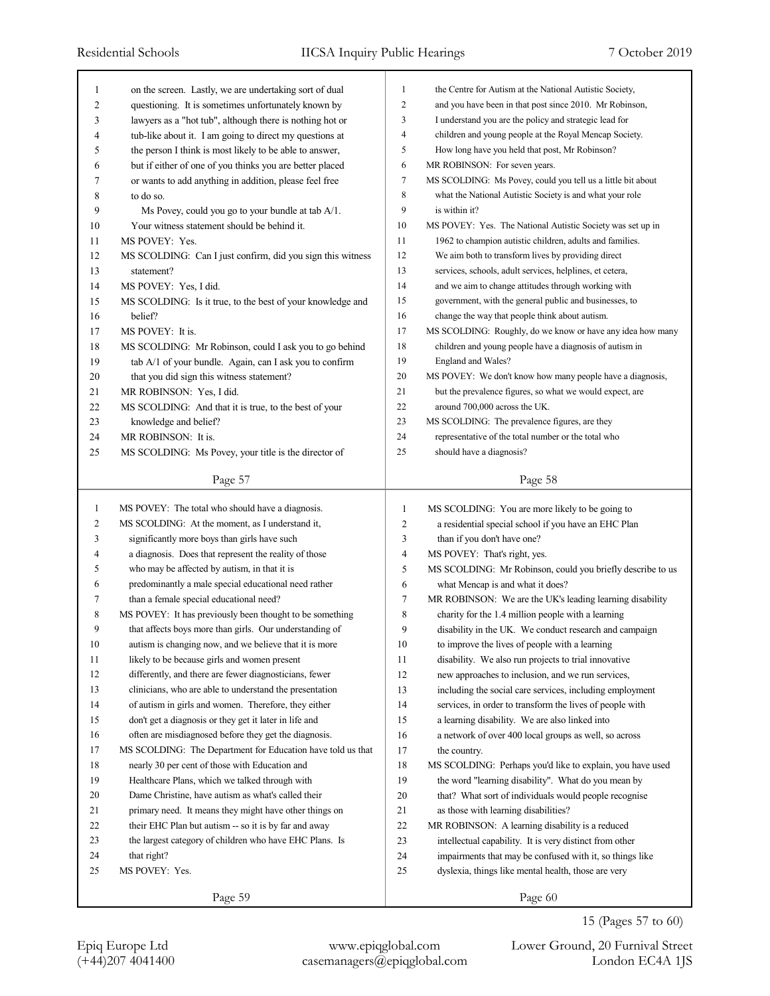| 1              | on the screen. Lastly, we are undertaking sort of dual      | 1              | the Centre for Autism at the National Autistic Society,     |
|----------------|-------------------------------------------------------------|----------------|-------------------------------------------------------------|
| 2              | questioning. It is sometimes unfortunately known by         | 2              | and you have been in that post since 2010. Mr Robinson,     |
| 3              | lawyers as a "hot tub", although there is nothing hot or    | 3              | I understand you are the policy and strategic lead for      |
| 4              | tub-like about it. I am going to direct my questions at     | $\overline{4}$ | children and young people at the Royal Mencap Society.      |
| 5              | the person I think is most likely to be able to answer,     | 5              | How long have you held that post, Mr Robinson?              |
| 6              | but if either of one of you thinks you are better placed    | 6              | MR ROBINSON: For seven years.                               |
| 7              | or wants to add anything in addition, please feel free      | 7              | MS SCOLDING: Ms Povey, could you tell us a little bit about |
| 8              | to do so.                                                   | 8              | what the National Autistic Society is and what your role    |
| 9              | Ms Povey, could you go to your bundle at tab A/1.           | 9              | is within it?                                               |
| 10             | Your witness statement should be behind it.                 | 10             | MS POVEY: Yes. The National Autistic Society was set up in  |
| 11             | MS POVEY: Yes.                                              | 11             | 1962 to champion autistic children, adults and families.    |
| 12             | MS SCOLDING: Can I just confirm, did you sign this witness  | 12             | We aim both to transform lives by providing direct          |
| 13             | statement?                                                  | 13             | services, schools, adult services, helplines, et cetera,    |
| 14             | MS POVEY: Yes, I did.                                       | 14             | and we aim to change attitudes through working with         |
| 15             | MS SCOLDING: Is it true, to the best of your knowledge and  | 15             | government, with the general public and businesses, to      |
| 16             | belief?                                                     | 16             | change the way that people think about autism.              |
| 17             | MS POVEY: It is.                                            | 17             | MS SCOLDING: Roughly, do we know or have any idea how many  |
| 18             | MS SCOLDING: Mr Robinson, could I ask you to go behind      | 18             | children and young people have a diagnosis of autism in     |
| 19             | tab A/1 of your bundle. Again, can I ask you to confirm     | 19             | England and Wales?                                          |
| 20             | that you did sign this witness statement?                   | 20             | MS POVEY: We don't know how many people have a diagnosis,   |
| 21             | MR ROBINSON: Yes, I did.                                    | 21             | but the prevalence figures, so what we would expect, are    |
| 22             | MS SCOLDING: And that it is true, to the best of your       | 22             | around 700,000 across the UK.                               |
| 23             | knowledge and belief?                                       | 23             | MS SCOLDING: The prevalence figures, are they               |
| 24             | MR ROBINSON: It is.                                         | 24             | representative of the total number or the total who         |
| 25             | MS SCOLDING: Ms Povey, your title is the director of        | 25             | should have a diagnosis?                                    |
|                |                                                             |                |                                                             |
|                | Page 57                                                     |                | Page 58                                                     |
|                |                                                             |                |                                                             |
|                |                                                             |                |                                                             |
| $\mathbf{1}$   | MS POVEY: The total who should have a diagnosis.            | $\mathbf{1}$   | MS SCOLDING: You are more likely to be going to             |
| $\overline{c}$ | MS SCOLDING: At the moment, as I understand it,             | $\overline{c}$ | a residential special school if you have an EHC Plan        |
| 3              | significantly more boys than girls have such                | 3              | than if you don't have one?                                 |
| 4              | a diagnosis. Does that represent the reality of those       | $\overline{4}$ | MS POVEY: That's right, yes.                                |
| 5              | who may be affected by autism, in that it is                | 5              | MS SCOLDING: Mr Robinson, could you briefly describe to us  |
| 6              | predominantly a male special educational need rather        | 6              | what Mencap is and what it does?                            |
| 7              | than a female special educational need?                     | 7              | MR ROBINSON: We are the UK's leading learning disability    |
| 8              | MS POVEY: It has previously been thought to be something    | 8              | charity for the 1.4 million people with a learning          |
| 9              | that affects boys more than girls. Our understanding of     | 9              | disability in the UK. We conduct research and campaign      |
| 10             | autism is changing now, and we believe that it is more      | 10             | to improve the lives of people with a learning              |
| 11             | likely to be because girls and women present                | 11             | disability. We also run projects to trial innovative        |
| 12             | differently, and there are fewer diagnosticians, fewer      | 12             | new approaches to inclusion, and we run services,           |
| 13             | clinicians, who are able to understand the presentation     | 13             | including the social care services, including employment    |
| 14             | of autism in girls and women. Therefore, they either        | 14             | services, in order to transform the lives of people with    |
| 15             | don't get a diagnosis or they get it later in life and      | 15             | a learning disability. We are also linked into              |
| 16             | often are misdiagnosed before they get the diagnosis.       | 16             | a network of over 400 local groups as well, so across       |
| 17             | MS SCOLDING: The Department for Education have told us that | 17             | the country.                                                |
| 18             | nearly 30 per cent of those with Education and              | 18             | MS SCOLDING: Perhaps you'd like to explain, you have used   |
| 19             | Healthcare Plans, which we talked through with              | 19             | the word "learning disability". What do you mean by         |
| 20             | Dame Christine, have autism as what's called their          | 20             | that? What sort of individuals would people recognise       |
| 21             | primary need. It means they might have other things on      | 21             | as those with learning disabilities?                        |
| 22             | their EHC Plan but autism -- so it is by far and away       | 22             | MR ROBINSON: A learning disability is a reduced             |
| 23             | the largest category of children who have EHC Plans. Is     | 23             | intellectual capability. It is very distinct from other     |
| 24             | that right?                                                 | 24             | impairments that may be confused with it, so things like    |
| 25             | MS POVEY: Yes.                                              | 25             | dyslexia, things like mental health, those are very         |

(+44)207 4041400 casemanagers@epiqglobal.com London EC4A 1JS Epiq Europe Ltd www.epiqglobal.com Lower Ground, 20 Furnival Street

15 (Pages 57 to 60)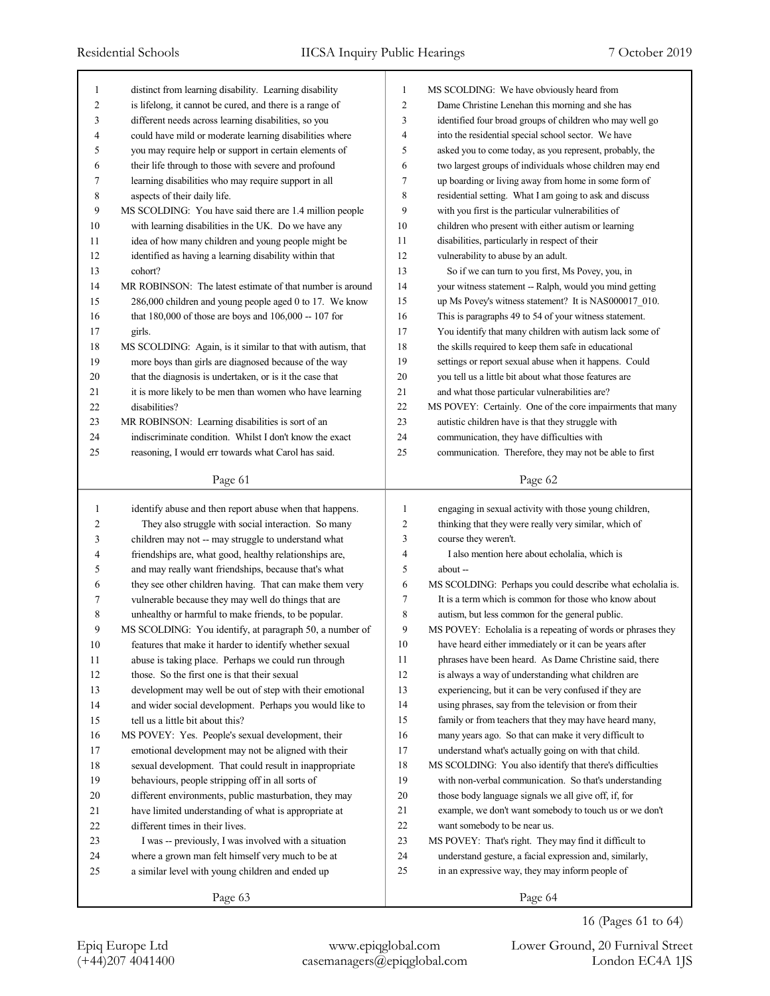| 1              | distinct from learning disability. Learning disability      | 1              | MS SCOLDING: We have obviously heard from                   |
|----------------|-------------------------------------------------------------|----------------|-------------------------------------------------------------|
| 2              | is lifelong, it cannot be cured, and there is a range of    | $\overline{c}$ | Dame Christine Lenehan this morning and she has             |
| 3              | different needs across learning disabilities, so you        | 3              | identified four broad groups of children who may well go    |
| 4              | could have mild or moderate learning disabilities where     | $\overline{4}$ | into the residential special school sector. We have         |
| 5              | you may require help or support in certain elements of      | 5              | asked you to come today, as you represent, probably, the    |
| 6              | their life through to those with severe and profound        | 6              | two largest groups of individuals whose children may end    |
| 7              | learning disabilities who may require support in all        | $\tau$         | up boarding or living away from home in some form of        |
| 8              | aspects of their daily life.                                | $\,$ $\,$      | residential setting. What I am going to ask and discuss     |
| 9              | MS SCOLDING: You have said there are 1.4 million people     | 9              | with you first is the particular vulnerabilities of         |
| 10             | with learning disabilities in the UK. Do we have any        | 10             | children who present with either autism or learning         |
| 11             | idea of how many children and young people might be         | 11             | disabilities, particularly in respect of their              |
| 12             | identified as having a learning disability within that      | 12             | vulnerability to abuse by an adult.                         |
| 13             | cohort?                                                     | 13             | So if we can turn to you first, Ms Povey, you, in           |
| 14             | MR ROBINSON: The latest estimate of that number is around   | 14             | your witness statement -- Ralph, would you mind getting     |
| 15             | 286,000 children and young people aged 0 to 17. We know     | 15             | up Ms Povey's witness statement? It is NAS000017_010.       |
| 16             | that $180,000$ of those are boys and $106,000 - 107$ for    | 16             | This is paragraphs 49 to 54 of your witness statement.      |
| 17             | girls.                                                      | 17             | You identify that many children with autism lack some of    |
| 18             | MS SCOLDING: Again, is it similar to that with autism, that | 18             | the skills required to keep them safe in educational        |
| 19             | more boys than girls are diagnosed because of the way       | 19             | settings or report sexual abuse when it happens. Could      |
| 20             | that the diagnosis is undertaken, or is it the case that    | 20             | you tell us a little bit about what those features are      |
| 21             | it is more likely to be men than women who have learning    | 21             | and what those particular vulnerabilities are?              |
| 22             | disabilities?                                               | 22             | MS POVEY: Certainly. One of the core impairments that many  |
| 23             | MR ROBINSON: Learning disabilities is sort of an            | 23             | autistic children have is that they struggle with           |
| 24             | indiscriminate condition. Whilst I don't know the exact     | 24             | communication, they have difficulties with                  |
| 25             | reasoning, I would err towards what Carol has said.         | 25             | communication. Therefore, they may not be able to first     |
|                |                                                             |                |                                                             |
|                | Page 61                                                     |                | Page 62                                                     |
|                |                                                             |                |                                                             |
|                |                                                             |                |                                                             |
| $\mathbf{1}$   | identify abuse and then report abuse when that happens.     | 1              | engaging in sexual activity with those young children,      |
| $\overline{c}$ | They also struggle with social interaction. So many         | $\overline{c}$ | thinking that they were really very similar, which of       |
| 3              | children may not -- may struggle to understand what         | 3              | course they weren't.                                        |
| 4              | friendships are, what good, healthy relationships are,      | $\overline{4}$ | I also mention here about echolalia, which is               |
| 5              | and may really want friendships, because that's what        | 5              | about --                                                    |
| 6              | they see other children having. That can make them very     | 6              | MS SCOLDING: Perhaps you could describe what echolalia is.  |
| 7              | vulnerable because they may well do things that are         | 7              | It is a term which is common for those who know about       |
| 8              | unhealthy or harmful to make friends, to be popular.        | 8              | autism, but less common for the general public.             |
| 9              | MS SCOLDING: You identify, at paragraph 50, a number of     | 9              | MS POVEY: Echolalia is a repeating of words or phrases they |
| 10             | features that make it harder to identify whether sexual     | 10             | have heard either immediately or it can be years after      |
| 11             | abuse is taking place. Perhaps we could run through         | 11             | phrases have been heard. As Dame Christine said, there      |
| 12             | those. So the first one is that their sexual                | 12             | is always a way of understanding what children are          |
| 13             | development may well be out of step with their emotional    | 13             | experiencing, but it can be very confused if they are       |
| 14             | and wider social development. Perhaps you would like to     | 14             | using phrases, say from the television or from their        |
| 15             | tell us a little bit about this?                            | 15             | family or from teachers that they may have heard many,      |
| 16             | MS POVEY: Yes. People's sexual development, their           | 16             | many years ago. So that can make it very difficult to       |
| 17             | emotional development may not be aligned with their         | 17             | understand what's actually going on with that child.        |
| 18             | sexual development. That could result in inappropriate      | 18             | MS SCOLDING: You also identify that there's difficulties    |
| 19             | behaviours, people stripping off in all sorts of            | 19             | with non-verbal communication. So that's understanding      |
| 20             | different environments, public masturbation, they may       | 20             | those body language signals we all give off, if, for        |
| 21             | have limited understanding of what is appropriate at        | 21             | example, we don't want somebody to touch us or we don't     |
| 22             | different times in their lives.                             | 22             | want somebody to be near us.                                |
| 23             | I was -- previously, I was involved with a situation        | 23             | MS POVEY: That's right. They may find it difficult to       |
| 24             | where a grown man felt himself very much to be at           | 24             | understand gesture, a facial expression and, similarly,     |
| 25             | a similar level with young children and ended up            | 25             | in an expressive way, they may inform people of             |

16 (Pages 61 to 64)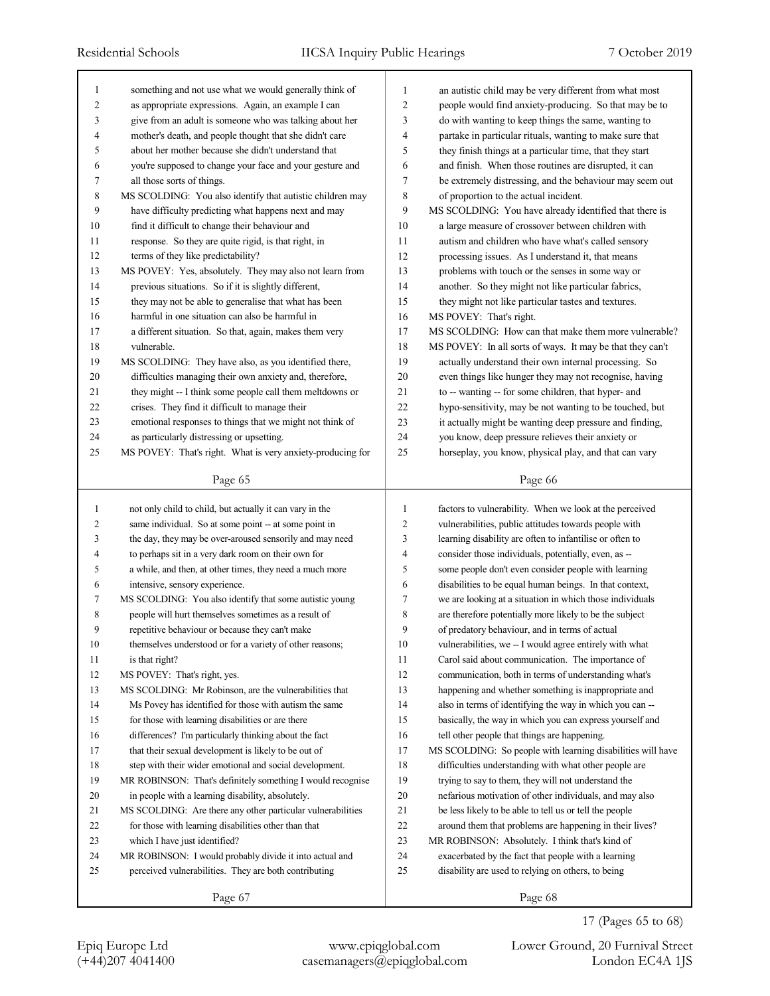| 1            | something and not use what we would generally think of      | 1              | an autistic child may be very different from what most      |
|--------------|-------------------------------------------------------------|----------------|-------------------------------------------------------------|
| 2            | as appropriate expressions. Again, an example I can         | 2              | people would find anxiety-producing. So that may be to      |
| 3            | give from an adult is someone who was talking about her     | 3              | do with wanting to keep things the same, wanting to         |
| 4            | mother's death, and people thought that she didn't care     | 4              | partake in particular rituals, wanting to make sure that    |
| 5            | about her mother because she didn't understand that         | 5              | they finish things at a particular time, that they start    |
| 6            | you're supposed to change your face and your gesture and    | 6              | and finish. When those routines are disrupted, it can       |
| 7            | all those sorts of things.                                  | $\tau$         | be extremely distressing, and the behaviour may seem out    |
| 8            | MS SCOLDING: You also identify that autistic children may   | 8              | of proportion to the actual incident.                       |
| 9            | have difficulty predicting what happens next and may        | 9              | MS SCOLDING: You have already identified that there is      |
| 10           | find it difficult to change their behaviour and             | 10             | a large measure of crossover between children with          |
| 11           | response. So they are quite rigid, is that right, in        | 11             | autism and children who have what's called sensory          |
| 12           | terms of they like predictability?                          | 12             | processing issues. As I understand it, that means           |
| 13           | MS POVEY: Yes, absolutely. They may also not learn from     | 13             | problems with touch or the senses in some way or            |
| 14           | previous situations. So if it is slightly different,        | 14             | another. So they might not like particular fabrics,         |
| 15           | they may not be able to generalise that what has been       | 15             | they might not like particular tastes and textures.         |
| 16           | harmful in one situation can also be harmful in             | 16             | MS POVEY: That's right.                                     |
| 17           | a different situation. So that, again, makes them very      | 17             | MS SCOLDING: How can that make them more vulnerable?        |
| 18           | vulnerable.                                                 | 18             | MS POVEY: In all sorts of ways. It may be that they can't   |
| 19           | MS SCOLDING: They have also, as you identified there,       | 19             | actually understand their own internal processing. So       |
| 20           | difficulties managing their own anxiety and, therefore,     | 20             | even things like hunger they may not recognise, having      |
| 21           | they might -- I think some people call them meltdowns or    | 21             | to -- wanting -- for some children, that hyper- and         |
| 22           | crises. They find it difficult to manage their              | 22             | hypo-sensitivity, may be not wanting to be touched, but     |
| 23           | emotional responses to things that we might not think of    | 23             | it actually might be wanting deep pressure and finding,     |
| 24           | as particularly distressing or upsetting.                   | 24             | you know, deep pressure relieves their anxiety or           |
| 25           | MS POVEY: That's right. What is very anxiety-producing for  | 25             | horseplay, you know, physical play, and that can vary       |
|              |                                                             |                |                                                             |
|              | Page 65                                                     |                | Page 66                                                     |
|              |                                                             |                |                                                             |
|              |                                                             |                |                                                             |
| $\mathbf{1}$ | not only child to child, but actually it can vary in the    | 1              | factors to vulnerability. When we look at the perceived     |
| 2            | same individual. So at some point -- at some point in       | $\overline{c}$ | vulnerabilities, public attitudes towards people with       |
| 3            | the day, they may be over-aroused sensorily and may need    | 3              | learning disability are often to infantilise or often to    |
| 4            | to perhaps sit in a very dark room on their own for         | 4              | consider those individuals, potentially, even, as --        |
| 5            | a while, and then, at other times, they need a much more    | 5              | some people don't even consider people with learning        |
| 6            | intensive, sensory experience.                              | 6              | disabilities to be equal human beings. In that context,     |
| 7            | MS SCOLDING: You also identify that some autistic young     | 7              | we are looking at a situation in which those individuals    |
| 8            | people will hurt themselves sometimes as a result of        | 8              | are therefore potentially more likely to be the subject     |
| 9            | repetitive behaviour or because they can't make             | 9              | of predatory behaviour, and in terms of actual              |
| 10           | themselves understood or for a variety of other reasons;    | 10             | vulnerabilities, we -- I would agree entirely with what     |
| 11           | is that right?                                              | 11             | Carol said about communication. The importance of           |
| 12           | MS POVEY: That's right, yes.                                | 12             | communication, both in terms of understanding what's        |
| 13           | MS SCOLDING: Mr Robinson, are the vulnerabilities that      | 13             | happening and whether something is inappropriate and        |
| 14           | Ms Povey has identified for those with autism the same      | 14             | also in terms of identifying the way in which you can --    |
| 15           | for those with learning disabilities or are there           | 15             | basically, the way in which you can express yourself and    |
| 16           | differences? I'm particularly thinking about the fact       | 16             | tell other people that things are happening.                |
| 17           | that their sexual development is likely to be out of        | 17             | MS SCOLDING: So people with learning disabilities will have |
| 18           | step with their wider emotional and social development.     | 18             | difficulties understanding with what other people are       |
| 19           | MR ROBINSON: That's definitely something I would recognise  | 19             | trying to say to them, they will not understand the         |
| 20           | in people with a learning disability, absolutely.           | 20             | nefarious motivation of other individuals, and may also     |
| 21           | MS SCOLDING: Are there any other particular vulnerabilities | 21             | be less likely to be able to tell us or tell the people     |
| 22           | for those with learning disabilities other than that        | 22             | around them that problems are happening in their lives?     |
| 23           | which I have just identified?                               | 23             | MR ROBINSON: Absolutely. I think that's kind of             |
| 24           | MR ROBINSON: I would probably divide it into actual and     | 24             | exacerbated by the fact that people with a learning         |
| 25           | perceived vulnerabilities. They are both contributing       | 25             | disability are used to relying on others, to being          |

17 (Pages 65 to 68)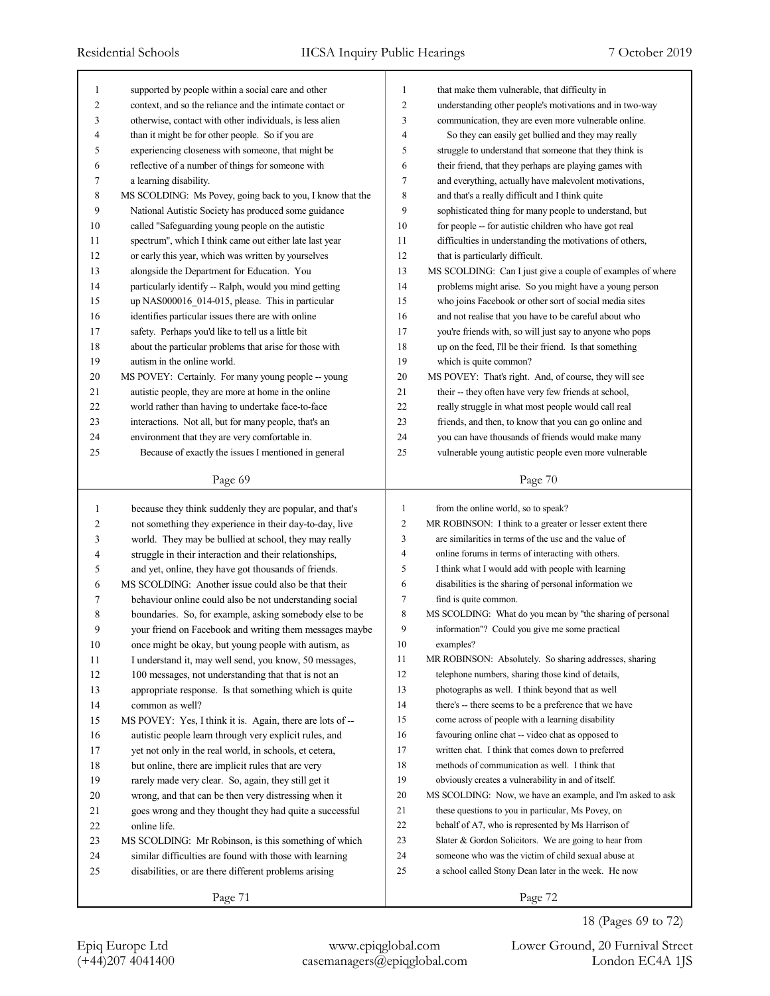| 1              | supported by people within a social care and other        | 1              | that make them vulnerable, that difficulty in              |
|----------------|-----------------------------------------------------------|----------------|------------------------------------------------------------|
| $\overline{c}$ | context, and so the reliance and the intimate contact or  | $\overline{c}$ | understanding other people's motivations and in two-way    |
| 3              | otherwise, contact with other individuals, is less alien  | 3              | communication, they are even more vulnerable online.       |
| $\overline{4}$ | than it might be for other people. So if you are          | $\overline{4}$ | So they can easily get bullied and they may really         |
| 5              | experiencing closeness with someone, that might be        | 5              | struggle to understand that someone that they think is     |
| 6              | reflective of a number of things for someone with         | 6              | their friend, that they perhaps are playing games with     |
| 7              | a learning disability.                                    | $\tau$         | and everything, actually have malevolent motivations,      |
| 8              | MS SCOLDING: Ms Povey, going back to you, I know that the | $\,$ 8 $\,$    | and that's a really difficult and I think quite            |
| 9              | National Autistic Society has produced some guidance      | 9              | sophisticated thing for many people to understand, but     |
| 10             | called "Safeguarding young people on the autistic         | 10             | for people -- for autistic children who have got real      |
| 11             | spectrum", which I think came out either late last year   | 11             | difficulties in understanding the motivations of others,   |
| 12             | or early this year, which was written by yourselves       | 12             | that is particularly difficult.                            |
| 13             | alongside the Department for Education. You               | 13             | MS SCOLDING: Can I just give a couple of examples of where |
| 14             | particularly identify -- Ralph, would you mind getting    | 14             | problems might arise. So you might have a young person     |
| 15             | up NAS000016_014-015, please. This in particular          | 15             | who joins Facebook or other sort of social media sites     |
| 16             | identifies particular issues there are with online        | 16             | and not realise that you have to be careful about who      |
| 17             | safety. Perhaps you'd like to tell us a little bit        | 17             | you're friends with, so will just say to anyone who pops   |
| 18             | about the particular problems that arise for those with   | 18             | up on the feed, I'll be their friend. Is that something    |
| 19             | autism in the online world.                               | 19             | which is quite common?                                     |
| 20             | MS POVEY: Certainly. For many young people -- young       | 20             | MS POVEY: That's right. And, of course, they will see      |
| 21             | autistic people, they are more at home in the online      | 21             | their -- they often have very few friends at school,       |
| 22             | world rather than having to undertake face-to-face        | 22             | really struggle in what most people would call real        |
| 23             | interactions. Not all, but for many people, that's an     | 23             | friends, and then, to know that you can go online and      |
| 24             | environment that they are very comfortable in.            | 24             | you can have thousands of friends would make many          |
| 25             | Because of exactly the issues I mentioned in general      | 25             | vulnerable young autistic people even more vulnerable      |
|                |                                                           |                |                                                            |
|                | Page 69                                                   |                | Page 70                                                    |
|                |                                                           |                |                                                            |
|                |                                                           |                |                                                            |
| $\mathbf{1}$   | because they think suddenly they are popular, and that's  | $\mathbf{1}$   | from the online world, so to speak?                        |
| 2              | not something they experience in their day-to-day, live   | 2              | MR ROBINSON: I think to a greater or lesser extent there   |
| 3              | world. They may be bullied at school, they may really     | 3              | are similarities in terms of the use and the value of      |
| 4              | struggle in their interaction and their relationships,    | 4              | online forums in terms of interacting with others.         |
| 5              | and yet, online, they have got thousands of friends.      | 5              | I think what I would add with people with learning         |
| 6              | MS SCOLDING: Another issue could also be that their       | 6              | disabilities is the sharing of personal information we     |
| 7              | behaviour online could also be not understanding social   | 7              | find is quite common.                                      |
| 8              | boundaries. So, for example, asking somebody else to be   | 8              | MS SCOLDING: What do you mean by "the sharing of personal  |
| 9              | your friend on Facebook and writing them messages maybe   | 9              | information"? Could you give me some practical             |
| 10             | once might be okay, but young people with autism, as      | 10             | examples?                                                  |
| 11             | I understand it, may well send, you know, 50 messages,    | 11             | MR ROBINSON: Absolutely. So sharing addresses, sharing     |
| 12             | 100 messages, not understanding that that is not an       | 12             | telephone numbers, sharing those kind of details,          |
| 13             | appropriate response. Is that something which is quite    | 13             | photographs as well. I think beyond that as well           |
| 14             | common as well?                                           | 14             | there's -- there seems to be a preference that we have     |
| 15             | MS POVEY: Yes, I think it is. Again, there are lots of -- | 15             | come across of people with a learning disability           |
| 16             | autistic people learn through very explicit rules, and    | 16             | favouring online chat -- video chat as opposed to          |
| 17             | yet not only in the real world, in schools, et cetera,    | 17             | written chat. I think that comes down to preferred         |
| 18             | but online, there are implicit rules that are very        | $18\,$         | methods of communication as well. I think that             |
| 19             | rarely made very clear. So, again, they still get it      | 19             | obviously creates a vulnerability in and of itself.        |
| 20             | wrong, and that can be then very distressing when it      | 20             | MS SCOLDING: Now, we have an example, and I'm asked to ask |
| 21             | goes wrong and they thought they had quite a successful   | 21             | these questions to you in particular, Ms Povey, on         |
| 22             | online life.                                              | 22             | behalf of A7, who is represented by Ms Harrison of         |
| 23             | MS SCOLDING: Mr Robinson, is this something of which      | 23             | Slater $& Gordon Solicitors.$ We are going to hear from    |
| 24             | similar difficulties are found with those with learning   | 24             | someone who was the victim of child sexual abuse at        |
| 25             | disabilities, or are there different problems arising     | 25             | a school called Stony Dean later in the week. He now       |
|                | Page 71                                                   |                | Page 72                                                    |

18 (Pages 69 to 72)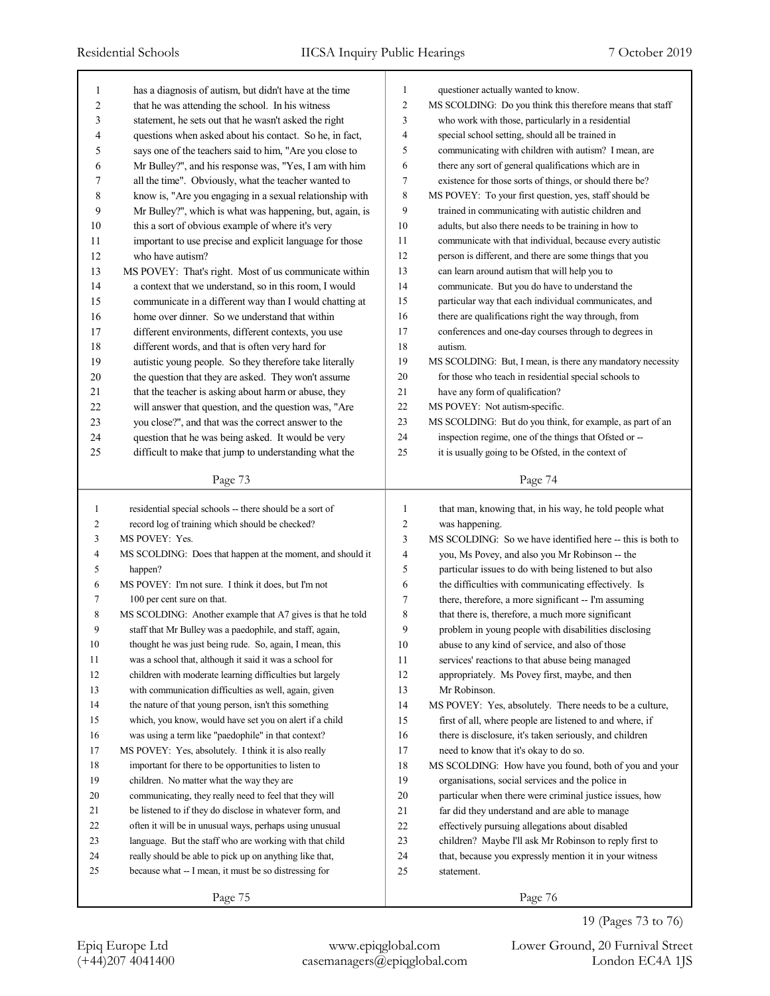| 1              | has a diagnosis of autism, but didn't have at the time                                                             | 1                | questioner actually wanted to know.                        |
|----------------|--------------------------------------------------------------------------------------------------------------------|------------------|------------------------------------------------------------|
| $\overline{c}$ | that he was attending the school. In his witness                                                                   | $\overline{c}$   | MS SCOLDING: Do you think this therefore means that staff  |
| 3              | statement, he sets out that he wasn't asked the right                                                              | 3                | who work with those, particularly in a residential         |
| 4              | questions when asked about his contact. So he, in fact,                                                            | 4                | special school setting, should all be trained in           |
| 5              | says one of the teachers said to him, "Are you close to                                                            | 5                | communicating with children with autism? I mean, are       |
| 6              | Mr Bulley?", and his response was, "Yes, I am with him                                                             | 6                | there any sort of general qualifications which are in      |
| 7              | all the time". Obviously, what the teacher wanted to                                                               | $\boldsymbol{7}$ | existence for those sorts of things, or should there be?   |
| 8              | know is, "Are you engaging in a sexual relationship with                                                           | $\,$ $\,$        | MS POVEY: To your first question, yes, staff should be     |
| 9              | Mr Bulley?", which is what was happening, but, again, is                                                           | 9                | trained in communicating with autistic children and        |
| 10             | this a sort of obvious example of where it's very                                                                  | 10               | adults, but also there needs to be training in how to      |
| 11             | important to use precise and explicit language for those                                                           | 11               | communicate with that individual, because every autistic   |
| 12             | who have autism?                                                                                                   | 12               | person is different, and there are some things that you    |
| 13             | MS POVEY: That's right. Most of us communicate within                                                              | 13               | can learn around autism that will help you to              |
| 14             | a context that we understand, so in this room, I would                                                             | 14               | communicate. But you do have to understand the             |
| 15             | communicate in a different way than I would chatting at                                                            | 15               | particular way that each individual communicates, and      |
| 16             | home over dinner. So we understand that within                                                                     | 16               | there are qualifications right the way through, from       |
| 17             | different environments, different contexts, you use                                                                | 17               | conferences and one-day courses through to degrees in      |
| 18             | different words, and that is often very hard for                                                                   | 18               | autism.                                                    |
| 19             | autistic young people. So they therefore take literally                                                            | 19               | MS SCOLDING: But, I mean, is there any mandatory necessity |
| 20             | the question that they are asked. They won't assume                                                                | 20               | for those who teach in residential special schools to      |
| 21             | that the teacher is asking about harm or abuse, they                                                               | 21               | have any form of qualification?                            |
| 22             | will answer that question, and the question was, "Are                                                              | 22               | MS POVEY: Not autism-specific.                             |
| 23             | you close?", and that was the correct answer to the                                                                | 23               | MS SCOLDING: But do you think, for example, as part of an  |
| 24             | question that he was being asked. It would be very                                                                 | 24               | inspection regime, one of the things that Ofsted or --     |
| 25             | difficult to make that jump to understanding what the                                                              | 25               | it is usually going to be Ofsted, in the context of        |
|                |                                                                                                                    |                  |                                                            |
|                | Page 73                                                                                                            |                  | Page 74                                                    |
|                |                                                                                                                    |                  |                                                            |
|                |                                                                                                                    |                  |                                                            |
| $\mathbf{1}$   | residential special schools -- there should be a sort of                                                           | $\mathbf{1}$     | that man, knowing that, in his way, he told people what    |
| $\overline{c}$ | record log of training which should be checked?                                                                    | 2                | was happening.                                             |
| 3              | MS POVEY: Yes.                                                                                                     | 3                | MS SCOLDING: So we have identified here -- this is both to |
| 4              | MS SCOLDING: Does that happen at the moment, and should it                                                         | 4                | you, Ms Povey, and also you Mr Robinson -- the             |
| 5              | happen?                                                                                                            | 5                | particular issues to do with being listened to but also    |
| 6              | MS POVEY: I'm not sure. I think it does, but I'm not                                                               | 6                | the difficulties with communicating effectively. Is        |
| 7              | 100 per cent sure on that.                                                                                         | 7                | there, therefore, a more significant -- I'm assuming       |
| 8              | MS SCOLDING: Another example that A7 gives is that he told                                                         | 8                | that there is, therefore, a much more significant          |
| 9              | staff that Mr Bulley was a paedophile, and staff, again,                                                           | 9                | problem in young people with disabilities disclosing       |
| 10             | thought he was just being rude. So, again, I mean, this                                                            | 10               | abuse to any kind of service, and also of those            |
| 11             | was a school that, although it said it was a school for                                                            | 11               | services' reactions to that abuse being managed            |
| 12             | children with moderate learning difficulties but largely                                                           | 12               | appropriately. Ms Povey first, maybe, and then             |
| 13             | with communication difficulties as well, again, given                                                              | 13               | Mr Robinson.                                               |
| 14             | the nature of that young person, isn't this something                                                              | 14               | MS POVEY: Yes, absolutely. There needs to be a culture,    |
| 15             | which, you know, would have set you on alert if a child                                                            | 15               | first of all, where people are listened to and where, if   |
| 16             | was using a term like "paedophile" in that context?                                                                | 16               | there is disclosure, it's taken seriously, and children    |
| 17             | MS POVEY: Yes, absolutely. I think it is also really                                                               | 17               | need to know that it's okay to do so.                      |
| 18             | important for there to be opportunities to listen to                                                               | 18               | MS SCOLDING: How have you found, both of you and your      |
| 19             | children. No matter what the way they are                                                                          | 19               | organisations, social services and the police in           |
| 20             |                                                                                                                    | 20               |                                                            |
| 21             | communicating, they really need to feel that they will<br>be listened to if they do disclose in whatever form, and | 21               | particular when there were criminal justice issues, how    |
| 22             | often it will be in unusual ways, perhaps using unusual                                                            |                  | far did they understand and are able to manage             |
|                |                                                                                                                    | $22\,$           | effectively pursuing allegations about disabled            |
| 23             | language. But the staff who are working with that child                                                            | 23               | children? Maybe I'll ask Mr Robinson to reply first to     |
| 24             | really should be able to pick up on anything like that,                                                            | 24               | that, because you expressly mention it in your witness     |
| 25             | because what -- I mean, it must be so distressing for                                                              | 25               | statement.                                                 |

19 (Pages 73 to 76)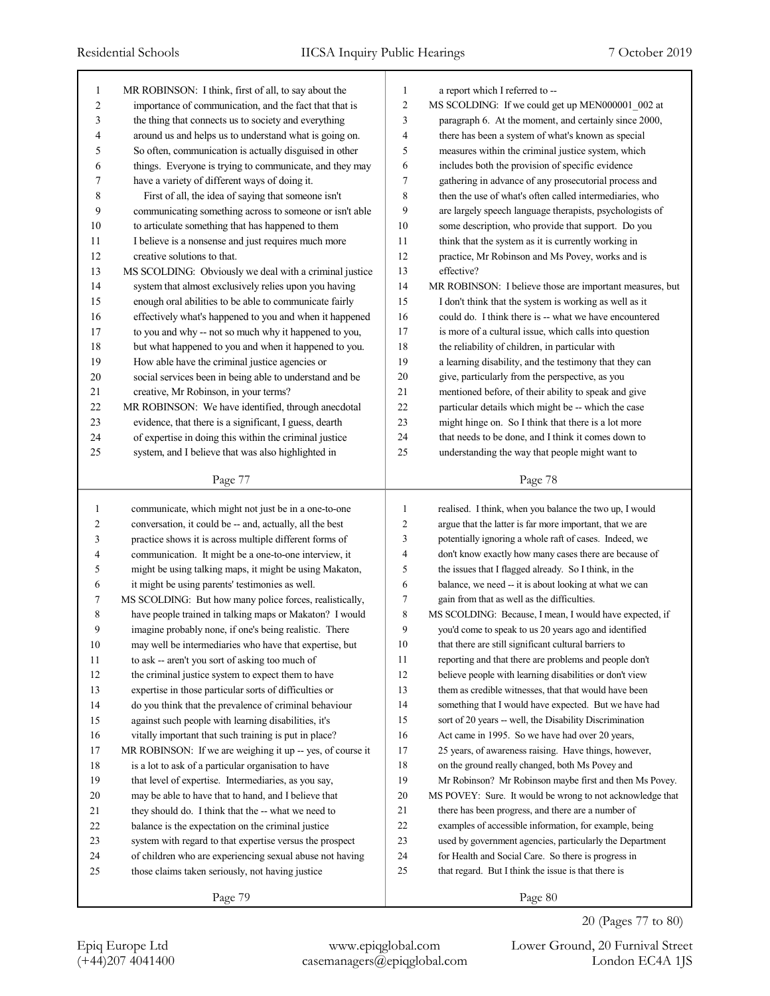| 1              | MR ROBINSON: I think, first of all, to say about the       | 1                | a report which I referred to --                           |
|----------------|------------------------------------------------------------|------------------|-----------------------------------------------------------|
| $\overline{c}$ | importance of communication, and the fact that that is     | $\overline{c}$   | MS SCOLDING: If we could get up MEN000001_002 at          |
| 3              | the thing that connects us to society and everything       | 3                | paragraph 6. At the moment, and certainly since 2000,     |
| 4              | around us and helps us to understand what is going on.     | $\overline{4}$   | there has been a system of what's known as special        |
| 5              | So often, communication is actually disguised in other     | 5                | measures within the criminal justice system, which        |
| 6              | things. Everyone is trying to communicate, and they may    | 6                | includes both the provision of specific evidence          |
| 7              | have a variety of different ways of doing it.              | $\overline{7}$   | gathering in advance of any prosecutorial process and     |
| 8              | First of all, the idea of saying that someone isn't        | $\,$ 8 $\,$      | then the use of what's often called intermediaries, who   |
| 9              | communicating something across to someone or isn't able    | 9                | are largely speech language therapists, psychologists of  |
| 10             | to articulate something that has happened to them          | 10               | some description, who provide that support. Do you        |
| 11             | I believe is a nonsense and just requires much more        | 11               | think that the system as it is currently working in       |
| 12             | creative solutions to that.                                | 12               | practice, Mr Robinson and Ms Povey, works and is          |
| 13             | MS SCOLDING: Obviously we deal with a criminal justice     | 13               | effective?                                                |
| 14             | system that almost exclusively relies upon you having      | 14               | MR ROBINSON: I believe those are important measures, but  |
| 15             | enough oral abilities to be able to communicate fairly     | 15               | I don't think that the system is working as well as it    |
| 16             | effectively what's happened to you and when it happened    | 16               | could do. I think there is -- what we have encountered    |
| 17             | to you and why -- not so much why it happened to you,      | 17               | is more of a cultural issue, which calls into question    |
| 18             | but what happened to you and when it happened to you.      | 18               | the reliability of children, in particular with           |
| 19             | How able have the criminal justice agencies or             | 19               | a learning disability, and the testimony that they can    |
| 20             | social services been in being able to understand and be    | 20               | give, particularly from the perspective, as you           |
| 21             | creative, Mr Robinson, in your terms?                      | 21               | mentioned before, of their ability to speak and give      |
| 22             | MR ROBINSON: We have identified, through anecdotal         | 22               | particular details which might be -- which the case       |
| 23             | evidence, that there is a significant, I guess, dearth     | 23               | might hinge on. So I think that there is a lot more       |
| 24             | of expertise in doing this within the criminal justice     | 24               | that needs to be done, and I think it comes down to       |
| 25             | system, and I believe that was also highlighted in         | 25               | understanding the way that people might want to           |
|                |                                                            |                  |                                                           |
|                | Page 77                                                    |                  | Page 78                                                   |
|                |                                                            |                  |                                                           |
|                |                                                            |                  |                                                           |
| 1              | communicate, which might not just be in a one-to-one       | 1                | realised. I think, when you balance the two up, I would   |
| $\overline{2}$ | conversation, it could be -- and, actually, all the best   | $\overline{c}$   | argue that the latter is far more important, that we are  |
| 3              | practice shows it is across multiple different forms of    | 3                | potentially ignoring a whole raft of cases. Indeed, we    |
| 4              | communication. It might be a one-to-one interview, it      | $\overline{4}$   | don't know exactly how many cases there are because of    |
| 5              | might be using talking maps, it might be using Makaton,    | 5                | the issues that I flagged already. So I think, in the     |
| 6              | it might be using parents' testimonies as well.            | 6                | balance, we need -- it is about looking at what we can    |
| 7              | MS SCOLDING: But how many police forces, realistically,    | $\boldsymbol{7}$ | gain from that as well as the difficulties.               |
| 8              | have people trained in talking maps or Makaton? I would    | 8                | MS SCOLDING: Because, I mean, I would have expected, if   |
| 9              | imagine probably none, if one's being realistic. There     | 9                | you'd come to speak to us 20 years ago and identified     |
| 10             | may well be intermediaries who have that expertise, but    | $10\,$           | that there are still significant cultural barriers to     |
| 11             | to ask -- aren't you sort of asking too much of            | 11               | reporting and that there are problems and people don't    |
| 12             | the criminal justice system to expect them to have         | 12               | believe people with learning disabilities or don't view   |
| 13             | expertise in those particular sorts of difficulties or     | 13               | them as credible witnesses, that that would have been     |
| 14             | do you think that the prevalence of criminal behaviour     | 14               | something that I would have expected. But we have had     |
| 15             | against such people with learning disabilities, it's       | 15               | sort of 20 years -- well, the Disability Discrimination   |
| 16             | vitally important that such training is put in place?      | 16               | Act came in 1995. So we have had over 20 years,           |
| 17             | MR ROBINSON: If we are weighing it up -- yes, of course it | 17               | 25 years, of awareness raising. Have things, however,     |
| 18             | is a lot to ask of a particular organisation to have       | 18               | on the ground really changed, both Ms Povey and           |
| 19             | that level of expertise. Intermediaries, as you say,       | 19               | Mr Robinson? Mr Robinson maybe first and then Ms Povey.   |
| 20             | may be able to have that to hand, and I believe that       | 20               | MS POVEY: Sure. It would be wrong to not acknowledge that |
| 21             | they should do. I think that the -- what we need to        | 21               | there has been progress, and there are a number of        |
| 22             | balance is the expectation on the criminal justice         | 22               | examples of accessible information, for example, being    |
| 23             | system with regard to that expertise versus the prospect   | 23               | used by government agencies, particularly the Department  |
| 24             | of children who are experiencing sexual abuse not having   | 24               | for Health and Social Care. So there is progress in       |
| 25             | those claims taken seriously, not having justice           | 25               | that regard. But I think the issue is that there is       |
|                | Page 79                                                    |                  | Page 80                                                   |

20 (Pages 77 to 80)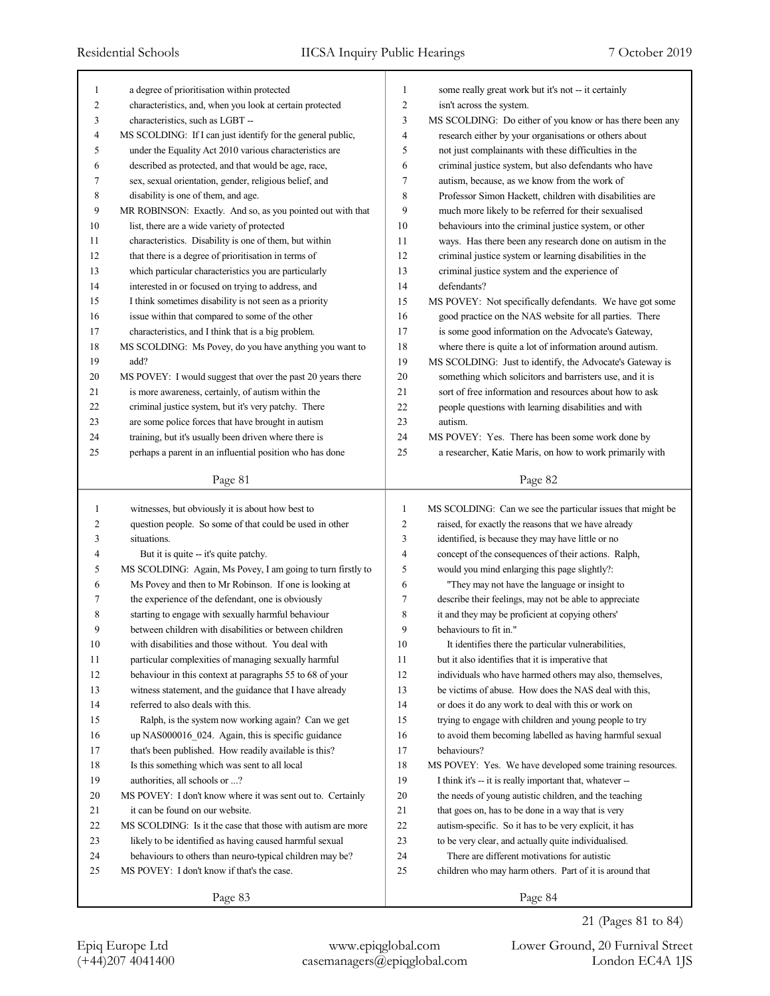| 1              | a degree of prioritisation within protected                                                            | 1              | some really great work but it's not -- it certainly                                                     |
|----------------|--------------------------------------------------------------------------------------------------------|----------------|---------------------------------------------------------------------------------------------------------|
| 2              | characteristics, and, when you look at certain protected                                               | $\overline{2}$ | isn't across the system.                                                                                |
| 3              | characteristics, such as LGBT --                                                                       | 3              | MS SCOLDING: Do either of you know or has there been any                                                |
| $\overline{4}$ | MS SCOLDING: If I can just identify for the general public,                                            | 4              | research either by your organisations or others about                                                   |
| 5              | under the Equality Act 2010 various characteristics are                                                | 5              | not just complainants with these difficulties in the                                                    |
| 6              | described as protected, and that would be age, race,                                                   | 6              | criminal justice system, but also defendants who have                                                   |
| 7              | sex, sexual orientation, gender, religious belief, and                                                 | 7              | autism, because, as we know from the work of                                                            |
| 8              | disability is one of them, and age.                                                                    | 8              | Professor Simon Hackett, children with disabilities are                                                 |
| 9              | MR ROBINSON: Exactly. And so, as you pointed out with that                                             | 9              | much more likely to be referred for their sexualised                                                    |
| 10             | list, there are a wide variety of protected                                                            | 10             | behaviours into the criminal justice system, or other                                                   |
| 11             | characteristics. Disability is one of them, but within                                                 | 11             | ways. Has there been any research done on autism in the                                                 |
| 12             | that there is a degree of prioritisation in terms of                                                   | 12             | criminal justice system or learning disabilities in the                                                 |
| 13             | which particular characteristics you are particularly                                                  | 13             | criminal justice system and the experience of                                                           |
| 14             | interested in or focused on trying to address, and                                                     | 14             | defendants?                                                                                             |
| 15             | I think sometimes disability is not seen as a priority                                                 | 15             | MS POVEY: Not specifically defendants. We have got some                                                 |
| 16             | issue within that compared to some of the other                                                        | 16             | good practice on the NAS website for all parties. There                                                 |
| 17             | characteristics, and I think that is a big problem.                                                    | 17             | is some good information on the Advocate's Gateway,                                                     |
| 18             | MS SCOLDING: Ms Povey, do you have anything you want to                                                | 18             | where there is quite a lot of information around autism.                                                |
| 19             | add?                                                                                                   | 19             | MS SCOLDING: Just to identify, the Advocate's Gateway is                                                |
| 20             | MS POVEY: I would suggest that over the past 20 years there                                            | 20             | something which solicitors and barristers use, and it is                                                |
| 21             | is more awareness, certainly, of autism within the                                                     | 21             | sort of free information and resources about how to ask                                                 |
| 22             | criminal justice system, but it's very patchy. There                                                   | 22             | people questions with learning disabilities and with                                                    |
| 23             | are some police forces that have brought in autism                                                     | 23             | autism.                                                                                                 |
| 24             | training, but it's usually been driven where there is                                                  | 24             | MS POVEY: Yes. There has been some work done by                                                         |
| 25             | perhaps a parent in an influential position who has done                                               | 25             | a researcher, Katie Maris, on how to work primarily with                                                |
|                | Page 81                                                                                                |                | Page 82                                                                                                 |
|                |                                                                                                        |                |                                                                                                         |
|                |                                                                                                        |                |                                                                                                         |
| 1              | witnesses, but obviously it is about how best to                                                       | $\mathbf{1}$   | MS SCOLDING: Can we see the particular issues that might be                                             |
| 2              | question people. So some of that could be used in other                                                | 2              | raised, for exactly the reasons that we have already                                                    |
| 3              | situations.                                                                                            | 3              | identified, is because they may have little or no                                                       |
| 4              | But it is quite -- it's quite patchy.                                                                  | 4              | concept of the consequences of their actions. Ralph,                                                    |
| 5              | MS SCOLDING: Again, Ms Povey, I am going to turn firstly to                                            | 5              | would you mind enlarging this page slightly?:                                                           |
| 6              | Ms Povey and then to Mr Robinson. If one is looking at                                                 | 6              | "They may not have the language or insight to                                                           |
| 7              | the experience of the defendant, one is obviously                                                      | 7              | describe their feelings, may not be able to appreciate                                                  |
| 8              | starting to engage with sexually harmful behaviour                                                     | 8              | it and they may be proficient at copying others'                                                        |
| 9              | between children with disabilities or between children                                                 | 9              | behaviours to fit in."                                                                                  |
| 10             | with disabilities and those without. You deal with                                                     | 10             | It identifies there the particular vulnerabilities,                                                     |
| 11             | particular complexities of managing sexually harmful                                                   | 11             | but it also identifies that it is imperative that                                                       |
| 12             | behaviour in this context at paragraphs 55 to 68 of your                                               | 12             | individuals who have harmed others may also, themselves,                                                |
| 13             | witness statement, and the guidance that I have already                                                | 13             | be victims of abuse. How does the NAS deal with this,                                                   |
| 14             | referred to also deals with this.                                                                      | 14             | or does it do any work to deal with this or work on                                                     |
| 15             | Ralph, is the system now working again? Can we get                                                     | 15             | trying to engage with children and young people to try                                                  |
| 16             | up NAS000016_024. Again, this is specific guidance                                                     | 16             | to avoid them becoming labelled as having harmful sexual                                                |
| 17             | that's been published. How readily available is this?                                                  | 17             | behaviours?                                                                                             |
| 18             | Is this something which was sent to all local                                                          | 18             | MS POVEY: Yes. We have developed some training resources.                                               |
| 19             | authorities, all schools or ?                                                                          | 19             | I think it's -- it is really important that, whatever --                                                |
| 20             | MS POVEY: I don't know where it was sent out to. Certainly                                             | 20             | the needs of young autistic children, and the teaching                                                  |
| 21             | it can be found on our website.                                                                        | 21             | that goes on, has to be done in a way that is very                                                      |
| 22             | MS SCOLDING: Is it the case that those with autism are more                                            |                | autism-specific. So it has to be very explicit, it has                                                  |
| 23             |                                                                                                        | 22             |                                                                                                         |
| 24             | likely to be identified as having caused harmful sexual                                                | 23             | to be very clear, and actually quite individualised.                                                    |
| 25             | behaviours to others than neuro-typical children may be?<br>MS POVEY: I don't know if that's the case. | 24<br>25       | There are different motivations for autistic<br>children who may harm others. Part of it is around that |
|                | Page 83                                                                                                |                | Page 84                                                                                                 |

21 (Pages 81 to 84)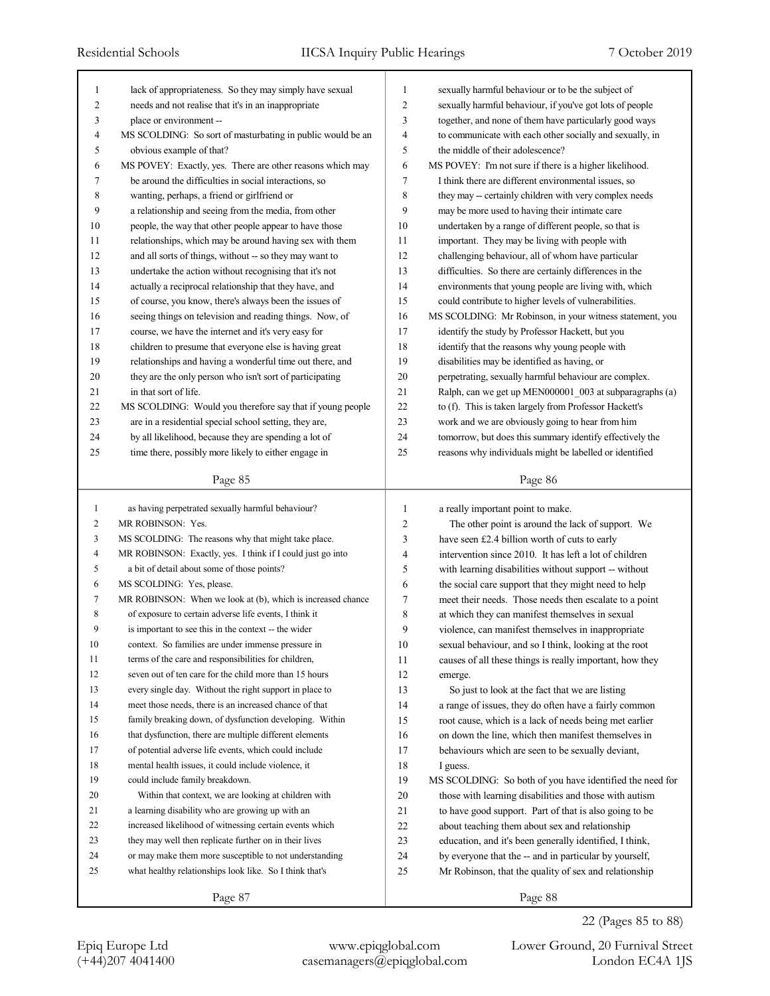| 1              | lack of appropriateness. So they may simply have sexual     | 1              | sexually harmful behaviour or to be the subject of               |
|----------------|-------------------------------------------------------------|----------------|------------------------------------------------------------------|
| 2              | needs and not realise that it's in an inappropriate         | $\overline{2}$ | sexually harmful behaviour, if you've got lots of people         |
| 3              | place or environment --                                     | 3              | together, and none of them have particularly good ways           |
| 4              | MS SCOLDING: So sort of masturbating in public would be an  | $\overline{4}$ | to communicate with each other socially and sexually, in         |
| 5              | obvious example of that?                                    | 5              | the middle of their adolescence?                                 |
| 6              | MS POVEY: Exactly, yes. There are other reasons which may   | 6              | MS POVEY: I'm not sure if there is a higher likelihood.          |
| 7              | be around the difficulties in social interactions, so       | $\overline{7}$ | I think there are different environmental issues, so             |
| 8              | wanting, perhaps, a friend or girlfriend or                 | 8              | they may -- certainly children with very complex needs           |
| 9              | a relationship and seeing from the media, from other        | 9              | may be more used to having their intimate care                   |
| 10             | people, the way that other people appear to have those      | 10             | undertaken by a range of different people, so that is            |
| 11             | relationships, which may be around having sex with them     | 11             | important. They may be living with people with                   |
| 12             | and all sorts of things, without -- so they may want to     | 12             | challenging behaviour, all of whom have particular               |
| 13             | undertake the action without recognising that it's not      | 13             | difficulties. So there are certainly differences in the          |
| 14             | actually a reciprocal relationship that they have, and      | 14             | environments that young people are living with, which            |
| 15             | of course, you know, there's always been the issues of      | 15             | could contribute to higher levels of vulnerabilities.            |
| 16             | seeing things on television and reading things. Now, of     | 16             | MS SCOLDING: Mr Robinson, in your witness statement, you         |
| 17             | course, we have the internet and it's very easy for         | 17             | identify the study by Professor Hackett, but you                 |
| 18             | children to presume that everyone else is having great      | 18             | identify that the reasons why young people with                  |
| 19             | relationships and having a wonderful time out there, and    | 19             | disabilities may be identified as having, or                     |
| 20             | they are the only person who isn't sort of participating    | 20             | perpetrating, sexually harmful behaviour are complex.            |
| 21             | in that sort of life.                                       | 21             | Ralph, can we get up MEN000001_003 at subparagraphs (a)          |
| 22             | MS SCOLDING: Would you therefore say that if young people   | 22             | to (f). This is taken largely from Professor Hackett's           |
| 23             | are in a residential special school setting, they are,      | 23             | work and we are obviously going to hear from him                 |
| 24             | by all likelihood, because they are spending a lot of       | 24             | tomorrow, but does this summary identify effectively the         |
| 25             | time there, possibly more likely to either engage in        | 25             | reasons why individuals might be labelled or identified          |
|                |                                                             |                |                                                                  |
|                | Page 85                                                     |                | Page 86                                                          |
|                |                                                             |                |                                                                  |
|                |                                                             |                |                                                                  |
| $\mathbf{1}$   | as having perpetrated sexually harmful behaviour?           | 1              | a really important point to make.                                |
| $\overline{c}$ | MR ROBINSON: Yes.                                           | $\overline{c}$ | The other point is around the lack of support. We                |
| 3              | MS SCOLDING: The reasons why that might take place.         | 3              | have seen £2.4 billion worth of cuts to early                    |
| $\overline{4}$ | MR ROBINSON: Exactly, yes. I think if I could just go into  | 4              | intervention since 2010. It has left a lot of children           |
| 5              | a bit of detail about some of those points?                 | 5              | with learning disabilities without support -- without            |
| 6              | MS SCOLDING: Yes, please.                                   | 6              | the social care support that they might need to help             |
| 7              | MR ROBINSON: When we look at (b), which is increased chance | 7              | meet their needs. Those needs then escalate to a point           |
| 8              | of exposure to certain adverse life events, I think it      | 8              | at which they can manifest themselves in sexual                  |
| 9              | is important to see this in the context -- the wider        | 9              | violence, can manifest themselves in inappropriate               |
| 10             | context. So families are under immense pressure in          | 10             | sexual behaviour, and so I think, looking at the root            |
| 11             | terms of the care and responsibilities for children,        | 11             | causes of all these things is really important, how they         |
| 12             | seven out of ten care for the child more than 15 hours      | 12             | emerge.                                                          |
| 13             | every single day. Without the right support in place to     | 13             | So just to look at the fact that we are listing                  |
| 14             | meet those needs, there is an increased chance of that      | 14             | a range of issues, they do often have a fairly common            |
| 15             | family breaking down, of dysfunction developing. Within     | 15             | root cause, which is a lack of needs being met earlier           |
| 16             | that dysfunction, there are multiple different elements     | 16             | on down the line, which then manifest themselves in              |
| 17             | of potential adverse life events, which could include       | 17             | behaviours which are seen to be sexually deviant,                |
| 18             | mental health issues, it could include violence, it         | 18             | I guess.                                                         |
| 19             | could include family breakdown.                             | 19             | MS SCOLDING: So both of you have identified the need for         |
| 20             | Within that context, we are looking at children with        | 20             | those with learning disabilities and those with autism           |
| 21             | a learning disability who are growing up with an            | 21             | to have good support. Part of that is also going to be           |
| 22             | increased likelihood of witnessing certain events which     | 22             | about teaching them about sex and relationship                   |
| 23             | they may well then replicate further on in their lives      | 23             | education, and it's been generally identified, I think,          |
| 24             | or may make them more susceptible to not understanding      | 24             |                                                                  |
| 25             | what healthy relationships look like. So I think that's     | 25             | by everyone that the -- and in particular by yourself,           |
|                | Page 87                                                     |                | Mr Robinson, that the quality of sex and relationship<br>Page 88 |

22 (Pages 85 to 88)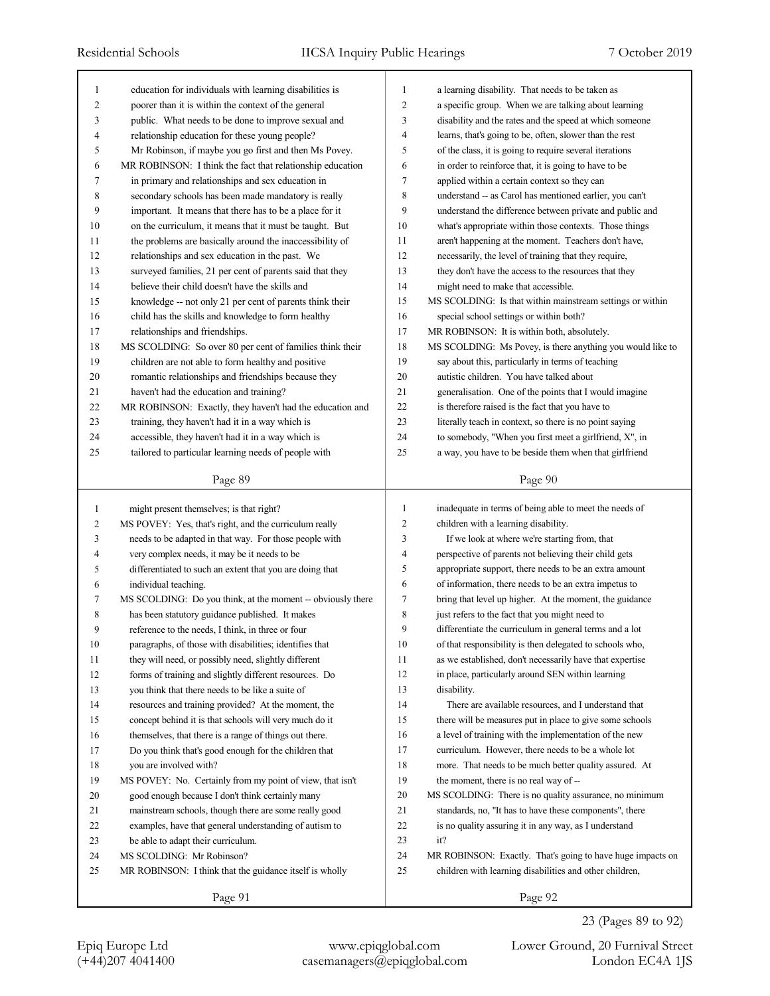| 1              | education for individuals with learning disabilities is     | 1              | a learning disability. That needs to be taken as           |
|----------------|-------------------------------------------------------------|----------------|------------------------------------------------------------|
| 2              | poorer than it is within the context of the general         | $\overline{2}$ | a specific group. When we are talking about learning       |
| 3              | public. What needs to be done to improve sexual and         | 3              | disability and the rates and the speed at which someone    |
| 4              | relationship education for these young people?              | $\overline{4}$ | learns, that's going to be, often, slower than the rest    |
| 5              | Mr Robinson, if maybe you go first and then Ms Povey.       | 5              | of the class, it is going to require several iterations    |
| 6              | MR ROBINSON: I think the fact that relationship education   | 6              | in order to reinforce that, it is going to have to be      |
| 7              | in primary and relationships and sex education in           | $\overline{7}$ | applied within a certain context so they can               |
| 8              | secondary schools has been made mandatory is really         | 8              | understand -- as Carol has mentioned earlier, you can't    |
| 9              | important. It means that there has to be a place for it     | 9              | understand the difference between private and public and   |
| 10             | on the curriculum, it means that it must be taught. But     | 10             | what's appropriate within those contexts. Those things     |
| 11             | the problems are basically around the inaccessibility of    | 11             | aren't happening at the moment. Teachers don't have,       |
| 12             | relationships and sex education in the past. We             | 12             | necessarily, the level of training that they require,      |
| 13             | surveyed families, 21 per cent of parents said that they    | 13             | they don't have the access to the resources that they      |
| 14             | believe their child doesn't have the skills and             | 14             | might need to make that accessible.                        |
| 15             | knowledge -- not only 21 per cent of parents think their    | 15             | MS SCOLDING: Is that within mainstream settings or within  |
| 16             | child has the skills and knowledge to form healthy          | 16             | special school settings or within both?                    |
| 17             | relationships and friendships.                              | 17             | MR ROBINSON: It is within both, absolutely.                |
| 18             | MS SCOLDING: So over 80 per cent of families think their    | 18             | MS SCOLDING: Ms Povey, is there anything you would like to |
| 19             | children are not able to form healthy and positive          | 19             | say about this, particularly in terms of teaching          |
| 20             | romantic relationships and friendships because they         | 20             | autistic children. You have talked about                   |
| 21             | haven't had the education and training?                     | 21             | generalisation. One of the points that I would imagine     |
| 22             | MR ROBINSON: Exactly, they haven't had the education and    | 22             | is therefore raised is the fact that you have to           |
| 23             | training, they haven't had it in a way which is             | 23             | literally teach in context, so there is no point saying    |
| 24             | accessible, they haven't had it in a way which is           | 24             | to somebody, "When you first meet a girlfriend, X", in     |
| 25             | tailored to particular learning needs of people with        | 25             | a way, you have to be beside them when that girlfriend     |
|                |                                                             |                |                                                            |
|                | Page 89                                                     |                | Page 90                                                    |
|                |                                                             |                |                                                            |
|                |                                                             |                |                                                            |
| $\mathbf{1}$   | might present themselves; is that right?                    | $\mathbf{1}$   | inadequate in terms of being able to meet the needs of     |
| $\overline{c}$ | MS POVEY: Yes, that's right, and the curriculum really      | $\overline{2}$ | children with a learning disability.                       |
| 3              | needs to be adapted in that way. For those people with      | 3              | If we look at where we're starting from, that              |
| 4              | very complex needs, it may be it needs to be                | $\overline{4}$ | perspective of parents not believing their child gets      |
| 5              | differentiated to such an extent that you are doing that    | 5              | appropriate support, there needs to be an extra amount     |
| 6              | individual teaching.                                        | 6              | of information, there needs to be an extra impetus to      |
| 7              | MS SCOLDING: Do you think, at the moment -- obviously there | $\tau$         | bring that level up higher. At the moment, the guidance    |
| 8              | has been statutory guidance published. It makes             | 8              | just refers to the fact that you might need to             |
| 9              | reference to the needs, I think, in three or four           | 9              | differentiate the curriculum in general terms and a lot    |
| 10             | paragraphs, of those with disabilities; identifies that     | 10             | of that responsibility is then delegated to schools who,   |
| 11             | they will need, or possibly need, slightly different        | 11             | as we established, don't necessarily have that expertise   |
| 12             | forms of training and slightly different resources. Do      | 12             | in place, particularly around SEN within learning          |
| 13             | you think that there needs to be like a suite of            | 13             | disability.                                                |
| 14             | resources and training provided? At the moment, the         | 14             | There are available resources, and I understand that       |
| 15             | concept behind it is that schools will very much do it      | 15             | there will be measures put in place to give some schools   |
| 16             | themselves, that there is a range of things out there.      | 16             | a level of training with the implementation of the new     |
| 17             | Do you think that's good enough for the children that       | 17             | curriculum. However, there needs to be a whole lot         |
| 18             | you are involved with?                                      | 18             | more. That needs to be much better quality assured. At     |
| 19             | MS POVEY: No. Certainly from my point of view, that isn't   | 19             | the moment, there is no real way of --                     |
| 20             | good enough because I don't think certainly many            | $20\,$         | MS SCOLDING: There is no quality assurance, no minimum     |
| 21             | mainstream schools, though there are some really good       | 21             | standards, no, "It has to have these components", there    |
| 22             | examples, have that general understanding of autism to      | 22             | is no quality assuring it in any way, as I understand      |
| 23             | be able to adapt their curriculum.                          | 23             | it?                                                        |
| 24             | MS SCOLDING: Mr Robinson?                                   | 24             | MR ROBINSON: Exactly. That's going to have huge impacts on |
| 25             | MR ROBINSON: I think that the guidance itself is wholly     | 25             | children with learning disabilities and other children,    |

Epiq Europe Ltd www.epiqglobal.com Lower Ground, 20 Furnival Street

23 (Pages 89 to 92)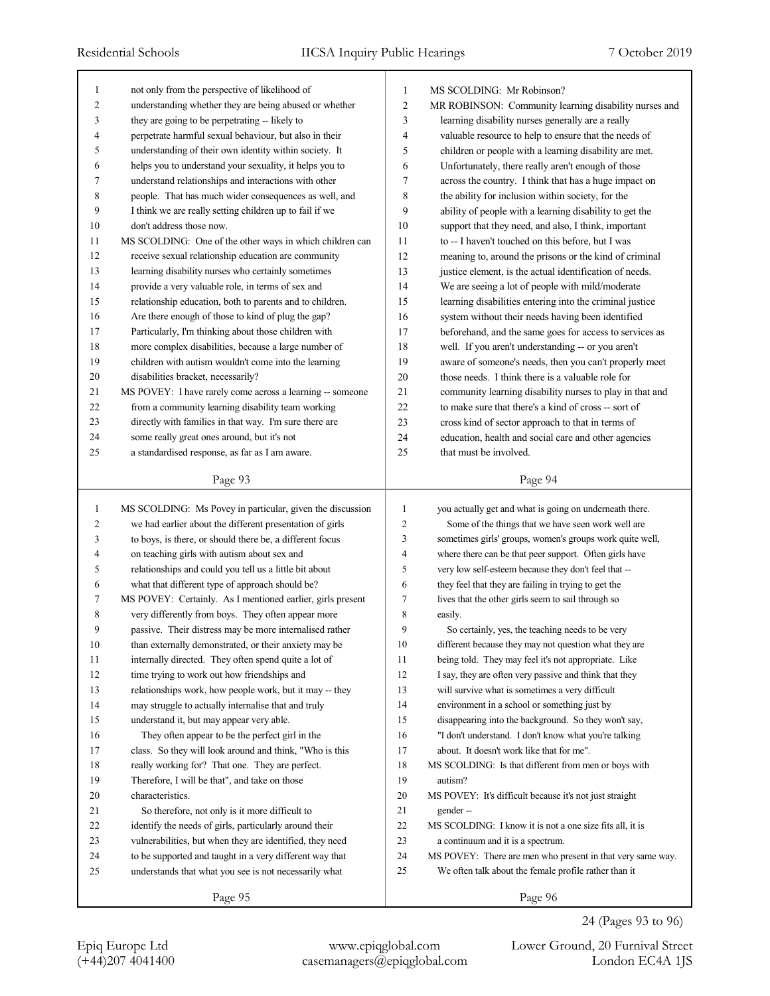| $\mathbf{1}$   | not only from the perspective of likelihood of             | 1              | MS SCOLDING: Mr Robinson?                                  |
|----------------|------------------------------------------------------------|----------------|------------------------------------------------------------|
| $\overline{2}$ | understanding whether they are being abused or whether     | $\overline{2}$ | MR ROBINSON: Community learning disability nurses and      |
| 3              | they are going to be perpetrating -- likely to             | 3              | learning disability nurses generally are a really          |
| 4              | perpetrate harmful sexual behaviour, but also in their     | 4              | valuable resource to help to ensure that the needs of      |
| 5              | understanding of their own identity within society. It     | 5              | children or people with a learning disability are met.     |
| 6              | helps you to understand your sexuality, it helps you to    | 6              | Unfortunately, there really aren't enough of those         |
| 7              | understand relationships and interactions with other       | 7              | across the country. I think that has a huge impact on      |
| 8              | people. That has much wider consequences as well, and      | 8              | the ability for inclusion within society, for the          |
| 9              | I think we are really setting children up to fail if we    | 9              | ability of people with a learning disability to get the    |
| 10             | don't address those now.                                   | 10             | support that they need, and also, I think, important       |
| 11             | MS SCOLDING: One of the other ways in which children can   | 11             | to -- I haven't touched on this before, but I was          |
| 12             | receive sexual relationship education are community        | 12             | meaning to, around the prisons or the kind of criminal     |
| 13             | learning disability nurses who certainly sometimes         | 13             | justice element, is the actual identification of needs.    |
| 14             | provide a very valuable role, in terms of sex and          | 14             | We are seeing a lot of people with mild/moderate           |
| 15             | relationship education, both to parents and to children.   | 15             | learning disabilities entering into the criminal justice   |
| 16             | Are there enough of those to kind of plug the gap?         | 16             | system without their needs having been identified          |
| 17             | Particularly, I'm thinking about those children with       | 17             | beforehand, and the same goes for access to services as    |
| 18             | more complex disabilities, because a large number of       | 18             | well. If you aren't understanding -- or you aren't         |
| 19             | children with autism wouldn't come into the learning       | 19             | aware of someone's needs, then you can't properly meet     |
| 20             | disabilities bracket, necessarily?                         | 20             | those needs. I think there is a valuable role for          |
| 21             | MS POVEY: I have rarely come across a learning -- someone  | 21             | community learning disability nurses to play in that and   |
| 22             | from a community learning disability team working          | 22             | to make sure that there's a kind of cross -- sort of       |
| 23             | directly with families in that way. I'm sure there are     | 23             | cross kind of sector approach to that in terms of          |
| 24             | some really great ones around, but it's not                | 24             | education, health and social care and other agencies       |
| 25             | a standardised response, as far as I am aware.             | 25             | that must be involved.                                     |
|                |                                                            |                |                                                            |
|                | Page 93                                                    |                | Page 94                                                    |
|                |                                                            |                |                                                            |
|                |                                                            |                |                                                            |
| $\mathbf{1}$   | MS SCOLDING: Ms Povey in particular, given the discussion  | $\mathbf{1}$   | you actually get and what is going on underneath there.    |
| $\overline{c}$ | we had earlier about the different presentation of girls   | $\overline{c}$ | Some of the things that we have seen work well are         |
| 3              | to boys, is there, or should there be, a different focus   | 3              | sometimes girls' groups, women's groups work quite well,   |
| 4              | on teaching girls with autism about sex and                | $\overline{4}$ | where there can be that peer support. Often girls have     |
| 5              | relationships and could you tell us a little bit about     | 5              | very low self-esteem because they don't feel that --       |
| 6              | what that different type of approach should be?            | 6              | they feel that they are failing in trying to get the       |
| 7              | MS POVEY: Certainly. As I mentioned earlier, girls present | 7              | lives that the other girls seem to sail through so         |
| 8              | very differently from boys. They often appear more         | 8              | easily.                                                    |
| 9              | passive. Their distress may be more internalised rather    | 9              | So certainly, yes, the teaching needs to be very           |
| 10             | than externally demonstrated, or their anxiety may be      | 10             | different because they may not question what they are      |
| 11             | internally directed. They often spend quite a lot of       | 11             | being told. They may feel it's not appropriate. Like       |
| 12             | time trying to work out how friendships and                | 12             | I say, they are often very passive and think that they     |
| 13             | relationships work, how people work, but it may -- they    | 13             | will survive what is sometimes a very difficult            |
| 14             | may struggle to actually internalise that and truly        | 14             | environment in a school or something just by               |
| 15             | understand it, but may appear very able.                   | 15             | disappearing into the background. So they won't say,       |
| 16             | They often appear to be the perfect girl in the            | 16             | "I don't understand. I don't know what you're talking      |
| 17             | class. So they will look around and think, "Who is this    | 17             | about. It doesn't work like that for me".                  |
| 18             | really working for? That one. They are perfect.            | 18             | MS SCOLDING: Is that different from men or boys with       |
| 19             | Therefore, I will be that", and take on those              | 19             | autism?                                                    |
| 20             | characteristics.                                           | 20             | MS POVEY: It's difficult because it's not just straight    |
| 21             | So therefore, not only is it more difficult to             | 21             | gender --                                                  |
| 22             | identify the needs of girls, particularly around their     | 22             | MS SCOLDING: I know it is not a one size fits all, it is   |
| 23             | vulnerabilities, but when they are identified, they need   | 23             | a continuum and it is a spectrum.                          |
| 24             | to be supported and taught in a very different way that    | 24             | MS POVEY: There are men who present in that very same way. |
| 25             | understands that what you see is not necessarily what      | 25             | We often talk about the female profile rather than it      |
|                | Page 95                                                    |                | Page 96                                                    |

24 (Pages 93 to 96)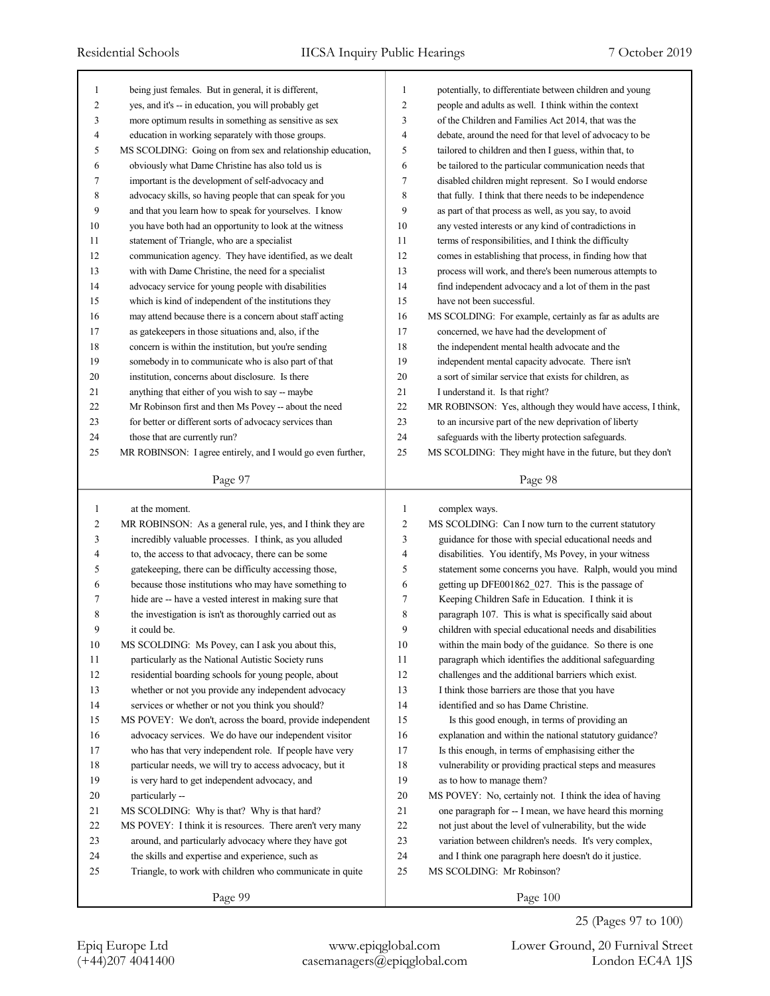| 1              | being just females. But in general, it is different,        | 1              | potentially, to differentiate between children and young    |
|----------------|-------------------------------------------------------------|----------------|-------------------------------------------------------------|
| $\overline{2}$ | yes, and it's -- in education, you will probably get        | $\overline{c}$ | people and adults as well. I think within the context       |
| 3              | more optimum results in something as sensitive as sex       | 3              | of the Children and Families Act 2014, that was the         |
| $\overline{4}$ | education in working separately with those groups.          | $\overline{4}$ | debate, around the need for that level of advocacy to be    |
| 5              | MS SCOLDING: Going on from sex and relationship education,  | 5              | tailored to children and then I guess, within that, to      |
| 6              | obviously what Dame Christine has also told us is           | 6              | be tailored to the particular communication needs that      |
| 7              | important is the development of self-advocacy and           | $\tau$         | disabled children might represent. So I would endorse       |
| 8              | advocacy skills, so having people that can speak for you    | 8              | that fully. I think that there needs to be independence     |
| 9              | and that you learn how to speak for yourselves. I know      | 9              | as part of that process as well, as you say, to avoid       |
| 10             | you have both had an opportunity to look at the witness     | 10             | any vested interests or any kind of contradictions in       |
| 11             | statement of Triangle, who are a specialist                 | 11             | terms of responsibilities, and I think the difficulty       |
| 12             | communication agency. They have identified, as we dealt     | 12             | comes in establishing that process, in finding how that     |
| 13             | with with Dame Christine, the need for a specialist         | 13             | process will work, and there's been numerous attempts to    |
| 14             | advocacy service for young people with disabilities         | 14             | find independent advocacy and a lot of them in the past     |
| 15             | which is kind of independent of the institutions they       | 15             | have not been successful.                                   |
| 16             | may attend because there is a concern about staff acting    | 16             | MS SCOLDING: For example, certainly as far as adults are    |
| 17             | as gatekeepers in those situations and, also, if the        | 17             | concerned, we have had the development of                   |
| 18             | concern is within the institution, but you're sending       | 18             | the independent mental health advocate and the              |
| 19             | somebody in to communicate who is also part of that         | 19             | independent mental capacity advocate. There isn't           |
| 20             | institution, concerns about disclosure. Is there            | 20             | a sort of similar service that exists for children, as      |
| 21             | anything that either of you wish to say -- maybe            | 21             | I understand it. Is that right?                             |
| 22             | Mr Robinson first and then Ms Povey -- about the need       | 22             | MR ROBINSON: Yes, although they would have access, I think, |
| 23             | for better or different sorts of advocacy services than     | 23             | to an incursive part of the new deprivation of liberty      |
| 24             | those that are currently run?                               | 24             | safeguards with the liberty protection safeguards.          |
| 25             | MR ROBINSON: I agree entirely, and I would go even further, | 25             | MS SCOLDING: They might have in the future, but they don't  |
|                |                                                             |                |                                                             |
|                | Page 97                                                     |                | Page 98                                                     |
|                |                                                             |                |                                                             |
|                |                                                             |                |                                                             |
| 1              | at the moment.                                              | 1              | complex ways.                                               |
| 2              | MR ROBINSON: As a general rule, yes, and I think they are   | $\overline{2}$ | MS SCOLDING: Can I now turn to the current statutory        |
| 3              | incredibly valuable processes. I think, as you alluded      | 3              | guidance for those with special educational needs and       |
| 4              | to, the access to that advocacy, there can be some          | 4              | disabilities. You identify, Ms Povey, in your witness       |
| 5              | gatekeeping, there can be difficulty accessing those,       | 5              | statement some concerns you have. Ralph, would you mind     |
| 6              | because those institutions who may have something to        | 6              | getting up DFE001862_027. This is the passage of            |
| 7              | hide are -- have a vested interest in making sure that      | $\tau$         | Keeping Children Safe in Education. I think it is           |
| 8              | the investigation is isn't as thoroughly carried out as     | 8              | paragraph 107. This is what is specifically said about      |
| 9              | it could be.                                                | 9              | children with special educational needs and disabilities    |
| 10             | MS SCOLDING: Ms Povey, can I ask you about this,            | 10             | within the main body of the guidance. So there is one       |
| 11             | particularly as the National Autistic Society runs          | 11             | paragraph which identifies the additional safeguarding      |
| 12             | residential boarding schools for young people, about        | 12             | challenges and the additional barriers which exist.         |
| 13             | whether or not you provide any independent advocacy         | 13             | I think those barriers are those that you have              |
| 14             | services or whether or not you think you should?            | 14             | identified and so has Dame Christine.                       |
| 15             | MS POVEY: We don't, across the board, provide independent   | 15             | Is this good enough, in terms of providing an               |
| 16             | advocacy services. We do have our independent visitor       | 16             | explanation and within the national statutory guidance?     |
| 17             | who has that very independent role. If people have very     | 17             | Is this enough, in terms of emphasising either the          |
| 18             | particular needs, we will try to access advocacy, but it    | 18             | vulnerability or providing practical steps and measures     |
| 19             | is very hard to get independent advocacy, and               | 19             | as to how to manage them?                                   |
| 20             | particularly --                                             | 20             | MS POVEY: No, certainly not. I think the idea of having     |
| 21             | MS SCOLDING: Why is that? Why is that hard?                 | 21             | one paragraph for -- I mean, we have heard this morning     |
| 22             | MS POVEY: I think it is resources. There aren't very many   | 22             | not just about the level of vulnerability, but the wide     |
| 23             | around, and particularly advocacy where they have got       | 23             | variation between children's needs. It's very complex,      |
| 24             | the skills and expertise and experience, such as            | 24             | and I think one paragraph here doesn't do it justice.       |
| 25             | Triangle, to work with children who communicate in quite    | 25             | MS SCOLDING: Mr Robinson?                                   |
|                | Page 99                                                     |                | Page 100                                                    |

25 (Pages 97 to 100)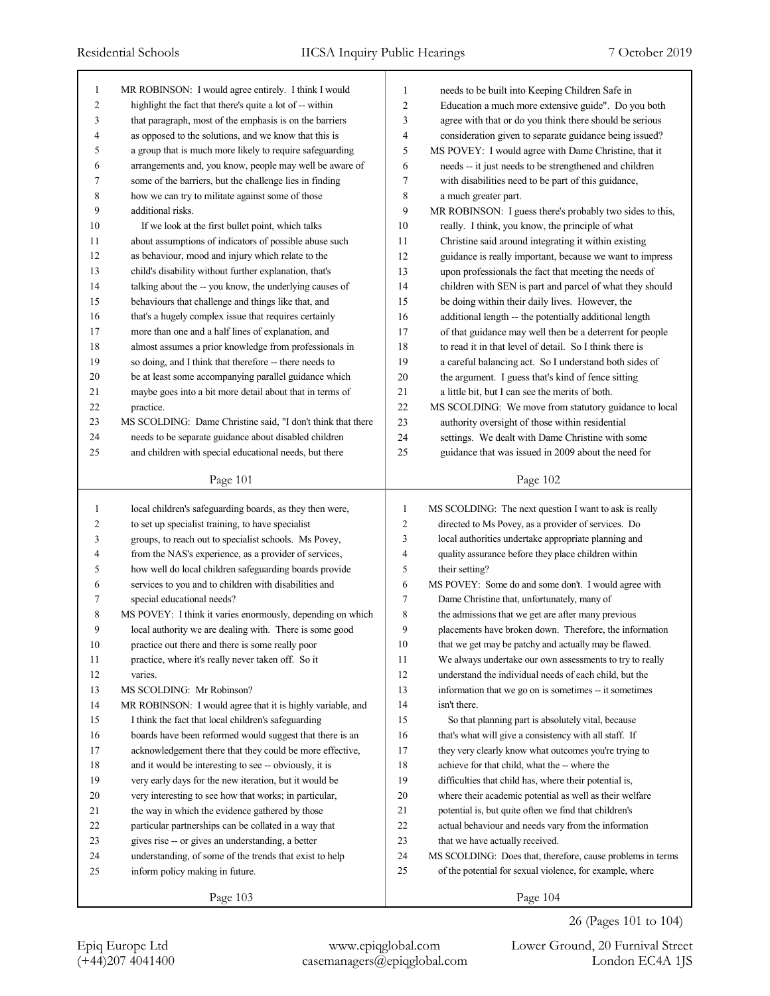| 1            | MR ROBINSON: I would agree entirely. I think I would        | 1              | needs to be built into Keeping Children Safe in            |
|--------------|-------------------------------------------------------------|----------------|------------------------------------------------------------|
| 2            | highlight the fact that there's quite a lot of -- within    | $\overline{2}$ | Education a much more extensive guide". Do you both        |
| 3            | that paragraph, most of the emphasis is on the barriers     | 3              | agree with that or do you think there should be serious    |
| 4            | as opposed to the solutions, and we know that this is       | $\overline{4}$ | consideration given to separate guidance being issued?     |
| 5            | a group that is much more likely to require safeguarding    | 5              | MS POVEY: I would agree with Dame Christine, that it       |
| 6            | arrangements and, you know, people may well be aware of     | 6              | needs -- it just needs to be strengthened and children     |
| 7            | some of the barriers, but the challenge lies in finding     | 7              | with disabilities need to be part of this guidance,        |
| 8            | how we can try to militate against some of those            | 8              | a much greater part.                                       |
| 9            | additional risks.                                           | 9              | MR ROBINSON: I guess there's probably two sides to this,   |
| 10           | If we look at the first bullet point, which talks           | 10             | really. I think, you know, the principle of what           |
| 11           | about assumptions of indicators of possible abuse such      | 11             | Christine said around integrating it within existing       |
| 12           | as behaviour, mood and injury which relate to the           | 12             | guidance is really important, because we want to impress   |
| 13           | child's disability without further explanation, that's      | 13             | upon professionals the fact that meeting the needs of      |
| 14           | talking about the -- you know, the underlying causes of     | 14             | children with SEN is part and parcel of what they should   |
| 15           | behaviours that challenge and things like that, and         | 15             | be doing within their daily lives. However, the            |
| 16           | that's a hugely complex issue that requires certainly       | 16             | additional length -- the potentially additional length     |
| 17           | more than one and a half lines of explanation, and          | 17             | of that guidance may well then be a deterrent for people   |
| 18           | almost assumes a prior knowledge from professionals in      | 18             | to read it in that level of detail. So I think there is    |
| 19           | so doing, and I think that therefore -- there needs to      | 19             | a careful balancing act. So I understand both sides of     |
| 20           | be at least some accompanying parallel guidance which       | 20             | the argument. I guess that's kind of fence sitting         |
| 21           | maybe goes into a bit more detail about that in terms of    | 21             | a little bit, but I can see the merits of both.            |
| 22           | practice.                                                   | 22             | MS SCOLDING: We move from statutory guidance to local      |
| 23           | MS SCOLDING: Dame Christine said, "I don't think that there | 23             | authority oversight of those within residential            |
| 24           | needs to be separate guidance about disabled children       | 24             | settings. We dealt with Dame Christine with some           |
| 25           | and children with special educational needs, but there      | 25             | guidance that was issued in 2009 about the need for        |
|              |                                                             |                |                                                            |
|              | Page 101                                                    |                | Page 102                                                   |
|              |                                                             |                |                                                            |
|              |                                                             |                |                                                            |
| $\mathbf{1}$ | local children's safeguarding boards, as they then were,    | 1              | MS SCOLDING: The next question I want to ask is really     |
| 2            | to set up specialist training, to have specialist           | 2              | directed to Ms Povey, as a provider of services. Do        |
| 3            | groups, to reach out to specialist schools. Ms Povey,       | 3              | local authorities undertake appropriate planning and       |
| 4            | from the NAS's experience, as a provider of services,       | 4              | quality assurance before they place children within        |
| 5            | how well do local children safeguarding boards provide      | 5              | their setting?                                             |
| 6            | services to you and to children with disabilities and       | 6              | MS POVEY: Some do and some don't. I would agree with       |
| 7            | special educational needs?                                  | 7              | Dame Christine that, unfortunately, many of                |
| 8            | MS POVEY: I think it varies enormously, depending on which  | 8              | the admissions that we get are after many previous         |
| 9            | local authority we are dealing with. There is some good     | 9              | placements have broken down. Therefore, the information    |
| 10           | practice out there and there is some really poor            | 10             | that we get may be patchy and actually may be flawed.      |
| 11           | practice, where it's really never taken off. So it          | 11             | We always undertake our own assessments to try to really   |
| 12           | varies.                                                     | 12             | understand the individual needs of each child, but the     |
| 13           | MS SCOLDING: Mr Robinson?                                   | 13             | information that we go on is sometimes -- it sometimes     |
| 14           | MR ROBINSON: I would agree that it is highly variable, and  | 14             | isn't there.                                               |
| 15           | I think the fact that local children's safeguarding         | 15             | So that planning part is absolutely vital, because         |
| 16           | boards have been reformed would suggest that there is an    | 16             | that's what will give a consistency with all staff. If     |
| 17           | acknowledgement there that they could be more effective,    | 17             | they very clearly know what outcomes you're trying to      |
| 18           | and it would be interesting to see -- obviously, it is      | 18             | achieve for that child, what the -- where the              |
| 19           | very early days for the new iteration, but it would be      | 19             | difficulties that child has, where their potential is,     |
| 20           | very interesting to see how that works; in particular,      | 20             | where their academic potential as well as their welfare    |
| 21           | the way in which the evidence gathered by those             | 21             | potential is, but quite often we find that children's      |
| 22           | particular partnerships can be collated in a way that       | 22             | actual behaviour and needs vary from the information       |
| 23           | gives rise -- or gives an understanding, a better           | 23             | that we have actually received.                            |
| 24           | understanding, of some of the trends that exist to help     | 24             | MS SCOLDING: Does that, therefore, cause problems in terms |
| 25           | inform policy making in future.                             | 25             | of the potential for sexual violence, for example, where   |
|              | Page 103                                                    |                | Page 104                                                   |

(+44)207 4041400 casemanagers@epiqglobal.com London EC4A 1JS Epiq Europe Ltd www.epiqglobal.com Lower Ground, 20 Furnival Street

26 (Pages 101 to 104)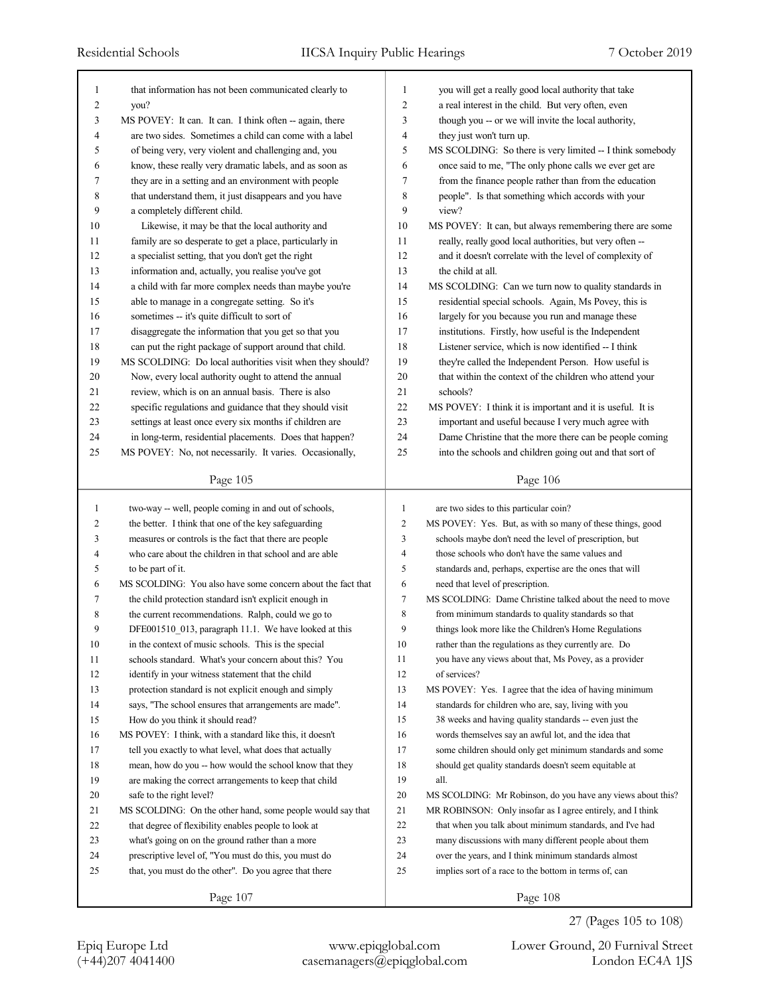| 1                       | that information has not been communicated clearly to       | 1              | you will get a really good local authority that take        |
|-------------------------|-------------------------------------------------------------|----------------|-------------------------------------------------------------|
| $\overline{\mathbf{c}}$ | you?                                                        | $\overline{2}$ | a real interest in the child. But very often, even          |
| 3                       | MS POVEY: It can. It can. I think often -- again, there     | 3              | though you -- or we will invite the local authority,        |
| 4                       | are two sides. Sometimes a child can come with a label      | $\overline{4}$ | they just won't turn up.                                    |
| 5                       | of being very, very violent and challenging and, you        | 5              | MS SCOLDING: So there is very limited -- I think somebody   |
| 6                       | know, these really very dramatic labels, and as soon as     | 6              | once said to me, "The only phone calls we ever get are      |
| 7                       | they are in a setting and an environment with people        | 7              | from the finance people rather than from the education      |
| 8                       | that understand them, it just disappears and you have       | 8              | people". Is that something which accords with your          |
| 9                       | a completely different child.                               | 9              | view?                                                       |
| 10                      | Likewise, it may be that the local authority and            | 10             | MS POVEY: It can, but always remembering there are some     |
| 11                      | family are so desperate to get a place, particularly in     | 11             | really, really good local authorities, but very often --    |
| 12                      | a specialist setting, that you don't get the right          | 12             | and it doesn't correlate with the level of complexity of    |
| 13                      | information and, actually, you realise you've got           | 13             | the child at all.                                           |
| 14                      | a child with far more complex needs than maybe you're       | 14             | MS SCOLDING: Can we turn now to quality standards in        |
| 15                      | able to manage in a congregate setting. So it's             | 15             | residential special schools. Again, Ms Povey, this is       |
| 16                      | sometimes -- it's quite difficult to sort of                | 16             | largely for you because you run and manage these            |
| 17                      | disaggregate the information that you get so that you       | 17             | institutions. Firstly, how useful is the Independent        |
| 18                      | can put the right package of support around that child.     | 18             | Listener service, which is now identified -- I think        |
| 19                      | MS SCOLDING: Do local authorities visit when they should?   | 19             | they're called the Independent Person. How useful is        |
| 20                      | Now, every local authority ought to attend the annual       | 20             | that within the context of the children who attend your     |
| 21                      | review, which is on an annual basis. There is also          | 21             | schools?                                                    |
| 22                      | specific regulations and guidance that they should visit    | 22             | MS POVEY: I think it is important and it is useful. It is   |
| 23                      | settings at least once every six months if children are     | 23             | important and useful because I very much agree with         |
| 24                      | in long-term, residential placements. Does that happen?     | 24             | Dame Christine that the more there can be people coming     |
| 25                      | MS POVEY: No, not necessarily. It varies. Occasionally,     | 25             | into the schools and children going out and that sort of    |
|                         |                                                             |                | Page 106                                                    |
|                         | Page 105                                                    |                |                                                             |
|                         |                                                             |                |                                                             |
| $\mathbf{1}$            | two-way -- well, people coming in and out of schools,       | $\mathbf{1}$   | are two sides to this particular coin?                      |
| 2                       | the better. I think that one of the key safeguarding        | $\overline{c}$ | MS POVEY: Yes. But, as with so many of these things, good   |
| 3                       | measures or controls is the fact that there are people      | 3              | schools maybe don't need the level of prescription, but     |
| 4                       | who care about the children in that school and are able     | 4              | those schools who don't have the same values and            |
| 5                       | to be part of it.                                           | 5              | standards and, perhaps, expertise are the ones that will    |
| 6                       | MS SCOLDING: You also have some concern about the fact that | 6              | need that level of prescription.                            |
| 7                       | the child protection standard isn't explicit enough in      | 7              | MS SCOLDING: Dame Christine talked about the need to move   |
| 8                       | the current recommendations. Ralph, could we go to          | 8              | from minimum standards to quality standards so that         |
| 9                       | DFE001510 013, paragraph 11.1. We have looked at this       | 9              | things look more like the Children's Home Regulations       |
| 10                      | in the context of music schools. This is the special        | 10             | rather than the regulations as they currently are. Do       |
| 11                      | schools standard. What's your concern about this? You       | 11             | you have any views about that, Ms Povey, as a provider      |
| 12                      | identify in your witness statement that the child           | 12             | of services?                                                |
| 13                      | protection standard is not explicit enough and simply       | 13             | MS POVEY: Yes. I agree that the idea of having minimum      |
| 14                      | says, "The school ensures that arrangements are made".      | 14             | standards for children who are, say, living with you        |
| 15                      | How do you think it should read?                            | 15             | 38 weeks and having quality standards -- even just the      |
| 16                      | MS POVEY: I think, with a standard like this, it doesn't    | 16             | words themselves say an awful lot, and the idea that        |
| 17                      | tell you exactly to what level, what does that actually     | 17             | some children should only get minimum standards and some    |
| 18                      | mean, how do you -- how would the school know that they     | 18             | should get quality standards doesn't seem equitable at      |
| 19                      | are making the correct arrangements to keep that child      | 19             | all.                                                        |
| 20                      | safe to the right level?                                    | $20\,$         | MS SCOLDING: Mr Robinson, do you have any views about this? |
| 21                      | MS SCOLDING: On the other hand, some people would say that  | 21             | MR ROBINSON: Only insofar as I agree entirely, and I think  |
| 22                      | that degree of flexibility enables people to look at        | 22             | that when you talk about minimum standards, and I've had    |
| 23                      | what's going on on the ground rather than a more            | 23             | many discussions with many different people about them      |
| 24                      | prescriptive level of, "You must do this, you must do       | 24             | over the years, and I think minimum standards almost        |
| 25                      | that, you must do the other". Do you agree that there       | 25             | implies sort of a race to the bottom in terms of, can       |
|                         | Page 107                                                    |                | Page 108                                                    |

27 (Pages 105 to 108)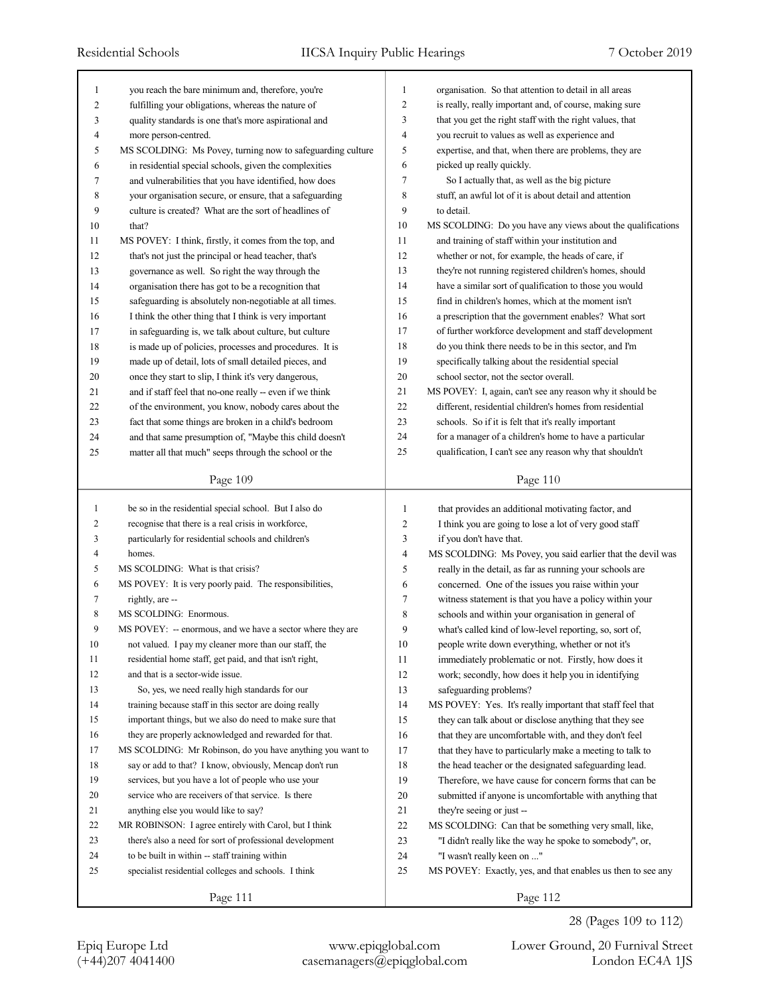| 1            | you reach the bare minimum and, therefore, you're          | $\mathbf{1}$   | organisation. So that attention to detail in all areas      |
|--------------|------------------------------------------------------------|----------------|-------------------------------------------------------------|
| 2            | fulfilling your obligations, whereas the nature of         | $\overline{c}$ | is really, really important and, of course, making sure     |
| 3            | quality standards is one that's more aspirational and      | 3              | that you get the right staff with the right values, that    |
| 4            | more person-centred.                                       | 4              | you recruit to values as well as experience and             |
| 5            | MS SCOLDING: Ms Povey, turning now to safeguarding culture | 5              | expertise, and that, when there are problems, they are      |
| 6            | in residential special schools, given the complexities     | 6              | picked up really quickly.                                   |
| 7            | and vulnerabilities that you have identified, how does     | $\tau$         | So I actually that, as well as the big picture              |
| 8            | your organisation secure, or ensure, that a safeguarding   | 8              | stuff, an awful lot of it is about detail and attention     |
| 9            | culture is created? What are the sort of headlines of      | 9              | to detail.                                                  |
| $10\,$       | that?                                                      | 10             | MS SCOLDING: Do you have any views about the qualifications |
| 11           | MS POVEY: I think, firstly, it comes from the top, and     | 11             | and training of staff within your institution and           |
| 12           | that's not just the principal or head teacher, that's      | 12             | whether or not, for example, the heads of care, if          |
| 13           | governance as well. So right the way through the           | 13             | they're not running registered children's homes, should     |
| 14           | organisation there has got to be a recognition that        | 14             | have a similar sort of qualification to those you would     |
| 15           | safeguarding is absolutely non-negotiable at all times.    | 15             | find in children's homes, which at the moment isn't         |
| 16           | I think the other thing that I think is very important     | 16             | a prescription that the government enables? What sort       |
| 17           | in safeguarding is, we talk about culture, but culture     | 17             | of further workforce development and staff development      |
| 18           | is made up of policies, processes and procedures. It is    | 18             | do you think there needs to be in this sector, and I'm      |
| 19           | made up of detail, lots of small detailed pieces, and      | 19             | specifically talking about the residential special          |
| 20           | once they start to slip, I think it's very dangerous,      | 20             | school sector, not the sector overall.                      |
| 21           | and if staff feel that no-one really -- even if we think   | $21\,$         | MS POVEY: I, again, can't see any reason why it should be   |
| 22           | of the environment, you know, nobody cares about the       | 22             | different, residential children's homes from residential    |
| 23           | fact that some things are broken in a child's bedroom      | 23             | schools. So if it is felt that it's really important        |
| 24           | and that same presumption of, "Maybe this child doesn't    | 24             | for a manager of a children's home to have a particular     |
| 25           | matter all that much" seeps through the school or the      | 25             | qualification, I can't see any reason why that shouldn't    |
|              |                                                            |                |                                                             |
|              | Page 109                                                   |                | Page 110                                                    |
|              |                                                            |                |                                                             |
|              |                                                            |                |                                                             |
| $\mathbf{1}$ | be so in the residential special school. But I also do     | 1              | that provides an additional motivating factor, and          |
| 2            | recognise that there is a real crisis in workforce,        | 2              | I think you are going to lose a lot of very good staff      |
| 3            | particularly for residential schools and children's        | 3              | if you don't have that.                                     |
| 4            | homes.                                                     | $\overline{4}$ | MS SCOLDING: Ms Povey, you said earlier that the devil was  |
| 5            | MS SCOLDING: What is that crisis?                          | 5              | really in the detail, as far as running your schools are    |
| 6            | MS POVEY: It is very poorly paid. The responsibilities,    | 6              | concerned. One of the issues you raise within your          |
| 7            | rightly, are --                                            | 7              | witness statement is that you have a policy within your     |
| 8            | MS SCOLDING: Enormous.                                     | 8              | schools and within your organisation in general of          |
| 9            | MS POVEY: -- enormous, and we have a sector where they are | 9              | what's called kind of low-level reporting, so, sort of,     |
| 10           | not valued. I pay my cleaner more than our staff, the      | 10             | people write down everything, whether or not it's           |
| 11           | residential home staff, get paid, and that isn't right,    | 11             | immediately problematic or not. Firstly, how does it        |
| 12           | and that is a sector-wide issue.                           | 12             | work; secondly, how does it help you in identifying         |
| 13           | So, yes, we need really high standards for our             | 13             | safeguarding problems?                                      |
| 14           | training because staff in this sector are doing really     | 14             | MS POVEY: Yes. It's really important that staff feel that   |
| 15           | important things, but we also do need to make sure that    | 15             | they can talk about or disclose anything that they see      |
| 16           | they are properly acknowledged and rewarded for that.      | 16             | that they are uncomfortable with, and they don't feel       |
| 17           | MS SCOLDING: Mr Robinson, do you have anything you want to | 17             | that they have to particularly make a meeting to talk to    |
| $18\,$       | say or add to that? I know, obviously, Mencap don't run    | 18             | the head teacher or the designated safeguarding lead.       |
| 19           | services, but you have a lot of people who use your        | 19             | Therefore, we have cause for concern forms that can be      |
| 20           | service who are receivers of that service. Is there        | 20             | submitted if anyone is uncomfortable with anything that     |
| 21           | anything else you would like to say?                       | 21             | they're seeing or just --                                   |
| 22           | MR ROBINSON: I agree entirely with Carol, but I think      | $22\,$         | MS SCOLDING: Can that be something very small, like,        |
| 23           | there's also a need for sort of professional development   | 23             | "I didn't really like the way he spoke to somebody", or,    |
| 24           | to be built in within -- staff training within             | 24             | "I wasn't really keen on "                                  |
| 25           | specialist residential colleges and schools. I think       | 25             | MS POVEY: Exactly, yes, and that enables us then to see any |
|              | Page 111                                                   |                | Page 112                                                    |

28 (Pages 109 to 112)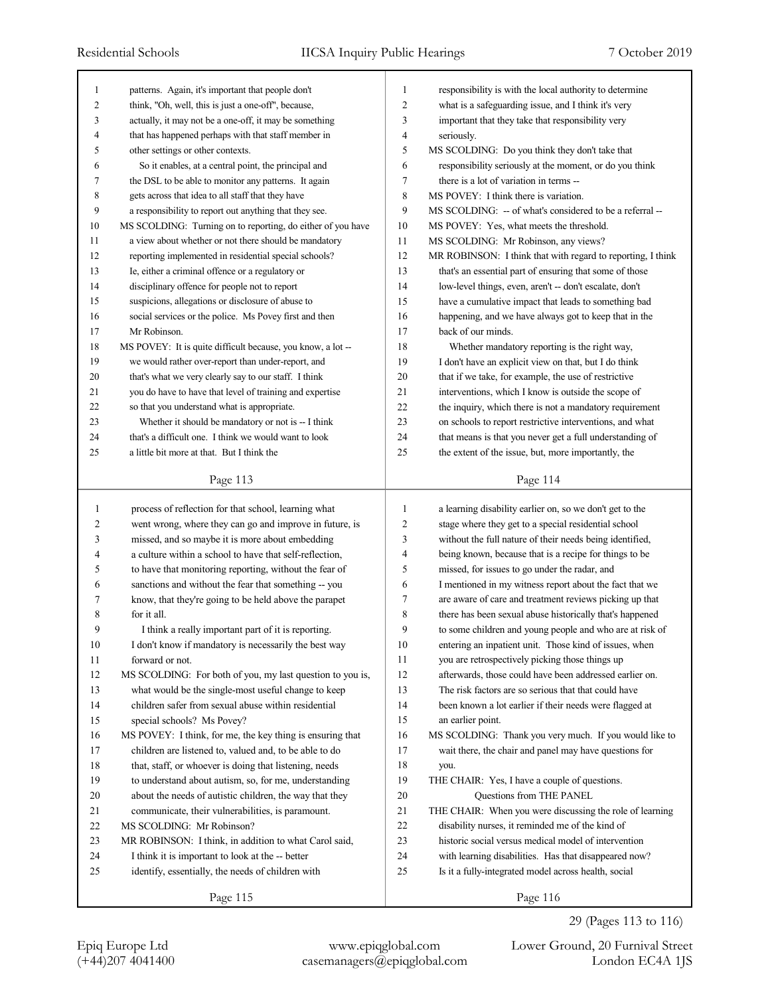| $\mathbf{1}$   | patterns. Again, it's important that people don't           | 1  | responsibility is with the local authority to determine     |
|----------------|-------------------------------------------------------------|----|-------------------------------------------------------------|
| $\overline{2}$ | think, "Oh, well, this is just a one-off", because,         | 2  | what is a safeguarding issue, and I think it's very         |
| 3              | actually, it may not be a one-off, it may be something      | 3  | important that they take that responsibility very           |
| $\overline{4}$ | that has happened perhaps with that staff member in         | 4  | seriously.                                                  |
| 5              | other settings or other contexts.                           | 5  | MS SCOLDING: Do you think they don't take that              |
| 6              | So it enables, at a central point, the principal and        | 6  | responsibility seriously at the moment, or do you think     |
| 7              | the DSL to be able to monitor any patterns. It again        | 7  | there is a lot of variation in terms --                     |
| 8              | gets across that idea to all staff that they have           | 8  | MS POVEY: I think there is variation.                       |
| 9              | a responsibility to report out anything that they see.      | 9  | MS SCOLDING: -- of what's considered to be a referral --    |
| 10             | MS SCOLDING: Turning on to reporting, do either of you have | 10 | MS POVEY: Yes, what meets the threshold.                    |
| 11             | a view about whether or not there should be mandatory       | 11 | MS SCOLDING: Mr Robinson, any views?                        |
| 12             | reporting implemented in residential special schools?       | 12 | MR ROBINSON: I think that with regard to reporting, I think |
| 13             | Ie, either a criminal offence or a regulatory or            | 13 | that's an essential part of ensuring that some of those     |
| 14             | disciplinary offence for people not to report               | 14 | low-level things, even, aren't -- don't escalate, don't     |
| 15             | suspicions, allegations or disclosure of abuse to           | 15 | have a cumulative impact that leads to something bad        |
| 16             | social services or the police. Ms Povey first and then      | 16 | happening, and we have always got to keep that in the       |
| 17             | Mr Robinson.                                                | 17 | back of our minds.                                          |
| 18             | MS POVEY: It is quite difficult because, you know, a lot -- | 18 | Whether mandatory reporting is the right way,               |
| 19             | we would rather over-report than under-report, and          | 19 | I don't have an explicit view on that, but I do think       |
| 20             | that's what we very clearly say to our staff. I think       | 20 | that if we take, for example, the use of restrictive        |
| 21             | you do have to have that level of training and expertise    | 21 | interventions, which I know is outside the scope of         |
| 22             | so that you understand what is appropriate.                 | 22 | the inquiry, which there is not a mandatory requirement     |
| 23             | Whether it should be mandatory or not is -- I think         | 23 | on schools to report restrictive interventions, and what    |
| 24             | that's a difficult one. I think we would want to look       | 24 | that means is that you never get a full understanding of    |
| 25             | a little bit more at that. But I think the                  | 25 | the extent of the issue, but, more importantly, the         |
|                |                                                             |    |                                                             |
|                | Page 113                                                    |    | Page 114                                                    |
| 1              | process of reflection for that school, learning what        | 1  | a learning disability earlier on, so we don't get to the    |
| 2              | went wrong, where they can go and improve in future, is     | 2  | stage where they get to a special residential school        |
| 3              | missed, and so maybe it is more about embedding             | 3  | without the full nature of their needs being identified,    |
| 4              | a culture within a school to have that self-reflection,     | 4  | being known, because that is a recipe for things to be      |
| 5              | to have that monitoring reporting, without the fear of      | 5  | missed, for issues to go under the radar, and               |
|                |                                                             | 6  |                                                             |
| 6              | sanctions and without the fear that something -- you        | 7  | I mentioned in my witness report about the fact that we     |
| 7              | know, that they're going to be held above the parapet       | 8  | are aware of care and treatment reviews picking up that     |
| 8              | for it all.                                                 | 9  | there has been sexual abuse historically that's happened    |
| 9              | I think a really important part of it is reporting.         |    |                                                             |
| 10             |                                                             |    | to some children and young people and who are at risk of    |
| 11             | I don't know if mandatory is necessarily the best way       | 10 | entering an inpatient unit. Those kind of issues, when      |
|                | forward or not.                                             | 11 | you are retrospectively picking those things up             |
| 12             | MS SCOLDING: For both of you, my last question to you is,   | 12 | afterwards, those could have been addressed earlier on.     |
| 13             | what would be the single-most useful change to keep         | 13 | The risk factors are so serious that that could have        |
| 14             | children safer from sexual abuse within residential         | 14 | been known a lot earlier if their needs were flagged at     |
| 15             | special schools? Ms Povey?                                  | 15 | an earlier point.                                           |
| 16             | MS POVEY: I think, for me, the key thing is ensuring that   | 16 | MS SCOLDING: Thank you very much. If you would like to      |
| 17             | children are listened to, valued and, to be able to do      | 17 | wait there, the chair and panel may have questions for      |
| 18             | that, staff, or whoever is doing that listening, needs      | 18 | you.                                                        |
| 19             | to understand about autism, so, for me, understanding       | 19 | THE CHAIR: Yes, I have a couple of questions.               |
| 20             | about the needs of autistic children, the way that they     | 20 | Questions from THE PANEL                                    |
| 21             | communicate, their vulnerabilities, is paramount.           | 21 | THE CHAIR: When you were discussing the role of learning    |
| 22             | MS SCOLDING: Mr Robinson?                                   | 22 | disability nurses, it reminded me of the kind of            |
| 23             | MR ROBINSON: I think, in addition to what Carol said,       | 23 | historic social versus medical model of intervention        |
| 24             | I think it is important to look at the -- better            | 24 | with learning disabilities. Has that disappeared now?       |
| 25             | identify, essentially, the needs of children with           | 25 | Is it a fully-integrated model across health, social        |
|                | Page 115                                                    |    | Page 116                                                    |

29 (Pages 113 to 116)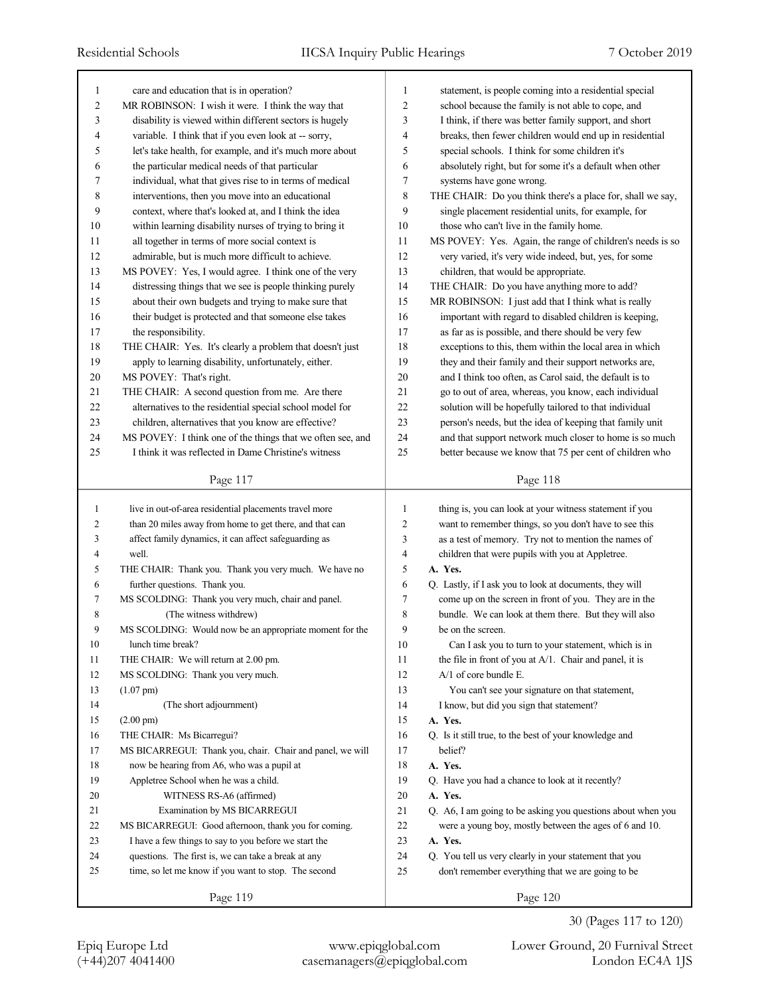| $\mathbf{1}$   | care and education that is in operation?                   | 1              | statement, is people coming into a residential special      |
|----------------|------------------------------------------------------------|----------------|-------------------------------------------------------------|
| $\overline{c}$ | MR ROBINSON: I wish it were. I think the way that          | $\overline{2}$ | school because the family is not able to cope, and          |
| 3              | disability is viewed within different sectors is hugely    | 3              | I think, if there was better family support, and short      |
| 4              | variable. I think that if you even look at -- sorry,       | $\overline{4}$ | breaks, then fewer children would end up in residential     |
| 5              | let's take health, for example, and it's much more about   | 5              | special schools. I think for some children it's             |
| 6              | the particular medical needs of that particular            | 6              | absolutely right, but for some it's a default when other    |
| 7              | individual, what that gives rise to in terms of medical    | 7              | systems have gone wrong.                                    |
| 8              | interventions, then you move into an educational           | $\,$ 8 $\,$    | THE CHAIR: Do you think there's a place for, shall we say,  |
| 9              | context, where that's looked at, and I think the idea      | 9              | single placement residential units, for example, for        |
| 10             | within learning disability nurses of trying to bring it    | 10             | those who can't live in the family home.                    |
| 11             | all together in terms of more social context is            | 11             | MS POVEY: Yes. Again, the range of children's needs is so   |
| 12             | admirable, but is much more difficult to achieve.          | 12             | very varied, it's very wide indeed, but, yes, for some      |
| 13             | MS POVEY: Yes, I would agree. I think one of the very      | 13             | children, that would be appropriate.                        |
| 14             | distressing things that we see is people thinking purely   | 14             | THE CHAIR: Do you have anything more to add?                |
| 15             | about their own budgets and trying to make sure that       | 15             | MR ROBINSON: I just add that I think what is really         |
| 16             | their budget is protected and that someone else takes      | 16             | important with regard to disabled children is keeping,      |
| 17             | the responsibility.                                        | 17             | as far as is possible, and there should be very few         |
| 18             | THE CHAIR: Yes. It's clearly a problem that doesn't just   | 18             | exceptions to this, them within the local area in which     |
| 19             | apply to learning disability, unfortunately, either.       | 19             | they and their family and their support networks are,       |
| $20\,$         | MS POVEY: That's right.                                    | 20             | and I think too often, as Carol said, the default is to     |
| 21             | THE CHAIR: A second question from me. Are there            | 21             | go to out of area, whereas, you know, each individual       |
| 22             | alternatives to the residential special school model for   | 22             | solution will be hopefully tailored to that individual      |
| 23             | children, alternatives that you know are effective?        | 23             | person's needs, but the idea of keeping that family unit    |
| 24             | MS POVEY: I think one of the things that we often see, and | 24             | and that support network much closer to home is so much     |
| 25             | I think it was reflected in Dame Christine's witness       | 25             | better because we know that 75 per cent of children who     |
|                |                                                            |                |                                                             |
|                | Page 117                                                   |                | Page 118                                                    |
|                |                                                            |                |                                                             |
|                |                                                            |                |                                                             |
| 1              | live in out-of-area residential placements travel more     | 1              | thing is, you can look at your witness statement if you     |
| $\overline{c}$ | than 20 miles away from home to get there, and that can    | 2              | want to remember things, so you don't have to see this      |
| 3              | affect family dynamics, it can affect safeguarding as      | 3              | as a test of memory. Try not to mention the names of        |
| 4              | well.                                                      | 4              | children that were pupils with you at Appletree.            |
| 5              | THE CHAIR: Thank you. Thank you very much. We have no      | 5              | A. Yes.                                                     |
| 6              | further questions. Thank you.                              | 6              | Q. Lastly, if I ask you to look at documents, they will     |
| $\tau$         | MS SCOLDING: Thank you very much, chair and panel.         | 7              | come up on the screen in front of you. They are in the      |
| 8              | (The witness withdrew)                                     | 8              | bundle. We can look at them there. But they will also       |
| 9              | MS SCOLDING: Would now be an appropriate moment for the    | 9              | be on the screen.                                           |
| $10\,$         | lunch time break?                                          | $10\,$         | Can I ask you to turn to your statement, which is in        |
| 11             | THE CHAIR: We will return at 2.00 pm.                      | 11             | the file in front of you at $A/1$ . Chair and panel, it is  |
| 12             | MS SCOLDING: Thank you very much.                          | 12             | A/1 of core bundle E.                                       |
| 13             | $(1.07 \text{ pm})$                                        | 13             | You can't see your signature on that statement,             |
| 14             | (The short adjournment)                                    | 14             | I know, but did you sign that statement?                    |
| 15             | $(2.00 \text{ pm})$                                        | 15             | A. Yes.                                                     |
| 16             | THE CHAIR: Ms Bicarregui?                                  | 16             | Q. Is it still true, to the best of your knowledge and      |
| 17             | MS BICARREGUI: Thank you, chair. Chair and panel, we will  | 17             | belief?                                                     |
| 18             | now be hearing from A6, who was a pupil at                 | 18             | A. Yes.                                                     |
| 19             | Appletree School when he was a child.                      | 19             | Q. Have you had a chance to look at it recently?            |
| $20\,$         | WITNESS RS-A6 (affirmed)                                   | 20             | A. Yes.                                                     |
| 21             | Examination by MS BICARREGUI                               | 21             | Q. A6, I am going to be asking you questions about when you |
| 22             | MS BICARREGUI: Good afternoon, thank you for coming.       | 22             | were a young boy, mostly between the ages of 6 and 10.      |
| 23             | I have a few things to say to you before we start the      | 23             | A. Yes.                                                     |
| 24             | questions. The first is, we can take a break at any        | 24             | Q. You tell us very clearly in your statement that you      |
| 25             | time, so let me know if you want to stop. The second       | 25             | don't remember everything that we are going to be           |

30 (Pages 117 to 120)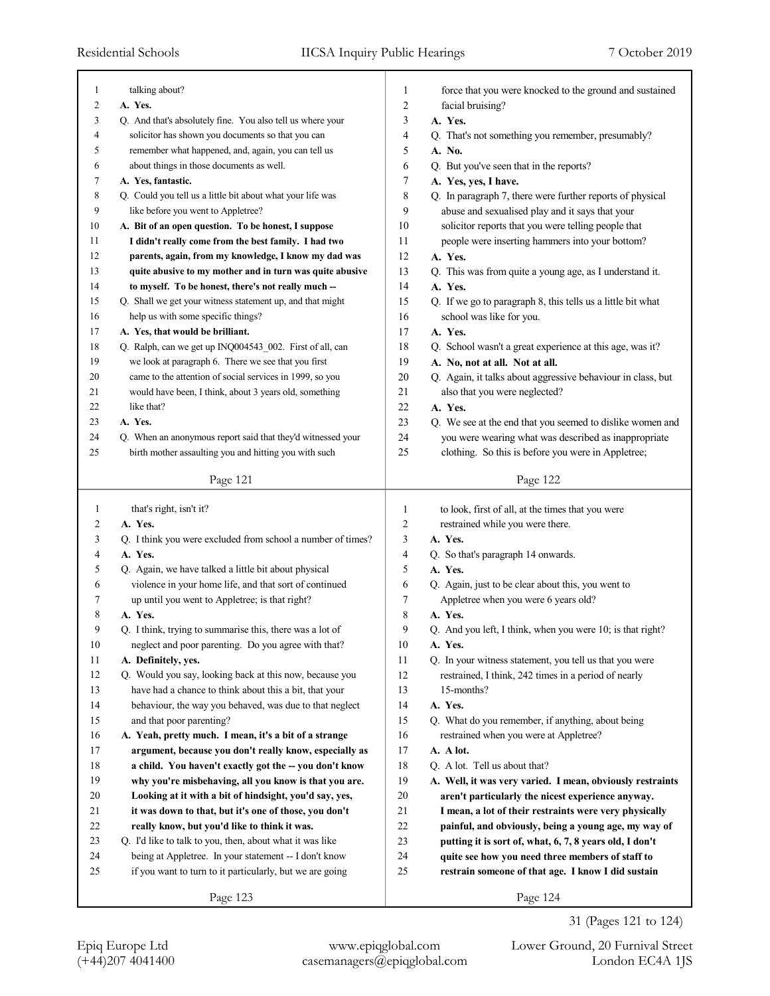| $\mathbf{1}$ | talking about?                                                             | 1                       | force that you were knocked to the ground and sustained               |
|--------------|----------------------------------------------------------------------------|-------------------------|-----------------------------------------------------------------------|
| 2            | A. Yes.                                                                    | 2                       | facial bruising?                                                      |
| 3            | Q. And that's absolutely fine. You also tell us where your                 | 3                       | A. Yes.                                                               |
| 4            | solicitor has shown you documents so that you can                          | 4                       | Q. That's not something you remember, presumably?                     |
| 5            | remember what happened, and, again, you can tell us                        | 5                       | A. No.                                                                |
| 6            | about things in those documents as well.                                   | 6                       | Q. But you've seen that in the reports?                               |
| 7            | A. Yes, fantastic.                                                         | 7                       | A. Yes, yes, I have.                                                  |
| 8            | Q. Could you tell us a little bit about what your life was                 | 8                       | Q. In paragraph 7, there were further reports of physical             |
| 9            | like before you went to Appletree?                                         | 9                       | abuse and sexualised play and it says that your                       |
| 10           | A. Bit of an open question. To be honest, I suppose                        | 10                      | solicitor reports that you were telling people that                   |
| 11           | I didn't really come from the best family. I had two                       | 11                      | people were inserting hammers into your bottom?                       |
| 12           | parents, again, from my knowledge, I know my dad was                       | 12                      | A. Yes.                                                               |
| 13           | quite abusive to my mother and in turn was quite abusive                   | 13                      | Q. This was from quite a young age, as I understand it.               |
| 14           | to myself. To be honest, there's not really much --                        | 14                      | A. Yes.                                                               |
| 15           | Q. Shall we get your witness statement up, and that might                  | 15                      | Q. If we go to paragraph 8, this tells us a little bit what           |
| 16           | help us with some specific things?                                         | 16                      | school was like for you.                                              |
| 17           | A. Yes, that would be brilliant.                                           | 17                      | A. Yes.                                                               |
| 18           | Q. Ralph, can we get up INQ004543_002. First of all, can                   | 18                      | Q. School wasn't a great experience at this age, was it?              |
| 19           | we look at paragraph 6. There we see that you first                        | 19                      | A. No, not at all. Not at all.                                        |
| 20           | came to the attention of social services in 1999, so you                   | 20                      | Q. Again, it talks about aggressive behaviour in class, but           |
| 21           | would have been, I think, about 3 years old, something                     | 21                      | also that you were neglected?                                         |
| 22           | like that?                                                                 | 22                      | A. Yes.                                                               |
| 23           | A. Yes.                                                                    | 23                      | Q. We see at the end that you seemed to dislike women and             |
| 24           | Q. When an anonymous report said that they'd witnessed your                | 24                      | you were wearing what was described as inappropriate                  |
| 25           | birth mother assaulting you and hitting you with such                      | 25                      | clothing. So this is before you were in Appletree;                    |
|              | Page 121                                                                   |                         | Page 122                                                              |
|              |                                                                            |                         |                                                                       |
|              |                                                                            |                         |                                                                       |
| 1            | that's right, isn't it?                                                    | $\mathbf{1}$            | to look, first of all, at the times that you were                     |
| 2            | A. Yes.                                                                    | $\overline{\mathbf{c}}$ | restrained while you were there.                                      |
| 3            | Q. I think you were excluded from school a number of times?                | 3                       | A. Yes.                                                               |
| 4            | A. Yes.                                                                    | $\overline{4}$          | Q. So that's paragraph 14 onwards.                                    |
| 5            | Q. Again, we have talked a little bit about physical                       | 5                       | A. Yes.                                                               |
| 6<br>7       | violence in your home life, and that sort of continued                     | 6<br>7                  | Q. Again, just to be clear about this, you went to                    |
|              | up until you went to Appletree; is that right?                             |                         | Appletree when you were 6 years old?<br>A. Yes.                       |
| 8<br>9       | A. Yes.                                                                    | 8<br>9                  |                                                                       |
|              | Q. I think, trying to summarise this, there was a lot of                   |                         | Q. And you left, I think, when you were 10; is that right?<br>A. Yes. |
| $10\,$<br>11 | neglect and poor parenting. Do you agree with that?<br>A. Definitely, yes. | $10\,$<br>11            | Q. In your witness statement, you tell us that you were               |
| 12           | Q. Would you say, looking back at this now, because you                    | 12                      | restrained, I think, 242 times in a period of nearly                  |
| 13           | have had a chance to think about this a bit, that your                     | 13                      | 15-months?                                                            |
| 14           | behaviour, the way you behaved, was due to that neglect                    | 14                      | A. Yes.                                                               |
| 15           | and that poor parenting?                                                   | 15                      | Q. What do you remember, if anything, about being                     |
| 16           | A. Yeah, pretty much. I mean, it's a bit of a strange                      | 16                      | restrained when you were at Appletree?                                |
| 17           | argument, because you don't really know, especially as                     | 17                      | A. A lot.                                                             |
| $18\,$       | a child. You haven't exactly got the -- you don't know                     | 18                      | Q. A lot. Tell us about that?                                         |
| 19           | why you're misbehaving, all you know is that you are.                      | 19                      | A. Well, it was very varied. I mean, obviously restraints             |
| 20           | Looking at it with a bit of hindsight, you'd say, yes,                     | 20                      | aren't particularly the nicest experience anyway.                     |
| 21           | it was down to that, but it's one of those, you don't                      | 21                      | I mean, a lot of their restraints were very physically                |
| 22           | really know, but you'd like to think it was.                               | $22\,$                  | painful, and obviously, being a young age, my way of                  |
| $23\,$       | Q. I'd like to talk to you, then, about what it was like                   | $23\,$                  | putting it is sort of, what, 6, 7, 8 years old, I don't               |
| 24           | being at Appletree. In your statement -- I don't know                      | 24                      | quite see how you need three members of staff to                      |
| 25           | if you want to turn to it particularly, but we are going                   | 25                      | restrain someone of that age. I know I did sustain                    |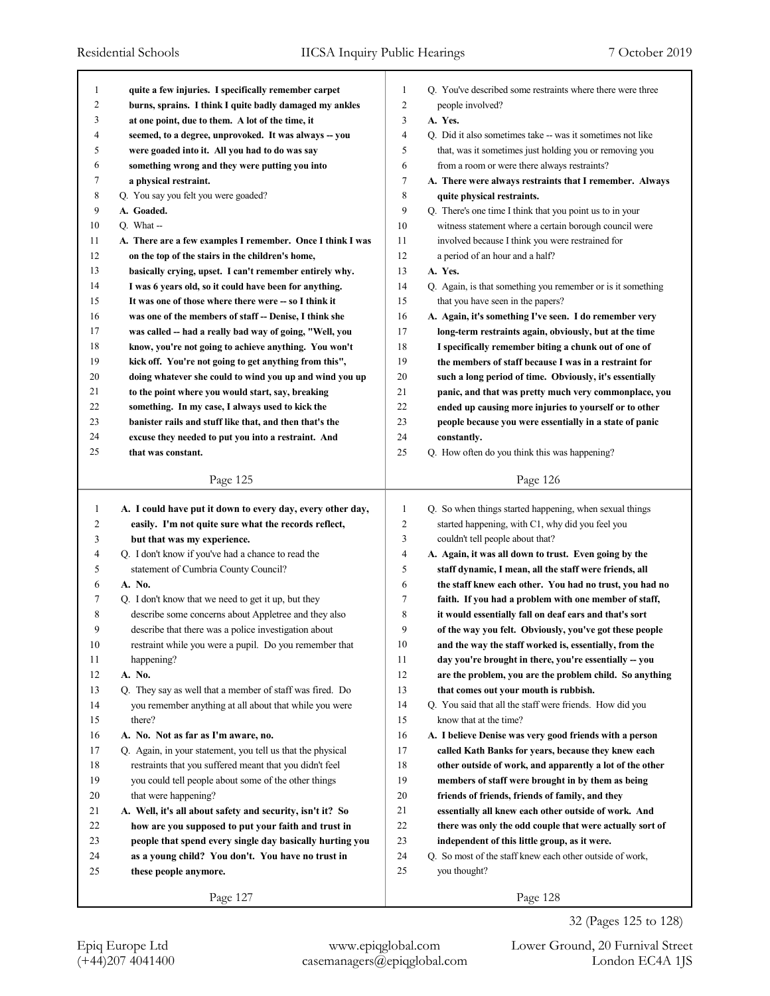| 1            |                                                            |                     |                                                                                |
|--------------|------------------------------------------------------------|---------------------|--------------------------------------------------------------------------------|
| 2            | quite a few injuries. I specifically remember carpet       | 1<br>$\overline{c}$ | Q. You've described some restraints where there were three<br>people involved? |
| 3            | burns, sprains. I think I quite badly damaged my ankles    | 3                   | A. Yes.                                                                        |
| 4            | at one point, due to them. A lot of the time, it           | 4                   | Q. Did it also sometimes take -- was it sometimes not like                     |
| 5            | seemed, to a degree, unprovoked. It was always -- you      | 5                   |                                                                                |
| 6            | were goaded into it. All you had to do was say             |                     | that, was it sometimes just holding you or removing you                        |
|              | something wrong and they were putting you into             | 6                   | from a room or were there always restraints?                                   |
| 7            | a physical restraint.                                      | 7                   | A. There were always restraints that I remember. Always                        |
| 8            | Q. You say you felt you were goaded?                       | 8                   | quite physical restraints.                                                     |
| 9            | A. Goaded.                                                 | 9                   | Q. There's one time I think that you point us to in your                       |
| 10           | $Q. What -$                                                | 10                  | witness statement where a certain borough council were                         |
| 11           | A. There are a few examples I remember. Once I think I was | 11                  | involved because I think you were restrained for                               |
| 12           | on the top of the stairs in the children's home,           | 12                  | a period of an hour and a half?                                                |
| 13           | basically crying, upset. I can't remember entirely why.    | 13                  | A. Yes.                                                                        |
| 14           | I was 6 years old, so it could have been for anything.     | 14                  | Q. Again, is that something you remember or is it something                    |
| 15           | It was one of those where there were -- so I think it      | 15                  | that you have seen in the papers?                                              |
| 16           | was one of the members of staff -- Denise, I think she     | 16                  | A. Again, it's something I've seen. I do remember very                         |
| 17           | was called -- had a really bad way of going, "Well, you    | 17                  | long-term restraints again, obviously, but at the time                         |
| 18           | know, you're not going to achieve anything. You won't      | 18                  | I specifically remember biting a chunk out of one of                           |
| 19           | kick off. You're not going to get anything from this",     | 19                  | the members of staff because I was in a restraint for                          |
| 20           | doing whatever she could to wind you up and wind you up    | 20                  | such a long period of time. Obviously, it's essentially                        |
| 21           | to the point where you would start, say, breaking          | 21                  | panic, and that was pretty much very commonplace, you                          |
| 22           | something. In my case, I always used to kick the           | 22                  | ended up causing more injuries to yourself or to other                         |
| 23           | banister rails and stuff like that, and then that's the    | 23                  | people because you were essentially in a state of panic                        |
| 24           | excuse they needed to put you into a restraint. And        | 24                  | constantly.                                                                    |
| 25           | that was constant.                                         | 25                  | Q. How often do you think this was happening?                                  |
|              |                                                            |                     |                                                                                |
|              | Page 125                                                   |                     | Page 126                                                                       |
|              |                                                            |                     |                                                                                |
|              |                                                            |                     |                                                                                |
| $\mathbf{1}$ | A. I could have put it down to every day, every other day, | $\mathbf{1}$        | Q. So when things started happening, when sexual things                        |
| 2            | easily. I'm not quite sure what the records reflect,       | $\overline{c}$      | started happening, with C1, why did you feel you                               |
| 3            | but that was my experience.                                | 3                   | couldn't tell people about that?                                               |
| 4            | Q. I don't know if you've had a chance to read the         | 4                   | A. Again, it was all down to trust. Even going by the                          |
| 5            | statement of Cumbria County Council?                       | 5                   | staff dynamic, I mean, all the staff were friends, all                         |
| 6            | A. No.                                                     | 6                   | the staff knew each other. You had no trust, you had no                        |
| 7            | Q. I don't know that we need to get it up, but they        | 7                   | faith. If you had a problem with one member of staff,                          |
| 8            | describe some concerns about Appletree and they also       | 8                   | it would essentially fall on deaf ears and that's sort                         |
| 9            | describe that there was a police investigation about       | 9                   | of the way you felt. Obviously, you've got these people                        |
| 10           | restraint while you were a pupil. Do you remember that     | 10                  | and the way the staff worked is, essentially, from the                         |
| 11           | happening?                                                 | 11                  | day you're brought in there, you're essentially -- you                         |
| 12           | A. No.                                                     | 12                  | are the problem, you are the problem child. So anything                        |
| 13           | Q. They say as well that a member of staff was fired. Do   | 13                  | that comes out your mouth is rubbish.                                          |
| 14           | you remember anything at all about that while you were     | 14                  | Q. You said that all the staff were friends. How did you                       |
| 15           | there?                                                     | 15                  | know that at the time?                                                         |
| 16           | A. No. Not as far as I'm aware, no.                        | 16                  | A. I believe Denise was very good friends with a person                        |
| 17           | Q. Again, in your statement, you tell us that the physical | 17                  | called Kath Banks for years, because they knew each                            |
| 18           | restraints that you suffered meant that you didn't feel    | 18                  | other outside of work, and apparently a lot of the other                       |
| 19           | you could tell people about some of the other things       | 19                  | members of staff were brought in by them as being                              |
| 20           | that were happening?                                       | 20                  | friends of friends, friends of family, and they                                |
| 21           | A. Well, it's all about safety and security, isn't it? So  | 21                  | essentially all knew each other outside of work. And                           |
| 22           | how are you supposed to put your faith and trust in        | 22                  | there was only the odd couple that were actually sort of                       |
| 23           | people that spend every single day basically hurting you   | 23                  | independent of this little group, as it were.                                  |
| 24           | as a young child? You don't. You have no trust in          | 24                  | Q. So most of the staff knew each other outside of work,                       |
| 25           | these people anymore.                                      | 25                  | you thought?                                                                   |
|              | Page 127                                                   |                     | Page 128                                                                       |

32 (Pages 125 to 128)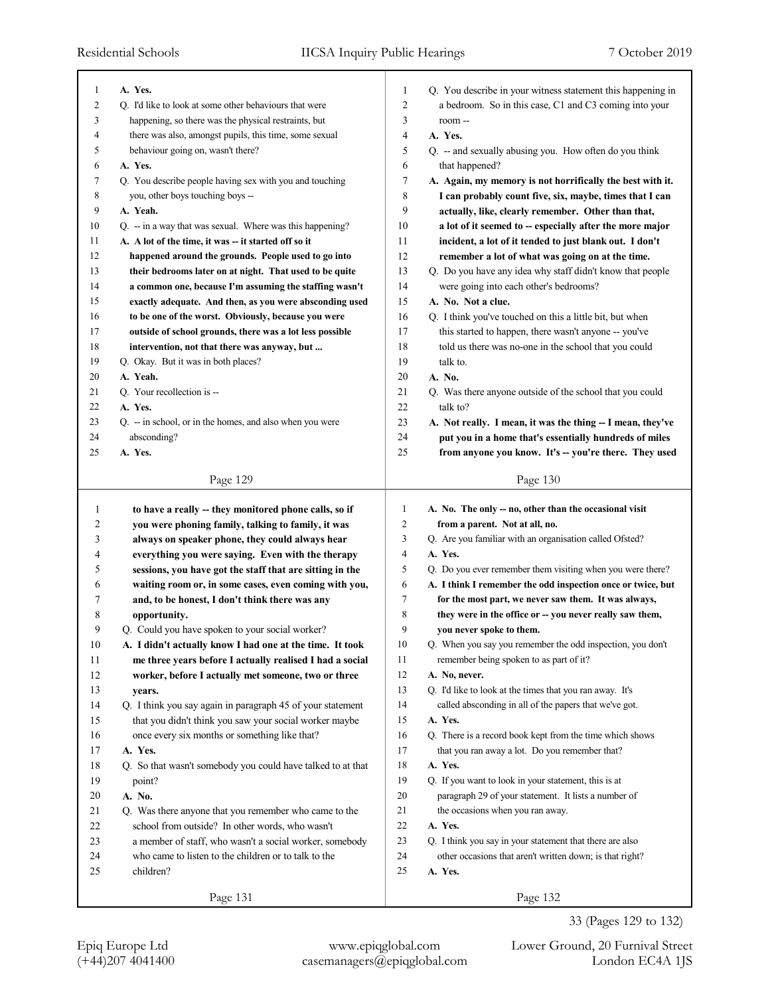| 1              | A. Yes.                                                             | 1              | Q. You describe in your witness statement this happening in |
|----------------|---------------------------------------------------------------------|----------------|-------------------------------------------------------------|
| $\overline{c}$ | Q. I'd like to look at some other behaviours that were              | $\overline{c}$ | a bedroom. So in this case, C1 and C3 coming into your      |
| 3              | happening, so there was the physical restraints, but                | 3              | room-                                                       |
| 4              | there was also, amongst pupils, this time, some sexual              | 4              | A. Yes.                                                     |
| 5              | behaviour going on, wasn't there?                                   | 5              | Q. -- and sexually abusing you. How often do you think      |
| 6              | A. Yes.                                                             | 6              | that happened?                                              |
| 7              | Q. You describe people having sex with you and touching             | 7              | A. Again, my memory is not horrifically the best with it.   |
| 8              | you, other boys touching boys --                                    | 8              | I can probably count five, six, maybe, times that I can     |
| 9              | A. Yeah.                                                            | 9              | actually, like, clearly remember. Other than that,          |
| 10             | Q. -- in a way that was sexual. Where was this happening?           | 10             | a lot of it seemed to -- especially after the more major    |
| 11             | A. A lot of the time, it was -- it started off so it                | 11             | incident, a lot of it tended to just blank out. I don't     |
| 12             | happened around the grounds. People used to go into                 | 12             | remember a lot of what was going on at the time.            |
| 13             | their bedrooms later on at night. That used to be quite             | 13             | Q. Do you have any idea why staff didn't know that people   |
| 14             | a common one, because I'm assuming the staffing wasn't              | 14             | were going into each other's bedrooms?                      |
| 15             | exactly adequate. And then, as you were absconding used             | 15             | A. No. Not a clue.                                          |
| 16             | to be one of the worst. Obviously, because you were                 | 16             | Q. I think you've touched on this a little bit, but when    |
| 17             | outside of school grounds, there was a lot less possible            | 17             | this started to happen, there wasn't anyone -- you've       |
| 18             | intervention, not that there was anyway, but                        | 18             | told us there was no-one in the school that you could       |
| 19             | Q. Okay. But it was in both places?                                 | 19             | talk to.                                                    |
| 20             | A. Yeah.                                                            | 20             | A. No.                                                      |
| 21             | Q. Your recollection is --                                          | 21             | Q. Was there anyone outside of the school that you could    |
| 22             | A. Yes.                                                             | 22             | talk to?                                                    |
| 23             | $Q_{\text{r}}$ - in school, or in the homes, and also when you were | 23             | A. Not really. I mean, it was the thing -- I mean, they've  |
| 24             | absconding?                                                         | 24             | put you in a home that's essentially hundreds of miles      |
| 25             | A. Yes.                                                             | 25             | from anyone you know. It's -- you're there. They used       |
|                |                                                                     |                |                                                             |
|                | Page 129                                                            |                | Page 130                                                    |
|                |                                                                     |                |                                                             |
|                |                                                                     |                |                                                             |
| 1              | to have a really -- they monitored phone calls, so if               | 1              | A. No. The only -- no, other than the occasional visit      |
| 2              | you were phoning family, talking to family, it was                  | $\overline{2}$ | from a parent. Not at all, no.                              |
| 3              | always on speaker phone, they could always hear                     | 3              | Q. Are you familiar with an organisation called Ofsted?     |
| 4              | everything you were saying. Even with the therapy                   | $\overline{4}$ | A. Yes.                                                     |
| 5              | sessions, you have got the staff that are sitting in the            | 5              | Q. Do you ever remember them visiting when you were there?  |
| 6              | waiting room or, in some cases, even coming with you,               | 6              | A. I think I remember the odd inspection once or twice, but |
| 7              | and, to be honest, I don't think there was any                      | 7              | for the most part, we never saw them. It was always,        |
| 8              | opportunity.                                                        | 8              | they were in the office or -- you never really saw them,    |
| 9              | Q. Could you have spoken to your social worker?                     | 9              | you never spoke to them.                                    |
| $10\,$         | A. I didn't actually know I had one at the time. It took            | 10             | Q. When you say you remember the odd inspection, you don't  |
| 11             | me three years before I actually realised I had a social            | 11             | remember being spoken to as part of it?                     |
| $12\,$         | worker, before I actually met someone, two or three                 | 12             | A. No, never.                                               |
| 13             | years.                                                              | 13             | Q. I'd like to look at the times that you ran away. It's    |
| 14             | Q. I think you say again in paragraph 45 of your statement          | 14             | called absconding in all of the papers that we've got.      |
| 15             | that you didn't think you saw your social worker maybe              | 15             | A. Yes.                                                     |
| 16             | once every six months or something like that?                       | 16             | Q. There is a record book kept from the time which shows    |
| 17             | A. Yes.                                                             | 17             | that you ran away a lot. Do you remember that?              |
| 18             | Q. So that wasn't somebody you could have talked to at that         | 18             | A. Yes.                                                     |
| 19             | point?                                                              | 19             | Q. If you want to look in your statement, this is at        |
| 20             | A. No.                                                              | 20             | paragraph 29 of your statement. It lists a number of        |
| 21             | Q. Was there anyone that you remember who came to the               | 21             | the occasions when you ran away.                            |
| 22             | school from outside? In other words, who wasn't                     | 22             | A. Yes.                                                     |
| 23             | a member of staff, who wasn't a social worker, somebody             | 23             | Q. I think you say in your statement that there are also    |
| 24             | who came to listen to the children or to talk to the                | 24             | other occasions that aren't written down; is that right?    |
| 25             | children?                                                           | 25             | A. Yes.                                                     |
|                | Page 131                                                            |                | Page 132                                                    |

(+44)207 4041400 casemanagers@epiqglobal.com London EC4A 1JS Epiq Europe Ltd www.epiqglobal.com Lower Ground, 20 Furnival Street

33 (Pages 129 to 132)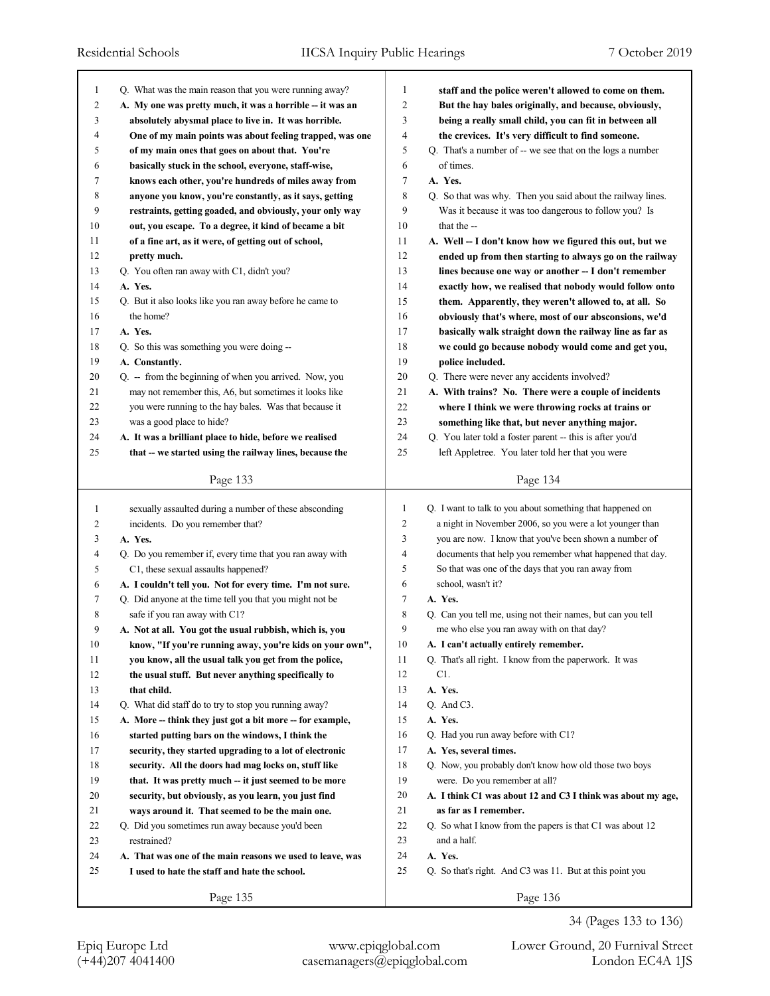| 1              | Q. What was the main reason that you were running away?   | $\mathbf{1}$   | staff and the police weren't allowed to come on them.       |
|----------------|-----------------------------------------------------------|----------------|-------------------------------------------------------------|
| $\overline{c}$ | A. My one was pretty much, it was a horrible -- it was an | $\overline{2}$ | But the hay bales originally, and because, obviously,       |
| 3              | absolutely abysmal place to live in. It was horrible.     | 3              | being a really small child, you can fit in between all      |
| 4              | One of my main points was about feeling trapped, was one  | 4              | the crevices. It's very difficult to find someone.          |
| 5              | of my main ones that goes on about that. You're           | 5              | Q. That's a number of -- we see that on the logs a number   |
| 6              | basically stuck in the school, everyone, staff-wise,      | 6              | of times.                                                   |
| 7              | knows each other, you're hundreds of miles away from      | 7              | A. Yes.                                                     |
| 8              | anyone you know, you're constantly, as it says, getting   | 8              | Q. So that was why. Then you said about the railway lines.  |
| 9              | restraints, getting goaded, and obviously, your only way  | 9              | Was it because it was too dangerous to follow you? Is       |
| 10             | out, you escape. To a degree, it kind of became a bit     | 10             | that the --                                                 |
| 11             | of a fine art, as it were, of getting out of school,      | 11             | A. Well -- I don't know how we figured this out, but we     |
| 12             | pretty much.                                              | 12             | ended up from then starting to always go on the railway     |
| 13             | Q. You often ran away with C1, didn't you?                | 13             | lines because one way or another -- I don't remember        |
| 14             | A. Yes.                                                   | 14             | exactly how, we realised that nobody would follow onto      |
| 15             | Q. But it also looks like you ran away before he came to  | 15             | them. Apparently, they weren't allowed to, at all. So       |
| 16             | the home?                                                 | 16             | obviously that's where, most of our absconsions, we'd       |
| 17             | A. Yes.                                                   | 17             | basically walk straight down the railway line as far as     |
| 18             | Q. So this was something you were doing --                | 18             | we could go because nobody would come and get you,          |
| 19             | A. Constantly.                                            | 19             | police included.                                            |
| 20             | Q. -- from the beginning of when you arrived. Now, you    | 20             | Q. There were never any accidents involved?                 |
| 21             | may not remember this, A6, but sometimes it looks like    | 21             | A. With trains? No. There were a couple of incidents        |
| 22             | you were running to the hay bales. Was that because it    | 22             | where I think we were throwing rocks at trains or           |
| 23             | was a good place to hide?                                 | 23             | something like that, but never anything major.              |
| 24             | A. It was a brilliant place to hide, before we realised   | 24             | Q. You later told a foster parent -- this is after you'd    |
| 25             | that -- we started using the railway lines, because the   | 25             | left Appletree. You later told her that you were            |
|                | Page 133                                                  |                | Page 134                                                    |
|                |                                                           |                |                                                             |
|                |                                                           |                |                                                             |
| 1              | sexually assaulted during a number of these absconding    | 1              | Q. I want to talk to you about something that happened on   |
| $\overline{c}$ | incidents. Do you remember that?                          | $\overline{c}$ | a night in November 2006, so you were a lot younger than    |
| 3              | A. Yes.                                                   | 3              | you are now. I know that you've been shown a number of      |
| 4              | Q. Do you remember if, every time that you ran away with  | 4              | documents that help you remember what happened that day.    |
| 5              | C1, these sexual assaults happened?                       | 5              | So that was one of the days that you ran away from          |
| 6              | A. I couldn't tell you. Not for every time. I'm not sure. | 6              | school, wasn't it?                                          |
| 7              | Q. Did anyone at the time tell you that you might not be  | 7              | A. Yes.                                                     |
| 8              | safe if you ran away with C1?                             | 8              | Q. Can you tell me, using not their names, but can you tell |
| 9              | A. Not at all. You got the usual rubbish, which is, you   | 9              | me who else you ran away with on that day?                  |
| $10\,$         | know, "If you're running away, you're kids on your own",  | 10             | A. I can't actually entirely remember.                      |
| 11             | you know, all the usual talk you get from the police,     | 11             | Q. That's all right. I know from the paperwork. It was      |
| 12             | the usual stuff. But never anything specifically to       | 12             | C1.                                                         |
| 13             | that child.                                               | 13             | A. Yes.                                                     |
| 14             | Q. What did staff do to try to stop you running away?     | 14             | Q. And C3.                                                  |
| 15             | A. More -- think they just got a bit more -- for example, | 15             | A. Yes.                                                     |
| 16             | started putting bars on the windows, I think the          | 16             | Q. Had you run away before with C1?                         |
| 17             | security, they started upgrading to a lot of electronic   | 17             | A. Yes, several times.                                      |
| 18             | security. All the doors had mag locks on, stuff like      | 18             | Q. Now, you probably don't know how old those two boys      |
| 19             | that. It was pretty much -- it just seemed to be more     | 19             | were. Do you remember at all?                               |
| 20             | security, but obviously, as you learn, you just find      | 20             | A. I think C1 was about 12 and C3 I think was about my age, |
| 21             | ways around it. That seemed to be the main one.           | 21             | as far as I remember.                                       |
| 22             | Q. Did you sometimes run away because you'd been          | 22             | Q. So what I know from the papers is that C1 was about 12   |
| 23             | restrained?                                               | 23             | and a half.                                                 |
| 24             | A. That was one of the main reasons we used to leave, was | 24             | A. Yes.                                                     |
| 25             | I used to hate the staff and hate the school.             | 25             | Q. So that's right. And C3 was 11. But at this point you    |
|                | Page 135                                                  |                | Page 136                                                    |

34 (Pages 133 to 136)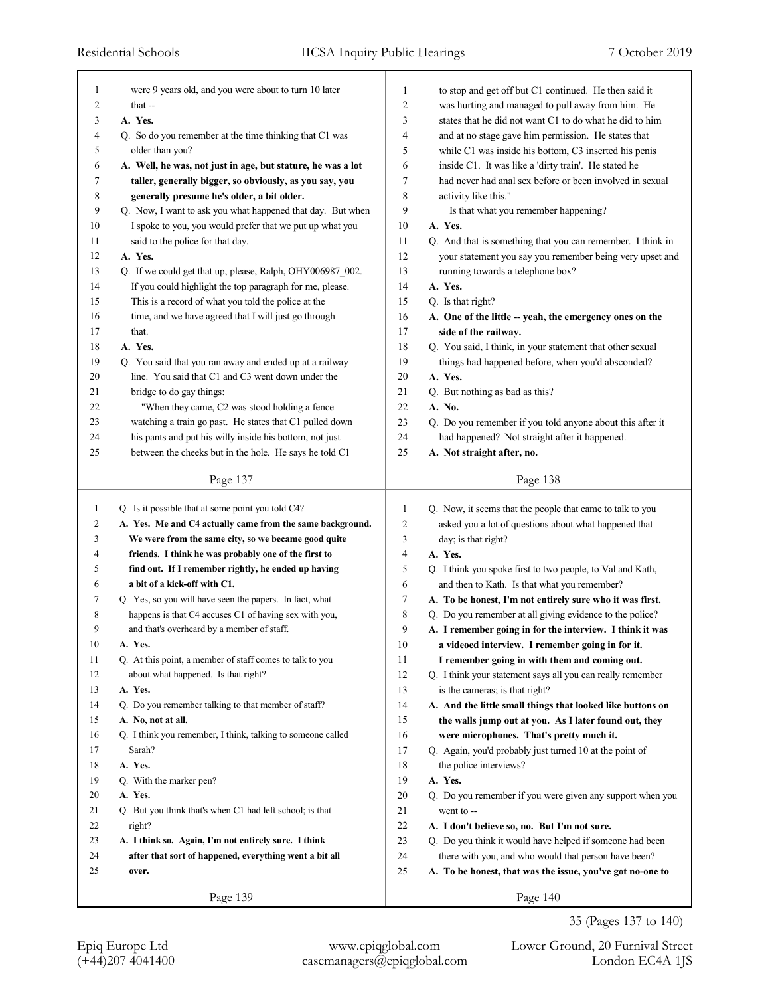| 1              | were 9 years old, and you were about to turn 10 later       | $\mathbf{1}$   | to stop and get off but C1 continued. He then said it      |
|----------------|-------------------------------------------------------------|----------------|------------------------------------------------------------|
| $\overline{2}$ | that --                                                     | $\overline{c}$ | was hurting and managed to pull away from him. He          |
| 3              | A. Yes.                                                     | 3              | states that he did not want C1 to do what he did to him    |
| $\overline{4}$ | Q. So do you remember at the time thinking that C1 was      | $\overline{4}$ | and at no stage gave him permission. He states that        |
| 5              | older than you?                                             | 5              | while C1 was inside his bottom, C3 inserted his penis      |
| 6              | A. Well, he was, not just in age, but stature, he was a lot | 6              | inside C1. It was like a 'dirty train'. He stated he       |
| 7              | taller, generally bigger, so obviously, as you say, you     | $\tau$         | had never had anal sex before or been involved in sexual   |
| 8              | generally presume he's older, a bit older.                  | $\,$ 8 $\,$    | activity like this."                                       |
| 9              | Q. Now, I want to ask you what happened that day. But when  | 9              | Is that what you remember happening?                       |
| 10             | I spoke to you, you would prefer that we put up what you    | 10             | A. Yes.                                                    |
| 11             | said to the police for that day.                            | 11             | Q. And that is something that you can remember. I think in |
| 12             | A. Yes.                                                     | 12             | your statement you say you remember being very upset and   |
| 13             | Q. If we could get that up, please, Ralph, OHY006987_002.   | 13             | running towards a telephone box?                           |
| 14             | If you could highlight the top paragraph for me, please.    | 14             | A. Yes.                                                    |
| 15             | This is a record of what you told the police at the         | 15             | Q. Is that right?                                          |
| 16             | time, and we have agreed that I will just go through        | 16             | A. One of the little -- yeah, the emergency ones on the    |
| 17             | that.                                                       | 17             | side of the railway.                                       |
| 18             | A. Yes.                                                     | 18             | Q. You said, I think, in your statement that other sexual  |
| 19             | Q. You said that you ran away and ended up at a railway     | 19             | things had happened before, when you'd absconded?          |
| 20             | line. You said that C1 and C3 went down under the           | 20             | A. Yes.                                                    |
| 21             | bridge to do gay things:                                    | 21             | Q. But nothing as bad as this?                             |
| 22             | "When they came, C2 was stood holding a fence               | 22             | A. No.                                                     |
| 23             | watching a train go past. He states that C1 pulled down     | 23             |                                                            |
|                |                                                             |                | Q. Do you remember if you told anyone about this after it  |
| 24             | his pants and put his willy inside his bottom, not just     | 24             | had happened? Not straight after it happened.              |
| 25             | between the cheeks but in the hole. He says he told C1      | 25             | A. Not straight after, no.                                 |
|                | Page 137                                                    |                | Page 138                                                   |
|                |                                                             |                |                                                            |
|                |                                                             |                |                                                            |
| $\mathbf{1}$   | Q. Is it possible that at some point you told C4?           | $\mathbf{1}$   | Q. Now, it seems that the people that came to talk to you  |
| 2              | A. Yes. Me and C4 actually came from the same background.   | 2              | asked you a lot of questions about what happened that      |
| 3              | We were from the same city, so we became good quite         | 3              | day; is that right?                                        |
| 4              | friends. I think he was probably one of the first to        | 4              | A. Yes.                                                    |
| 5              | find out. If I remember rightly, he ended up having         | 5              | Q. I think you spoke first to two people, to Val and Kath, |
| 6              | a bit of a kick-off with C1.                                | 6              | and then to Kath. Is that what you remember?               |
| 7              | Q. Yes, so you will have seen the papers. In fact, what     | 7              | A. To be honest, I'm not entirely sure who it was first.   |
| 8              | happens is that C4 accuses C1 of having sex with you,       | 8              | Q. Do you remember at all giving evidence to the police?   |
| 9              | and that's overheard by a member of staff.                  | 9              | A. I remember going in for the interview. I think it was   |
| 10             | A. Yes.                                                     | 10             | a videoed interview. I remember going in for it.           |
| 11             | Q. At this point, a member of staff comes to talk to you    | 11             | I remember going in with them and coming out.              |
| 12             | about what happened. Is that right?                         | 12             | Q. I think your statement says all you can really remember |
| 13             | A. Yes.                                                     | 13             | is the cameras; is that right?                             |
| 14             | Q. Do you remember talking to that member of staff?         | 14             | A. And the little small things that looked like buttons on |
| 15             | A. No, not at all.                                          | 15             | the walls jump out at you. As I later found out, they      |
| 16             | Q. I think you remember, I think, talking to someone called | 16             | were microphones. That's pretty much it.                   |
| 17             | Sarah?                                                      | 17             |                                                            |
| 18             | A. Yes.                                                     | 18             | Q. Again, you'd probably just turned 10 at the point of    |
| 19             |                                                             |                | the police interviews?                                     |
| 20             | Q. With the marker pen?<br>A. Yes.                          | 19             | A. Yes.                                                    |
|                |                                                             | 20             | Q. Do you remember if you were given any support when you  |
| 21             | Q. But you think that's when C1 had left school; is that    | 21             | went to --                                                 |
| 22             | right?                                                      | $22\,$         | A. I don't believe so, no. But I'm not sure.               |
| 23             | A. I think so. Again, I'm not entirely sure. I think        | 23             | Q. Do you think it would have helped if someone had been   |
| 24             | after that sort of happened, everything went a bit all      | 24             | there with you, and who would that person have been?       |
| 25             | over.                                                       | 25             | A. To be honest, that was the issue, you've got no-one to  |

35 (Pages 137 to 140)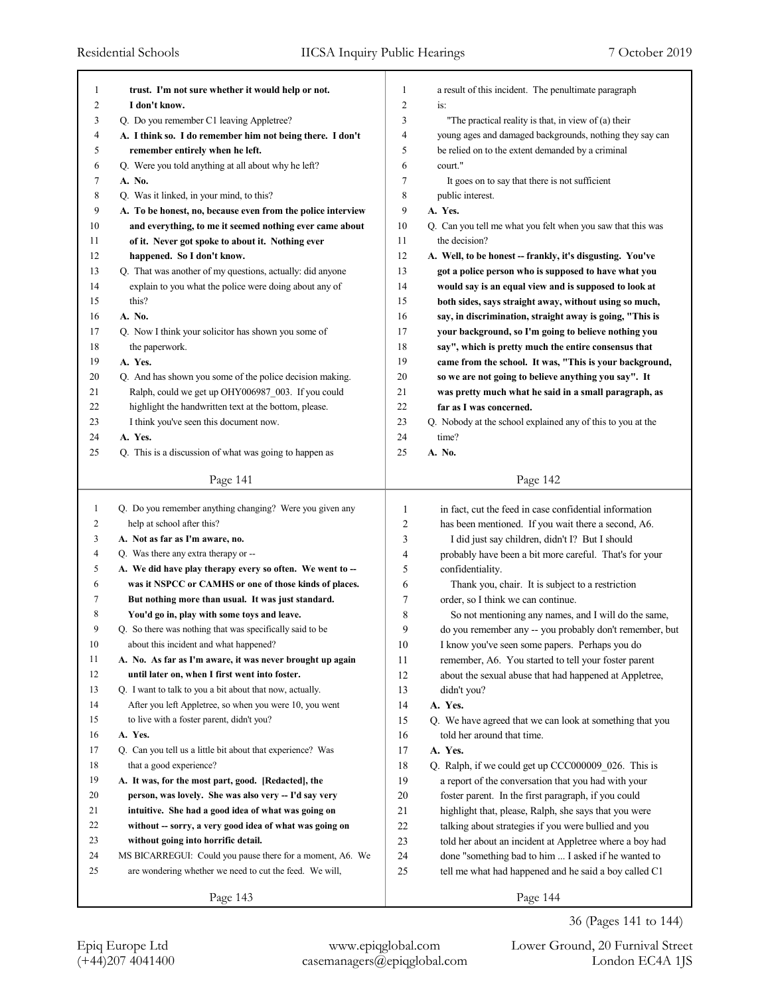| 1            | trust. I'm not sure whether it would help or not.                                                                    | 1              | a result of this incident. The penultimate paragraph                                                         |
|--------------|----------------------------------------------------------------------------------------------------------------------|----------------|--------------------------------------------------------------------------------------------------------------|
| 2            | I don't know.                                                                                                        | $\overline{2}$ | $iS$ :                                                                                                       |
| 3            | Q. Do you remember C1 leaving Appletree?                                                                             | 3              | "The practical reality is that, in view of (a) their                                                         |
| 4            | A. I think so. I do remember him not being there. I don't                                                            | 4              | young ages and damaged backgrounds, nothing they say can                                                     |
| 5            | remember entirely when he left.                                                                                      | 5              | be relied on to the extent demanded by a criminal                                                            |
| 6            | Q. Were you told anything at all about why he left?                                                                  | 6              | court."                                                                                                      |
| 7            | A. No.                                                                                                               | 7              | It goes on to say that there is not sufficient                                                               |
| 8            | Q. Was it linked, in your mind, to this?                                                                             | 8              | public interest.                                                                                             |
| 9            | A. To be honest, no, because even from the police interview                                                          | 9              | A. Yes.                                                                                                      |
| 10           | and everything, to me it seemed nothing ever came about                                                              | 10             | Q. Can you tell me what you felt when you saw that this was                                                  |
| 11           | of it. Never got spoke to about it. Nothing ever                                                                     | 11             | the decision?                                                                                                |
| 12           | happened. So I don't know.                                                                                           | 12             | A. Well, to be honest -- frankly, it's disgusting. You've                                                    |
| 13           | Q. That was another of my questions, actually: did anyone                                                            | 13             | got a police person who is supposed to have what you                                                         |
| 14           | explain to you what the police were doing about any of                                                               | 14             | would say is an equal view and is supposed to look at                                                        |
| 15           | this?                                                                                                                | 15             | both sides, says straight away, without using so much,                                                       |
| 16           | A. No.                                                                                                               | 16             | say, in discrimination, straight away is going, "This is                                                     |
| 17           | Q. Now I think your solicitor has shown you some of                                                                  | 17             | your background, so I'm going to believe nothing you                                                         |
| 18           | the paperwork.                                                                                                       | 18             | say", which is pretty much the entire consensus that                                                         |
| 19           | A. Yes.                                                                                                              | 19             | came from the school. It was, "This is your background,                                                      |
| 20           | Q. And has shown you some of the police decision making.                                                             | 20             | so we are not going to believe anything you say". It                                                         |
| 21           | Ralph, could we get up OHY006987_003. If you could                                                                   | 21             | was pretty much what he said in a small paragraph, as                                                        |
| 22           | highlight the handwritten text at the bottom, please.                                                                | 22             | far as I was concerned.                                                                                      |
| 23           | I think you've seen this document now.                                                                               | 23             | Q. Nobody at the school explained any of this to you at the                                                  |
| 24           | A. Yes.                                                                                                              | 24             | time?                                                                                                        |
| 25           | Q. This is a discussion of what was going to happen as                                                               | 25             | A. No.                                                                                                       |
|              | Page 141                                                                                                             |                | Page 142                                                                                                     |
|              |                                                                                                                      |                |                                                                                                              |
|              |                                                                                                                      |                |                                                                                                              |
| $\mathbf{1}$ | Q. Do you remember anything changing? Were you given any                                                             | 1              | in fact, cut the feed in case confidential information                                                       |
| 2            | help at school after this?                                                                                           | 2              | has been mentioned. If you wait there a second, A6.                                                          |
| 3            | A. Not as far as I'm aware, no.                                                                                      | 3              | I did just say children, didn't I? But I should                                                              |
| 4            | Q. Was there any extra therapy or --                                                                                 | 4              | probably have been a bit more careful. That's for your                                                       |
| 5            | A. We did have play therapy every so often. We went to --                                                            | 5              | confidentiality.                                                                                             |
| 6            | was it NSPCC or CAMHS or one of those kinds of places.                                                               | 6              |                                                                                                              |
| 7            | But nothing more than usual. It was just standard.                                                                   | 7              | Thank you, chair. It is subject to a restriction<br>order, so I think we can continue.                       |
| 8            |                                                                                                                      | 8              |                                                                                                              |
| 9            | You'd go in, play with some toys and leave.<br>Q. So there was nothing that was specifically said to be              | 9              | So not mentioning any names, and I will do the same,                                                         |
| 10           | about this incident and what happened?                                                                               |                | do you remember any -- you probably don't remember, but                                                      |
| 11           | A. No. As far as I'm aware, it was never brought up again                                                            | 10<br>11       | I know you've seen some papers. Perhaps you do<br>remember, A6. You started to tell your foster parent       |
| 12           | until later on, when I first went into foster.                                                                       | 12             | about the sexual abuse that had happened at Appletree,                                                       |
| 13           | Q. I want to talk to you a bit about that now, actually.                                                             | 13             | didn't you?                                                                                                  |
| 14           | After you left Appletree, so when you were 10, you went                                                              | 14             |                                                                                                              |
| 15           | to live with a foster parent, didn't you?                                                                            | 15             | A. Yes.                                                                                                      |
| 16           | A. Yes.                                                                                                              | 16             | Q. We have agreed that we can look at something that you<br>told her around that time.                       |
| 17           | Q. Can you tell us a little bit about that experience? Was                                                           | 17             | A. Yes.                                                                                                      |
| 18           | that a good experience?                                                                                              |                |                                                                                                              |
| 19           | A. It was, for the most part, good. [Redacted], the                                                                  | 18<br>19       | Q. Ralph, if we could get up CCC000009_026. This is<br>a report of the conversation that you had with your   |
| 20           | person, was lovely. She was also very -- I'd say very                                                                |                |                                                                                                              |
| 21           | intuitive. She had a good idea of what was going on                                                                  | $20\,$<br>21   | foster parent. In the first paragraph, if you could                                                          |
| 22           |                                                                                                                      |                | highlight that, please, Ralph, she says that you were                                                        |
| 23           | without -- sorry, a very good idea of what was going on<br>without going into horrific detail.                       | $22\,$         | talking about strategies if you were bullied and you                                                         |
| 24           |                                                                                                                      | $23\,$         | told her about an incident at Appletree where a boy had                                                      |
| 25           | MS BICARREGUI: Could you pause there for a moment, A6. We<br>are wondering whether we need to cut the feed. We will, | 24<br>25       | done "something bad to him  I asked if he wanted to<br>tell me what had happened and he said a boy called C1 |
|              | Page 143                                                                                                             |                | Page 144                                                                                                     |

36 (Pages 141 to 144)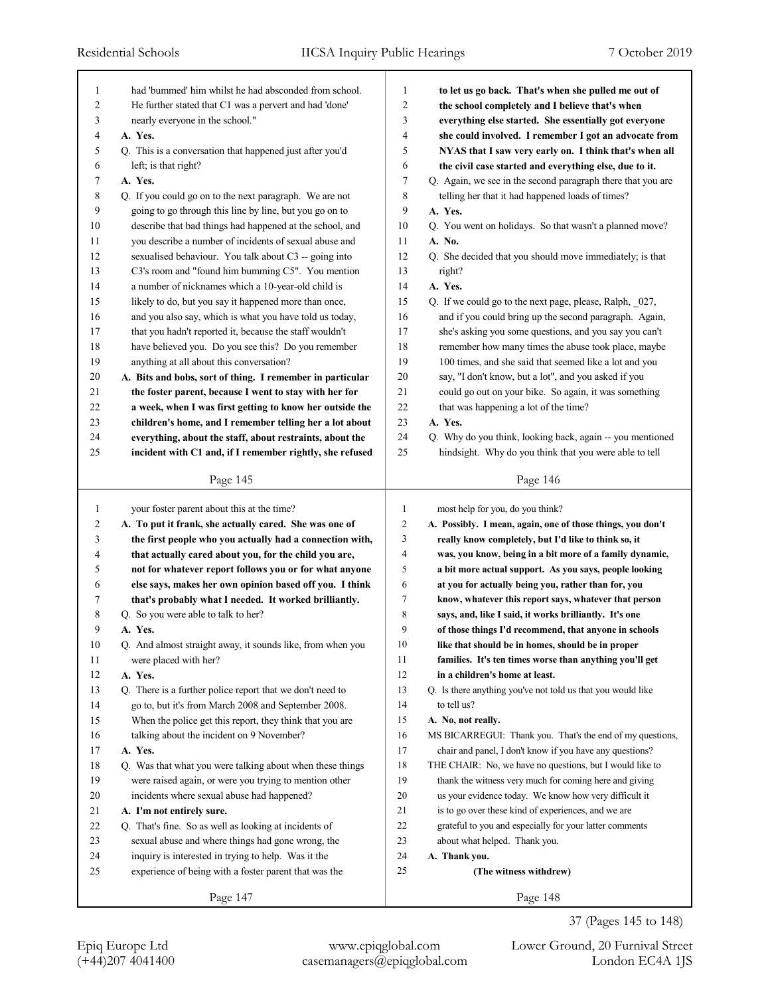| 1      | had "bummed" him whilst he had absconded from school.      | 1              | to let us go back. That's when she pulled me out of         |
|--------|------------------------------------------------------------|----------------|-------------------------------------------------------------|
| 2      | He further stated that C1 was a pervert and had 'done'     | 2              | the school completely and I believe that's when             |
| 3      | nearly everyone in the school."                            | 3              | everything else started. She essentially got everyone       |
| 4      | A. Yes.                                                    | 4              | she could involved. I remember I got an advocate from       |
| 5      | Q. This is a conversation that happened just after you'd   | 5              | NYAS that I saw very early on. I think that's when all      |
| 6      | left; is that right?                                       | 6              | the civil case started and everything else, due to it.      |
| 7      | A. Yes.                                                    | 7              | Q. Again, we see in the second paragraph there that you are |
| 8      | Q. If you could go on to the next paragraph. We are not    | 8              | telling her that it had happened loads of times?            |
| 9      | going to go through this line by line, but you go on to    | 9              | A. Yes.                                                     |
| 10     | describe that bad things had happened at the school, and   | 10             | Q. You went on holidays. So that wasn't a planned move?     |
| 11     | you describe a number of incidents of sexual abuse and     | 11             | A. No.                                                      |
| 12     | sexualised behaviour. You talk about C3 -- going into      | 12             | Q. She decided that you should move immediately; is that    |
| 13     | C3's room and "found him bumming C5". You mention          | 13             | right?                                                      |
| 14     | a number of nicknames which a 10-year-old child is         | 14             | A. Yes.                                                     |
| 15     | likely to do, but you say it happened more than once,      | 15             | Q. If we could go to the next page, please, Ralph, _027,    |
| 16     | and you also say, which is what you have told us today,    | 16             | and if you could bring up the second paragraph. Again,      |
| 17     | that you hadn't reported it, because the staff wouldn't    | 17             | she's asking you some questions, and you say you can't      |
| 18     | have believed you. Do you see this? Do you remember        | 18             | remember how many times the abuse took place, maybe         |
| 19     | anything at all about this conversation?                   | 19             | 100 times, and she said that seemed like a lot and you      |
| 20     | A. Bits and bobs, sort of thing. I remember in particular  | 20             | say, "I don't know, but a lot", and you asked if you        |
| 21     | the foster parent, because I went to stay with her for     | 21             | could go out on your bike. So again, it was something       |
| 22     | a week, when I was first getting to know her outside the   | 22             | that was happening a lot of the time?                       |
| 23     | children's home, and I remember telling her a lot about    | 23             | A. Yes.                                                     |
| 24     | everything, about the staff, about restraints, about the   | 24             | Q. Why do you think, looking back, again -- you mentioned   |
| 25     | incident with C1 and, if I remember rightly, she refused   | 25             | hindsight. Why do you think that you were able to tell      |
|        |                                                            |                |                                                             |
|        | Page 145                                                   |                | Page 146                                                    |
|        |                                                            |                |                                                             |
| 1      | your foster parent about this at the time?                 | $\mathbf{1}$   | most help for you, do you think?                            |
| 2      | A. To put it frank, she actually cared. She was one of     | $\overline{c}$ | A. Possibly. I mean, again, one of those things, you don't  |
| 3      | the first people who you actually had a connection with,   | 3              | really know completely, but I'd like to think so, it        |
| 4      | that actually cared about you, for the child you are,      | 4              | was, you know, being in a bit more of a family dynamic,     |
| 5      | not for whatever report follows you or for what anyone     | 5              | a bit more actual support. As you says, people looking      |
| 6      | else says, makes her own opinion based off you. I think    | 6              | at you for actually being you, rather than for, you         |
| 7      | that's probably what I needed. It worked brilliantly.      | 7              | know, whatever this report says, whatever that person       |
| 8      | Q. So you were able to talk to her?                        | 8              | says, and, like I said, it works brilliantly. It's one      |
| 9      | A. Yes.                                                    | 9              | of those things I'd recommend, that anyone in schools       |
| 10     | Q. And almost straight away, it sounds like, from when you | 10             | like that should be in homes, should be in proper           |
| 11     | were placed with her?                                      | 11             | families. It's ten times worse than anything you'll get     |
| 12     | A. Yes.                                                    | 12             | in a children's home at least.                              |
| 13     | Q. There is a further police report that we don't need to  | 13             | Q. Is there anything you've not told us that you would like |
| 14     | go to, but it's from March 2008 and September 2008.        | 14             | to tell us?                                                 |
| 15     | When the police get this report, they think that you are   | 15             | A. No, not really.                                          |
| 16     | talking about the incident on 9 November?                  | 16             | MS BICARREGUI: Thank you. That's the end of my questions,   |
| 17     | A. Yes.                                                    | 17             | chair and panel, I don't know if you have any questions?    |
| $1\,8$ | Q. Was that what you were talking about when these things  | 18             | THE CHAIR: No, we have no questions, but I would like to    |
| 19     | were raised again, or were you trying to mention other     | 19             | thank the witness very much for coming here and giving      |
| 20     | incidents where sexual abuse had happened?                 | 20             | us your evidence today. We know how very difficult it       |
| 21     | A. I'm not entirely sure.                                  | 21             | is to go over these kind of experiences, and we are         |
| 22     | Q. That's fine. So as well as looking at incidents of      | 22             | grateful to you and especially for your latter comments     |
| 23     | sexual abuse and where things had gone wrong, the          | 23             | about what helped. Thank you.                               |
| 24     | inquiry is interested in trying to help. Was it the        | 24             | A. Thank you.                                               |
| 25     | experience of being with a foster parent that was the      | 25             | (The witness withdrew)                                      |

37 (Pages 145 to 148)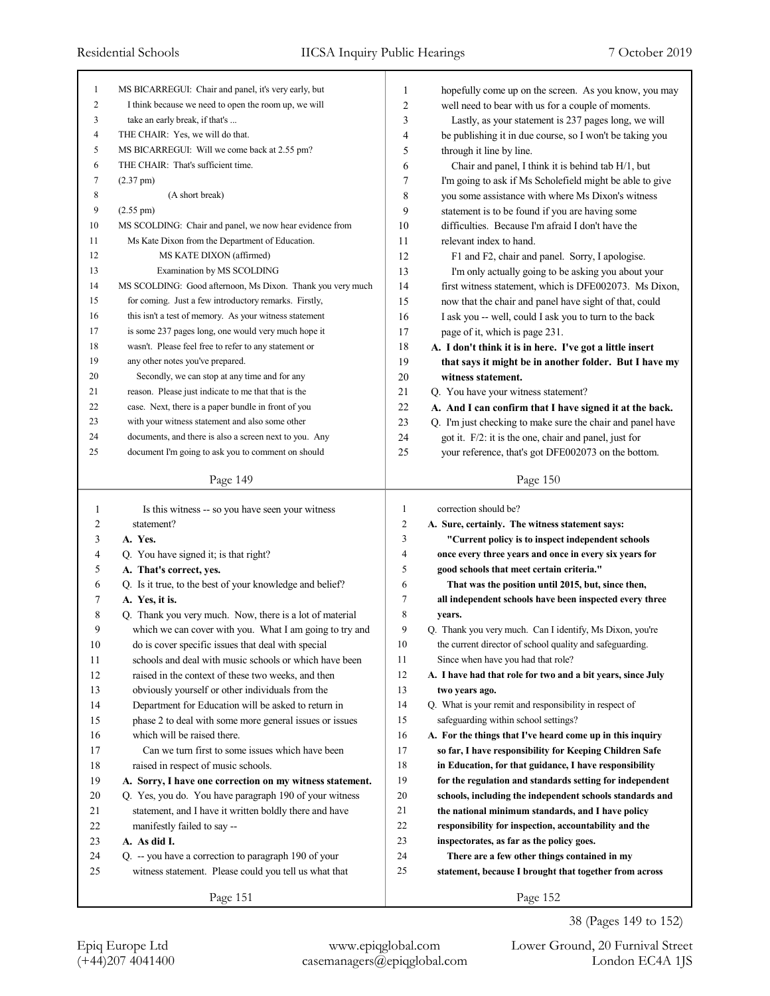| 1              | MS BICARREGUI: Chair and panel, it's very early, but                                                         | 1              | hopefully come up on the screen. As you know, you may                                           |
|----------------|--------------------------------------------------------------------------------------------------------------|----------------|-------------------------------------------------------------------------------------------------|
| $\mathfrak{2}$ | I think because we need to open the room up, we will                                                         | $\overline{2}$ | well need to bear with us for a couple of moments.                                              |
| 3              | take an early break, if that's                                                                               | 3              | Lastly, as your statement is 237 pages long, we will                                            |
| $\overline{4}$ | THE CHAIR: Yes, we will do that.                                                                             | 4              | be publishing it in due course, so I won't be taking you                                        |
| 5              | MS BICARREGUI: Will we come back at 2.55 pm?                                                                 | 5              | through it line by line.                                                                        |
| 6              | THE CHAIR: That's sufficient time.                                                                           | 6              | Chair and panel, I think it is behind tab H/1, but                                              |
| 7              | $(2.37 \text{ pm})$                                                                                          | 7              | I'm going to ask if Ms Scholefield might be able to give                                        |
| $\,$ 8 $\,$    | (A short break)                                                                                              | 8              | you some assistance with where Ms Dixon's witness                                               |
| 9              | $(2.55 \text{ pm})$                                                                                          | 9              | statement is to be found if you are having some                                                 |
| $10\,$         | MS SCOLDING: Chair and panel, we now hear evidence from                                                      | 10             | difficulties. Because I'm afraid I don't have the                                               |
| 11             | Ms Kate Dixon from the Department of Education.                                                              | 11             | relevant index to hand.                                                                         |
| 12             | MS KATE DIXON (affirmed)                                                                                     | 12             | F1 and F2, chair and panel. Sorry, I apologise.                                                 |
| 13             | Examination by MS SCOLDING                                                                                   | 13             | I'm only actually going to be asking you about your                                             |
| 14             | MS SCOLDING: Good afternoon, Ms Dixon. Thank you very much                                                   | 14             | first witness statement, which is DFE002073. Ms Dixon,                                          |
| 15             | for coming. Just a few introductory remarks. Firstly,                                                        | 15             | now that the chair and panel have sight of that, could                                          |
| 16             | this isn't a test of memory. As your witness statement                                                       | 16             | I ask you -- well, could I ask you to turn to the back                                          |
| 17             | is some 237 pages long, one would very much hope it                                                          | 17             | page of it, which is page 231.                                                                  |
| 18             | wasn't. Please feel free to refer to any statement or                                                        | 18             | A. I don't think it is in here. I've got a little insert                                        |
| 19             | any other notes you've prepared.                                                                             | 19             | that says it might be in another folder. But I have my                                          |
| 20             | Secondly, we can stop at any time and for any                                                                | 20             | witness statement.                                                                              |
| 21             | reason. Please just indicate to me that that is the                                                          | 21             | Q. You have your witness statement?                                                             |
| 22             | case. Next, there is a paper bundle in front of you                                                          | 22             | A. And I can confirm that I have signed it at the back.                                         |
| 23             | with your witness statement and also some other                                                              | 23             | Q. I'm just checking to make sure the chair and panel have                                      |
| 24             | documents, and there is also a screen next to you. Any                                                       | 24             | got it. F/2: it is the one, chair and panel, just for                                           |
| 25             | document I'm going to ask you to comment on should                                                           | 25             | your reference, that's got DFE002073 on the bottom.                                             |
|                |                                                                                                              |                |                                                                                                 |
|                | Page 149                                                                                                     |                | Page 150                                                                                        |
|                |                                                                                                              |                |                                                                                                 |
|                |                                                                                                              |                |                                                                                                 |
| 1              | Is this witness -- so you have seen your witness                                                             | 1              | correction should be?                                                                           |
| 2              | statement?                                                                                                   | $\overline{c}$ | A. Sure, certainly. The witness statement says:                                                 |
| 3<br>4         | A. Yes.                                                                                                      | 3<br>4         | "Current policy is to inspect independent schools                                               |
|                | Q. You have signed it; is that right?                                                                        | 5              | once every three years and once in every six years for                                          |
| 5<br>6         | A. That's correct, yes.                                                                                      | 6              | good schools that meet certain criteria."<br>That was the position until 2015, but, since then, |
| 7              | Q. Is it true, to the best of your knowledge and belief?<br>A. Yes, it is.                                   | 7              |                                                                                                 |
| 8              |                                                                                                              | 8              | all independent schools have been inspected every three<br>years.                               |
| 9              | Q. Thank you very much. Now, there is a lot of material                                                      | 9              | Q. Thank you very much. Can I identify, Ms Dixon, you're                                        |
|                | which we can cover with you. What I am going to try and                                                      | 10             | the current director of school quality and safeguarding.                                        |
| $10\,$<br>11   | do is cover specific issues that deal with special<br>schools and deal with music schools or which have been | 11             | Since when have you had that role?                                                              |
| 12             | raised in the context of these two weeks, and then                                                           | 12             | A. I have had that role for two and a bit years, since July                                     |
| 13             | obviously yourself or other individuals from the                                                             | 13             | two years ago.                                                                                  |
| 14             | Department for Education will be asked to return in                                                          | 14             | Q. What is your remit and responsibility in respect of                                          |
| 15             | phase 2 to deal with some more general issues or issues                                                      | 15             | safeguarding within school settings?                                                            |
| 16             | which will be raised there.                                                                                  | 16             | A. For the things that I've heard come up in this inquiry                                       |
| 17             | Can we turn first to some issues which have been                                                             | 17             | so far, I have responsibility for Keeping Children Safe                                         |
| $18\,$         | raised in respect of music schools.                                                                          | 18             | in Education, for that guidance, I have responsibility                                          |
| 19             | A. Sorry, I have one correction on my witness statement.                                                     | 19             | for the regulation and standards setting for independent                                        |
| 20             | Q. Yes, you do. You have paragraph 190 of your witness                                                       | 20             | schools, including the independent schools standards and                                        |
| 21             | statement, and I have it written boldly there and have                                                       | 21             | the national minimum standards, and I have policy                                               |
| $22\,$         | manifestly failed to say --                                                                                  | 22             | responsibility for inspection, accountability and the                                           |
| 23             | A. As did I.                                                                                                 | $23\,$         | inspectorates, as far as the policy goes.                                                       |
| 24             | Q. -- you have a correction to paragraph 190 of your                                                         | 24             | There are a few other things contained in my                                                    |
| 25             | witness statement. Please could you tell us what that                                                        | 25             | statement, because I brought that together from across                                          |
|                | Page 151                                                                                                     |                | Page 152                                                                                        |

38 (Pages 149 to 152)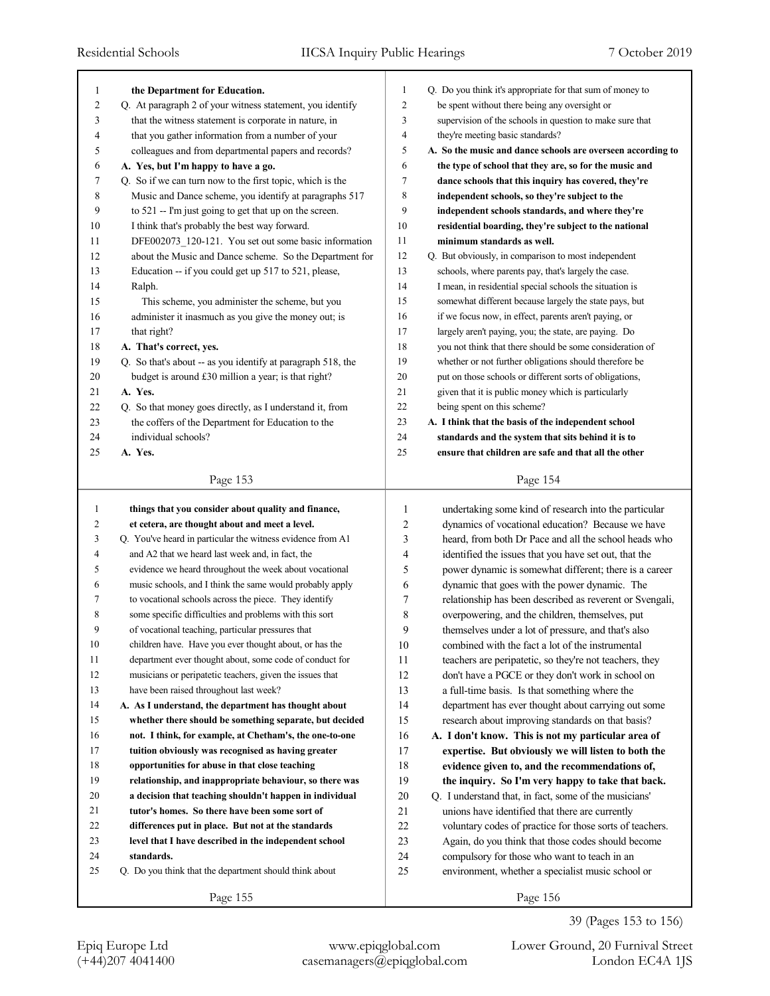| 1      | the Department for Education.                               | 1                | Q. Do you think it's appropriate for that sum of money to   |
|--------|-------------------------------------------------------------|------------------|-------------------------------------------------------------|
| 2      | Q. At paragraph 2 of your witness statement, you identify   | $\overline{c}$   | be spent without there being any oversight or               |
| 3      | that the witness statement is corporate in nature, in       | 3                | supervision of the schools in question to make sure that    |
| 4      | that you gather information from a number of your           | 4                | they're meeting basic standards?                            |
| 5      | colleagues and from departmental papers and records?        | 5                | A. So the music and dance schools are overseen according to |
| 6      | A. Yes, but I'm happy to have a go.                         | 6                | the type of school that they are, so for the music and      |
| 7      | Q. So if we can turn now to the first topic, which is the   | $\boldsymbol{7}$ | dance schools that this inquiry has covered, they're        |
| 8      | Music and Dance scheme, you identify at paragraphs 517      | 8                | independent schools, so they're subject to the              |
| 9      | to 521 -- I'm just going to get that up on the screen.      | 9                | independent schools standards, and where they're            |
| 10     | I think that's probably the best way forward.               | 10               | residential boarding, they're subject to the national       |
| 11     | DFE002073 120-121. You set out some basic information       | 11               | minimum standards as well.                                  |
| 12     | about the Music and Dance scheme. So the Department for     | 12               | Q. But obviously, in comparison to most independent         |
| 13     | Education -- if you could get up 517 to 521, please,        | 13               | schools, where parents pay, that's largely the case.        |
| 14     | Ralph.                                                      | 14               | I mean, in residential special schools the situation is     |
| 15     | This scheme, you administer the scheme, but you             | 15               | somewhat different because largely the state pays, but      |
| 16     | administer it inasmuch as you give the money out; is        | 16               | if we focus now, in effect, parents aren't paying, or       |
| 17     | that right?                                                 | 17               | largely aren't paying, you; the state, are paying. Do       |
| 18     | A. That's correct, yes.                                     | 18               | you not think that there should be some consideration of    |
| 19     | Q. So that's about -- as you identify at paragraph 518, the | 19               | whether or not further obligations should therefore be      |
| 20     | budget is around £30 million a year; is that right?         | 20               | put on those schools or different sorts of obligations,     |
| 21     | A. Yes.                                                     | 21               | given that it is public money which is particularly         |
| 22     | Q. So that money goes directly, as I understand it, from    | 22               | being spent on this scheme?                                 |
| 23     | the coffers of the Department for Education to the          | 23               | A. I think that the basis of the independent school         |
| 24     | individual schools?                                         | 24               | standards and the system that sits behind it is to          |
| 25     | A. Yes.                                                     | 25               | ensure that children are safe and that all the other        |
|        |                                                             |                  |                                                             |
|        | Page 153                                                    |                  | Page 154                                                    |
|        |                                                             |                  |                                                             |
|        |                                                             |                  |                                                             |
| 1      | things that you consider about quality and finance,         | 1                | undertaking some kind of research into the particular       |
| 2      | et cetera, are thought about and meet a level.              | $\overline{c}$   | dynamics of vocational education? Because we have           |
| 3      | Q. You've heard in particular the witness evidence from A1  | 3                | heard, from both Dr Pace and all the school heads who       |
| 4      | and A2 that we heard last week and, in fact, the            | 4                | identified the issues that you have set out, that the       |
| 5      | evidence we heard throughout the week about vocational      | 5                | power dynamic is somewhat different; there is a career      |
| 6      | music schools, and I think the same would probably apply    | 6                | dynamic that goes with the power dynamic. The               |
| 7      | to vocational schools across the piece. They identify       | 7                | relationship has been described as reverent or Svengali,    |
| 8      | some specific difficulties and problems with this sort      | 8                | overpowering, and the children, themselves, put             |
| 9      | of vocational teaching, particular pressures that           | 9                | themselves under a lot of pressure, and that's also         |
| $10\,$ | children have. Have you ever thought about, or has the      | $10\,$           | combined with the fact a lot of the instrumental            |
| 11     | department ever thought about, some code of conduct for     | 11               | teachers are peripatetic, so they're not teachers, they     |
| 12     | musicians or peripatetic teachers, given the issues that    | 12               | don't have a PGCE or they don't work in school on           |
| 13     | have been raised throughout last week?                      | 13               | a full-time basis. Is that something where the              |
| 14     | A. As I understand, the department has thought about        | 14               | department has ever thought about carrying out some         |
| 15     | whether there should be something separate, but decided     | 15               | research about improving standards on that basis?           |
| 16     | not. I think, for example, at Chetham's, the one-to-one     | 16               | A. I don't know. This is not my particular area of          |
| 17     | tuition obviously was recognised as having greater          | 17               | expertise. But obviously we will listen to both the         |
| 18     | opportunities for abuse in that close teaching              | 18               | evidence given to, and the recommendations of,              |
| 19     | relationship, and inappropriate behaviour, so there was     | 19               | the inquiry. So I'm very happy to take that back.           |
| 20     | a decision that teaching shouldn't happen in individual     | 20               | Q. I understand that, in fact, some of the musicians'       |
| 21     | tutor's homes. So there have been some sort of              | 21               | unions have identified that there are currently             |
| 22     | differences put in place. But not at the standards          | 22               | voluntary codes of practice for those sorts of teachers.    |
| 23     | level that I have described in the independent school       | 23               | Again, do you think that those codes should become          |
| 24     | standards.                                                  | 24               | compulsory for those who want to teach in an                |
| 25     | Q. Do you think that the department should think about      | 25               | environment, whether a specialist music school or           |
|        | Page 155                                                    |                  | Page 156                                                    |

39 (Pages 153 to 156)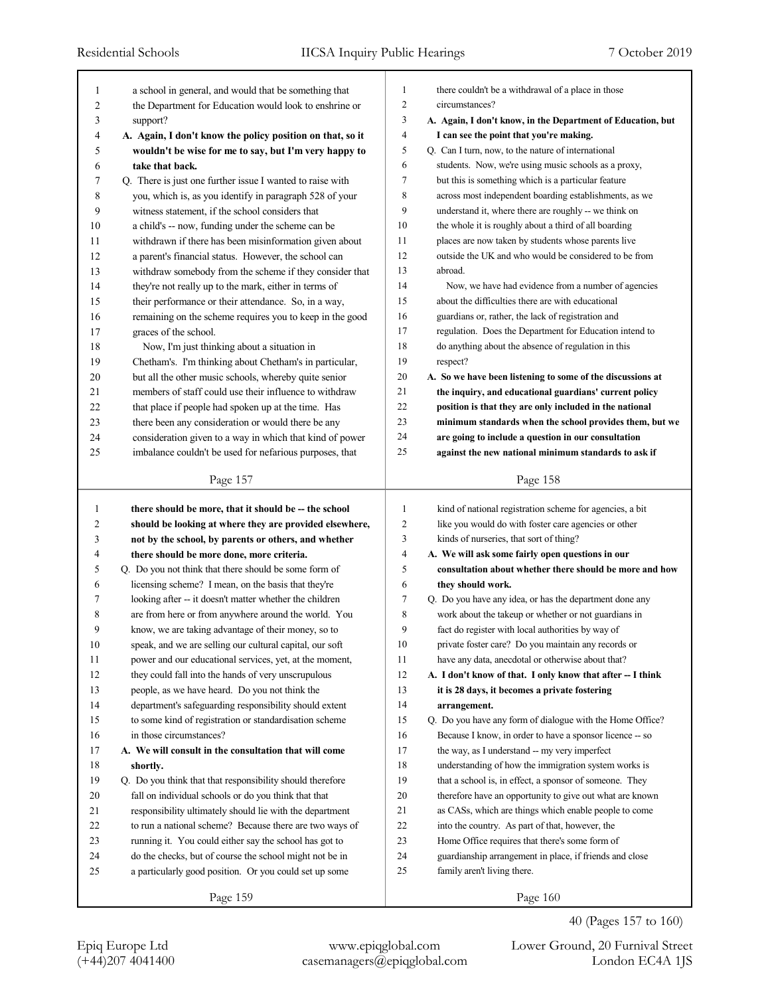| 1            | a school in general, and would that be something that                             | 1              | there couldn't be a withdrawal of a place in those                                                              |
|--------------|-----------------------------------------------------------------------------------|----------------|-----------------------------------------------------------------------------------------------------------------|
| 2            | the Department for Education would look to enshrine or                            | $\overline{c}$ | circumstances?                                                                                                  |
| 3            | support?                                                                          | 3              | A. Again, I don't know, in the Department of Education, but                                                     |
| 4            | A. Again, I don't know the policy position on that, so it                         | $\overline{4}$ | I can see the point that you're making.                                                                         |
| 5            | wouldn't be wise for me to say, but I'm very happy to                             | 5              | Q. Can I turn, now, to the nature of international                                                              |
| 6            | take that back.                                                                   | 6              | students. Now, we're using music schools as a proxy,                                                            |
| 7            | Q. There is just one further issue I wanted to raise with                         | $\tau$         | but this is something which is a particular feature                                                             |
| 8            | you, which is, as you identify in paragraph 528 of your                           | 8              | across most independent boarding establishments, as we                                                          |
| 9            | witness statement, if the school considers that                                   | 9              | understand it, where there are roughly -- we think on                                                           |
| 10           | a child's -- now, funding under the scheme can be                                 | 10             | the whole it is roughly about a third of all boarding                                                           |
| 11           | withdrawn if there has been misinformation given about                            | 11             | places are now taken by students whose parents live                                                             |
| 12           | a parent's financial status. However, the school can                              | 12             | outside the UK and who would be considered to be from                                                           |
| 13           | withdraw somebody from the scheme if they consider that                           | 13             | abroad.                                                                                                         |
| 14           | they're not really up to the mark, either in terms of                             | 14             | Now, we have had evidence from a number of agencies                                                             |
| 15           | their performance or their attendance. So, in a way,                              | 15             | about the difficulties there are with educational                                                               |
| 16           | remaining on the scheme requires you to keep in the good                          | 16             | guardians or, rather, the lack of registration and                                                              |
| 17           | graces of the school.                                                             | 17             | regulation. Does the Department for Education intend to                                                         |
| 18           | Now, I'm just thinking about a situation in                                       | 18             | do anything about the absence of regulation in this                                                             |
| 19           | Chetham's. I'm thinking about Chetham's in particular,                            | 19             | respect?                                                                                                        |
| 20           | but all the other music schools, whereby quite senior                             | 20             | A. So we have been listening to some of the discussions at                                                      |
| 21           | members of staff could use their influence to withdraw                            | 21             | the inquiry, and educational guardians' current policy                                                          |
| 22           | that place if people had spoken up at the time. Has                               | 22             | position is that they are only included in the national                                                         |
| 23           | there been any consideration or would there be any                                | 23             | minimum standards when the school provides them, but we                                                         |
| 24           | consideration given to a way in which that kind of power                          | 24             | are going to include a question in our consultation                                                             |
| 25           | imbalance couldn't be used for nefarious purposes, that                           | 25             | against the new national minimum standards to ask if                                                            |
|              | Page 157                                                                          |                | Page 158                                                                                                        |
|              |                                                                                   |                |                                                                                                                 |
|              |                                                                                   |                |                                                                                                                 |
| $\mathbf{1}$ | there should be more, that it should be -- the school                             | 1              | kind of national registration scheme for agencies, a bit                                                        |
| 2            | should be looking at where they are provided elsewhere,                           | $\overline{c}$ | like you would do with foster care agencies or other                                                            |
| 3            | not by the school, by parents or others, and whether                              | 3              | kinds of nurseries, that sort of thing?                                                                         |
| 4            | there should be more done, more criteria.                                         | $\overline{4}$ | A. We will ask some fairly open questions in our                                                                |
| 5            | Q. Do you not think that there should be some form of                             | 5              | consultation about whether there should be more and how                                                         |
| 6            | licensing scheme? I mean, on the basis that they're                               | 6              | they should work.                                                                                               |
| 7            | looking after -- it doesn't matter whether the children                           | $\tau$         | Q. Do you have any idea, or has the department done any                                                         |
| 8            | are from here or from anywhere around the world. You                              | 8              | work about the takeup or whether or not guardians in                                                            |
| 9            | know, we are taking advantage of their money, so to                               | 9              | fact do register with local authorities by way of                                                               |
| 10           | speak, and we are selling our cultural capital, our soft                          | 10             | private foster care? Do you maintain any records or                                                             |
| 11           | power and our educational services, yet, at the moment,                           | 11             | have any data, anecdotal or otherwise about that?                                                               |
| 12           | they could fall into the hands of very unscrupulous                               | 12             |                                                                                                                 |
|              |                                                                                   | 13             | A. I don't know of that. I only know that after -- I think<br>it is 28 days, it becomes a private fostering     |
| 13<br>14     | people, as we have heard. Do you not think the                                    | 14             | arrangement.                                                                                                    |
| 15           | department's safeguarding responsibility should extent                            | 15             | Q. Do you have any form of dialogue with the Home Office?                                                       |
| 16           | to some kind of registration or standardisation scheme<br>in those circumstances? | 16             |                                                                                                                 |
|              |                                                                                   |                | Because I know, in order to have a sponsor licence -- so                                                        |
| 17           | A. We will consult in the consultation that will come                             | 17             | the way, as I understand -- my very imperfect                                                                   |
| 18<br>19     | shortly.                                                                          | 18<br>19       | understanding of how the immigration system works is<br>that a school is, in effect, a sponsor of someone. They |
|              | Q. Do you think that that responsibility should therefore                         | 20             | therefore have an opportunity to give out what are known                                                        |
| 20           | fall on individual schools or do you think that that                              |                |                                                                                                                 |
| 21           | responsibility ultimately should lie with the department                          | 21             | as CASs, which are things which enable people to come                                                           |
| 22           | to run a national scheme? Because there are two ways of                           | 22             | into the country. As part of that, however, the                                                                 |
| 23           | running it. You could either say the school has got to                            | 23             | Home Office requires that there's some form of                                                                  |
| 24           | do the checks, but of course the school might not be in                           | 24             | guardianship arrangement in place, if friends and close                                                         |
| 25           | a particularly good position. Or you could set up some                            | 25             | family aren't living there.                                                                                     |

Epiq Europe Ltd www.epiqglobal.com Lower Ground, 20 Furnival Street

40 (Pages 157 to 160)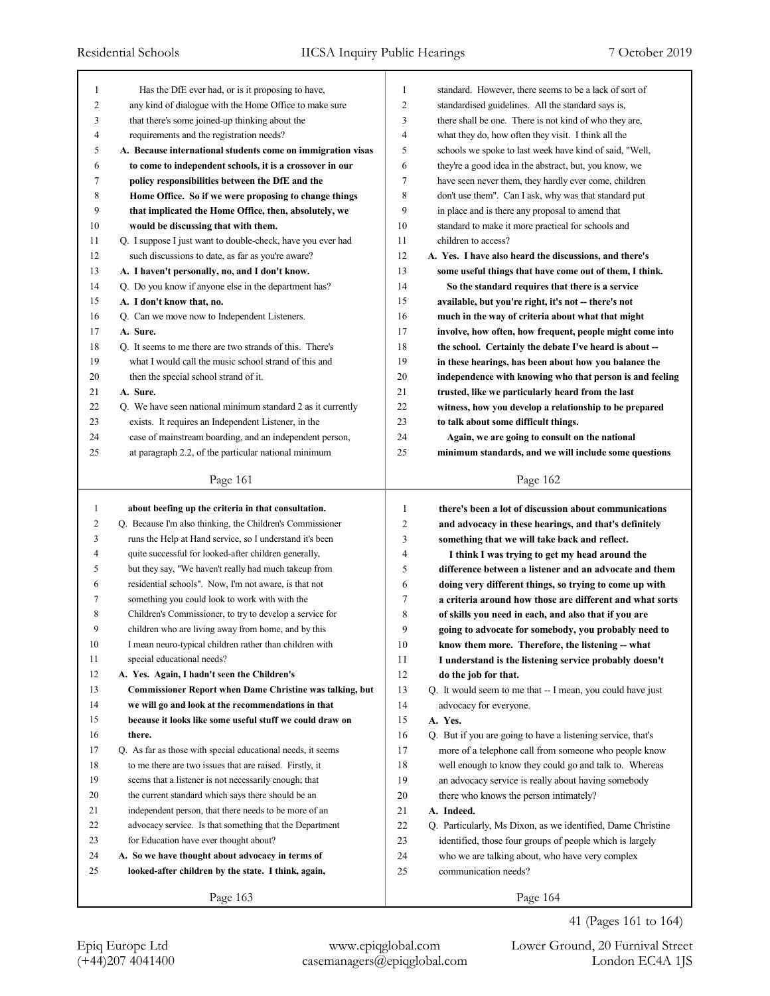| 1              | Has the DfE ever had, or is it proposing to have,               | 1              | standard. However, there seems to be a lack of sort of      |
|----------------|-----------------------------------------------------------------|----------------|-------------------------------------------------------------|
| $\overline{c}$ | any kind of dialogue with the Home Office to make sure          | $\overline{c}$ | standardised guidelines. All the standard says is,          |
| 3              | that there's some joined-up thinking about the                  | 3              | there shall be one. There is not kind of who they are,      |
| 4              | requirements and the registration needs?                        | 4              | what they do, how often they visit. I think all the         |
| 5              | A. Because international students come on immigration visas     | 5              | schools we spoke to last week have kind of said, "Well,     |
| 6              | to come to independent schools, it is a crossover in our        | 6              | they're a good idea in the abstract, but, you know, we      |
| 7              | policy responsibilities between the DfE and the                 | 7              | have seen never them, they hardly ever come, children       |
| 8              | Home Office. So if we were proposing to change things           | 8              | don't use them". Can I ask, why was that standard put       |
| 9              | that implicated the Home Office, then, absolutely, we           | 9              | in place and is there any proposal to amend that            |
| 10             | would be discussing that with them.                             | 10             | standard to make it more practical for schools and          |
| 11             | Q. I suppose I just want to double-check, have you ever had     | 11             | children to access?                                         |
| 12             | such discussions to date, as far as you're aware?               | 12             | A. Yes. I have also heard the discussions, and there's      |
| 13             | A. I haven't personally, no, and I don't know.                  | 13             | some useful things that have come out of them, I think.     |
| 14             | Q. Do you know if anyone else in the department has?            | 14             | So the standard requires that there is a service            |
| 15             | A. I don't know that, no.                                       | 15             | available, but you're right, it's not -- there's not        |
| 16             | Q. Can we move now to Independent Listeners.                    | 16             | much in the way of criteria about what that might           |
| 17             | A. Sure.                                                        | 17             | involve, how often, how frequent, people might come into    |
| 18             | Q. It seems to me there are two strands of this. There's        | 18             | the school. Certainly the debate I've heard is about -      |
| 19             | what I would call the music school strand of this and           | 19             | in these hearings, has been about how you balance the       |
| 20             | then the special school strand of it.                           | 20             | independence with knowing who that person is and feeling    |
| 21             | A. Sure.                                                        | 21             | trusted, like we particularly heard from the last           |
| 22             | Q. We have seen national minimum standard 2 as it currently     | 22             | witness, how you develop a relationship to be prepared      |
| 23             | exists. It requires an Independent Listener, in the             | 23             | to talk about some difficult things.                        |
| 24             | case of mainstream boarding, and an independent person,         | 24             | Again, we are going to consult on the national              |
| 25             | at paragraph 2.2, of the particular national minimum            | 25             | minimum standards, and we will include some questions       |
|                |                                                                 |                |                                                             |
|                | Page 161                                                        |                | Page 162                                                    |
| $\mathbf{1}$   |                                                                 |                |                                                             |
|                |                                                                 |                |                                                             |
|                | about beefing up the criteria in that consultation.             | 1              | there's been a lot of discussion about communications       |
| 2              | Q. Because I'm also thinking, the Children's Commissioner       | 2              | and advocacy in these hearings, and that's definitely       |
| 3              | runs the Help at Hand service, so I understand it's been        | 3              | something that we will take back and reflect.               |
| 4              | quite successful for looked-after children generally,           | 4              | I think I was trying to get my head around the              |
| 5              | but they say, "We haven't really had much takeup from           | 5              | difference between a listener and an advocate and them      |
| 6              | residential schools". Now, I'm not aware, is that not           | 6              | doing very different things, so trying to come up with      |
| 7              | something you could look to work with with the                  | 7              | a criteria around how those are different and what sorts    |
| 8              | Children's Commissioner, to try to develop a service for        | 8              | of skills you need in each, and also that if you are        |
| 9              | children who are living away from home, and by this             | 9              | going to advocate for somebody, you probably need to        |
| $10\,$         | I mean neuro-typical children rather than children with         | 10             | know them more. Therefore, the listening -- what            |
| 11             | special educational needs?                                      | 11             | I understand is the listening service probably doesn't      |
| 12             | A. Yes. Again, I hadn't seen the Children's                     | 12             | do the job for that.                                        |
| 13             | <b>Commissioner Report when Dame Christine was talking, but</b> | 13             | Q. It would seem to me that -- I mean, you could have just  |
| 14             | we will go and look at the recommendations in that              | 14             | advocacy for everyone.                                      |
| 15             | because it looks like some useful stuff we could draw on        | 15             | A. Yes.                                                     |
| 16             | there.                                                          | 16             | Q. But if you are going to have a listening service, that's |
| 17             | Q. As far as those with special educational needs, it seems     | 17             | more of a telephone call from someone who people know       |
| 18             | to me there are two issues that are raised. Firstly, it         | 18             | well enough to know they could go and talk to. Whereas      |
| 19             | seems that a listener is not necessarily enough; that           | 19             | an advocacy service is really about having somebody         |
| 20             | the current standard which says there should be an              | 20             | there who knows the person intimately?                      |
| 21             | independent person, that there needs to be more of an           | 21             | A. Indeed.                                                  |
| 22             | advocacy service. Is that something that the Department         | 22             | Q. Particularly, Ms Dixon, as we identified, Dame Christine |
| 23             | for Education have ever thought about?                          | 23             | identified, those four groups of people which is largely    |
| 24             | A. So we have thought about advocacy in terms of                | 24             | who we are talking about, who have very complex             |
| 25             | looked-after children by the state. I think, again,             | 25             | communication needs?                                        |
|                | Page 163                                                        |                | Page 164                                                    |

41 (Pages 161 to 164)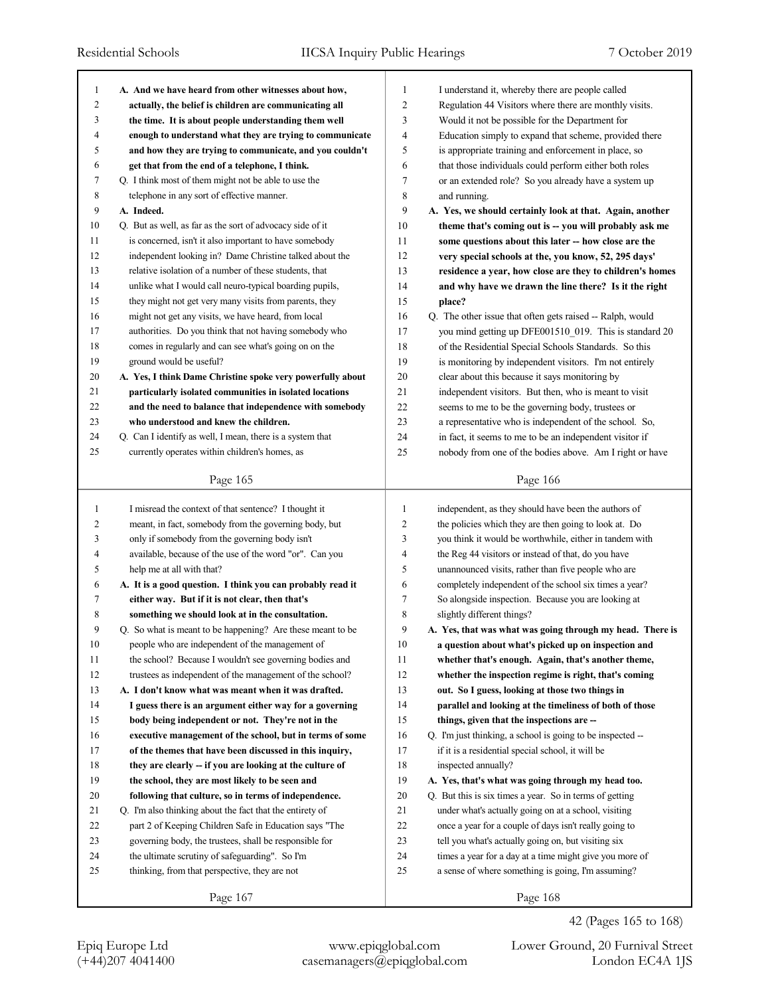| 1            | A. And we have heard from other witnesses about how,       | $\mathbf{1}$   | I understand it, whereby there are people called           |
|--------------|------------------------------------------------------------|----------------|------------------------------------------------------------|
| 2            | actually, the belief is children are communicating all     | $\overline{2}$ | Regulation 44 Visitors where there are monthly visits.     |
| 3            | the time. It is about people understanding them well       | 3              | Would it not be possible for the Department for            |
| 4            | enough to understand what they are trying to communicate   | 4              | Education simply to expand that scheme, provided there     |
| 5            | and how they are trying to communicate, and you couldn't   | 5              | is appropriate training and enforcement in place, so       |
| 6            | get that from the end of a telephone, I think.             | 6              | that those individuals could perform either both roles     |
| 7            | Q. I think most of them might not be able to use the       | 7              | or an extended role? So you already have a system up       |
| 8            | telephone in any sort of effective manner.                 | 8              | and running.                                               |
| 9            | A. Indeed.                                                 | 9              | A. Yes, we should certainly look at that. Again, another   |
| 10           | Q. But as well, as far as the sort of advocacy side of it  | $10\,$         | theme that's coming out is -- you will probably ask me     |
| 11           | is concerned, isn't it also important to have somebody     | 11             | some questions about this later -- how close are the       |
| 12           | independent looking in? Dame Christine talked about the    | 12             | very special schools at the, you know, 52, 295 days'       |
| 13           | relative isolation of a number of these students, that     | 13             | residence a year, how close are they to children's homes   |
| 14           | unlike what I would call neuro-typical boarding pupils,    | 14             | and why have we drawn the line there? Is it the right      |
| 15           | they might not get very many visits from parents, they     | 15             | place?                                                     |
| 16           | might not get any visits, we have heard, from local        | 16             | Q. The other issue that often gets raised -- Ralph, would  |
| 17           | authorities. Do you think that not having somebody who     | 17             | you mind getting up DFE001510 019. This is standard 20     |
| 18           | comes in regularly and can see what's going on on the      | 18             | of the Residential Special Schools Standards. So this      |
| 19           | ground would be useful?                                    | 19             | is monitoring by independent visitors. I'm not entirely    |
| 20           | A. Yes, I think Dame Christine spoke very powerfully about | 20             | clear about this because it says monitoring by             |
| 21           | particularly isolated communities in isolated locations    | 21             | independent visitors. But then, who is meant to visit      |
| 22           | and the need to balance that independence with somebody    | 22             | seems to me to be the governing body, trustees or          |
| 23           | who understood and knew the children.                      | 23             | a representative who is independent of the school. So,     |
| 24           | Q. Can I identify as well, I mean, there is a system that  | 24             | in fact, it seems to me to be an independent visitor if    |
| 25           | currently operates within children's homes, as             | 25             | nobody from one of the bodies above. Am I right or have    |
|              |                                                            |                |                                                            |
|              | Page 165                                                   |                | Page 166                                                   |
|              |                                                            |                |                                                            |
|              |                                                            |                |                                                            |
| $\mathbf{1}$ | I misread the context of that sentence? I thought it       | $\mathbf{1}$   | independent, as they should have been the authors of       |
| 2            | meant, in fact, somebody from the governing body, but      | $\overline{c}$ | the policies which they are then going to look at. Do      |
| 3            | only if somebody from the governing body isn't             | 3              | you think it would be worthwhile, either in tandem with    |
| 4            | available, because of the use of the word "or". Can you    | 4              | the Reg 44 visitors or instead of that, do you have        |
| 5            | help me at all with that?                                  | 5              | unannounced visits, rather than five people who are        |
| 6            | A. It is a good question. I think you can probably read it | 6              | completely independent of the school six times a year?     |
| 7            | either way. But if it is not clear, then that's            | 7              | So alongside inspection. Because you are looking at        |
| 8            | something we should look at in the consultation.           | 8              | slightly different things?                                 |
| 9            | Q. So what is meant to be happening? Are these meant to be | 9              | A. Yes, that was what was going through my head. There is  |
| 10           | people who are independent of the management of            | 10             | a question about what's picked up on inspection and        |
| 11           | the school? Because I wouldn't see governing bodies and    | 11             | whether that's enough. Again, that's another theme,        |
| 12           | trustees as independent of the management of the school?   | 12             | whether the inspection regime is right, that's coming      |
| 13           | A. I don't know what was meant when it was drafted.        | 13             | out. So I guess, looking at those two things in            |
| 14           | I guess there is an argument either way for a governing    | 14             | parallel and looking at the timeliness of both of those    |
| 15           | body being independent or not. They're not in the          | 15             | things, given that the inspections are --                  |
| 16           | executive management of the school, but in terms of some   | 16             | Q. I'm just thinking, a school is going to be inspected -- |
| 17           | of the themes that have been discussed in this inquiry,    | 17             | if it is a residential special school, it will be          |
| 18           | they are clearly -- if you are looking at the culture of   | 18             | inspected annually?                                        |
| 19           | the school, they are most likely to be seen and            | 19             | A. Yes, that's what was going through my head too.         |
| $20\,$       | following that culture, so in terms of independence.       | 20             | Q. But this is six times a year. So in terms of getting    |
| 21           | Q. I'm also thinking about the fact that the entirety of   | 21             | under what's actually going on at a school, visiting       |
| 22           | part 2 of Keeping Children Safe in Education says "The     | 22             | once a year for a couple of days isn't really going to     |
| 23           | governing body, the trustees, shall be responsible for     | 23             | tell you what's actually going on, but visiting six        |
| 24           | the ultimate scrutiny of safeguarding". So I'm             | 24             | times a year for a day at a time might give you more of    |
| 25           | thinking, from that perspective, they are not              | 25             | a sense of where something is going, I'm assuming?         |
|              | Page 167                                                   |                | Page 168                                                   |

42 (Pages 165 to 168)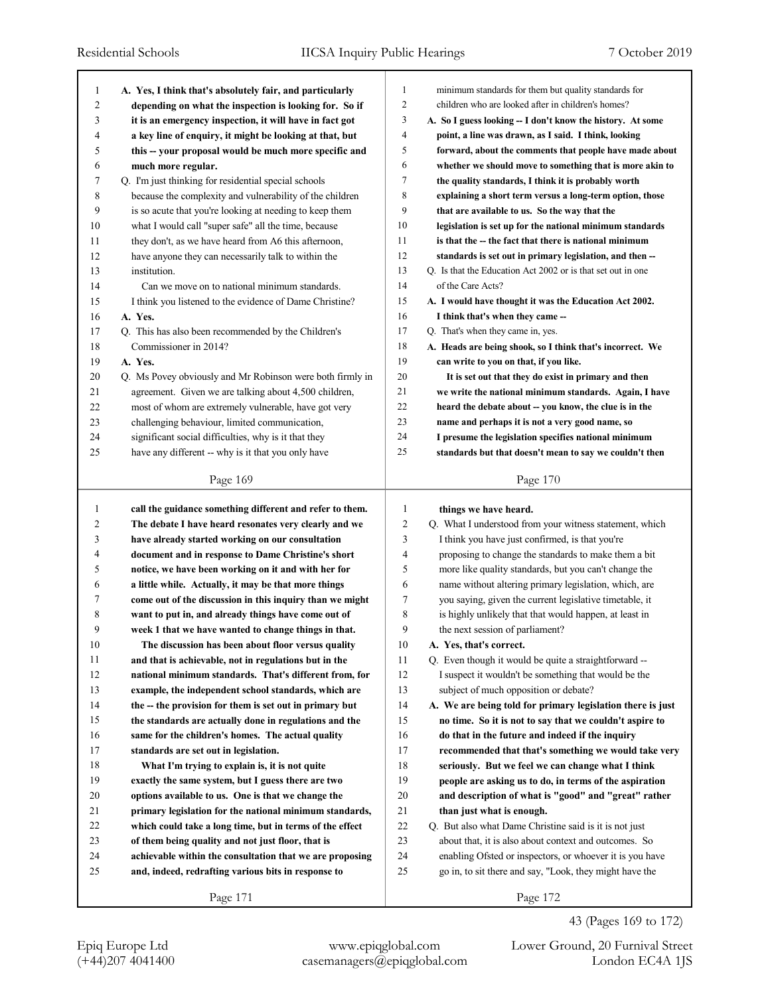| $\mathbf{1}$ | A. Yes, I think that's absolutely fair, and particularly  | $\mathbf{1}$   | minimum standards for them but quality standards for        |
|--------------|-----------------------------------------------------------|----------------|-------------------------------------------------------------|
| 2            | depending on what the inspection is looking for. So if    | $\overline{2}$ | children who are looked after in children's homes?          |
| 3            | it is an emergency inspection, it will have in fact got   | 3              | A. So I guess looking -- I don't know the history. At some  |
| 4            | a key line of enquiry, it might be looking at that, but   | $\overline{4}$ | point, a line was drawn, as I said. I think, looking        |
| 5            | this -- your proposal would be much more specific and     | 5              | forward, about the comments that people have made about     |
| 6            | much more regular.                                        | 6              | whether we should move to something that is more akin to    |
| 7            | Q. I'm just thinking for residential special schools      | $\tau$         | the quality standards, I think it is probably worth         |
| 8            | because the complexity and vulnerability of the children  | 8              | explaining a short term versus a long-term option, those    |
| 9            | is so acute that you're looking at needing to keep them   | 9              | that are available to us. So the way that the               |
| 10           | what I would call "super safe" all the time, because      | 10             | legislation is set up for the national minimum standards    |
| 11           | they don't, as we have heard from A6 this afternoon,      | 11             | is that the -- the fact that there is national minimum      |
| 12           | have anyone they can necessarily talk to within the       | 12             | standards is set out in primary legislation, and then --    |
| 13           | institution.                                              | 13             | Q. Is that the Education Act 2002 or is that set out in one |
| 14           | Can we move on to national minimum standards.             | 14             | of the Care Acts?                                           |
| 15           | I think you listened to the evidence of Dame Christine?   | 15             | A. I would have thought it was the Education Act 2002.      |
| 16           | A. Yes.                                                   | 16             | I think that's when they came --                            |
| 17           | Q. This has also been recommended by the Children's       | 17             | Q. That's when they came in, yes.                           |
| 18           | Commissioner in 2014?                                     | 18             | A. Heads are being shook, so I think that's incorrect. We   |
| 19           | A. Yes.                                                   | 19             | can write to you on that, if you like.                      |
| 20           | Q. Ms Povey obviously and Mr Robinson were both firmly in | 20             | It is set out that they do exist in primary and then        |
| 21           | agreement. Given we are talking about 4,500 children,     | 21             | we write the national minimum standards. Again, I have      |
| 22           | most of whom are extremely vulnerable, have got very      | 22             | heard the debate about -- you know, the clue is in the      |
| 23           | challenging behaviour, limited communication,             | 23             | name and perhaps it is not a very good name, so             |
| 24           | significant social difficulties, why is it that they      | 24             | I presume the legislation specifies national minimum        |
| 25           | have any different -- why is it that you only have        | 25             | standards but that doesn't mean to say we couldn't then     |
|              |                                                           |                |                                                             |
|              | Page 169                                                  |                | Page 170                                                    |
|              |                                                           |                |                                                             |
|              |                                                           |                |                                                             |
| 1            | call the guidance something different and refer to them.  | 1              | things we have heard.                                       |
| 2            | The debate I have heard resonates very clearly and we     | 2              | Q. What I understood from your witness statement, which     |
| 3            | have already started working on our consultation          | 3              | I think you have just confirmed, is that you're             |
| 4            | document and in response to Dame Christine's short        | 4              | proposing to change the standards to make them a bit        |
| 5            | notice, we have been working on it and with her for       | 5              | more like quality standards, but you can't change the       |
| 6            | a little while. Actually, it may be that more things      | 6              | name without altering primary legislation, which, are       |
| 7            | come out of the discussion in this inquiry than we might  | 7              | you saying, given the current legislative timetable, it     |
| 8            | want to put in, and already things have come out of       | 8              | is highly unlikely that that would happen, at least in      |
| 9            | week 1 that we have wanted to change things in that.      | 9              | the next session of parliament?                             |
| 10           | The discussion has been about floor versus quality        | 10             | A. Yes, that's correct.                                     |
| 11           | and that is achievable, not in regulations but in the     | 11             | Q. Even though it would be quite a straightforward --       |
| 12           | national minimum standards. That's different from, for    | 12             | I suspect it wouldn't be something that would be the        |
| 13           | example, the independent school standards, which are      | 13             | subject of much opposition or debate?                       |
| 14           | the -- the provision for them is set out in primary but   | 14             | A. We are being told for primary legislation there is just  |
| 15           | the standards are actually done in regulations and the    | 15             | no time. So it is not to say that we couldn't aspire to     |
| 16           | same for the children's homes. The actual quality         | 16             | do that in the future and indeed if the inquiry             |
| 17           | standards are set out in legislation.                     | 17             | recommended that that's something we would take very        |
| 18           | What I'm trying to explain is, it is not quite            | 18             | seriously. But we feel we can change what I think           |
| 19           | exactly the same system, but I guess there are two        | 19             | people are asking us to do, in terms of the aspiration      |
| 20           | options available to us. One is that we change the        | 20             | and description of what is "good" and "great" rather        |
| 21           | primary legislation for the national minimum standards,   | 21             | than just what is enough.                                   |
| 22           | which could take a long time, but in terms of the effect  | $22\,$         | Q. But also what Dame Christine said is it is not just      |
| 23           | of them being quality and not just floor, that is         | 23             | about that, it is also about context and outcomes. So       |
| 24           | achievable within the consultation that we are proposing  | 24             | enabling Ofsted or inspectors, or whoever it is you have    |
| 25           | and, indeed, redrafting various bits in response to       | 25             | go in, to sit there and say, "Look, they might have the     |
|              | Page 171                                                  |                | Page 172                                                    |

(+44)207 4041400 casemanagers@epiqglobal.com London EC4A 1JS

Epiq Europe Ltd www.epiqglobal.com Lower Ground, 20 Furnival Street

43 (Pages 169 to 172)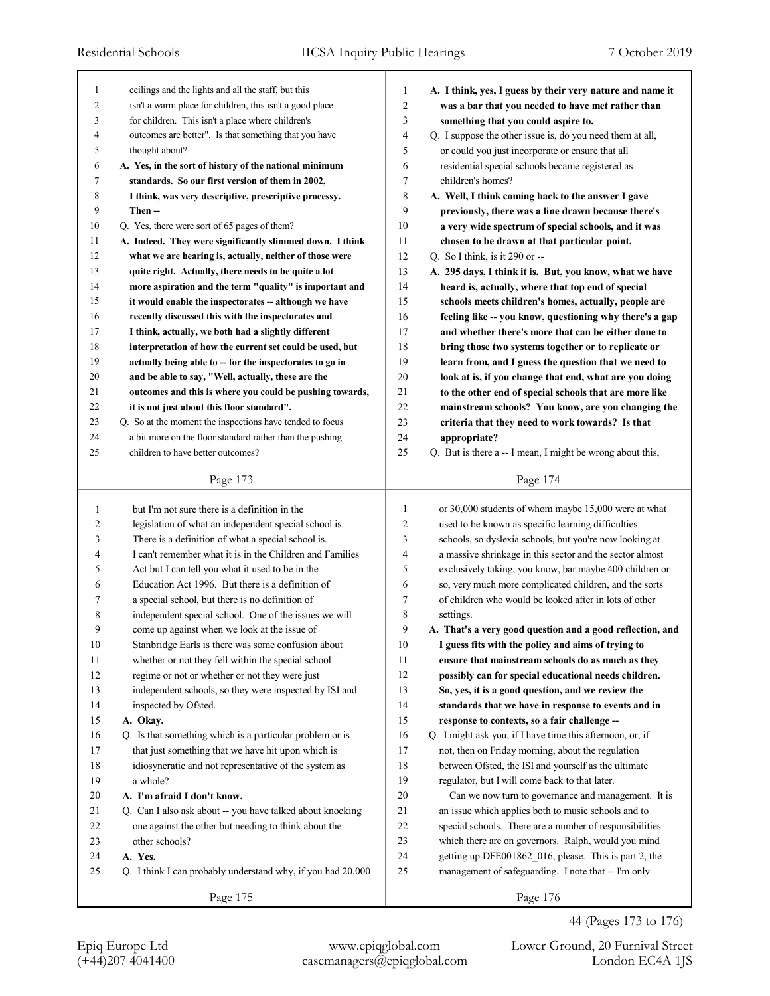| 1              | ceilings and the lights and all the staff, but this         | 1              | A. I think, yes, I guess by their very nature and name it |
|----------------|-------------------------------------------------------------|----------------|-----------------------------------------------------------|
| $\overline{c}$ | isn't a warm place for children, this isn't a good place    | $\overline{c}$ | was a bar that you needed to have met rather than         |
| 3              | for children. This isn't a place where children's           | 3              | something that you could aspire to.                       |
| 4              | outcomes are better". Is that something that you have       | $\overline{4}$ | Q. I suppose the other issue is, do you need them at all, |
| 5              | thought about?                                              | 5              | or could you just incorporate or ensure that all          |
| 6              | A. Yes, in the sort of history of the national minimum      | 6              | residential special schools became registered as          |
| 7              | standards. So our first version of them in 2002,            | 7              | children's homes?                                         |
| 8              | I think, was very descriptive, prescriptive processy.       | 8              | A. Well, I think coming back to the answer I gave         |
| 9              | Then --                                                     | 9              | previously, there was a line drawn because there's        |
| 10             | Q. Yes, there were sort of 65 pages of them?                | 10             | a very wide spectrum of special schools, and it was       |
| 11             | A. Indeed. They were significantly slimmed down. I think    | 11             | chosen to be drawn at that particular point.              |
| 12             | what we are hearing is, actually, neither of those were     | 12             | Q. So I think, is it 290 or $-$                           |
| 13             | quite right. Actually, there needs to be quite a lot        | 13             | A. 295 days, I think it is. But, you know, what we have   |
| 14             | more aspiration and the term "quality" is important and     | 14             | heard is, actually, where that top end of special         |
| 15             | it would enable the inspectorates -- although we have       | 15             | schools meets children's homes, actually, people are      |
| 16             | recently discussed this with the inspectorates and          | 16             | feeling like -- you know, questioning why there's a gap   |
| 17             | I think, actually, we both had a slightly different         | 17             | and whether there's more that can be either done to       |
| 18             | interpretation of how the current set could be used, but    | 18             | bring those two systems together or to replicate or       |
| 19             | actually being able to -- for the inspectorates to go in    | 19             | learn from, and I guess the question that we need to      |
| 20             | and be able to say, "Well, actually, these are the          | 20             | look at is, if you change that end, what are you doing    |
| 21             | outcomes and this is where you could be pushing towards,    | 21             | to the other end of special schools that are more like    |
| 22             | it is not just about this floor standard".                  | 22             | mainstream schools? You know, are you changing the        |
| 23             | Q. So at the moment the inspections have tended to focus    | 23             | criteria that they need to work towards? Is that          |
| 24             | a bit more on the floor standard rather than the pushing    | 24             | appropriate?                                              |
| 25             | children to have better outcomes?                           | 25             | Q. But is there a -- I mean, I might be wrong about this, |
|                |                                                             |                |                                                           |
|                | Page 173                                                    |                | Page 174                                                  |
|                |                                                             |                |                                                           |
|                |                                                             |                |                                                           |
| $\mathbf{1}$   | but I'm not sure there is a definition in the               | 1              | or 30,000 students of whom maybe 15,000 were at what      |
| $\overline{c}$ | legislation of what an independent special school is.       | $\overline{c}$ | used to be known as specific learning difficulties        |
| 3              | There is a definition of what a special school is.          | 3              | schools, so dyslexia schools, but you're now looking at   |
| 4              | I can't remember what it is in the Children and Families    | 4              | a massive shrinkage in this sector and the sector almost  |
| 5              | Act but I can tell you what it used to be in the            | 5              | exclusively taking, you know, bar maybe 400 children or   |
| 6              | Education Act 1996. But there is a definition of            | 6              | so, very much more complicated children, and the sorts    |
| 7              | a special school, but there is no definition of             | 7              | of children who would be looked after in lots of other    |
| 8              | independent special school. One of the issues we will       | 8              | settings.                                                 |
| 9              | come up against when we look at the issue of                | 9              | A. That's a very good question and a good reflection, and |
| $10\,$         | Stanbridge Earls is there was some confusion about          | $10\,$         | I guess fits with the policy and aims of trying to        |
| $11\,$         | whether or not they fell within the special school          | 11             | ensure that mainstream schools do as much as they         |
| $12\,$         | regime or not or whether or not they were just              | 12             | possibly can for special educational needs children.      |
| 13             | independent schools, so they were inspected by ISI and      | 13             | So, yes, it is a good question, and we review the         |
| 14             | inspected by Ofsted.                                        | 14             | standards that we have in response to events and in       |
| 15             | A. Okay.                                                    | 15             | response to contexts, so a fair challenge --              |
| 16             | Q. Is that something which is a particular problem or is    | 16             | Q. I might ask you, if I have time this afternoon, or, if |
| $17\,$         | that just something that we have hit upon which is          | $17$           | not, then on Friday morning, about the regulation         |
| 18             | idiosyncratic and not representative of the system as       | $18\,$         | between Ofsted, the ISI and yourself as the ultimate      |
| 19             | a whole?                                                    | 19             | regulator, but I will come back to that later.            |
| $20\,$         | A. I'm afraid I don't know.                                 | $20\,$         | Can we now turn to governance and management. It is       |
| $21\,$         | Q. Can I also ask about -- you have talked about knocking   | $21\,$         | an issue which applies both to music schools and to       |
| $22\,$         | one against the other but needing to think about the        | $22\,$         | special schools. There are a number of responsibilities   |
| 23             | other schools?                                              | $23\,$         | which there are on governors. Ralph, would you mind       |
| $24\,$         | A. Yes.                                                     | 24             | getting up DFE001862_016, please. This is part 2, the     |
| $25\,$         | Q. I think I can probably understand why, if you had 20,000 | $25\,$         | management of safeguarding. I note that -- I'm only       |
|                | Page 175                                                    |                | Page 176                                                  |

44 (Pages 173 to 176)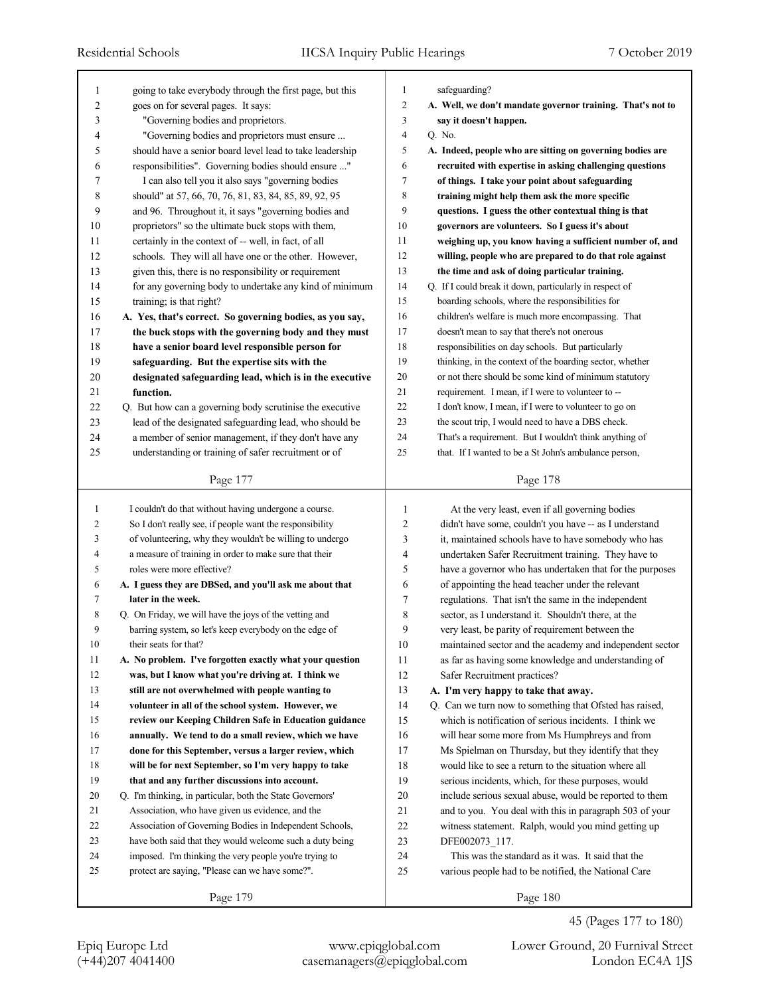| 1      | going to take everybody through the first page, but this  | 1              | safeguarding?                                              |
|--------|-----------------------------------------------------------|----------------|------------------------------------------------------------|
| 2      | goes on for several pages. It says:                       | $\overline{c}$ | A. Well, we don't mandate governor training. That's not to |
| 3      | "Governing bodies and proprietors.                        | 3              | say it doesn't happen.                                     |
| 4      | "Governing bodies and proprietors must ensure             | $\overline{4}$ | Q. No.                                                     |
| 5      | should have a senior board level lead to take leadership  | 5              | A. Indeed, people who are sitting on governing bodies are  |
| 6      | responsibilities". Governing bodies should ensure "       | 6              | recruited with expertise in asking challenging questions   |
| 7      | I can also tell you it also says "governing bodies        | 7              | of things. I take your point about safeguarding            |
| 8      | should" at 57, 66, 70, 76, 81, 83, 84, 85, 89, 92, 95     | 8              | training might help them ask the more specific             |
| 9      | and 96. Throughout it, it says "governing bodies and      | 9              | questions. I guess the other contextual thing is that      |
| 10     | proprietors" so the ultimate buck stops with them,        | 10             | governors are volunteers. So I guess it's about            |
| 11     | certainly in the context of -- well, in fact, of all      | 11             | weighing up, you know having a sufficient number of, and   |
| 12     | schools. They will all have one or the other. However,    | 12             | willing, people who are prepared to do that role against   |
| 13     | given this, there is no responsibility or requirement     | 13             | the time and ask of doing particular training.             |
| 14     | for any governing body to undertake any kind of minimum   | 14             | Q. If I could break it down, particularly in respect of    |
| 15     | training; is that right?                                  | 15             | boarding schools, where the responsibilities for           |
| 16     | A. Yes, that's correct. So governing bodies, as you say,  | 16             | children's welfare is much more encompassing. That         |
| 17     | the buck stops with the governing body and they must      | 17             | doesn't mean to say that there's not onerous               |
| 18     | have a senior board level responsible person for          | 18             | responsibilities on day schools. But particularly          |
| 19     | safeguarding. But the expertise sits with the             | 19             | thinking, in the context of the boarding sector, whether   |
| 20     | designated safeguarding lead, which is in the executive   | 20             | or not there should be some kind of minimum statutory      |
| 21     | function.                                                 | 21             | requirement. I mean, if I were to volunteer to --          |
| 22     | Q. But how can a governing body scrutinise the executive  | 22             | I don't know, I mean, if I were to volunteer to go on      |
| 23     | lead of the designated safeguarding lead, who should be   | 23             | the scout trip, I would need to have a DBS check.          |
| 24     | a member of senior management, if they don't have any     | 24             | That's a requirement. But I wouldn't think anything of     |
| 25     | understanding or training of safer recruitment or of      | 25             | that. If I wanted to be a St John's ambulance person,      |
|        |                                                           |                |                                                            |
|        | Page 177                                                  |                | Page 178                                                   |
|        |                                                           |                |                                                            |
|        |                                                           |                |                                                            |
| 1      | I couldn't do that without having undergone a course.     | 1              | At the very least, even if all governing bodies            |
| 2      | So I don't really see, if people want the responsibility  | $\overline{c}$ | didn't have some, couldn't you have -- as I understand     |
| 3      | of volunteering, why they wouldn't be willing to undergo  | 3              | it, maintained schools have to have somebody who has       |
| 4      | a measure of training in order to make sure that their    | 4              | undertaken Safer Recruitment training. They have to        |
| 5      | roles were more effective?                                | 5              | have a governor who has undertaken that for the purposes   |
| 6      | A. I guess they are DBSed, and you'll ask me about that   | 6              | of appointing the head teacher under the relevant          |
| 7      | later in the week.                                        | 7              | regulations. That isn't the same in the independent        |
| 8      | Q. On Friday, we will have the joys of the vetting and    | 8              | sector, as I understand it. Shouldn't there, at the        |
| 9      | barring system, so let's keep everybody on the edge of    | 9              | very least, be parity of requirement between the           |
| 10     | their seats for that?                                     | $10\,$         | maintained sector and the academy and independent sector   |
| 11     | A. No problem. I've forgotten exactly what your question  | 11             | as far as having some knowledge and understanding of       |
| 12     | was, but I know what you're driving at. I think we        | 12             | Safer Recruitment practices?                               |
| 13     | still are not overwhelmed with people wanting to          | 13             | A. I'm very happy to take that away.                       |
| 14     | volunteer in all of the school system. However, we        | 14             | Q. Can we turn now to something that Ofsted has raised,    |
| 15     | review our Keeping Children Safe in Education guidance    | 15             | which is notification of serious incidents. I think we     |
| 16     | annually. We tend to do a small review, which we have     | 16             | will hear some more from Ms Humphreys and from             |
| 17     | done for this September, versus a larger review, which    | 17             | Ms Spielman on Thursday, but they identify that they       |
| 18     | will be for next September, so I'm very happy to take     | 18             | would like to see a return to the situation where all      |
| 19     | that and any further discussions into account.            | 19             | serious incidents, which, for these purposes, would        |
| $20\,$ | Q. I'm thinking, in particular, both the State Governors' | $20\,$         | include serious sexual abuse, would be reported to them    |
| 21     | Association, who have given us evidence, and the          | 21             | and to you. You deal with this in paragraph 503 of your    |
| 22     | Association of Governing Bodies in Independent Schools,   | $22\,$         | witness statement. Ralph, would you mind getting up        |
| 23     | have both said that they would welcome such a duty being  | $23\,$         | DFE002073_117.                                             |
| 24     | imposed. I'm thinking the very people you're trying to    | 24             | This was the standard as it was. It said that the          |
| 25     | protect are saying, "Please can we have some?".           | 25             | various people had to be notified, the National Care       |

45 (Pages 177 to 180)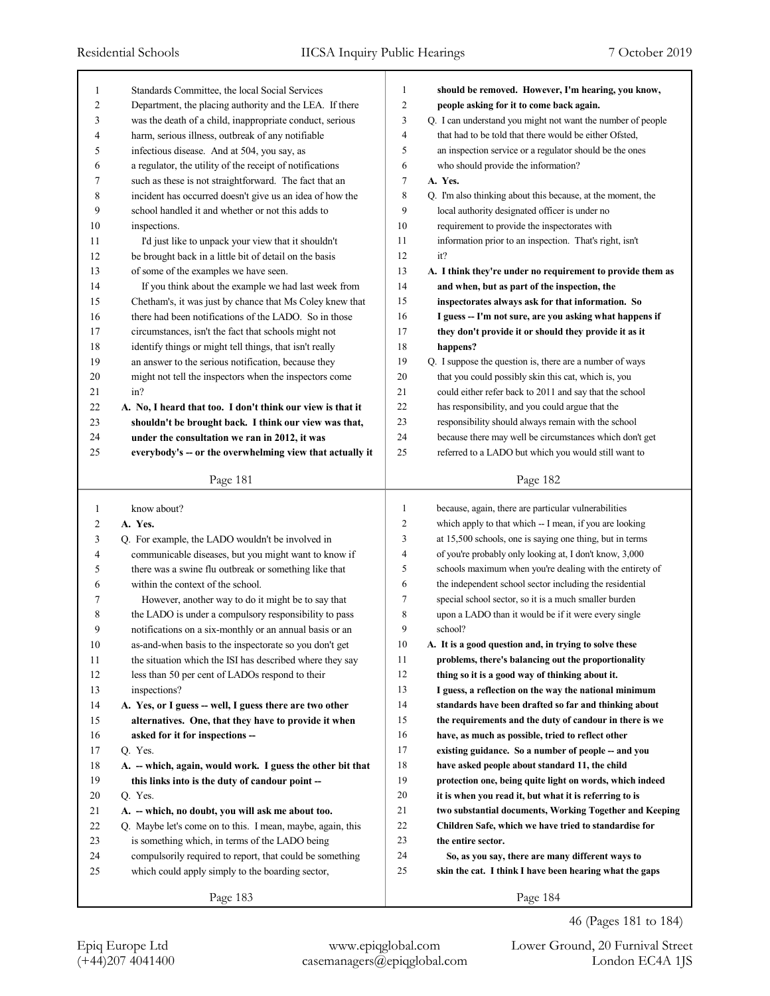| 1              | Standards Committee, the local Social Services             | 1              | should be removed. However, I'm hearing, you know,          |
|----------------|------------------------------------------------------------|----------------|-------------------------------------------------------------|
| 2              | Department, the placing authority and the LEA. If there    | $\overline{c}$ | people asking for it to come back again.                    |
| 3              | was the death of a child, inappropriate conduct, serious   | 3              | Q. I can understand you might not want the number of people |
| $\overline{4}$ | harm, serious illness, outbreak of any notifiable          | $\overline{4}$ | that had to be told that there would be either Ofsted,      |
| 5              | infectious disease. And at 504, you say, as                | 5              | an inspection service or a regulator should be the ones     |
| 6              | a regulator, the utility of the receipt of notifications   | 6              | who should provide the information?                         |
| 7              | such as these is not straightforward. The fact that an     | 7              | A. Yes.                                                     |
| 8              | incident has occurred doesn't give us an idea of how the   | 8              | Q. I'm also thinking about this because, at the moment, the |
| 9              | school handled it and whether or not this adds to          | 9              | local authority designated officer is under no              |
| 10             | inspections.                                               | 10             | requirement to provide the inspectorates with               |
| 11             | I'd just like to unpack your view that it shouldn't        | 11             | information prior to an inspection. That's right, isn't     |
| 12             | be brought back in a little bit of detail on the basis     | 12             | it?                                                         |
| 13             | of some of the examples we have seen.                      | 13             | A. I think they're under no requirement to provide them as  |
| 14             | If you think about the example we had last week from       | 14             | and when, but as part of the inspection, the                |
| 15             | Chetham's, it was just by chance that Ms Coley knew that   | 15             | inspectorates always ask for that information. So           |
| 16             | there had been notifications of the LADO. So in those      | 16             | I guess -- I'm not sure, are you asking what happens if     |
| 17             | circumstances, isn't the fact that schools might not       | 17             | they don't provide it or should they provide it as it       |
| 18             | identify things or might tell things, that isn't really    | 18             | happens?                                                    |
| 19             | an answer to the serious notification, because they        | 19             | Q. I suppose the question is, there are a number of ways    |
| $20\,$         | might not tell the inspectors when the inspectors come     | 20             | that you could possibly skin this cat, which is, you        |
| 21             | in?                                                        | 21             | could either refer back to 2011 and say that the school     |
| 22             | A. No, I heard that too. I don't think our view is that it | 22             | has responsibility, and you could argue that the            |
| 23             | shouldn't be brought back. I think our view was that,      | 23             | responsibility should always remain with the school         |
| 24             | under the consultation we ran in 2012, it was              | 24             | because there may well be circumstances which don't get     |
| 25             | everybody's -- or the overwhelming view that actually it   | 25             | referred to a LADO but which you would still want to        |
|                |                                                            |                |                                                             |
|                | Page 181                                                   |                | Page 182                                                    |
|                |                                                            |                |                                                             |
|                |                                                            | 1              |                                                             |
| 1              | know about?                                                | 2              | because, again, there are particular vulnerabilities        |
| $\overline{2}$ | A. Yes.                                                    | 3              | which apply to that which -- I mean, if you are looking     |
| 3              | Q. For example, the LADO wouldn't be involved in           | 4              | at 15,500 schools, one is saying one thing, but in terms    |
| 4              | communicable diseases, but you might want to know if       | 5              | of you're probably only looking at, I don't know, 3,000     |
| 5              | there was a swine flu outbreak or something like that      | 6              | schools maximum when you're dealing with the entirety of    |
| 6              | within the context of the school.                          | 7              | the independent school sector including the residential     |
| 7              | However, another way to do it might be to say that         |                | special school sector, so it is a much smaller burden       |
| 8              | the LADO is under a compulsory responsibility to pass      | 8<br>9         | upon a LADO than it would be if it were every single        |
| 9              | notifications on a six-monthly or an annual basis or an    |                | school?                                                     |
| 10             | as-and-when basis to the inspectorate so you don't get     | 10             | A. It is a good question and, in trying to solve these      |
| 11             | the situation which the ISI has described where they say   | 11             | problems, there's balancing out the proportionality         |
| 12             | less than 50 per cent of LADOs respond to their            | 12             | thing so it is a good way of thinking about it.             |
| 13             | inspections?                                               | 13             | I guess, a reflection on the way the national minimum       |
| 14             | A. Yes, or I guess -- well, I guess there are two other    | 14             | standards have been drafted so far and thinking about       |
| 15             | alternatives. One, that they have to provide it when       | 15             | the requirements and the duty of candour in there is we     |
| 16             | asked for it for inspections --                            | 16             | have, as much as possible, tried to reflect other           |
| 17             | Q. Yes.                                                    | 17             | existing guidance. So a number of people -- and you         |
| 18             | A. -- which, again, would work. I guess the other bit that | 18             | have asked people about standard 11, the child              |
| 19             | this links into is the duty of candour point --            | 19             | protection one, being quite light on words, which indeed    |
| 20             | Q. Yes.                                                    | 20             | it is when you read it, but what it is referring to is      |
| 21             | A. -- which, no doubt, you will ask me about too.          | 21             | two substantial documents, Working Together and Keeping     |
| $22\,$         | Q. Maybe let's come on to this. I mean, maybe, again, this | 22             | Children Safe, which we have tried to standardise for       |
| 23             | is something which, in terms of the LADO being             | 23             | the entire sector.                                          |
| 24             | compulsorily required to report, that could be something   | 24             | So, as you say, there are many different ways to            |
| 25             | which could apply simply to the boarding sector,           | 25             | skin the cat. I think I have been hearing what the gaps     |

46 (Pages 181 to 184)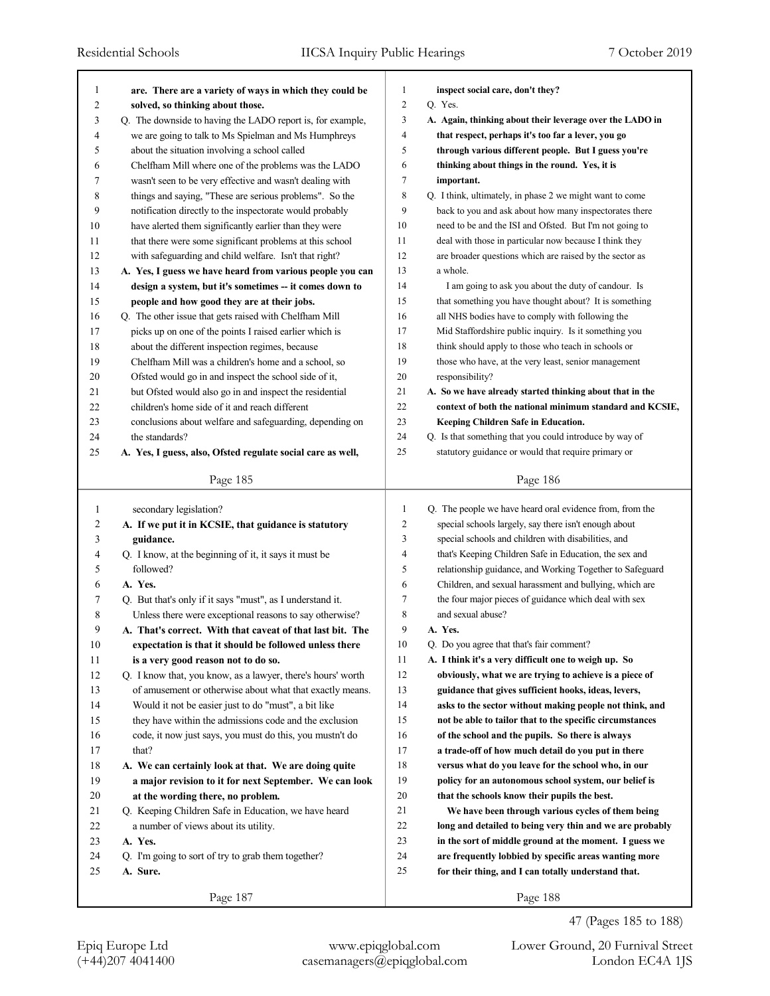| 1                       | are. There are a variety of ways in which they could be           | 1              | inspect social care, don't they?                                                                             |
|-------------------------|-------------------------------------------------------------------|----------------|--------------------------------------------------------------------------------------------------------------|
| $\overline{\mathbf{c}}$ | solved, so thinking about those.                                  | $\overline{c}$ | Q. Yes.                                                                                                      |
| 3                       | Q. The downside to having the LADO report is, for example,        | 3              | A. Again, thinking about their leverage over the LADO in                                                     |
| 4                       | we are going to talk to Ms Spielman and Ms Humphreys              | $\overline{4}$ | that respect, perhaps it's too far a lever, you go                                                           |
| 5                       | about the situation involving a school called                     | 5              | through various different people. But I guess you're                                                         |
| 6                       | Chelfham Mill where one of the problems was the LADO              | 6              | thinking about things in the round. Yes, it is                                                               |
| 7                       | wasn't seen to be very effective and wasn't dealing with          | $\tau$         | important.                                                                                                   |
| 8                       | things and saying, "These are serious problems". So the           | $\,$ 8 $\,$    | Q. I think, ultimately, in phase 2 we might want to come                                                     |
| 9                       | notification directly to the inspectorate would probably          | 9              | back to you and ask about how many inspectorates there                                                       |
| 10                      | have alerted them significantly earlier than they were            | 10             | need to be and the ISI and Ofsted. But I'm not going to                                                      |
| 11                      | that there were some significant problems at this school          | 11             | deal with those in particular now because I think they                                                       |
| 12                      | with safeguarding and child welfare. Isn't that right?            | 12             | are broader questions which are raised by the sector as                                                      |
| 13                      | A. Yes, I guess we have heard from various people you can         | 13             | a whole.                                                                                                     |
| 14                      | design a system, but it's sometimes -- it comes down to           | 14             | I am going to ask you about the duty of candour. Is                                                          |
| 15                      | people and how good they are at their jobs.                       | 15             | that something you have thought about? It is something                                                       |
| 16                      | Q. The other issue that gets raised with Chelfham Mill            | 16             | all NHS bodies have to comply with following the                                                             |
| 17                      | picks up on one of the points I raised earlier which is           | 17             | Mid Staffordshire public inquiry. Is it something you                                                        |
| 18                      | about the different inspection regimes, because                   | 18             | think should apply to those who teach in schools or                                                          |
| 19                      | Chelfham Mill was a children's home and a school, so              | 19             | those who have, at the very least, senior management                                                         |
| 20                      | Ofsted would go in and inspect the school side of it,             | 20             | responsibility?                                                                                              |
| 21                      | but Ofsted would also go in and inspect the residential           | 21             | A. So we have already started thinking about that in the                                                     |
| 22                      | children's home side of it and reach different                    | 22             | context of both the national minimum standard and KCSIE,                                                     |
| 23                      | conclusions about welfare and safeguarding, depending on          | 23             | Keeping Children Safe in Education.                                                                          |
| 24                      | the standards?                                                    | 24             | Q. Is that something that you could introduce by way of                                                      |
| 25                      | A. Yes, I guess, also, Ofsted regulate social care as well,       | 25             | statutory guidance or would that require primary or                                                          |
|                         |                                                                   |                |                                                                                                              |
|                         | Page 185                                                          |                | Page 186                                                                                                     |
|                         |                                                                   |                |                                                                                                              |
|                         |                                                                   |                |                                                                                                              |
| 1                       | secondary legislation?                                            | 1              | Q. The people we have heard oral evidence from, from the                                                     |
| 2                       | A. If we put it in KCSIE, that guidance is statutory              | $\overline{c}$ | special schools largely, say there isn't enough about                                                        |
| 3                       | guidance.                                                         | 3              | special schools and children with disabilities, and                                                          |
| 4                       | Q. I know, at the beginning of it, it says it must be             | $\overline{4}$ | that's Keeping Children Safe in Education, the sex and                                                       |
| 5                       | followed?                                                         | 5              | relationship guidance, and Working Together to Safeguard                                                     |
| 6                       | A. Yes.                                                           | 6              | Children, and sexual harassment and bullying, which are                                                      |
| 7                       | Q. But that's only if it says "must", as I understand it.         | 7              | the four major pieces of guidance which deal with sex                                                        |
| 8                       | Unless there were exceptional reasons to say otherwise?           | 8<br>9         | and sexual abuse?<br>A. Yes.                                                                                 |
| 9                       | A. That's correct. With that caveat of that last bit. The         |                |                                                                                                              |
| 10                      | expectation is that it should be followed unless there            | 10             | Q. Do you agree that that's fair comment?                                                                    |
| 11                      | is a very good reason not to do so.                               | 11             | A. I think it's a very difficult one to weigh up. So                                                         |
| 12                      | Q. I know that, you know, as a lawyer, there's hours' worth       | 12             | obviously, what we are trying to achieve is a piece of                                                       |
| 13                      | of amusement or otherwise about what that exactly means.          | 13             | guidance that gives sufficient hooks, ideas, levers,                                                         |
| 14                      | Would it not be easier just to do "must", a bit like              | 14             | asks to the sector without making people not think, and                                                      |
| 15                      | they have within the admissions code and the exclusion            | 15             | not be able to tailor that to the specific circumstances                                                     |
| 16                      | code, it now just says, you must do this, you mustn't do<br>that? | 16             | of the school and the pupils. So there is always                                                             |
| 17                      |                                                                   | 17             | a trade-off of how much detail do you put in there                                                           |
| 18                      | A. We can certainly look at that. We are doing quite              | 18<br>19       | versus what do you leave for the school who, in our<br>policy for an autonomous school system, our belief is |
| 19                      | a major revision to it for next September. We can look            |                |                                                                                                              |
| 20                      | at the wording there, no problem.                                 | 20             | that the schools know their pupils the best.                                                                 |
| 21                      | Q. Keeping Children Safe in Education, we have heard              | 21             | We have been through various cycles of them being                                                            |
| 22                      | a number of views about its utility.                              | 22             | long and detailed to being very thin and we are probably                                                     |
| 23                      | A. Yes.                                                           | 23<br>24       | in the sort of middle ground at the moment. I guess we                                                       |
| 24<br>25                | Q. I'm going to sort of try to grab them together?<br>A. Sure.    | 25             | are frequently lobbied by specific areas wanting more                                                        |
|                         | Page 187                                                          |                | for their thing, and I can totally understand that.<br>Page 188                                              |

47 (Pages 185 to 188)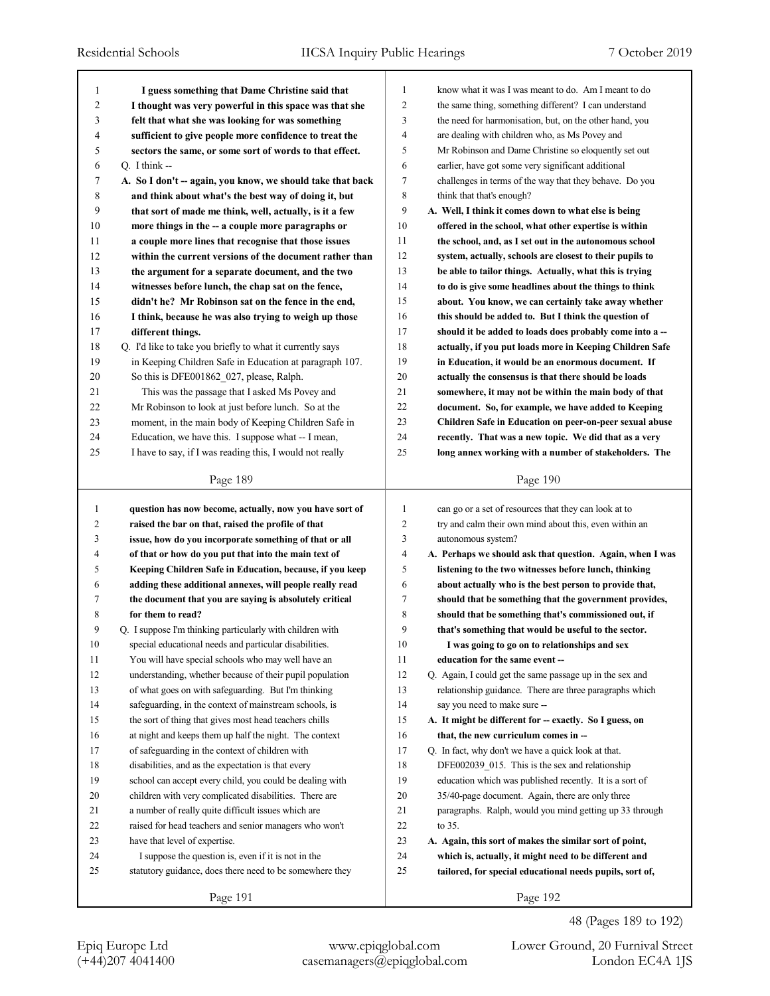| 1            | I guess something that Dame Christine said that            | 1<br>know what it was I was meant to do. Am I meant to do       |  |
|--------------|------------------------------------------------------------|-----------------------------------------------------------------|--|
| 2            | I thought was very powerful in this space was that she     | 2<br>the same thing, something different? I can understand      |  |
| 3            | felt that what she was looking for was something           | 3<br>the need for harmonisation, but, on the other hand, you    |  |
| 4            | sufficient to give people more confidence to treat the     | 4<br>are dealing with children who, as Ms Povey and             |  |
| 5            | sectors the same, or some sort of words to that effect.    | 5<br>Mr Robinson and Dame Christine so eloquently set out       |  |
| 6            | Q. I think $-$                                             | 6<br>earlier, have got some very significant additional         |  |
| 7            | A. So I don't -- again, you know, we should take that back | 7<br>challenges in terms of the way that they behave. Do you    |  |
| 8            | and think about what's the best way of doing it, but       | 8<br>think that that's enough?                                  |  |
| 9            | that sort of made me think, well, actually, is it a few    | 9<br>A. Well, I think it comes down to what else is being       |  |
| 10           | more things in the -- a couple more paragraphs or          | 10<br>offered in the school, what other expertise is within     |  |
| 11           | a couple more lines that recognise that those issues       | 11<br>the school, and, as I set out in the autonomous school    |  |
| 12           | within the current versions of the document rather than    | 12<br>system, actually, schools are closest to their pupils to  |  |
| 13           | the argument for a separate document, and the two          | 13<br>be able to tailor things. Actually, what this is trying   |  |
| 14           | witnesses before lunch, the chap sat on the fence,         | 14<br>to do is give some headlines about the things to think    |  |
| 15           | didn't he? Mr Robinson sat on the fence in the end,        | 15<br>about. You know, we can certainly take away whether       |  |
| 16           | I think, because he was also trying to weigh up those      | 16<br>this should be added to. But I think the question of      |  |
| 17           | different things.                                          | 17<br>should it be added to loads does probably come into a --  |  |
| 18           | Q. I'd like to take you briefly to what it currently says  | 18<br>actually, if you put loads more in Keeping Children Safe  |  |
| 19           | in Keeping Children Safe in Education at paragraph 107.    | 19<br>in Education, it would be an enormous document. If        |  |
| 20           | So this is DFE001862_027, please, Ralph.                   | 20<br>actually the consensus is that there should be loads      |  |
| 21           | This was the passage that I asked Ms Povey and             | 21<br>somewhere, it may not be within the main body of that     |  |
| 22           | Mr Robinson to look at just before lunch. So at the        | 22<br>document. So, for example, we have added to Keeping       |  |
| 23           | moment, in the main body of Keeping Children Safe in       | 23<br>Children Safe in Education on peer-on-peer sexual abuse   |  |
| 24           | Education, we have this. I suppose what -- I mean,         | 24<br>recently. That was a new topic. We did that as a very     |  |
| 25           | I have to say, if I was reading this, I would not really   | 25<br>long annex working with a number of stakeholders. The     |  |
|              |                                                            |                                                                 |  |
|              | Page 189                                                   | Page 190                                                        |  |
|              |                                                            |                                                                 |  |
|              |                                                            |                                                                 |  |
| $\mathbf{1}$ | question has now become, actually, now you have sort of    | can go or a set of resources that they can look at to<br>1      |  |
| 2            | raised the bar on that, raised the profile of that         | 2<br>try and calm their own mind about this, even within an     |  |
| 3            | issue, how do you incorporate something of that or all     | 3<br>autonomous system?                                         |  |
| 4            | of that or how do you put that into the main text of       | 4<br>A. Perhaps we should ask that question. Again, when I was  |  |
| 5            | Keeping Children Safe in Education, because, if you keep   | 5<br>listening to the two witnesses before lunch, thinking      |  |
| 6            | adding these additional annexes, will people really read   | 6<br>about actually who is the best person to provide that,     |  |
| 7            | the document that you are saying is absolutely critical    | 7<br>should that be something that the government provides,     |  |
| 8            | for them to read?                                          | 8<br>should that be something that's commissioned out, if       |  |
| 9            | Q. I suppose I'm thinking particularly with children with  | 9<br>that's something that would be useful to the sector.       |  |
| $10\,$       | special educational needs and particular disabilities.     | $10\,$<br>I was going to go on to relationships and sex         |  |
| 11           | You will have special schools who may well have an         | 11<br>education for the same event --                           |  |
| 12           | understanding, whether because of their pupil population   | 12<br>Q. Again, I could get the same passage up in the sex and  |  |
| 13           | of what goes on with safeguarding. But I'm thinking        | 13<br>relationship guidance. There are three paragraphs which   |  |
| 14           | safeguarding, in the context of mainstream schools, is     | 14<br>say you need to make sure --                              |  |
| 15           | the sort of thing that gives most head teachers chills     | 15<br>A. It might be different for -- exactly. So I guess, on   |  |
| 16           | at night and keeps them up half the night. The context     | 16<br>that, the new curriculum comes in --                      |  |
| 17           | of safeguarding in the context of children with            | 17<br>Q. In fact, why don't we have a quick look at that.       |  |
| 18           | disabilities, and as the expectation is that every         | 18<br>DFE002039 015. This is the sex and relationship           |  |
| 19           | school can accept every child, you could be dealing with   | 19<br>education which was published recently. It is a sort of   |  |
| 20           | children with very complicated disabilities. There are     | 20<br>35/40-page document. Again, there are only three          |  |
| 21           | a number of really quite difficult issues which are        | 21<br>paragraphs. Ralph, would you mind getting up 33 through   |  |
| 22           | raised for head teachers and senior managers who won't     | 22<br>to 35.                                                    |  |
| 23           | have that level of expertise.                              | 23<br>A. Again, this sort of makes the similar sort of point,   |  |
| 24           | I suppose the question is, even if it is not in the        | $24\,$<br>which is, actually, it might need to be different and |  |
| 25           | statutory guidance, does there need to be somewhere they   | 25<br>tailored, for special educational needs pupils, sort of,  |  |

Epiq Europe Ltd www.epiqglobal.com Lower Ground, 20 Furnival Street

48 (Pages 189 to 192)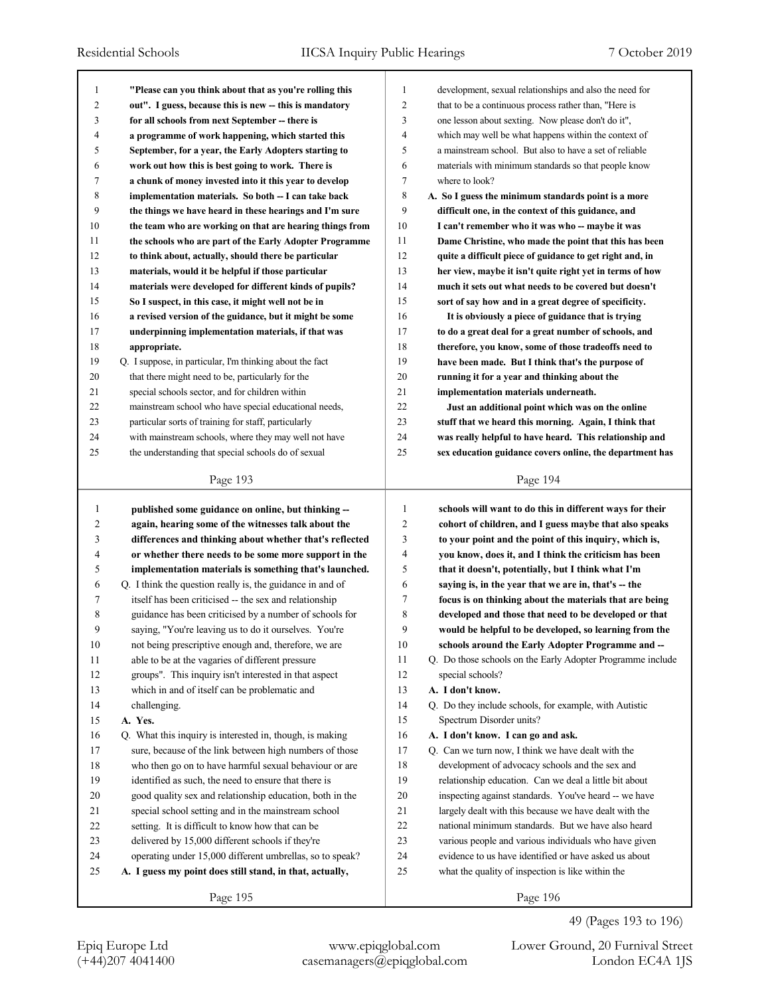| 1      | "Please can you think about that as you're rolling this   | 1              | development, sexual relationships and also the need for    |
|--------|-----------------------------------------------------------|----------------|------------------------------------------------------------|
| 2      | out". I guess, because this is new -- this is mandatory   | $\overline{2}$ | that to be a continuous process rather than, "Here is      |
| 3      | for all schools from next September -- there is           | 3              | one lesson about sexting. Now please don't do it",         |
| 4      | a programme of work happening, which started this         | $\overline{4}$ | which may well be what happens within the context of       |
| 5      | September, for a year, the Early Adopters starting to     | 5              | a mainstream school. But also to have a set of reliable    |
| 6      | work out how this is best going to work. There is         | 6              | materials with minimum standards so that people know       |
| 7      | a chunk of money invested into it this year to develop    | $\overline{7}$ | where to look?                                             |
| 8      | implementation materials. So both -- I can take back      | 8              | A. So I guess the minimum standards point is a more        |
| 9      | the things we have heard in these hearings and I'm sure   | 9              | difficult one, in the context of this guidance, and        |
| 10     | the team who are working on that are hearing things from  | 10             | I can't remember who it was who -- maybe it was            |
| 11     | the schools who are part of the Early Adopter Programme   | 11             | Dame Christine, who made the point that this has been      |
| 12     | to think about, actually, should there be particular      | 12             | quite a difficult piece of guidance to get right and, in   |
| 13     | materials, would it be helpful if those particular        | 13             | her view, maybe it isn't quite right yet in terms of how   |
| 14     | materials were developed for different kinds of pupils?   | 14             | much it sets out what needs to be covered but doesn't      |
| 15     | So I suspect, in this case, it might well not be in       | 15             | sort of say how and in a great degree of specificity.      |
| 16     | a revised version of the guidance, but it might be some   | 16             | It is obviously a piece of guidance that is trying         |
| 17     | underpinning implementation materials, if that was        | 17             | to do a great deal for a great number of schools, and      |
| 18     | appropriate.                                              | 18             | therefore, you know, some of those tradeoffs need to       |
| 19     | Q. I suppose, in particular, I'm thinking about the fact  | 19             | have been made. But I think that's the purpose of          |
| 20     | that there might need to be, particularly for the         | 20             | running it for a year and thinking about the               |
| 21     | special schools sector, and for children within           | 21             | implementation materials underneath.                       |
| 22     | mainstream school who have special educational needs,     | 22             | Just an additional point which was on the online           |
| 23     | particular sorts of training for staff, particularly      | 23             | stuff that we heard this morning. Again, I think that      |
| 24     | with mainstream schools, where they may well not have     | 24             | was really helpful to have heard. This relationship and    |
| 25     | the understanding that special schools do of sexual       | 25             | sex education guidance covers online, the department has   |
|        |                                                           |                |                                                            |
|        | Page 193                                                  |                | Page 194                                                   |
|        |                                                           |                |                                                            |
|        |                                                           |                |                                                            |
| 1      | published some guidance on online, but thinking --        | 1              | schools will want to do this in different ways for their   |
| 2      | again, hearing some of the witnesses talk about the       | 2              | cohort of children, and I guess maybe that also speaks     |
| 3      | differences and thinking about whether that's reflected   | 3              | to your point and the point of this inquiry, which is,     |
| 4      | or whether there needs to be some more support in the     | 4              | you know, does it, and I think the criticism has been      |
| 5      | implementation materials is something that's launched.    | 5              | that it doesn't, potentially, but I think what I'm         |
| 6      | Q. I think the question really is, the guidance in and of | 6              | saying is, in the year that we are in, that's -- the       |
| 7      | itself has been criticised -- the sex and relationship    | 7              | focus is on thinking about the materials that are being    |
| 8      | guidance has been criticised by a number of schools for   | 8              | developed and those that need to be developed or that      |
| 9      | saying, "You're leaving us to do it ourselves. You're     | 9              | would be helpful to be developed, so learning from the     |
| $10\,$ | not being prescriptive enough and, therefore, we are      | 10             | schools around the Early Adopter Programme and --          |
| 11     | able to be at the vagaries of different pressure          | 11             | Q. Do those schools on the Early Adopter Programme include |
| 12     | groups". This inquiry isn't interested in that aspect     | 12             | special schools?                                           |
| 13     | which in and of itself can be problematic and             | 13             | A. I don't know.                                           |
| 14     | challenging.                                              | 14             | Q. Do they include schools, for example, with Autistic     |
| 15     | A. Yes.                                                   | 15             | Spectrum Disorder units?                                   |
| 16     | Q. What this inquiry is interested in, though, is making  | 16             | A. I don't know. I can go and ask.                         |
| 17     | sure, because of the link between high numbers of those   | 17             | Q. Can we turn now, I think we have dealt with the         |
| 18     | who then go on to have harmful sexual behaviour or are    | 18             | development of advocacy schools and the sex and            |
| 19     | identified as such, the need to ensure that there is      | 19             | relationship education. Can we deal a little bit about     |
| 20     | good quality sex and relationship education, both in the  | $20\,$         | inspecting against standards. You've heard -- we have      |
| 21     | special school setting and in the mainstream school       | 21             | largely dealt with this because we have dealt with the     |
| 22     | setting. It is difficult to know how that can be          | $22\,$         | national minimum standards. But we have also heard         |
| 23     | delivered by 15,000 different schools if they're          | 23             | various people and various individuals who have given      |
| 24     | operating under 15,000 different umbrellas, so to speak?  | 24             | evidence to us have identified or have asked us about      |
| 25     | A. I guess my point does still stand, in that, actually,  | 25             | what the quality of inspection is like within the          |

Epiq Europe Ltd www.epiqglobal.com Lower Ground, 20 Furnival Street

49 (Pages 193 to 196)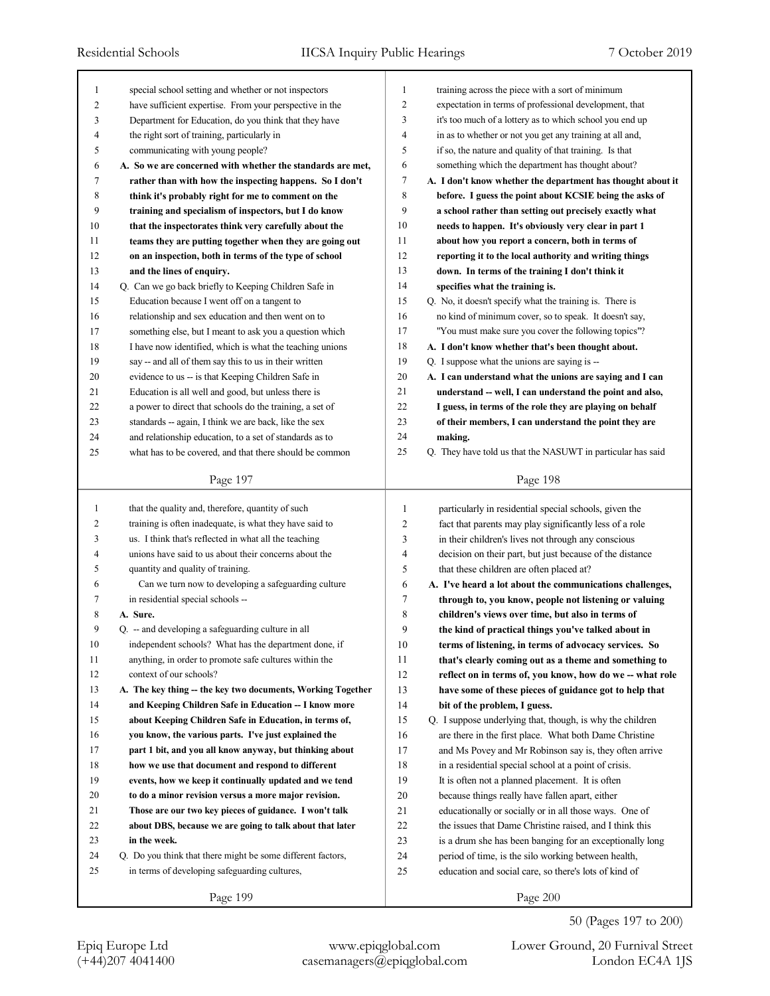| 1              | special school setting and whether or not inspectors        | $\mathbf{1}$   | training across the piece with a sort of minimum            |
|----------------|-------------------------------------------------------------|----------------|-------------------------------------------------------------|
| $\overline{c}$ | have sufficient expertise. From your perspective in the     | $\overline{c}$ | expectation in terms of professional development, that      |
| 3              | Department for Education, do you think that they have       | 3              | it's too much of a lottery as to which school you end up    |
| $\overline{4}$ | the right sort of training, particularly in                 | 4              | in as to whether or not you get any training at all and,    |
| 5              | communicating with young people?                            | 5              | if so, the nature and quality of that training. Is that     |
| 6              | A. So we are concerned with whether the standards are met,  | 6              | something which the department has thought about?           |
| 7              | rather than with how the inspecting happens. So I don't     | 7              | A. I don't know whether the department has thought about it |
| 8              | think it's probably right for me to comment on the          | 8              | before. I guess the point about KCSIE being the asks of     |
| 9              | training and specialism of inspectors, but I do know        | 9              | a school rather than setting out precisely exactly what     |
| 10             | that the inspectorates think very carefully about the       | 10             | needs to happen. It's obviously very clear in part 1        |
| 11             | teams they are putting together when they are going out     | 11             | about how you report a concern, both in terms of            |
| 12             | on an inspection, both in terms of the type of school       | 12             | reporting it to the local authority and writing things      |
| 13             | and the lines of enquiry.                                   | 13             | down. In terms of the training I don't think it             |
| 14             | Q. Can we go back briefly to Keeping Children Safe in       | 14             | specifies what the training is.                             |
| 15             | Education because I went off on a tangent to                | 15             | Q. No, it doesn't specify what the training is. There is    |
| 16             | relationship and sex education and then went on to          | 16             | no kind of minimum cover, so to speak. It doesn't say,      |
| 17             | something else, but I meant to ask you a question which     | 17             | "You must make sure you cover the following topics"?        |
| 18             | I have now identified, which is what the teaching unions    | 18             | A. I don't know whether that's been thought about.          |
| 19             | say -- and all of them say this to us in their written      | 19             | Q. I suppose what the unions are saying is --               |
| 20             | evidence to us -- is that Keeping Children Safe in          | 20             | A. I can understand what the unions are saying and I can    |
| 21             | Education is all well and good, but unless there is         | 21             | understand -- well, I can understand the point and also,    |
| 22             | a power to direct that schools do the training, a set of    | 22             | I guess, in terms of the role they are playing on behalf    |
| 23             | standards -- again, I think we are back, like the sex       | 23             | of their members, I can understand the point they are       |
| 24             | and relationship education, to a set of standards as to     | 24             | making.                                                     |
| 25             | what has to be covered, and that there should be common     | $25\,$         | Q. They have told us that the NASUWT in particular has said |
|                |                                                             |                |                                                             |
|                | Page 197                                                    |                | Page 198                                                    |
|                |                                                             |                |                                                             |
|                |                                                             |                |                                                             |
| $\mathbf{1}$   | that the quality and, therefore, quantity of such           | $\mathbf{1}$   | particularly in residential special schools, given the      |
| $\overline{c}$ | training is often inadequate, is what they have said to     | $\overline{c}$ | fact that parents may play significantly less of a role     |
| 3              | us. I think that's reflected in what all the teaching       | 3              | in their children's lives not through any conscious         |
| 4              | unions have said to us about their concerns about the       | 4              | decision on their part, but just because of the distance    |
| 5              | quantity and quality of training.                           | 5              | that these children are often placed at?                    |
| 6              | Can we turn now to developing a safeguarding culture        | 6              | A. I've heard a lot about the communications challenges,    |
| 7              | in residential special schools --                           | 7              | through to, you know, people not listening or valuing       |
| 8              | A. Sure.                                                    | 8              | children's views over time, but also in terms of            |
| 9              | Q. -- and developing a safeguarding culture in all          | 9              | the kind of practical things you've talked about in         |
| $10\,$         | independent schools? What has the department done, if       | $10\,$         | terms of listening, in terms of advocacy services. So       |
| 11             | anything, in order to promote safe cultures within the      | 11             | that's clearly coming out as a theme and something to       |
| 12             | context of our schools?                                     | 12             | reflect on in terms of, you know, how do we -- what role    |
| 13             | A. The key thing -- the key two documents, Working Together | 13             | have some of these pieces of guidance got to help that      |
| 14             | and Keeping Children Safe in Education -- I know more       | 14             | bit of the problem, I guess.                                |
| 15             | about Keeping Children Safe in Education, in terms of,      | 15             | Q. I suppose underlying that, though, is why the children   |
| 16             | you know, the various parts. I've just explained the        | 16             | are there in the first place. What both Dame Christine      |
| 17             | part 1 bit, and you all know anyway, but thinking about     | 17             | and Ms Povey and Mr Robinson say is, they often arrive      |
| $18\,$         | how we use that document and respond to different           | 18             | in a residential special school at a point of crisis.       |
| 19             | events, how we keep it continually updated and we tend      | 19             | It is often not a planned placement. It is often            |
| $20\,$         | to do a minor revision versus a more major revision.        | 20             | because things really have fallen apart, either             |
| 21             | Those are our two key pieces of guidance. I won't talk      | 21             | educationally or socially or in all those ways. One of      |
| 22             | about DBS, because we are going to talk about that later    | 22             | the issues that Dame Christine raised, and I think this     |
| 23             | in the week.                                                | 23             | is a drum she has been banging for an exceptionally long    |
| 24             | Q. Do you think that there might be some different factors, | 24             | period of time, is the silo working between health,         |
| 25             | in terms of developing safeguarding cultures,               | 25             | education and social care, so there's lots of kind of       |
|                | Page 199                                                    |                | Page 200                                                    |

50 (Pages 197 to 200)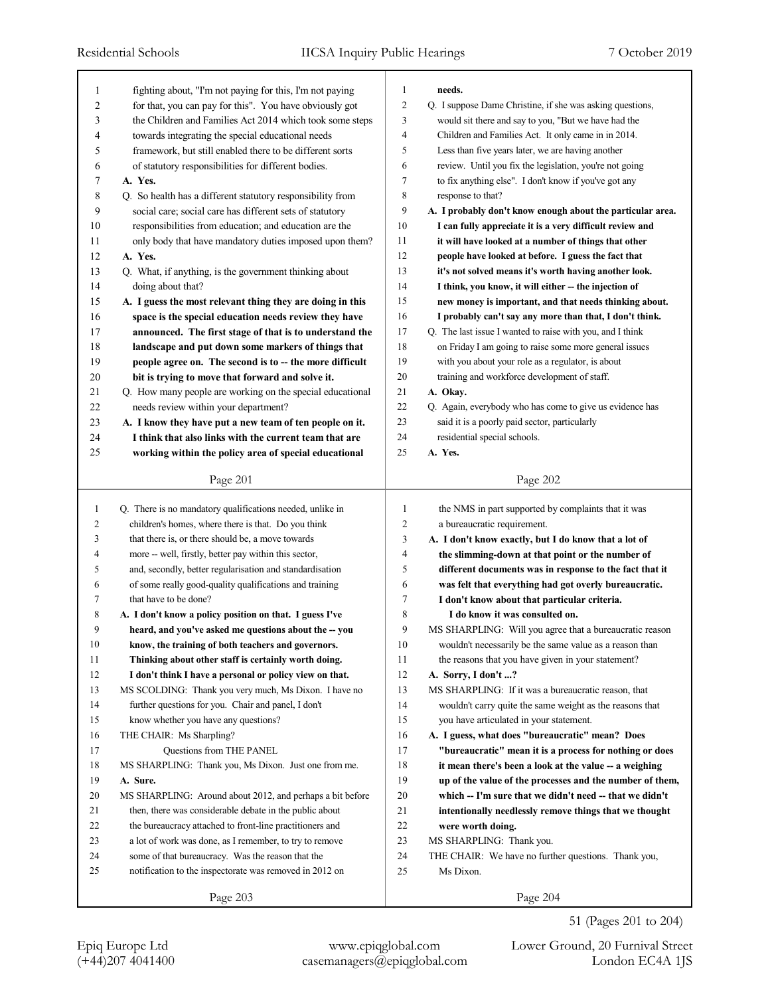| 1              | fighting about, "I'm not paying for this, I'm not paying   | $\mathbf{1}$   | needs.                                                     |
|----------------|------------------------------------------------------------|----------------|------------------------------------------------------------|
| $\overline{c}$ | for that, you can pay for this". You have obviously got    | $\overline{2}$ | Q. I suppose Dame Christine, if she was asking questions,  |
| 3              | the Children and Families Act 2014 which took some steps   | 3              | would sit there and say to you, "But we have had the       |
| 4              | towards integrating the special educational needs          | $\overline{4}$ | Children and Families Act. It only came in in 2014.        |
| 5              | framework, but still enabled there to be different sorts   | 5              | Less than five years later, we are having another          |
| 6              | of statutory responsibilities for different bodies.        | 6              | review. Until you fix the legislation, you're not going    |
| 7              | A. Yes.                                                    | $\tau$         | to fix anything else". I don't know if you've got any      |
| 8              | Q. So health has a different statutory responsibility from | $\,$ 8 $\,$    | response to that?                                          |
| 9              | social care; social care has different sets of statutory   | 9              | A. I probably don't know enough about the particular area. |
| $10\,$         | responsibilities from education; and education are the     | 10             | I can fully appreciate it is a very difficult review and   |
| 11             | only body that have mandatory duties imposed upon them?    | 11             | it will have looked at a number of things that other       |
| 12             | A. Yes.                                                    | 12             | people have looked at before. I guess the fact that        |
| 13             | Q. What, if anything, is the government thinking about     | 13             | it's not solved means it's worth having another look.      |
| 14             | doing about that?                                          | 14             | I think, you know, it will either -- the injection of      |
| 15             | A. I guess the most relevant thing they are doing in this  | 15             | new money is important, and that needs thinking about.     |
| 16             | space is the special education needs review they have      | 16             | I probably can't say any more than that, I don't think.    |
| 17             | announced. The first stage of that is to understand the    | 17             | Q. The last issue I wanted to raise with you, and I think  |
| 18             | landscape and put down some markers of things that         | 18             | on Friday I am going to raise some more general issues     |
| 19             | people agree on. The second is to -- the more difficult    | 19             | with you about your role as a regulator, is about          |
| $20\,$         | bit is trying to move that forward and solve it.           | 20             | training and workforce development of staff.               |
| 21             | Q. How many people are working on the special educational  | 21             | A. Okay.                                                   |
| 22             | needs review within your department?                       | 22             | Q. Again, everybody who has come to give us evidence has   |
| 23             | A. I know they have put a new team of ten people on it.    | 23             | said it is a poorly paid sector, particularly              |
| 24             | I think that also links with the current team that are     | 24             | residential special schools.                               |
| 25             | working within the policy area of special educational      | 25             | A. Yes.                                                    |
|                |                                                            |                |                                                            |
|                | Page 201                                                   |                | Page 202                                                   |
|                |                                                            |                |                                                            |
|                |                                                            |                |                                                            |
| 1              | Q. There is no mandatory qualifications needed, unlike in  | 1              | the NMS in part supported by complaints that it was        |
| 2              | children's homes, where there is that. Do you think        | 2              | a bureaucratic requirement.                                |
| 3              | that there is, or there should be, a move towards          | 3              | A. I don't know exactly, but I do know that a lot of       |
| 4              | more -- well, firstly, better pay within this sector,      | 4              | the slimming-down at that point or the number of           |
| 5              | and, secondly, better regularisation and standardisation   | 5              | different documents was in response to the fact that it    |
| 6              | of some really good-quality qualifications and training    | 6              | was felt that everything had got overly bureaucratic.      |
| 7              | that have to be done?                                      | 7              | I don't know about that particular criteria.               |
| 8              | A. I don't know a policy position on that. I guess I've    | 8              | I do know it was consulted on.                             |
| 9              | heard, and you've asked me questions about the -- you      | 9              | MS SHARPLING: Will you agree that a bureaucratic reason    |
| 10             | know, the training of both teachers and governors.         | 10             | wouldn't necessarily be the same value as a reason than    |
| 11             | Thinking about other staff is certainly worth doing.       | 11             | the reasons that you have given in your statement?         |
| 12             | I don't think I have a personal or policy view on that.    | 12             | A. Sorry, I don't ?                                        |
| 13             | MS SCOLDING: Thank you very much, Ms Dixon. I have no      | 13             | MS SHARPLING: If it was a bureaucratic reason, that        |
| 14             | further questions for you. Chair and panel, I don't        | 14             | wouldn't carry quite the same weight as the reasons that   |
| 15             | know whether you have any questions?                       | 15             | you have articulated in your statement.                    |
| 16             | THE CHAIR: Ms Sharpling?                                   | 16             | A. I guess, what does "bureaucratic" mean? Does            |
| 17             | Questions from THE PANEL                                   | 17             | "bureaucratic" mean it is a process for nothing or does    |
| 18             | MS SHARPLING: Thank you, Ms Dixon. Just one from me.       | 18             | it mean there's been a look at the value -- a weighing     |
| 19             | A. Sure.                                                   | 19             | up of the value of the processes and the number of them,   |
| 20             | MS SHARPLING: Around about 2012, and perhaps a bit before  | 20             | which -- I'm sure that we didn't need -- that we didn't    |
| 21             | then, there was considerable debate in the public about    | 21             | intentionally needlessly remove things that we thought     |
| 22             | the bureaucracy attached to front-line practitioners and   | 22             | were worth doing.                                          |
| 23             | a lot of work was done, as I remember, to try to remove    | 23             | MS SHARPLING: Thank you.                                   |
| 24             | some of that bureaucracy. Was the reason that the          | 24             | THE CHAIR: We have no further questions. Thank you,        |
| 25             | notification to the inspectorate was removed in 2012 on    | 25             | Ms Dixon.                                                  |

51 (Pages 201 to 204)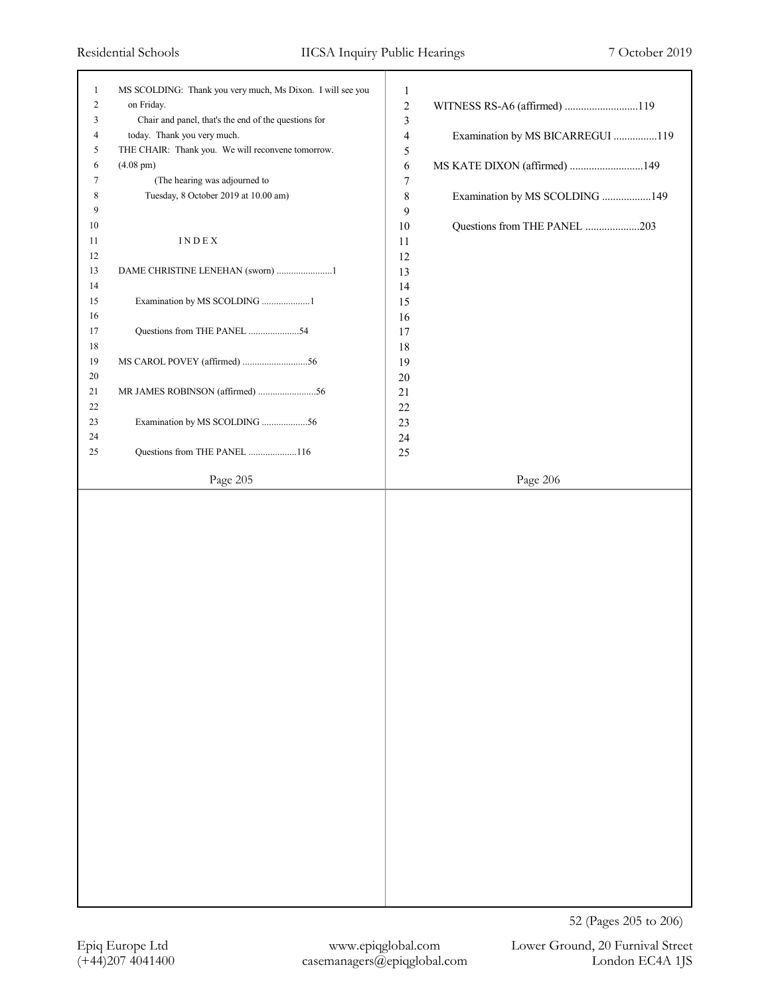| $\mathbf{1}$<br>$\overline{c}$<br>3<br>4<br>5<br>6<br>7<br>8<br>9<br>10<br>11<br>12<br>13<br>14<br>15<br>16<br>17<br>18 | MS SCOLDING: Thank you very much, Ms Dixon. I will see you<br>on Friday.<br>Chair and panel, that's the end of the questions for<br>today. Thank you very much.<br>THE CHAIR: Thank you. We will reconvene tomorrow.<br>$(4.08 \text{ pm})$<br>(The hearing was adjourned to<br>Tuesday, 8 October 2019 at 10.00 am)<br>INDEX<br>DAME CHRISTINE LENEHAN (sworn) 1<br>Examination by MS SCOLDING 1<br>Questions from THE PANEL 54 | $\mathbf{1}$<br>$\sqrt{2}$<br>WITNESS RS-A6 (affirmed) 119<br>$\mathfrak{Z}$<br>Examination by MS BICARREGUI 119<br>$\overline{4}$<br>5<br>MS KATE DIXON (affirmed) 149<br>6<br>$\boldsymbol{7}$<br>$\,$ 8 $\,$<br>Examination by MS SCOLDING 149<br>9<br>$10\,$<br>Questions from THE PANEL 203<br>11<br>12<br>13<br>14<br>15<br>16<br>$17$<br>18 |
|-------------------------------------------------------------------------------------------------------------------------|----------------------------------------------------------------------------------------------------------------------------------------------------------------------------------------------------------------------------------------------------------------------------------------------------------------------------------------------------------------------------------------------------------------------------------|----------------------------------------------------------------------------------------------------------------------------------------------------------------------------------------------------------------------------------------------------------------------------------------------------------------------------------------------------|
| 19<br>20                                                                                                                |                                                                                                                                                                                                                                                                                                                                                                                                                                  | 19<br>$20\,$                                                                                                                                                                                                                                                                                                                                       |
| 21<br>22                                                                                                                |                                                                                                                                                                                                                                                                                                                                                                                                                                  | $21$                                                                                                                                                                                                                                                                                                                                               |
| 23                                                                                                                      | Examination by MS SCOLDING 56                                                                                                                                                                                                                                                                                                                                                                                                    | 22<br>23                                                                                                                                                                                                                                                                                                                                           |
| 24<br>25                                                                                                                | Questions from THE PANEL 116                                                                                                                                                                                                                                                                                                                                                                                                     | 24<br>25                                                                                                                                                                                                                                                                                                                                           |
|                                                                                                                         | Page 205                                                                                                                                                                                                                                                                                                                                                                                                                         | Page 206                                                                                                                                                                                                                                                                                                                                           |
|                                                                                                                         |                                                                                                                                                                                                                                                                                                                                                                                                                                  |                                                                                                                                                                                                                                                                                                                                                    |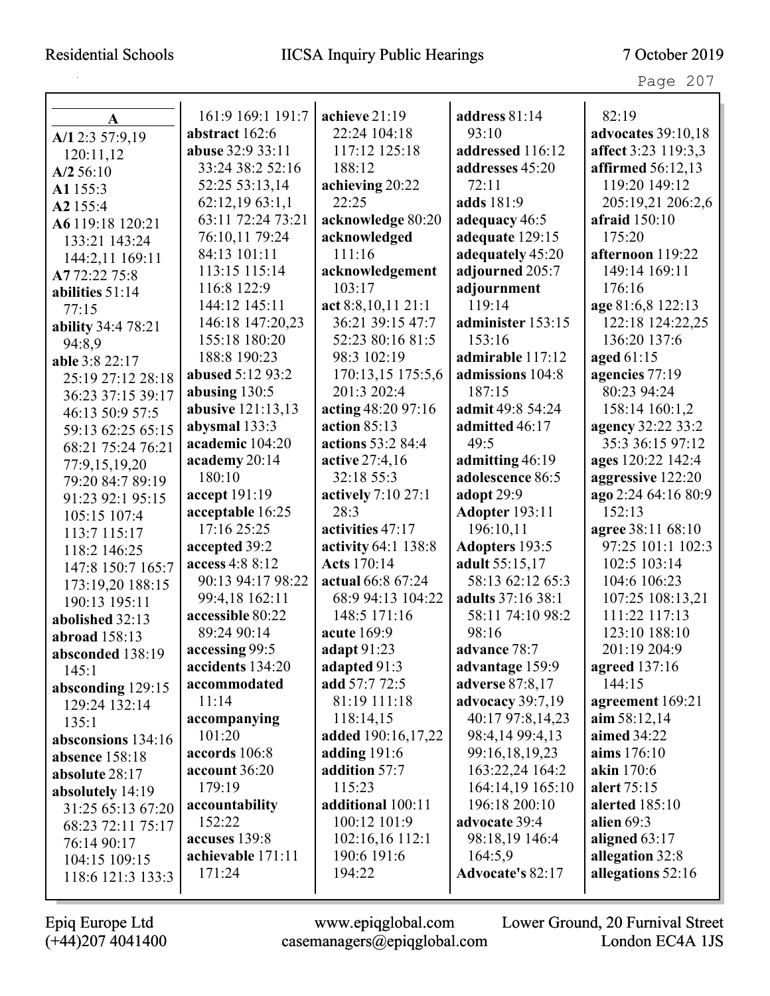## Residential Schools IICSA Inquiry Public Hearings 7 October 2019

Page 207

| A                  | 161:9 169:1 191:7 | achieve 21:19       | address 81:14         | 82:19                     |
|--------------------|-------------------|---------------------|-----------------------|---------------------------|
| A/12:3 57:9,19     | abstract 162:6    | 22:24 104:18        | 93:10                 | <b>advocates</b> 39:10,18 |
| 120:11,12          | abuse 32:9 33:11  | 117:12 125:18       | addressed 116:12      | affect 3:23 119:3,3       |
| $A/2$ 56:10        | 33:24 38:2 52:16  | 188:12              | addresses 45:20       | affirmed 56:12,13         |
| A1 155:3           | 52:25 53:13,14    | achieving 20:22     | 72:11                 | 119:20 149:12             |
| A2 155:4           | 62:12,1963:1,1    | 22:25               | adds 181:9            | 205:19,21 206:2,6         |
| A6 119:18 120:21   | 63:11 72:24 73:21 | acknowledge 80:20   | adequacy 46:5         | afraid 150:10             |
| 133:21 143:24      | 76:10,11 79:24    | acknowledged        | adequate 129:15       | 175:20                    |
| 144:2,11 169:11    | 84:13 101:11      | 111:16              | adequately 45:20      | afternoon 119:22          |
| A772:2275:8        | 113:15 115:14     | acknowledgement     | adjourned 205:7       | 149:14 169:11             |
| abilities 51:14    | 116:8 122:9       | 103:17              | adjournment           | 176:16                    |
| 77:15              | 144:12 145:11     | act 8:8,10,11 21:1  | 119:14                | age 81:6,8 122:13         |
| ability 34:4 78:21 | 146:18 147:20,23  | 36:21 39:15 47:7    | administer 153:15     | 122:18 124:22,25          |
| 94:8.9             | 155:18 180:20     | 52:23 80:16 81:5    | 153:16                | 136:20 137:6              |
| able 3:8 22:17     | 188:8 190:23      | 98:3 102:19         | admirable 117:12      | aged 61:15                |
| 25:19 27:12 28:18  | abused 5:12 93:2  | 170:13,15 175:5,6   | admissions 104:8      | agencies 77:19            |
| 36:23 37:15 39:17  | abusing $130:5$   | 201:3 202:4         | 187:15                | 80:23 94:24               |
| 46:13 50:9 57:5    | abusive 121:13,13 | acting 48:20 97:16  | admit 49:8 54:24      | 158:14 160:1,2            |
| 59:13 62:25 65:15  | abysmal 133:3     | action $85:13$      | admitted 46:17        | agency 32:22 33:2         |
| 68:21 75:24 76:21  | academic 104:20   | actions 53:2 84:4   | 49:5                  | 35:3 36:15 97:12          |
| 77:9,15,19,20      | academy 20:14     | active 27:4,16      | admitting 46:19       | ages 120:22 142:4         |
| 79:20 84:7 89:19   | 180:10            | 32:18 55:3          | adolescence 86:5      | aggressive 122:20         |
| 91:23 92:1 95:15   | accept 191:19     | actively 7:10 27:1  | adopt 29:9            | ago 2:24 64:16 80:9       |
| 105:15 107:4       | acceptable 16:25  | 28:3                | <b>Adopter 193:11</b> | 152:13                    |
| 113:7 115:17       | 17:16 25:25       | activities 47:17    | 196:10,11             | agree 38:11 68:10         |
| 118:2 146:25       | accepted 39:2     | activity 64:1 138:8 | <b>Adopters</b> 193:5 | 97:25 101:1 102:3         |
| 147:8 150:7 165:7  | access 4:8 8:12   | <b>Acts</b> 170:14  | adult 55:15,17        | 102:5 103:14              |
| 173:19,20 188:15   | 90:13 94:17 98:22 | actual 66:8 67:24   | 58:13 62:12 65:3      | 104:6 106:23              |
| 190:13 195:11      | 99:4,18 162:11    | 68:9 94:13 104:22   | adults 37:16 38:1     | 107:25 108:13,21          |
| abolished 32:13    | accessible 80:22  | 148:5 171:16        | 58:11 74:10 98:2      | 111:22 117:13             |
| abroad 158:13      | 89:24 90:14       | acute 169:9         | 98:16                 | 123:10 188:10             |
| absconded 138:19   | accessing 99:5    | adapt 91:23         | advance 78:7          | 201:19 204:9              |
| 145:1              | accidents 134:20  | adapted 91:3        | advantage 159:9       | agreed 137:16             |
| absconding 129:15  | accommodated      | add 57:7 72:5       | adverse 87:8,17       | 144:15                    |
| 129:24 132:14      | 11:14             | 81:19 111:18        | advocacy 39:7,19      | agreement 169:21          |
| 135:1              | accompanying      | 118:14,15           | 40:17 97:8,14,23      | $\lim 58:12,14$           |
| absconsions 134:16 | 101:20            | added 190:16,17,22  | 98:4,14 99:4,13       | aimed 34:22               |
| absence 158:18     | accords 106:8     | adding $191:6$      | 99:16,18,19,23        | aims 176:10               |
| absolute 28:17     | account 36:20     | addition 57:7       | 163:22,24 164:2       | akin 170:6                |
| absolutely 14:19   | 179:19            | 115:23              | 164:14,19 165:10      | alert 75:15               |
| 31:25 65:13 67:20  | accountability    | additional 100:11   | 196:18 200:10         | alerted $185:10$          |
| 68:23 72:11 75:17  | 152:22            | 100:12 101:9        | advocate 39:4         | alien $69:3$              |
| 76:14 90:17        | accuses 139:8     | 102:16,16 112:1     | 98:18,19 146:4        | aligned $63:17$           |
| 104:15 109:15      | achievable 171:11 | 190:6 191:6         | 164:5,9               | allegation 32:8           |
| 118:6 121:3 133:3  | 171:24            | 194:22              | Advocate's 82:17      | allegations 52:16         |
|                    |                   |                     |                       |                           |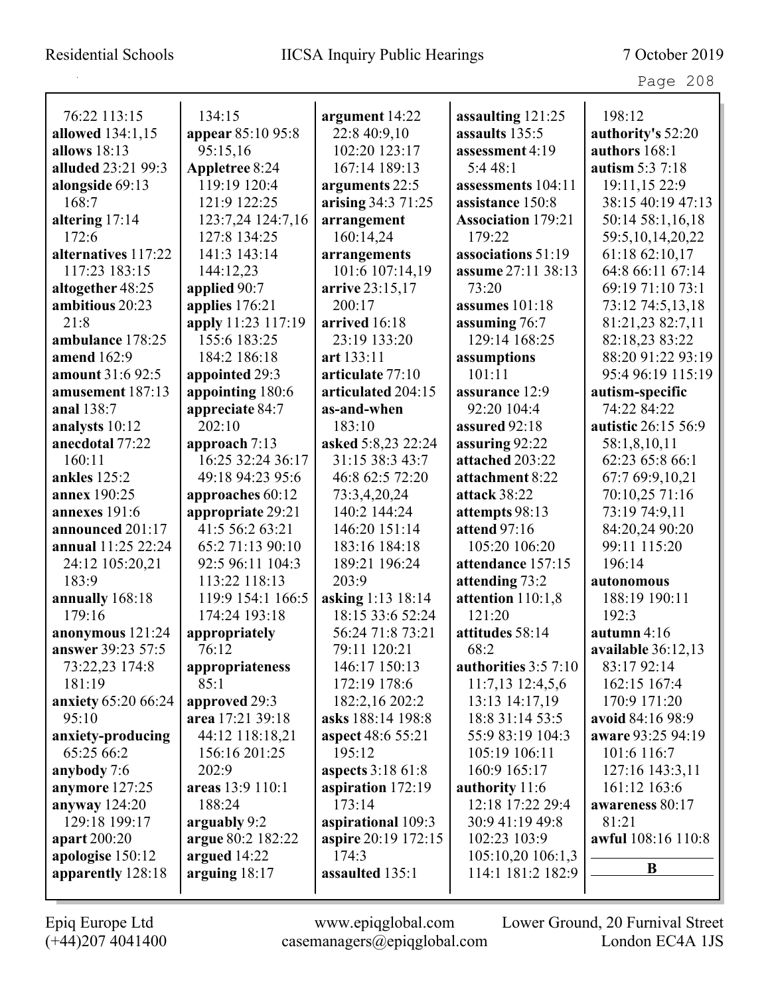| 76:22 113:15        | 134:15             | argument 14:22           | assaulting 121:25         | 198:12              |
|---------------------|--------------------|--------------------------|---------------------------|---------------------|
| allowed 134:1,15    | appear 85:10 95:8  | 22:8 40:9,10             | assaults 135:5            | authority's 52:20   |
| allows 18:13        | 95:15,16           | 102:20 123:17            | assessment 4:19           | authors 168:1       |
| alluded 23:21 99:3  | Appletree 8:24     | 167:14 189:13            | 5:448:1                   | autism 5:3 7:18     |
| alongside 69:13     | 119:19 120:4       | arguments 22:5           | assessments 104:11        | 19:11,15 22:9       |
| 168:7               | 121:9 122:25       | arising 34:3 71:25       | assistance 150:8          | 38:15 40:19 47:13   |
| altering 17:14      | 123:7,24 124:7,16  | arrangement              | <b>Association 179:21</b> | 50:14 58:1,16,18    |
| 172:6               | 127:8 134:25       | 160:14,24                | 179:22                    | 59:5,10,14,20,22    |
| alternatives 117:22 | 141:3 143:14       | arrangements             | associations 51:19        | 61:18 62:10,17      |
| 117:23 183:15       | 144:12,23          | 101:6 107:14,19          | assume 27:11 38:13        | 64:8 66:11 67:14    |
| altogether 48:25    | applied 90:7       | arrive 23:15,17          | 73:20                     | 69:19 71:10 73:1    |
| ambitious 20:23     | applies 176:21     | 200:17                   | assumes 101:18            | 73:12 74:5,13,18    |
| 21:8                | apply 11:23 117:19 | arrived 16:18            | assuming 76:7             | 81:21,23 82:7,11    |
| ambulance 178:25    | 155:6 183:25       | 23:19 133:20             | 129:14 168:25             | 82:18,23 83:22      |
| amend 162:9         | 184:2 186:18       | art 133:11               | assumptions               | 88:20 91:22 93:19   |
| amount 31:6 92:5    | appointed 29:3     | articulate 77:10         | 101:11                    | 95:4 96:19 115:19   |
| amusement 187:13    | appointing 180:6   | articulated 204:15       | assurance 12:9            | autism-specific     |
| anal 138:7          | appreciate 84:7    | as-and-when              | 92:20 104:4               | 74:22 84:22         |
| analysts 10:12      | 202:10             | 183:10                   | assured 92:18             | autistic 26:15 56:9 |
| anecdotal 77:22     | approach 7:13      | asked 5:8,23 22:24       | assuring 92:22            | 58:1,8,10,11        |
| 160:11              | 16:25 32:24 36:17  | 31:15 38:3 43:7          | attached 203:22           | 62:23 65:8 66:1     |
| ankles 125:2        | 49:18 94:23 95:6   | 46:8 62:5 72:20          | attachment 8:22           | 67:7 69:9,10,21     |
| annex 190:25        | approaches 60:12   | 73:3,4,20,24             | attack 38:22              | 70:10,25 71:16      |
| annexes 191:6       | appropriate 29:21  | 140:2 144:24             | attempts 98:13            | 73:19 74:9,11       |
| announced 201:17    | 41:5 56:2 63:21    | 146:20 151:14            | attend 97:16              | 84:20,24 90:20      |
| annual 11:25 22:24  | 65:2 71:13 90:10   | 183:16 184:18            | 105:20 106:20             | 99:11 115:20        |
| 24:12 105:20,21     | 92:5 96:11 104:3   | 189:21 196:24            | attendance 157:15         | 196:14              |
| 183:9               | 113:22 118:13      | 203:9                    | attending 73:2            | autonomous          |
| annually 168:18     | 119:9 154:1 166:5  | asking 1:13 18:14        | attention 110:1,8         | 188:19 190:11       |
| 179:16              | 174:24 193:18      | 18:15 33:6 52:24         | 121:20                    | 192:3               |
| anonymous 121:24    | appropriately      | 56:24 71:8 73:21         | attitudes 58:14           | autumn $4:16$       |
| answer 39:23 57:5   | 76:12              | 79:11 120:21             | 68:2                      | available 36:12,13  |
| 73:22,23 174:8      | appropriateness    | 146:17 150:13            | authorities $3:5$ 7:10    | 83:17 92:14         |
| 181:19              | 85:1               | 172:19 178:6             | $11:7,13$ $12:4,5,6$      | 162:15 167:4        |
| anxiety 65:20 66:24 | approved 29:3      | 182:2,16 202:2           | 13:13 14:17,19            | 170:9 171:20        |
| 95:10               | area 17:21 39:18   | asks 188:14 198:8        | 18:8 31:14 53:5           | avoid 84:16 98:9    |
| anxiety-producing   | 44:12 118:18,21    | aspect 48:6 55:21        | 55:9 83:19 104:3          | aware 93:25 94:19   |
| 65:25 66:2          | 156:16 201:25      | 195:12                   | 105:19 106:11             | 101:6 116:7         |
| anybody 7:6         | 202:9              | <b>aspects</b> 3:18 61:8 | 160:9 165:17              | 127:16 143:3,11     |
| anymore 127:25      | areas 13:9 110:1   | aspiration 172:19        | authority 11:6            | 161:12 163:6        |
| anyway 124:20       | 188:24             | 173:14                   | 12:18 17:22 29:4          | awareness 80:17     |
| 129:18 199:17       | arguably 9:2       | aspirational 109:3       | 30:9 41:19 49:8           | 81:21               |
| apart 200:20        | argue 80:2 182:22  | aspire 20:19 172:15      | 102:23 103:9              | awful 108:16 110:8  |
| apologise 150:12    | argued 14:22       | 174:3                    | 105:10,20 106:1,3         |                     |
| apparently 128:18   | arguing 18:17      | assaulted 135:1          | 114:1 181:2 182:9         | B                   |
|                     |                    |                          |                           |                     |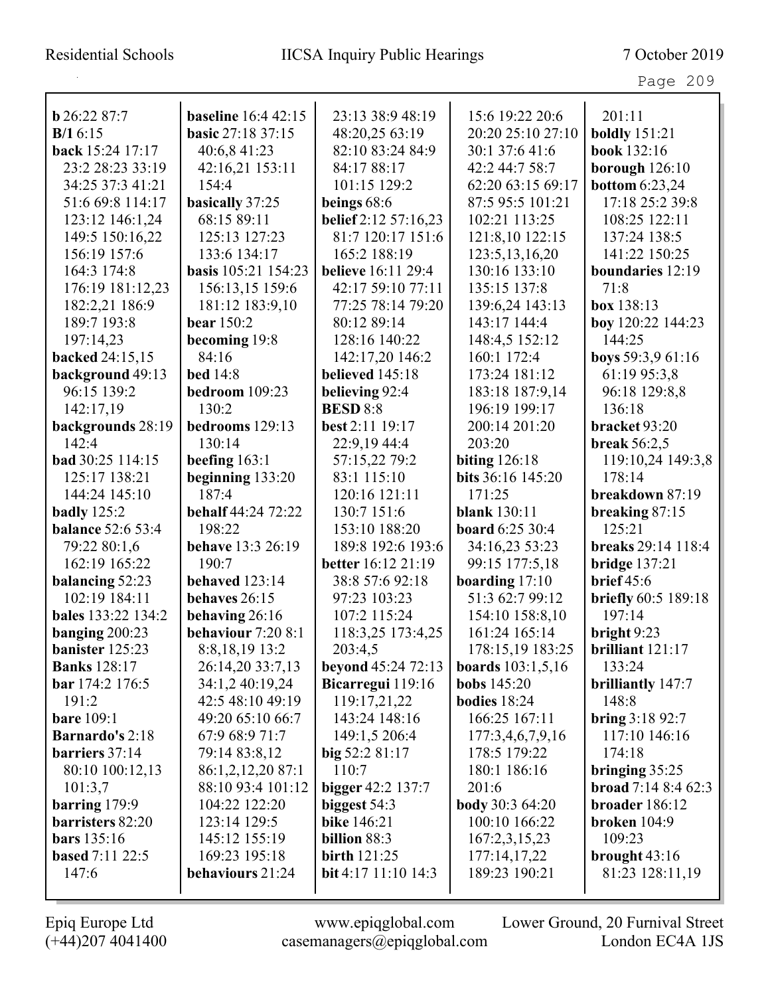# Residential Schools IICSA Inquiry Public Hearings 7 October 2019

Page 209

|                          | <b>baseline</b> 16:4 42:15 |                            |                            | 201:11                     |
|--------------------------|----------------------------|----------------------------|----------------------------|----------------------------|
| $b$ 26:22 87:7           |                            | 23:13 38:9 48:19           | 15:6 19:22 20:6            |                            |
| B/16:15                  | <b>basic 27:18 37:15</b>   | 48:20,25 63:19             | 20:20 25:10 27:10          | <b>boldly</b> 151:21       |
| back 15:24 17:17         | 40:6,8 41:23               | 82:10 83:24 84:9           | 30:1 37:6 41:6             | book 132:16                |
| 23:2 28:23 33:19         | 42:16,21 153:11            | 84:17 88:17                | 42:2 44:7 58:7             | borough $126:10$           |
| 34:25 37:3 41:21         | 154:4                      | 101:15 129:2               | 62:20 63:15 69:17          | <b>bottom</b> 6:23,24      |
| 51:6 69:8 114:17         | basically 37:25            | beings $68:6$              | 87:5 95:5 101:21           | 17:18 25:2 39:8            |
| 123:12 146:1,24          | 68:15 89:11                | belief 2:12 57:16,23       | 102:21 113:25              | 108:25 122:11              |
| 149:5 150:16,22          | 125:13 127:23              | 81:7 120:17 151:6          | 121:8,10 122:15            | 137:24 138:5               |
| 156:19 157:6             | 133:6 134:17               | 165:2 188:19               | 123:5, 13, 16, 20          | 141:22 150:25              |
| 164:3 174:8              | basis 105:21 154:23        | <b>believe</b> 16:11 29:4  | 130:16 133:10              | boundaries 12:19           |
| 176:19 181:12,23         | 156:13,15 159:6            | 42:17 59:10 77:11          | 135:15 137:8               | 71:8                       |
| 182:2,21 186:9           | 181:12 183:9,10            | 77:25 78:14 79:20          | 139:6,24 143:13            | box 138:13                 |
| 189:7 193:8              | <b>bear</b> 150:2          | 80:12 89:14                | 143:17 144:4               | boy 120:22 144:23          |
| 197:14,23                | becoming 19:8              | 128:16 140:22              | 148:4,5 152:12             | 144:25                     |
| backed 24:15,15          | 84:16                      | 142:17,20 146:2            | 160:1 172:4                | boys 59:3,9 61:16          |
| background 49:13         | bed $14:8$                 | believed 145:18            | 173:24 181:12              | 61:19 95:3,8               |
| 96:15 139:2              | bedroom 109:23             | believing 92:4             | 183:18 187:9,14            | 96:18 129:8,8              |
| 142:17,19                | 130:2                      | <b>BESD 8:8</b>            | 196:19 199:17              | 136:18                     |
| backgrounds 28:19        | bedrooms 129:13            | best 2:11 19:17            | 200:14 201:20              | bracket 93:20              |
| 142:4                    | 130:14                     | 22:9,19 44:4               | 203:20                     | break $56:2,5$             |
| bad 30:25 114:15         | beefing $163:1$            | 57:15,22 79:2              | biting $126:18$            | 119:10,24 149:3,8          |
| 125:17 138:21            | beginning $133:20$         | 83:1 115:10                | bits 36:16 145:20          | 178:14                     |
| 144:24 145:10            | 187:4                      | 120:16 121:11              | 171:25                     | breakdown 87:19            |
| badly $125:2$            | behalf 44:24 72:22         | 130:7 151:6                | <b>blank</b> 130:11        | breaking 87:15             |
| <b>balance</b> 52:6 53:4 | 198:22                     | 153:10 188:20              | <b>board</b> 6:25 30:4     | 125:21                     |
| 79:22 80:1,6             | <b>behave</b> 13:3 26:19   | 189:8 192:6 193:6          | 34:16,23 53:23             | breaks 29:14 118:4         |
| 162:19 165:22            | 190:7                      | <b>better</b> 16:12 21:19  | 99:15 177:5,18             | bridge $137:21$            |
| balancing 52:23          | behaved 123:14             | 38:8 57:6 92:18            | boarding $17:10$           | brief $45:6$               |
| 102:19 184:11            | behaves 26:15              | 97:23 103:23               | 51:3 62:7 99:12            | <b>briefly</b> 60:5 189:18 |
| bales 133:22 134:2       | behaving 26:16             | 107:2 115:24               | 154:10 158:8,10            | 197:14                     |
| banging $200:23$         | behaviour 7:20 8:1         | 118:3,25 173:4,25          | 161:24 165:14              | bright 9:23                |
| banister 125:23          | 8:8,18,19 13:2             | 203:4,5                    | 178:15,19 183:25           | brilliant $121:17$         |
| <b>Banks</b> 128:17      | 26:14,20 33:7,13           | <b>beyond</b> 45:24 72:13  | <b>boards</b> $103:1,5,16$ | 133:24                     |
| bar 174:2 176:5          | 34:1,2 40:19,24            | Bicarregui 119:16          | <b>bobs</b> 145:20         | <b>brilliantly</b> 147:7   |
| 191:2                    | 42:5 48:10 49:19           | 119:17,21,22               | bodies $18:24$             | 148:8                      |
| <b>bare</b> 109:1        | 49:20 65:10 66:7           | 143:24 148:16              | 166:25 167:11              | bring $3:1892:7$           |
| <b>Barnardo's 2:18</b>   | 67:9 68:9 71:7             | 149:1,5 206:4              | 177:3,4,6,7,9,16           | 117:10 146:16              |
| barriers 37:14           | 79:14 83:8,12              | big $52:281:17$            | 178:5 179:22               | 174:18                     |
| 80:10 100:12,13          | 86:1,2,12,20 87:1          | 110:7                      | 180:1 186:16               | bringing $35:25$           |
| 101:3,7                  | 88:10 93:4 101:12          | bigger 42:2 137:7          | 201:6                      | <b>broad</b> $7:148:462:3$ |
| barring $179:9$          | 104:22 122:20              | biggest 54:3               | <b>body</b> 30:3 64:20     | broader 186:12             |
| barristers 82:20         | 123:14 129:5               | <b>bike</b> 146:21         | 100:10 166:22              | broken $104:9$             |
| <b>bars</b> 135:16       | 145:12 155:19              | billion 88:3               | 167:2,3,15,23              | 109:23                     |
| based 7:11 22:5          | 169:23 195:18              | <b>birth</b> 121:25        | 177:14,17,22               | brought $43:16$            |
| 147:6                    | behaviours 21:24           | <b>bit</b> 4:17 11:10 14:3 | 189:23 190:21              | 81:23 128:11,19            |
|                          |                            |                            |                            |                            |

(+44)207 4041400 casemanagers@epiqglobal.com London EC4A 1JS

Epiq Europe Ltd www.epiqglobal.com Lower Ground, 20 Furnival Street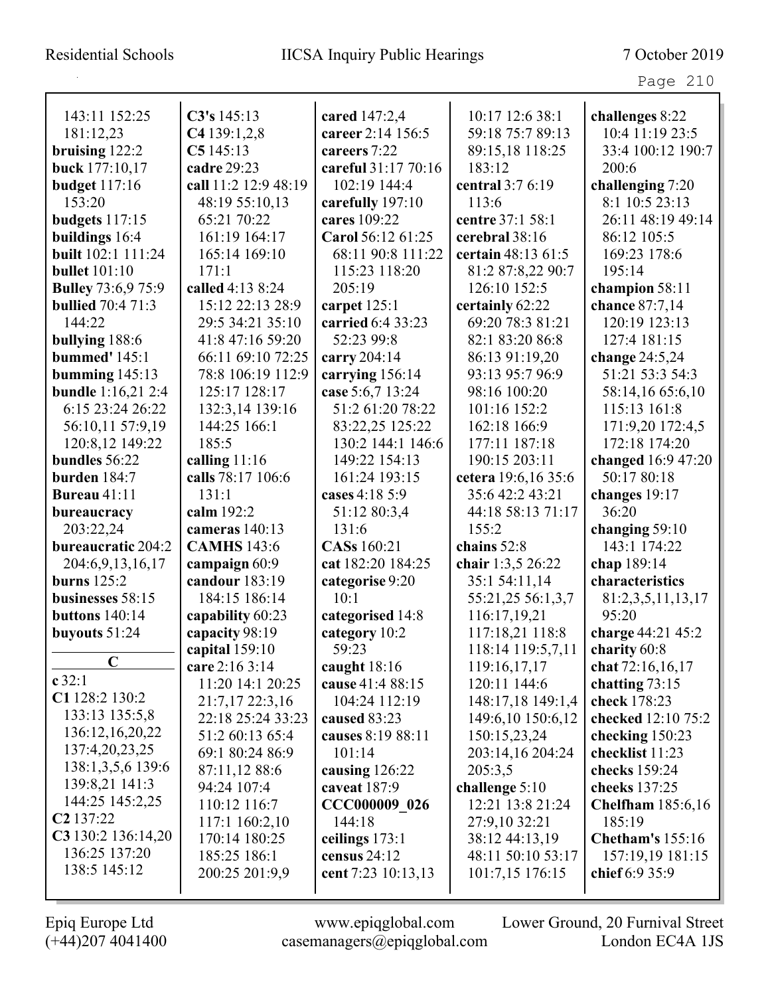| 143:11 152:25             | C3's 145:13          | cared 147:2,4       | 10:17 12:6 38:1     | challenges 8:22          |
|---------------------------|----------------------|---------------------|---------------------|--------------------------|
| 181:12,23                 | C4139:1,2,8          | career 2:14 156:5   | 59:18 75:7 89:13    | 10:4 11:19 23:5          |
| bruising $122:2$          | C5145:13             | careers 7:22        | 89:15,18 118:25     | 33:4 100:12 190:7        |
| buck 177:10,17            | cadre 29:23          | careful 31:17 70:16 | 183:12              | 200:6                    |
| <b>budget</b> 117:16      | call 11:2 12:9 48:19 | 102:19 144:4        | central 3:7 6:19    | challenging 7:20         |
| 153:20                    | 48:19 55:10,13       | carefully 197:10    | 113:6               | 8:1 10:5 23:13           |
| budgets 117:15            | 65:21 70:22          | cares 109:22        | centre 37:1 58:1    | 26:11 48:19 49:14        |
| buildings 16:4            | 161:19 164:17        | Carol 56:12 61:25   | cerebral 38:16      | 86:12 105:5              |
| built 102:1 111:24        | 165:14 169:10        | 68:11 90:8 111:22   | certain 48:13 61:5  | 169:23 178:6             |
| <b>bullet</b> 101:10      | 171:1                | 115:23 118:20       | 81:2 87:8,22 90:7   | 195:14                   |
| <b>Bulley</b> 73:6,9 75:9 | called 4:13 8:24     | 205:19              | 126:10 152:5        | champion 58:11           |
| <b>bullied</b> 70:4 71:3  | 15:12 22:13 28:9     | carpet $125:1$      | certainly 62:22     | chance 87:7,14           |
| 144:22                    | 29:5 34:21 35:10     | carried 6:4 33:23   | 69:20 78:3 81:21    | 120:19 123:13            |
| bullying 188:6            | 41:8 47:16 59:20     | 52:23 99:8          | 82:1 83:20 86:8     | 127:4 181:15             |
| <b>bummed'</b> 145:1      | 66:11 69:10 72:25    | carry 204:14        | 86:13 91:19,20      | change 24:5,24           |
| bumming $145:13$          | 78:8 106:19 112:9    | carrying 156:14     | 93:13 95:7 96:9     | 51:21 53:3 54:3          |
| <b>bundle</b> 1:16,21 2:4 | 125:17 128:17        | case 5:6,7 13:24    | 98:16 100:20        | 58:14,16 65:6,10         |
| 6:15 23:24 26:22          | 132:3,14 139:16      | 51:2 61:20 78:22    | 101:16 152:2        | 115:13 161:8             |
| 56:10,11 57:9,19          | 144:25 166:1         | 83:22,25 125:22     | 162:18 166:9        | 171:9,20 172:4,5         |
| 120:8,12 149:22           | 185:5                | 130:2 144:1 146:6   | 177:11 187:18       | 172:18 174:20            |
| bundles 56:22             | calling 11:16        | 149:22 154:13       | 190:15 203:11       | changed $16:947:20$      |
| burden 184:7              | calls 78:17 106:6    | 161:24 193:15       | cetera 19:6,16 35:6 | 50:17 80:18              |
| <b>Bureau</b> 41:11       | 131:1                | cases 4:18 5:9      | 35:6 42:2 43:21     | changes 19:17            |
| bureaucracy               | calm 192:2           | 51:12 80:3,4        | 44:18 58:13 71:17   | 36:20                    |
| 203:22,24                 | cameras 140:13       | 131:6               | 155:2               | changing 59:10           |
| bureaucratic 204:2        | <b>CAMHS</b> 143:6   | CASs 160:21         | chains 52:8         | 143:1 174:22             |
| 204:6,9,13,16,17          | campaign 60:9        | cat 182:20 184:25   | chair 1:3,5 26:22   | chap 189:14              |
| burns $125:2$             | candour 183:19       | categorise 9:20     | 35:1 54:11,14       | characteristics          |
| businesses 58:15          | 184:15 186:14        | 10:1                | 55:21,25 56:1,3,7   | 81:2,3,5,11,13,17        |
| buttons $140:14$          | capability 60:23     | categorised 14:8    | 116:17,19,21        | 95:20                    |
| buyouts $51:24$           | capacity 98:19       | category 10:2       | 117:18,21 118:8     | charge 44:21 45:2        |
|                           | capital 159:10       | 59:23               | 118:14 119:5,7,11   | charity 60:8             |
| $\mathbf C$               | care 2:16 3:14       | caught $18:16$      | 119:16,17,17        | chat 72:16,16,17         |
| c32:1                     | 11:20 14:1 20:25     | cause 41:4 88:15    | 120:11 144:6        | chatting $73:15$         |
| C1 128:2 130:2            | 21:7,17 22:3,16      | 104:24 112:19       | 148:17,18 149:1,4   | check 178:23             |
| 133:13 135:5,8            | 22:18 25:24 33:23    | caused 83:23        | 149:6,10 150:6,12   | checked 12:10 75:2       |
| 136:12,16,20,22           | 51:2 60:13 65:4      | causes 8:19 88:11   | 150:15,23,24        | checking 150:23          |
| 137:4,20,23,25            | 69:1 80:24 86:9      | 101:14              | 203:14,16 204:24    | checklist 11:23          |
| 138:1,3,5,6 139:6         | 87:11,12 88:6        | causing 126:22      | 205:3,5             | checks 159:24            |
| 139:8,21 141:3            | 94:24 107:4          | caveat 187:9        | challenge 5:10      | cheeks 137:25            |
| 144:25 145:2,25           | 110:12 116:7         | CCC000009 026       | 12:21 13:8 21:24    | <b>Chelfham</b> 185:6,16 |
| C <sub>2</sub> 137:22     | 117:1 160:2,10       | 144:18              | 27:9,10 32:21       | 185:19                   |
| $C3$ 130:2 136:14,20      | 170:14 180:25        | ceilings 173:1      | 38:12 44:13,19      | <b>Chetham's</b> 155:16  |
| 136:25 137:20             | 185:25 186:1         | census 24:12        | 48:11 50:10 53:17   | 157:19,19 181:15         |
| 138:5 145:12              | 200:25 201:9,9       | cent 7:23 10:13,13  | 101:7,15 176:15     | chief 6:9 35:9           |
|                           |                      |                     |                     |                          |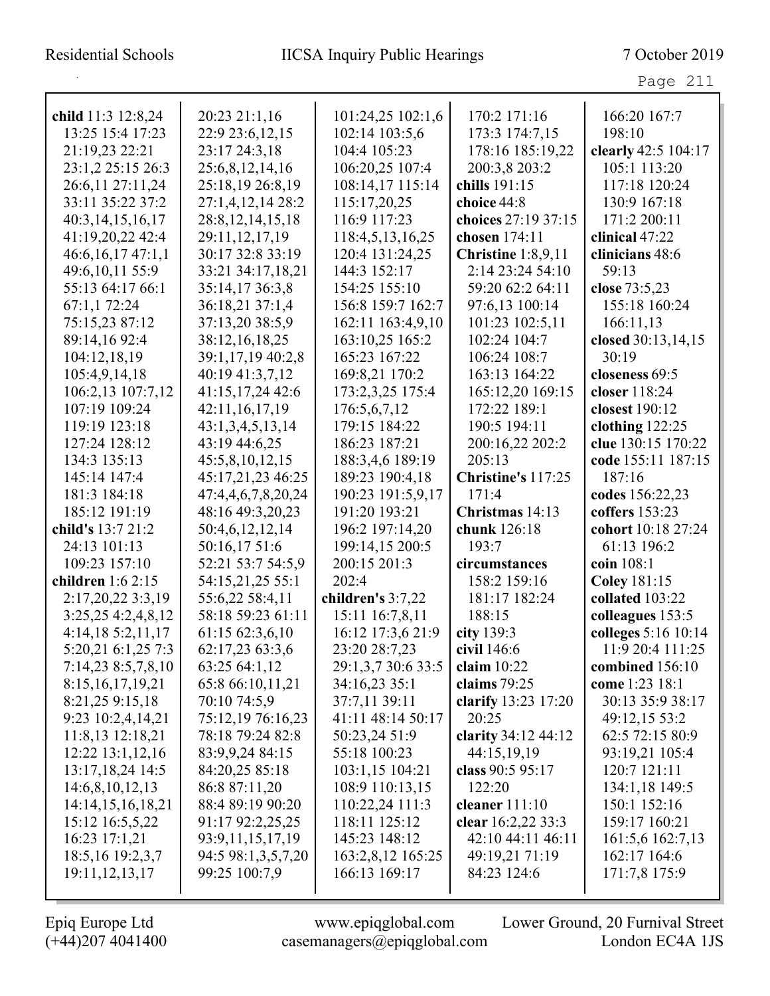| child 11:3 12:8,24    | 20:23 21:1,16        | 101:24,25 102:1,6  | 170:2 171:16         | 166:20 167:7        |
|-----------------------|----------------------|--------------------|----------------------|---------------------|
| 13:25 15:4 17:23      | 22:9 23:6, 12, 15    | 102:14 103:5,6     | 173:3 174:7,15       | 198:10              |
| 21:19,23 22:21        | 23:17 24:3,18        | 104:4 105:23       | 178:16 185:19,22     | clearly 42:5 104:17 |
| 23:1,2 25:15 26:3     | 25:6,8,12,14,16      | 106:20,25 107:4    | 200:3,8 203:2        | 105:1 113:20        |
| 26:6,11 27:11,24      | 25:18,19 26:8,19     | 108:14,17 115:14   | chills 191:15        | 117:18 120:24       |
| 33:11 35:22 37:2      | 27:1,4,12,14 28:2    | 115:17,20,25       | choice 44:8          | 130:9 167:18        |
| 40:3,14,15,16,17      | 28:8, 12, 14, 15, 18 | 116:9 117:23       | choices 27:19 37:15  | 171:2 200:11        |
| 41:19,20,22 42:4      | 29:11,12,17,19       | 118:4,5,13,16,25   | chosen 174:11        | clinical 47:22      |
| 46:6,16,1747:1,1      | 30:17 32:8 33:19     | 120:4 131:24,25    | Christine $1:8,9,11$ | clinicians 48:6     |
| 49:6,10,11 55:9       | 33:21 34:17,18,21    | 144:3 152:17       | 2:14 23:24 54:10     | 59:13               |
| 55:13 64:17 66:1      | 35:14,1736:3,8       | 154:25 155:10      | 59:20 62:2 64:11     | close 73:5,23       |
| 67:1,172:24           | 36:18,21 37:1,4      | 156:8 159:7 162:7  | 97:6,13 100:14       | 155:18 160:24       |
| 75:15,23 87:12        | 37:13,20 38:5,9      | 162:11 163:4,9,10  | 101:23 102:5,11      | 166:11,13           |
| 89:14,16 92:4         | 38:12,16,18,25       | 163:10,25 165:2    | 102:24 104:7         | closed 30:13,14,15  |
| 104:12,18,19          | 39:1,17,19 40:2,8    | 165:23 167:22      | 106:24 108:7         | 30:19               |
| 105:4,9,14,18         | 40:19 41:3,7,12      | 169:8,21 170:2     | 163:13 164:22        | closeness 69:5      |
| 106:2,13 107:7,12     | 41:15,17,24 42:6     | 173:2,3,25 175:4   | 165:12,20 169:15     | closer 118:24       |
| 107:19 109:24         | 42:11,16,17,19       | 176:5,6,7,12       | 172:22 189:1         | closest 190:12      |
| 119:19 123:18         | 43:1,3,4,5,13,14     | 179:15 184:22      | 190:5 194:11         | clothing $122:25$   |
| 127:24 128:12         | 43:19 44:6,25        | 186:23 187:21      | 200:16,22 202:2      | clue 130:15 170:22  |
| 134:3 135:13          | 45:5,8,10,12,15      | 188:3,4,6 189:19   | 205:13               | code 155:11 187:15  |
| 145:14 147:4          | 45:17,21,23 46:25    | 189:23 190:4,18    | Christine's 117:25   | 187:16              |
| 181:3 184:18          | 47:4,4,6,7,8,20,24   | 190:23 191:5,9,17  | 171:4                | codes 156:22,23     |
| 185:12 191:19         | 48:16 49:3,20,23     | 191:20 193:21      | Christmas 14:13      | coffers 153:23      |
| child's 13:7 21:2     | 50:4,6,12,12,14      | 196:2 197:14,20    | chunk 126:18         | cohort 10:18 27:24  |
| 24:13 101:13          | 50:16,17 51:6        | 199:14,15 200:5    | 193:7                | 61:13 196:2         |
| 109:23 157:10         | 52:21 53:7 54:5,9    | 200:15 201:3       | circumstances        | coin 108:1          |
| children 1:6 2:15     | 54:15,21,25 55:1     | 202:4              | 158:2 159:16         | <b>Coley 181:15</b> |
| 2:17,20,22 3:3,19     | 55:6,22 58:4,11      | children's 3:7,22  | 181:17 182:24        | collated 103:22     |
| 3:25,25 4:2,4,8,12    | 58:18 59:23 61:11    | 15:11 16:7,8,11    | 188:15               | colleagues 153:5    |
| 4:14,185:2,11,17      | 61:15 62:3,6,10      | 16:12 17:3,6 21:9  | city $139:3$         | colleges 5:16 10:14 |
| 5:20,21 6:1,25 7:3    | 62:17,23 63:3,6      | 23:20 28:7,23      | civil 146:6          | 11:9 20:4 111:25    |
| 7:14,23 8:5,7,8,10    | 63:25 64:1,12        | 29:1,3,7 30:6 33:5 | claim $10:22$        | combined 156:10     |
| 8:15, 16, 17, 19, 21  | 65:8 66:10,11,21     | 34:16,23 35:1      | claims $79:25$       | come 1:23 18:1      |
| 8:21,25 9:15,18       | 70:10 74:5,9         | 37:7,11 39:11      | clarify 13:23 17:20  | 30:13 35:9 38:17    |
| 9:23 10:2,4,14,21     | 75:12,19 76:16,23    | 41:11 48:14 50:17  | 20:25                | 49:12,15 53:2       |
| 11:8,13 12:18,21      | 78:18 79:24 82:8     | 50:23,24 51:9      | clarity 34:12 44:12  | 62:5 72:15 80:9     |
| 12:22 13:1,12,16      | 83:9,9,24 84:15      | 55:18 100:23       | 44:15,19,19          | 93:19,21 105:4      |
| 13:17,18,24 14:5      | 84:20,25 85:18       | 103:1,15 104:21    | class 90:5 95:17     | 120:7 121:11        |
| 14:6,8,10,12,13       | 86:8 87:11,20        | 108:9 110:13,15    | 122:20               | 134:1,18 149:5      |
| 14:14, 15, 16, 18, 21 | 88:4 89:19 90:20     | 110:22,24 111:3    | cleaner $111:10$     | 150:1 152:16        |
| 15:12 16:5,5,22       | 91:17 92:2,25,25     | 118:11 125:12      | clear 16:2,22 33:3   | 159:17 160:21       |
| 16:23 17:1,21         | 93:9,11,15,17,19     | 145:23 148:12      | 42:10 44:11 46:11    | 161:5,6 162:7,13    |
| 18:5, 16 19:2, 3, 7   | 94:5 98:1,3,5,7,20   | 163:2,8,12 165:25  | 49:19,21 71:19       | 162:17 164:6        |
| 19:11, 12, 13, 17     | 99:25 100:7,9        | 166:13 169:17      | 84:23 124:6          | 171:7,8 175:9       |
|                       |                      |                    |                      |                     |

 $\mathbf{I}$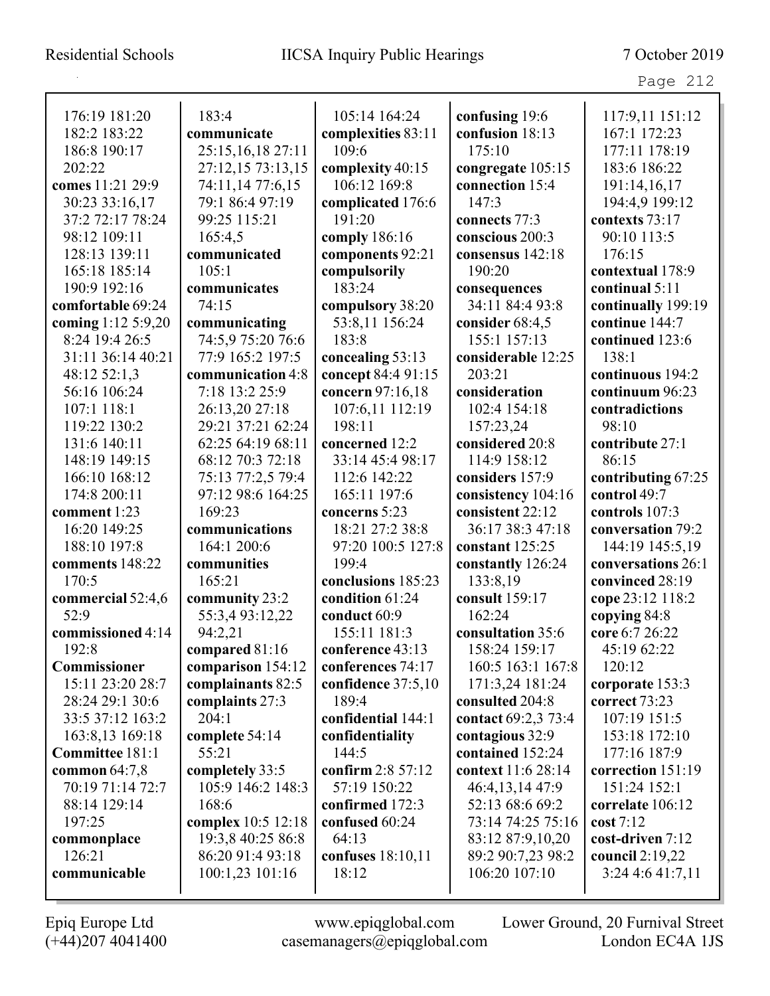| 176:19 181:20      | 183:4              | 105:14 164:24      | confusing 19:6      | 117:9,11 151:12    |
|--------------------|--------------------|--------------------|---------------------|--------------------|
| 182:2 183:22       | communicate        | complexities 83:11 | confusion 18:13     | 167:1 172:23       |
| 186:8 190:17       | 25:15,16,18 27:11  | 109:6              | 175:10              | 177:11 178:19      |
| 202:22             | 27:12,15 73:13,15  | complexity 40:15   | congregate 105:15   | 183:6 186:22       |
| comes 11:21 29:9   | 74:11,14 77:6,15   | 106:12 169:8       | connection 15:4     | 191:14,16,17       |
| 30:23 33:16,17     | 79:1 86:4 97:19    | complicated 176:6  | 147:3               | 194:4,9 199:12     |
| 37:2 72:17 78:24   | 99:25 115:21       | 191:20             | connects 77:3       | contexts 73:17     |
| 98:12 109:11       | 165:4,5            | comply 186:16      | conscious 200:3     | 90:10 113:5        |
| 128:13 139:11      | communicated       | components 92:21   | consensus 142:18    | 176:15             |
| 165:18 185:14      | 105:1              | compulsorily       | 190:20              | contextual 178:9   |
| 190:9 192:16       | communicates       | 183:24             | consequences        | continual 5:11     |
| comfortable 69:24  | 74:15              | compulsory 38:20   | 34:11 84:4 93:8     | continually 199:19 |
| coming 1:12 5:9,20 | communicating      | 53:8,11 156:24     | consider $68:4,5$   | continue 144:7     |
| 8:24 19:4 26:5     | 74:5,9 75:20 76:6  | 183:8              | 155:1 157:13        | continued 123:6    |
| 31:11 36:14 40:21  | 77:9 165:2 197:5   | concealing 53:13   | considerable 12:25  | 138:1              |
| 48:12 52:1,3       | communication 4:8  | concept 84:4 91:15 | 203:21              | continuous 194:2   |
| 56:16 106:24       | 7:18 13:2 25:9     | concern 97:16,18   | consideration       | continuum 96:23    |
| 107:1 118:1        | 26:13,20 27:18     | 107:6,11 112:19    | 102:4 154:18        | contradictions     |
| 119:22 130:2       | 29:21 37:21 62:24  | 198:11             | 157:23,24           | 98:10              |
| 131:6 140:11       | 62:25 64:19 68:11  | concerned 12:2     | considered 20:8     | contribute 27:1    |
| 148:19 149:15      | 68:12 70:3 72:18   | 33:14 45:4 98:17   | 114:9 158:12        | 86:15              |
| 166:10 168:12      | 75:13 77:2,5 79:4  | 112:6 142:22       | considers 157:9     | contributing 67:25 |
| 174:8 200:11       | 97:12 98:6 164:25  | 165:11 197:6       | consistency 104:16  | control 49:7       |
| comment 1:23       | 169:23             | concerns 5:23      | consistent 22:12    | controls 107:3     |
| 16:20 149:25       | communications     | 18:21 27:2 38:8    | 36:17 38:3 47:18    | conversation 79:2  |
| 188:10 197:8       | 164:1 200:6        | 97:20 100:5 127:8  | constant 125:25     | 144:19 145:5,19    |
| comments 148:22    | communities        | 199:4              | constantly 126:24   | conversations 26:1 |
| 170:5              | 165:21             | conclusions 185:23 | 133:8,19            | convinced 28:19    |
| commercial 52:4,6  | community 23:2     | condition 61:24    | consult 159:17      | cope 23:12 118:2   |
| 52:9               | 55:3,493:12,22     | conduct 60:9       | 162:24              | copying 84:8       |
| commissioned 4:14  | 94:2,21            | 155:11 181:3       | consultation 35:6   | core 6:7 26:22     |
| 192:8              | compared 81:16     | conference 43:13   | 158:24 159:17       | 45:19 62:22        |
| Commissioner       | comparison 154:12  | conferences 74:17  | 160:5 163:1 167:8   | 120:12             |
| 15:11 23:20 28:7   | complainants 82:5  | confidence 37:5,10 | 171:3,24 181:24     | corporate 153:3    |
| 28:24 29:1 30:6    | complaints 27:3    | 189:4              | consulted 204:8     | correct 73:23      |
| 33:5 37:12 163:2   | 204:1              | confidential 144:1 | contact 69:2,3 73:4 | 107:19 151:5       |
| 163:8,13 169:18    | complete 54:14     | confidentiality    | contagious 32:9     | 153:18 172:10      |
| Committee 181:1    | 55:21              | 144:5              | contained 152:24    | 177:16 187:9       |
| common $64:7,8$    | completely 33:5    | confirm 2:8 57:12  | context 11:6 28:14  | correction 151:19  |
| 70:19 71:14 72:7   | 105:9 146:2 148:3  | 57:19 150:22       | 46:4,13,14 47:9     | 151:24 152:1       |
| 88:14 129:14       | 168:6              | confirmed 172:3    | 52:13 68:6 69:2     | correlate 106:12   |
| 197:25             | complex 10:5 12:18 | confused 60:24     | 73:14 74:25 75:16   | cost 7:12          |
| commonplace        | 19:3,8 40:25 86:8  | 64:13              | 83:12 87:9,10,20    | cost-driven 7:12   |
| 126:21             | 86:20 91:4 93:18   | confuses 18:10,11  | 89:2 90:7,23 98:2   | council 2:19,22    |
| communicable       | 100:1,23 101:16    | 18:12              | 106:20 107:10       | 3:24 4:6 41:7,11   |
|                    |                    |                    |                     |                    |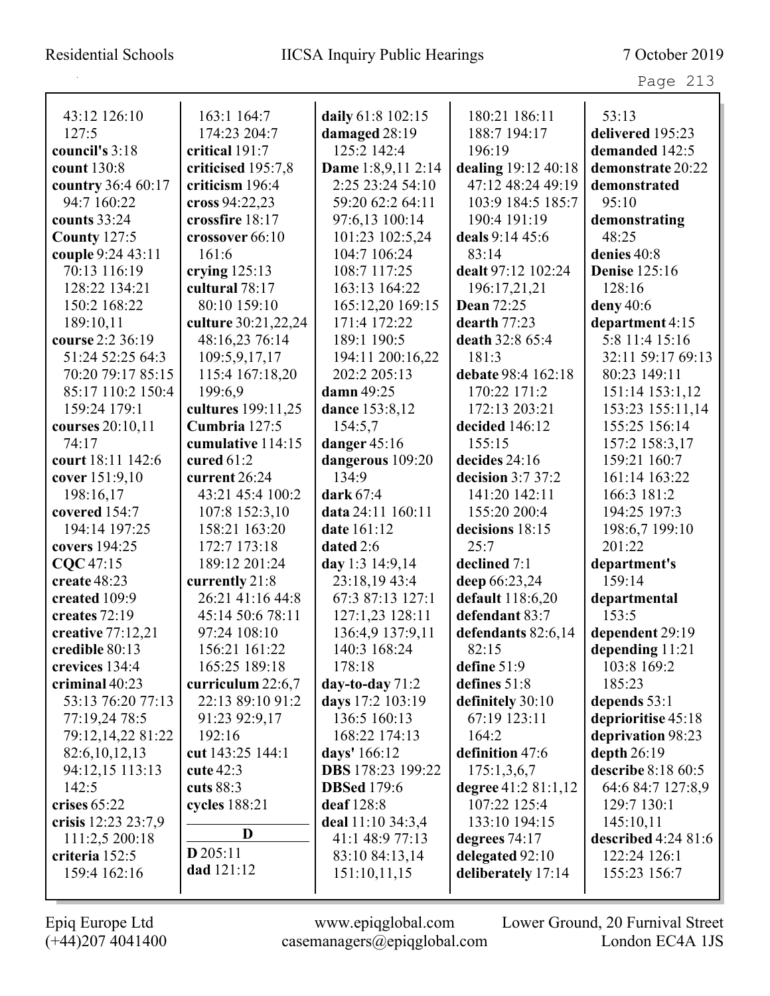| 43:12 126:10        | 163:1 164:7         | daily 61:8 102:15        | 180:21 186:11        | 53:13                |
|---------------------|---------------------|--------------------------|----------------------|----------------------|
| 127:5               | 174:23 204:7        | damaged 28:19            | 188:7 194:17         | delivered 195:23     |
| council's 3:18      | critical 191:7      | 125:2 142:4              | 196:19               | demanded 142:5       |
| count 130:8         | criticised 195:7,8  | Dame 1:8,9,11 2:14       | dealing 19:12 40:18  | demonstrate 20:22    |
| country 36:4 60:17  | criticism 196:4     | 2:25 23:24 54:10         | 47:12 48:24 49:19    | demonstrated         |
| 94:7 160:22         | cross 94:22,23      | 59:20 62:2 64:11         | 103:9 184:5 185:7    | 95:10                |
| counts 33:24        | crossfire 18:17     | 97:6,13 100:14           | 190:4 191:19         | demonstrating        |
| <b>County 127:5</b> | crossover 66:10     | 101:23 102:5.24          | deals 9:14 45:6      | 48:25                |
| couple 9:24 43:11   | 161:6               | 104:7 106:24             | 83:14                | denies 40:8          |
| 70:13 116:19        | crying $125:13$     | 108:7 117:25             | dealt 97:12 102:24   | <b>Denise</b> 125:16 |
| 128:22 134:21       | cultural 78:17      | 163:13 164:22            | 196:17,21,21         | 128:16               |
| 150:2 168:22        | 80:10 159:10        | 165:12,20 169:15         | <b>Dean 72:25</b>    | deny 40:6            |
| 189:10,11           | culture 30:21,22,24 | 171:4 172:22             | dearth $77:23$       | department 4:15      |
| course 2:2 36:19    | 48:16,23 76:14      | 189:1 190:5              | death 32:8 65:4      | 5:8 11:4 15:16       |
| 51:24 52:25 64:3    | 109:5,9,17,17       | 194:11 200:16,22         | 181:3                | 32:11 59:17 69:13    |
| 70:20 79:17 85:15   | 115:4 167:18,20     | 202:2 205:13             | debate 98:4 162:18   | 80:23 149:11         |
| 85:17 110:2 150:4   | 199:6,9             | damn 49:25               | 170:22 171:2         | 151:14 153:1,12      |
| 159:24 179:1        | cultures 199:11,25  | dance 153:8,12           | 172:13 203:21        | 153:23 155:11,14     |
| courses 20:10,11    | Cumbria 127:5       | 154:5,7                  | decided 146:12       | 155:25 156:14        |
| 74:17               | cumulative 114:15   | danger 45:16             | 155:15               | 157:2 158:3,17       |
| court 18:11 142:6   | cured $61:2$        | dangerous 109:20         | decides 24:16        | 159:21 160:7         |
| cover 151:9,10      | current 26:24       | 134:9                    | decision $3:737:2$   | 161:14 163:22        |
| 198:16,17           | 43:21 45:4 100:2    | dark 67:4                | 141:20 142:11        | 166:3 181:2          |
| covered 154:7       | 107:8 152:3,10      | data 24:11 160:11        | 155:20 200:4         | 194:25 197:3         |
| 194:14 197:25       | 158:21 163:20       | date 161:12              | decisions 18:15      | 198:6,7 199:10       |
| covers 194:25       | 172:7 173:18        | dated 2:6                | 25:7                 | 201:22               |
| CQC 47:15           | 189:12 201:24       | day 1:3 14:9,14          | declined 7:1         | department's         |
| create 48:23        | currently 21:8      | 23:18,19 43:4            | deep 66:23,24        | 159:14               |
| created 109:9       | 26:21 41:16 44:8    | 67:3 87:13 127:1         | default 118:6,20     | departmental         |
| creates 72:19       | 45:14 50:6 78:11    | 127:1,23 128:11          | defendant 83:7       | 153:5                |
| creative $77:12,21$ | 97:24 108:10        | 136:4,9 137:9,11         | defendants 82:6,14   | dependent 29:19      |
| credible 80:13      | 156:21 161:22       | 140:3 168:24             | 82:15                | depending 11:21      |
| crevices 134:4      | 165:25 189:18       | 178:18                   | define $51:9$        | 103:8 169:2          |
| criminal $40:23$    | curriculum 22:6,7   | day-to-day $71:2$        | defines 51:8         | 185:23               |
| 53:13 76:20 77:13   | 22:13 89:10 91:2    | days 17:2 103:19         | definitely 30:10     | depends 53:1         |
| 77:19,24 78:5       | 91:23 92:9,17       | 136:5 160:13             | 67:19 123:11         | deprioritise 45:18   |
| 79:12,14,22 81:22   | 192:16              | 168:22 174:13            | 164:2                | deprivation 98:23    |
| 82:6, 10, 12, 13    | cut 143:25 144:1    | days' 166:12             | definition 47:6      | depth $26:19$        |
| 94:12,15 113:13     | cute $42:3$         | <b>DBS</b> 178:23 199:22 | 175:1,3,6,7          | describe 8:18 60:5   |
| 142:5               | cuts 88:3           | <b>DBSed</b> 179:6       | degree $41:281:1,12$ | 64:6 84:7 127:8,9    |
| crises 65:22        | cycles 188:21       | deaf 128:8               | 107:22 125:4         | 129:7 130:1          |
| crisis 12:23 23:7,9 |                     | deal 11:10 34:3,4        | 133:10 194:15        | 145:10,11            |
| 111:2,5 200:18      | D                   | 41:1 48:9 77:13          | degrees $74:17$      | described $4:2481:6$ |
| criteria 152:5      | $D$ 205:11          | 83:10 84:13,14           | delegated 92:10      | 122:24 126:1         |
| 159:4 162:16        | dad 121:12          | 151:10,11,15             | deliberately 17:14   | 155:23 156:7         |
|                     |                     |                          |                      |                      |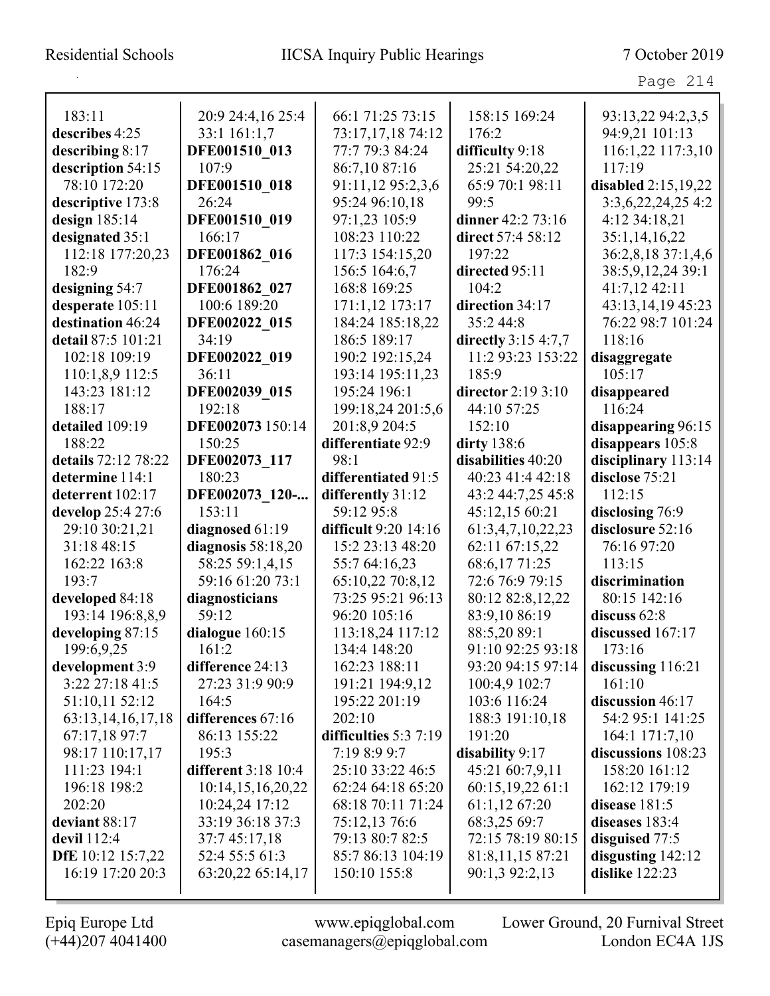# Residential Schools IICSA Inquiry Public Hearings 7 October 2019

|                               |                                         |                                           |                                     | Page 214                        |
|-------------------------------|-----------------------------------------|-------------------------------------------|-------------------------------------|---------------------------------|
| 183:11                        | 20:9 24:4,16 25:4                       | 66:1 71:25 73:15                          | 158:15 169:24                       | 93:13,22 94:2,3,5               |
| describes 4:25                | 33:1 161:1,7                            | 73:17,17,18 74:12                         | 176:2                               | 94:9,21 101:13                  |
| describing $8:17$             | DFE001510 013                           | 77:7 79:3 84:24                           | difficulty 9:18                     | 116:1,22 117:3,10               |
| description 54:15             | 107:9                                   | 86:7,10 87:16                             | 25:21 54:20,22                      | 117:19                          |
| 78:10 172:20                  | DFE001510 018                           | 91:11,12 95:2,3,6                         | 65:9 70:1 98:11                     | disabled $2:15,19,22$           |
| descriptive 173:8             | 26:24                                   | 95:24 96:10,18                            | 99:5                                | 3:3,6,22,24,25,4:2              |
| design $185:14$               | DFE001510 019                           | 97:1,23 105:9                             | dinner 42:2 73:16                   | 4:12 34:18,21                   |
| designated 35:1               | 166:17                                  | 108:23 110:22                             | direct 57:4 58:12                   | 35:1,14,16,22                   |
| 112:18 177:20,23              | DFE001862 016                           | 117:3 154:15,20                           | 197:22                              | 36:2,8,18 37:1,4,6              |
| 182:9                         | 176:24                                  | 156:5 164:6,7                             | directed 95:11                      | 38:5,9,12,24 39:1               |
| designing 54:7                | DFE001862 027                           | 168:8 169:25                              | 104:2                               | 41:7,12 42:11                   |
| desperate 105:11              | 100:6 189:20                            | 171:1,12 173:17                           | direction 34:17                     | 43:13,14,19 45:23               |
| destination 46:24             | DFE002022 015                           | 184:24 185:18,22                          | 35:2 44:8                           | 76:22 98:7 101:24               |
| detail 87:5 101:21            | 34:19                                   | 186:5 189:17                              | directly $3:154:7,7$                | 118:16                          |
| 102:18 109:19                 | DFE002022 019                           | 190:2 192:15,24                           | 11:2 93:23 153:22                   | disaggregate                    |
| 110:1,8,9 112:5               | 36:11                                   | 193:14 195:11,23                          | 185:9                               | 105:17                          |
| 143:23 181:12                 | DFE002039 015                           | 195:24 196:1                              | director 2:19 3:10                  | disappeared                     |
| 188:17                        | 192:18                                  | 199:18,24 201:5,6                         | 44:10 57:25                         | 116:24                          |
| detailed 109:19               | DFE002073 150:14                        | 201:8,9 204:5                             | 152:10                              | disappearing 96:15              |
| 188:22                        | 150:25                                  | differentiate 92:9                        | dirty 138:6                         | disappears 105:8                |
| details 72:12 78:22           | DFE002073 117                           | 98:1                                      | disabilities 40:20                  | disciplinary 113:14             |
| determine 114:1               | 180:23                                  | differentiated 91:5                       | 40:23 41:4 42:18                    | disclose 75:21                  |
| deterrent 102:17              | DFE002073 120-                          | differently 31:12                         | 43:2 44:7,25 45:8                   | 112:15                          |
| develop 25:4 27:6             | 153:11                                  | 59:12 95:8<br><b>difficult</b> 9:20 14:16 | 45:12,15 60:21                      | disclosing 76:9                 |
| 29:10 30:21,21<br>31:18 48:15 | diagnosed 61:19<br>diagnosis $58:18,20$ | 15:2 23:13 48:20                          | 61:3,4,7,10,22,23<br>62:11 67:15,22 | disclosure 52:16<br>76:16 97:20 |
| 162:22 163:8                  | 58:25 59:1,4,15                         | 55:7 64:16,23                             | 68:6,17 71:25                       | 113:15                          |
| 193:7                         | 59:16 61:20 73:1                        | 65:10,22 70:8,12                          | 72:6 76:9 79:15                     | discrimination                  |
| developed 84:18               | diagnosticians                          | 73:25 95:21 96:13                         | 80:12 82:8,12,22                    | 80:15 142:16                    |
| 193:14 196:8,8,9              | 59:12                                   | 96:20 105:16                              | 83:9,10 86:19                       | discuss $62:8$                  |
| developing 87:15              | dialogue 160:15                         | 113:18,24 117:12                          | 88:5,20 89:1                        | discussed $167:17$              |
| 199:6,9,25                    | 161:2                                   | 134:4 148:20                              | 91:10 92:25 93:18                   | 173:16                          |
| development 3:9               | difference 24:13                        | 162:23 188:11                             | 93:20 94:15 97:14                   | discussing 116:21               |
| 3:22 27:18 41:5               | 27:23 31:9 90:9                         | 191:21 194:9,12                           | 100:4,9 102:7                       | 161:10                          |
| 51:10,11 52:12                | 164:5                                   | 195:22 201:19                             | 103:6 116:24                        | discussion 46:17                |
| 63:13, 14, 16, 17, 18         | differences 67:16                       | 202:10                                    | 188:3 191:10,18                     | 54:2 95:1 141:25                |
| 67:17,18 97:7                 | 86:13 155:22                            | difficulties 5:3 7:19                     | 191:20                              | 164:1 171:7,10                  |
| 98:17 110:17,17               | 195:3                                   | 7:19 8:9 9:7                              | disability 9:17                     | discussions 108:23              |
| 111:23 194:1                  | <b>different</b> 3:18 10:4              | 25:10 33:22 46:5                          | 45:21 60:7,9,11                     | 158:20 161:12                   |
| 196:18 198:2                  | 10:14,15,16,20,22                       | 62:24 64:18 65:20                         | 60:15,19,22 61:1                    | 162:12 179:19                   |
| 202:20                        | 10:24,24 17:12                          | 68:18 70:11 71:24                         | 61:1,1267:20                        | disease 181:5                   |
| deviant 88:17                 | 33:19 36:18 37:3                        | 75:12,13 76:6                             | 68:3,25 69:7                        | diseases 183:4                  |
| devil $112:4$                 | 37:7 45:17,18                           | 79:13 80:7 82:5                           | 72:15 78:19 80:15                   | disguised 77:5                  |
| DfE 10:12 15:7,22             | 52:4 55:5 61:3                          | 85:7 86:13 104:19                         | 81:8,11,15 87:21                    | disgusting $142:12$             |
| 16:19 17:20 20:3              | 63:20,22 65:14,17                       | 150:10 155:8                              | 90:1,3 92:2,13                      | dislike $122:23$                |
|                               |                                         |                                           |                                     |                                 |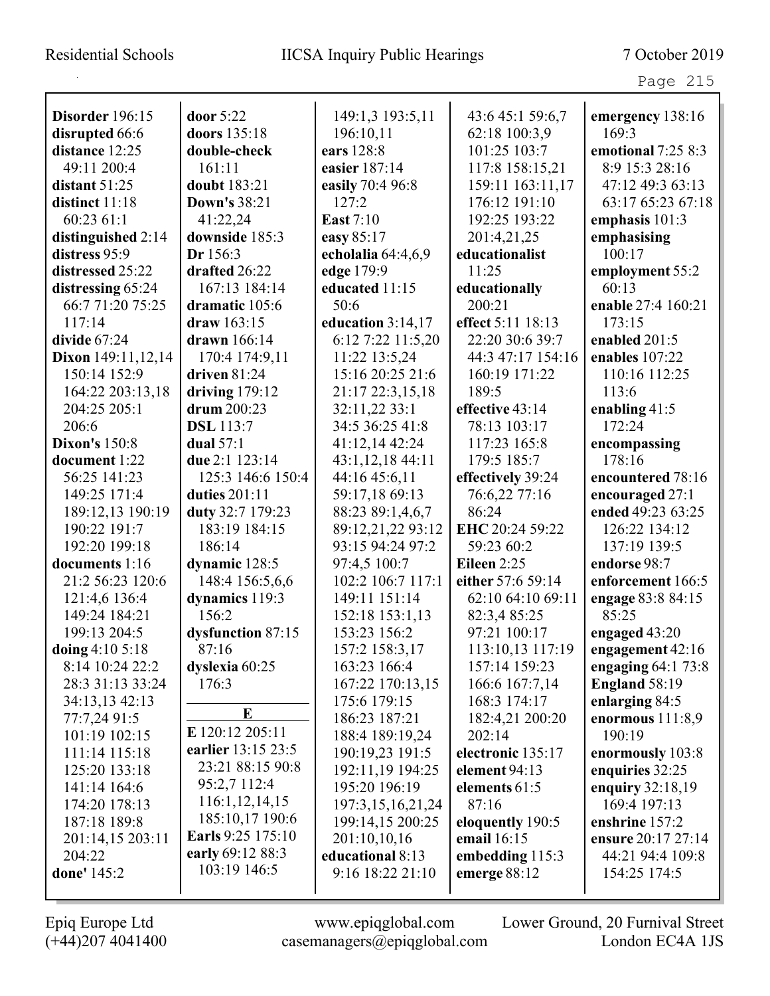|                           |                                  |                       |                   | Page 215            |
|---------------------------|----------------------------------|-----------------------|-------------------|---------------------|
| Disorder 196:15           | door 5:22                        | 149:1,3 193:5,11      | 43:6 45:1 59:6,7  | emergency 138:16    |
| disrupted 66:6            | doors 135:18                     | 196:10,11             | 62:18 100:3,9     | 169:3               |
| distance 12:25            | double-check                     | ears 128:8            | 101:25 103:7      | emotional 7:25 8:3  |
| 49:11 200:4               | 161:11                           | easier 187:14         | 117:8 158:15,21   | 8:9 15:3 28:16      |
| distant $51:25$           | doubt 183:21                     | easily 70:4 96:8      | 159:11 163:11,17  | 47:12 49:3 63:13    |
| distinct 11:18            | <b>Down's 38:21</b>              | 127:2                 | 176:12 191:10     | 63:17 65:23 67:18   |
| 60:23 61:1                | 41:22,24                         | <b>East</b> 7:10      | 192:25 193:22     | emphasis 101:3      |
| distinguished 2:14        | downside 185:3                   | easy 85:17            | 201:4,21,25       | emphasising         |
| distress 95:9             | Dr 156:3                         | echolalia 64:4,6,9    | educationalist    | 100:17              |
| distressed 25:22          | drafted 26:22                    | edge 179:9            | 11:25             | employment 55:2     |
| distressing 65:24         | 167:13 184:14                    | educated 11:15        | educationally     | 60:13               |
| 66:7 71:20 75:25          | dramatic 105:6                   | 50:6                  | 200:21            | enable 27:4 160:21  |
| 117:14                    | draw $163:15$                    | education $3:14,17$   | effect 5:11 18:13 | 173:15              |
| divide $67:24$            | drawn $166:14$                   | 6:12 7:22 11:5,20     | 22:20 30:6 39:7   | enabled $201:5$     |
| <b>Dixon</b> 149:11,12,14 | 170:4 174:9,11                   | 11:22 13:5,24         | 44:3 47:17 154:16 | enables 107:22      |
| 150:14 152:9              | driven $81:24$                   | 15:16 20:25 21:6      | 160:19 171:22     | 110:16 112:25       |
| 164:22 203:13,18          | driving $179:12$                 | 21:17 22:3,15,18      | 189:5             | 113:6               |
| 204:25 205:1              | drum 200:23                      | 32:11,22 33:1         | effective 43:14   | enabling $41:5$     |
| 206:6                     | <b>DSL</b> 113:7                 | 34:5 36:25 41:8       | 78:13 103:17      | 172:24              |
| <b>Dixon's 150:8</b>      | dual $57:1$                      | 41:12,14 42:24        | 117:23 165:8      | encompassing        |
| document 1:22             | due 2:1 123:14                   | 43:1,12,18 44:11      | 179:5 185:7       | 178:16              |
| 56:25 141:23              | 125:3 146:6 150:4                | 44:16 45:6,11         | effectively 39:24 | encountered 78:16   |
| 149:25 171:4              | duties 201:11                    | 59:17,18 69:13        | 76:6,22 77:16     | encouraged 27:1     |
| 189:12,13 190:19          | duty 32:7 179:23                 | 88:23 89:1,4,6,7      | 86:24             | ended 49:23 63:25   |
| 190:22 191:7              | 183:19 184:15                    | 89:12,21,22 93:12     | EHC 20:24 59:22   | 126:22 134:12       |
| 192:20 199:18             | 186:14                           | 93:15 94:24 97:2      | 59:23 60:2        | 137:19 139:5        |
| documents 1:16            | dynamic 128:5                    | 97:4,5 100:7          | Eileen $2:25$     | endorse 98:7        |
| 21:2 56:23 120:6          | 148:4 156:5,6,6                  | 102:2 106:7 117:1     | either 57:6 59:14 | enforcement 166:5   |
| 121:4,6 136:4             | dynamics 119:3                   | 149:11 151:14         | 62:10 64:10 69:11 | engage 83:8 84:15   |
| 149:24 184:21             | 156:2                            | 152:18 153:1,13       | 82:3,4 85:25      | 85:25               |
| 199:13 204:5              | dysfunction 87:15                | 153:23 156:2          | 97:21 100:17      | engaged 43:20       |
| doing 4:10 5:18           | 87:16                            | 157:2 158:3,17        | 113:10,13 117:19  | engagement 42:16    |
| 8:14 10:24 22:2           | dyslexia 60:25                   | 163:23 166:4          | 157:14 159:23     | engaging $64:173:8$ |
| 28:3 31:13 33:24          | 176:3                            | 167:22 170:13,15      | 166:6 167:7,14    | England 58:19       |
| 34:13,13 42:13            |                                  | 175:6 179:15          | 168:3 174:17      | enlarging 84:5      |
| 77:7,24 91:5              | E                                | 186:23 187:21         | 182:4,21 200:20   | enormous $111:8,9$  |
| 101:19 102:15             | E 120:12 205:11                  | 188:4 189:19,24       | 202:14            | 190:19              |
| 111:14 115:18             | earlier 13:15 23:5               | 190:19,23 191:5       | electronic 135:17 | enormously 103:8    |
| 125:20 133:18             | 23:21 88:15 90:8                 | 192:11,19 194:25      | element 94:13     | enquiries 32:25     |
| 141:14 164:6              | 95:2,7 112:4                     | 195:20 196:19         | elements 61:5     | enquiry $32:18,19$  |
| 174:20 178:13             | 116:1, 12, 14, 15                | 197:3, 15, 16, 21, 24 | 87:16             | 169:4 197:13        |
| 187:18 189:8              | 185:10,17 190:6                  | 199:14,15 200:25      | eloquently 190:5  | enshrine 157:2      |
| 201:14,15 203:11          | Earls 9:25 175:10                | 201:10,10,16          | email 16:15       | ensure 20:17 27:14  |
| 204:22                    | early 69:12 88:3<br>103:19 146:5 | educational 8:13      | embedding 115:3   | 44:21 94:4 109:8    |
| done' 145:2               |                                  | 9:16 18:22 21:10      | emerge 88:12      | 154:25 174:5        |
|                           |                                  |                       |                   |                     |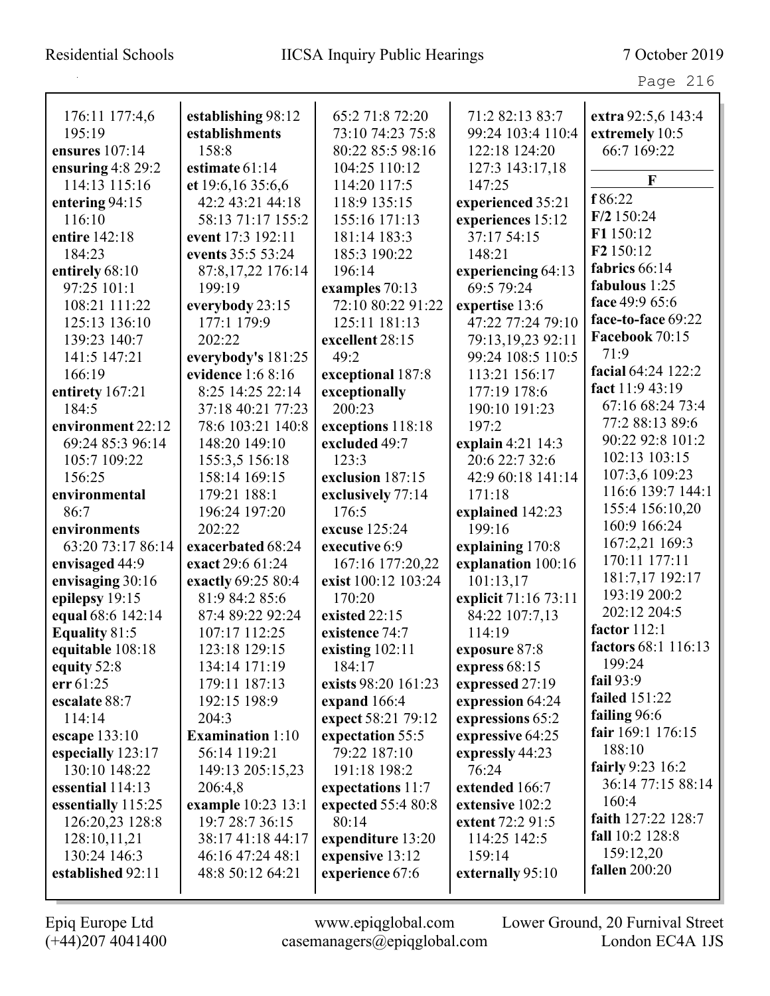| 176:11 177:4,6       | establishing 98:12      | 65:2 71:8 72:20     | 71:2 82:13 83:7      | extra 92:5,6 143:4    |
|----------------------|-------------------------|---------------------|----------------------|-----------------------|
| 195:19               | establishments          | 73:10 74:23 75:8    | 99:24 103:4 110:4    | extremely 10:5        |
| ensures $107:14$     | 158:8                   | 80:22 85:5 98:16    | 122:18 124:20        | 66:7 169:22           |
| ensuring $4:8$ 29:2  | estimate 61:14          | 104:25 110:12       | 127:3 143:17,18      | F                     |
| 114:13 115:16        | et 19:6,16 35:6,6       | 114:20 117:5        | 147:25               |                       |
| entering 94:15       | 42:2 43:21 44:18        | 118:9 135:15        | experienced 35:21    | f 86:22               |
| 116:10               | 58:13 71:17 155:2       | 155:16 171:13       | experiences 15:12    | $F/2$ 150:24          |
| entire 142:18        | event 17:3 192:11       | 181:14 183:3        | 37:17 54:15          | F1 150:12             |
| 184:23               | events 35:5 53:24       | 185:3 190:22        | 148:21               | F <sub>2</sub> 150:12 |
| entirely 68:10       | 87:8,17,22 176:14       | 196:14              | experiencing 64:13   | fabrics 66:14         |
| 97:25 101:1          | 199:19                  | examples 70:13      | 69:5 79:24           | fabulous 1:25         |
| 108:21 111:22        | everybody 23:15         | 72:10 80:22 91:22   | expertise 13:6       | face 49:9 65:6        |
| 125:13 136:10        | 177:1 179:9             | 125:11 181:13       | 47:22 77:24 79:10    | face-to-face 69:22    |
| 139:23 140:7         | 202:22                  | excellent 28:15     | 79:13,19,23 92:11    | Facebook 70:15        |
| 141:5 147:21         | everybody's 181:25      | 49:2                | 99:24 108:5 110:5    | 71:9                  |
| 166:19               | evidence 1:6 8:16       | exceptional 187:8   | 113:21 156:17        | facial 64:24 122:2    |
| entirety 167:21      | 8:25 14:25 22:14        | exceptionally       | 177:19 178:6         | fact 11:9 43:19       |
| 184:5                | 37:18 40:21 77:23       | 200:23              | 190:10 191:23        | 67:16 68:24 73:4      |
| environment 22:12    | 78:6 103:21 140:8       | exceptions 118:18   | 197:2                | 77:2 88:13 89:6       |
| 69:24 85:3 96:14     | 148:20 149:10           | excluded 49:7       | explain 4:21 14:3    | 90:22 92:8 101:2      |
| 105:7 109:22         | 155:3,5 156:18          | 123:3               | 20:6 22:7 32:6       | 102:13 103:15         |
| 156:25               | 158:14 169:15           | exclusion 187:15    | 42:9 60:18 141:14    | 107:3,6 109:23        |
| environmental        | 179:21 188:1            | exclusively 77:14   | 171:18               | 116:6 139:7 144:1     |
| 86:7                 | 196:24 197:20           | 176:5               | explained 142:23     | 155:4 156:10,20       |
| environments         | 202:22                  | excuse 125:24       | 199:16               | 160:9 166:24          |
| 63:20 73:17 86:14    | exacerbated 68:24       | executive 6:9       | explaining 170:8     | 167:2,21 169:3        |
| envisaged 44:9       | exact 29:6 61:24        | 167:16 177:20,22    | explanation 100:16   | 170:11 177:11         |
| envisaging 30:16     | exactly 69:25 80:4      | exist 100:12 103:24 | 101:13,17            | 181:7,17 192:17       |
| epilepsy 19:15       | 81:9 84:2 85:6          | 170:20              | explicit 71:16 73:11 | 193:19 200:2          |
| equal 68:6 142:14    | 87:4 89:22 92:24        | existed 22:15       | 84:22 107:7,13       | 202:12 204:5          |
| <b>Equality 81:5</b> | 107:17 112:25           | existence 74:7      | 114:19               | factor $112:1$        |
| equitable 108:18     | 123:18 129:15           | existing $102:11$   | exposure 87:8        | factors 68:1 116:13   |
| equity 52:8          | 134:14 171:19           | 184:17              | express 68:15        | 199:24                |
| err 61:25            | 179:11 187:13           | exists 98:20 161:23 | expressed 27:19      | fail $93:9$           |
| escalate 88:7        | 192:15 198:9            | expand 166:4        | expression 64:24     | <b>failed</b> 151:22  |
| 114:14               | 204:3                   | expect 58:21 79:12  | expressions 65:2     | failing $96:6$        |
| escape 133:10        | <b>Examination 1:10</b> | expectation 55:5    | expressive 64:25     | fair 169:1 176:15     |
| especially 123:17    | 56:14 119:21            | 79:22 187:10        | expressly 44:23      | 188:10                |
| 130:10 148:22        | 149:13 205:15,23        | 191:18 198:2        | 76:24                | fairly 9:23 16:2      |
| essential 114:13     | 206:4,8                 | expectations 11:7   | extended 166:7       | 36:14 77:15 88:14     |
| essentially 115:25   | example 10:23 13:1      | expected 55:4 80:8  | extensive 102:2      | 160:4                 |
| 126:20,23 128:8      | 19:7 28:7 36:15         | 80:14               | extent 72:2 91:5     | faith 127:22 128:7    |
| 128:10,11,21         | 38:17 41:18 44:17       | expenditure 13:20   | 114:25 142:5         | fall 10:2 128:8       |
| 130:24 146:3         | 46:16 47:24 48:1        | expensive 13:12     | 159:14               | 159:12,20             |
| established 92:11    | 48:8 50:12 64:21        | experience 67:6     | externally 95:10     | <b>fallen</b> 200:20  |
|                      |                         |                     |                      |                       |
|                      |                         |                     |                      |                       |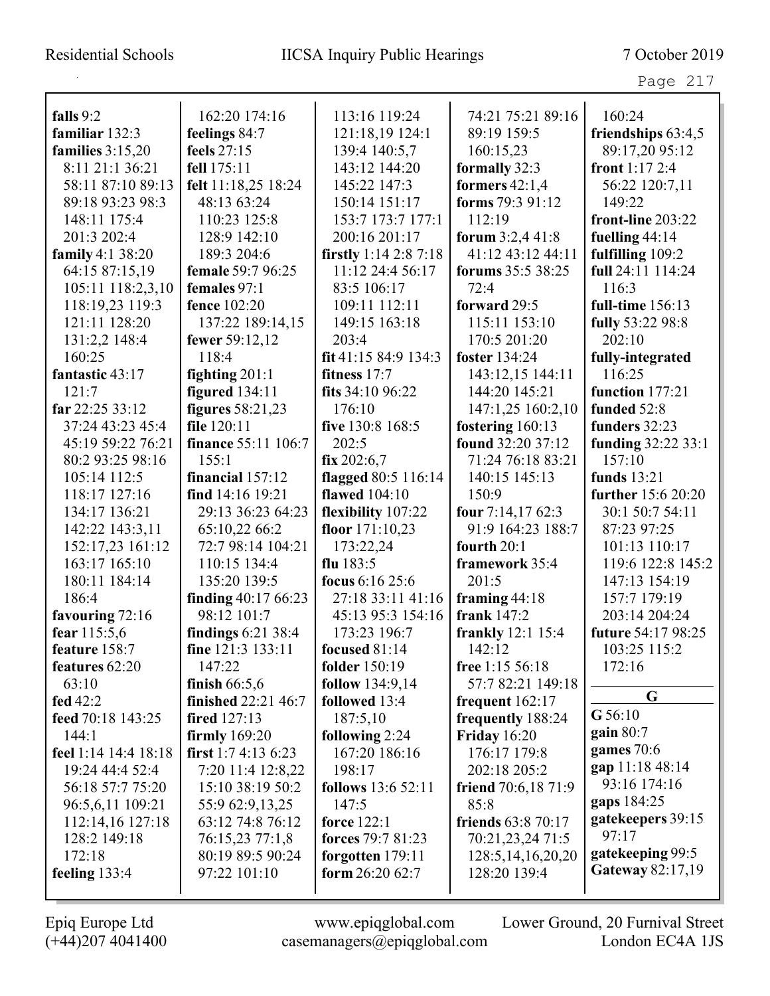|--|--|

| falls 9:2            |                              |                                | 74:21 75:21 89:16         | 160:24                               |
|----------------------|------------------------------|--------------------------------|---------------------------|--------------------------------------|
| familiar 132:3       | 162:20 174:16                | 113:16 119:24                  |                           |                                      |
|                      | feelings 84:7<br>feels 27:15 | 121:18,19 124:1                | 89:19 159:5               | friendships 63:4,5<br>89:17,20 95:12 |
| families $3:15,20$   | fell 175:11                  | 139:4 140:5,7<br>143:12 144:20 | 160:15,23                 | front $1:172:4$                      |
| 8:11 21:1 36:21      |                              |                                | formally 32:3             |                                      |
| 58:11 87:10 89:13    | felt 11:18,25 18:24          | 145:22 147:3                   | formers $42:1,4$          | 56:22 120:7,11                       |
| 89:18 93:23 98:3     | 48:13 63:24                  | 150:14 151:17                  | forms 79:3 91:12          | 149:22                               |
| 148:11 175:4         | 110:23 125:8                 | 153:7 173:7 177:1              | 112:19                    | front-line 203:22                    |
| 201:3 202:4          | 128:9 142:10                 | 200:16 201:17                  | forum $3:2,441:8$         | fuelling $44:14$                     |
| family 4:1 38:20     | 189:3 204:6                  | firstly 1:14 2:8 7:18          | 41:12 43:12 44:11         | fulfilling 109:2                     |
| 64:15 87:15,19       | female 59:7 96:25            | 11:12 24:4 56:17               | forums 35:5 38:25         | full 24:11 114:24                    |
| 105:11 118:2,3,10    | females 97:1                 | 83:5 106:17                    | 72:4                      | 116:3                                |
| 118:19,23 119:3      | <b>fence</b> 102:20          | 109:11 112:11                  | forward 29:5              | full-time 156:13                     |
| 121:11 128:20        | 137:22 189:14,15             | 149:15 163:18                  | 115:11 153:10             | fully 53:22 98:8                     |
| 131:2,2 148:4        | fewer 59:12,12               | 203:4                          | 170:5 201:20              | 202:10                               |
| 160:25               | 118:4                        | fit 41:15 84:9 134:3           | foster 134:24             | fully-integrated                     |
| fantastic 43:17      | fighting $201:1$             | fitness 17:7                   | 143:12,15 144:11          | 116:25                               |
| 121:7                | figured $134:11$             | fits $34:1096:22$              | 144:20 145:21             | function 177:21                      |
| far 22:25 33:12      | <b>figures</b> 58:21,23      | 176:10                         | 147:1,25 160:2,10         | funded 52:8                          |
| 37:24 43:23 45:4     | file 120:11                  | five 130:8 168:5               | fostering 160:13          | funders 32:23                        |
| 45:19 59:22 76:21    | finance 55:11 106:7          | 202:5                          | found 32:20 37:12         | funding 32:22 33:1                   |
| 80:2 93:25 98:16     | 155:1                        | fix 202:6,7                    | 71:24 76:18 83:21         | 157:10                               |
| 105:14 112:5         | financial $157:12$           | flagged 80:5 116:14            | 140:15 145:13             | funds 13:21                          |
| 118:17 127:16        | find 14:16 19:21             | <b>flawed</b> 104:10           | 150:9                     | further 15:6 20:20                   |
| 134:17 136:21        | 29:13 36:23 64:23            | flexibility 107:22             | four 7:14,17 62:3         | 30:1 50:7 54:11                      |
| 142:22 143:3,11      | 65:10,22 66:2                | floor $171:10,23$              | 91:9 164:23 188:7         | 87:23 97:25                          |
| 152:17,23 161:12     | 72:7 98:14 104:21            | 173:22,24                      | fourth $20:1$             | 101:13 110:17                        |
| 163:17 165:10        | 110:15 134:4                 | flu 183:5                      | framework 35:4            | 119:6 122:8 145:2                    |
| 180:11 184:14        | 135:20 139:5                 | focus 6:16 25:6                | 201:5                     | 147:13 154:19                        |
| 186:4                | finding 40:17 66:23          | 27:18 33:11 41:16              | framing $44:18$           | 157:7 179:19                         |
| favouring 72:16      | 98:12 101:7                  | 45:13 95:3 154:16              | frank 147:2               | 203:14 204:24                        |
| fear 115:5,6         | findings $6:21$ 38:4         | 173:23 196:7                   | <b>frankly</b> 12:1 15:4  | future 54:17 98:25                   |
| feature 158:7        | fine 121:3 133:11            | focused $81:14$                | 142:12                    | 103:25 115:2                         |
| features 62:20       | 147:22                       | folder 150:19                  | free 1:15 56:18           | 172:16                               |
| 63:10                | finish $66:5,6$              | <b>follow</b> 134:9,14         | 57:7 82:21 149:18         |                                      |
| fed 42:2             | finished 22:21 46:7          | followed 13:4                  | frequent 162:17           | G                                    |
| feed 70:18 143:25    | <b>fired</b> 127:13          | 187:5,10                       | frequently 188:24         | G 56:10                              |
| 144:1                | firmly $169:20$              | following 2:24                 | <b>Friday</b> 16:20       | gain $80:7$                          |
| feel 1:14 14:4 18:18 | first 1:7 4:13 6:23          | 167:20 186:16                  | 176:17 179:8              | games $70:6$                         |
| 19:24 44:4 52:4      | 7:20 11:4 12:8,22            | 198:17                         | 202:18 205:2              | gap 11:18 48:14                      |
| 56:18 57:7 75:20     | 15:10 38:19 50:2             | follows 13:6 52:11             | friend $70:6,1871:9$      | 93:16 174:16                         |
| 96:5,6,11 109:21     | 55:9 62:9,13,25              | 147:5                          | 85:8                      | gaps 184:25                          |
| 112:14,16 127:18     | 63:12 74:8 76:12             | force 122:1                    | <b>friends</b> 63:8 70:17 | gatekeepers 39:15                    |
| 128:2 149:18         | 76:15,23 77:1,8              | forces 79:7 81:23              | 70:21,23,24 71:5          | 97:17                                |
| 172:18               | 80:19 89:5 90:24             | forgotten 179:11               | 128:5, 14, 16, 20, 20     | gatekeeping 99:5                     |
| feeling 133:4        | 97:22 101:10                 | form $26:2062:7$               | 128:20 139:4              | Gateway 82:17,19                     |
|                      |                              |                                |                           |                                      |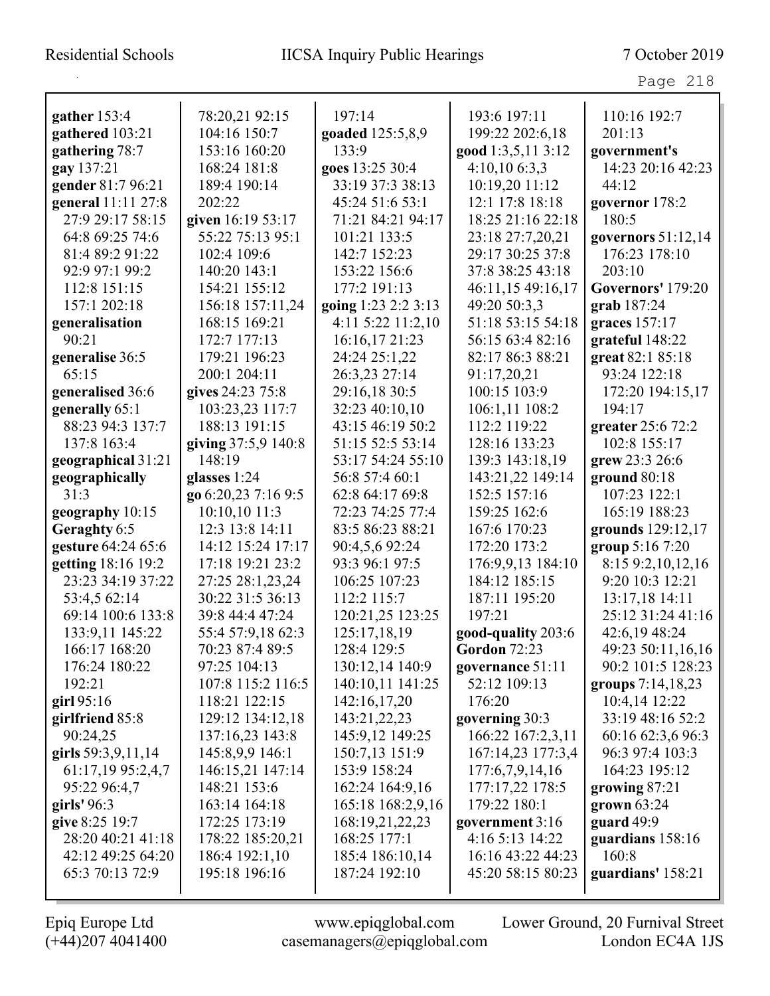| gather 153:4       | 78:20,21 92:15      | 197:14              | 193:6 197:11        | 110:16 192:7       |
|--------------------|---------------------|---------------------|---------------------|--------------------|
| gathered 103:21    | 104:16 150:7        | goaded 125:5,8,9    | 199:22 202:6,18     | 201:13             |
| gathering 78:7     | 153:16 160:20       | 133:9               | good 1:3,5,11 3:12  | government's       |
| gay 137:21         | 168:24 181:8        | goes 13:25 30:4     | 4:10,106:3,3        | 14:23 20:16 42:23  |
| gender 81:7 96:21  | 189:4 190:14        | 33:19 37:3 38:13    | 10:19,20 11:12      | 44:12              |
| general 11:11 27:8 | 202:22              | 45:24 51:6 53:1     | 12:1 17:8 18:18     | governor 178:2     |
| 27:9 29:17 58:15   | given 16:19 53:17   | 71:21 84:21 94:17   | 18:25 21:16 22:18   | 180:5              |
| 64:8 69:25 74:6    | 55:22 75:13 95:1    | 101:21 133:5        | 23:18 27:7,20,21    | governors 51:12,14 |
| 81:4 89:2 91:22    | 102:4 109:6         | 142:7 152:23        | 29:17 30:25 37:8    | 176:23 178:10      |
| 92:9 97:1 99:2     | 140:20 143:1        | 153:22 156:6        | 37:8 38:25 43:18    | 203:10             |
| 112:8 151:15       | 154:21 155:12       | 177:2 191:13        | 46:11,15 49:16,17   | Governors' 179:20  |
| 157:1 202:18       | 156:18 157:11,24    | going 1:23 2:2 3:13 | 49:20 50:3,3        | grab 187:24        |
| generalisation     | 168:15 169:21       | 4:11 5:22 11:2,10   | 51:18 53:15 54:18   | graces 157:17      |
| 90:21              | 172:7 177:13        | 16:16,17 21:23      | 56:15 63:4 82:16    | grateful 148:22    |
| generalise 36:5    | 179:21 196:23       | 24:24 25:1,22       | 82:17 86:3 88:21    | great 82:1 85:18   |
| 65:15              | 200:1 204:11        | 26:3,23 27:14       | 91:17,20,21         | 93:24 122:18       |
| generalised 36:6   | gives 24:23 75:8    | 29:16,18 30:5       | 100:15 103:9        | 172:20 194:15,17   |
| generally 65:1     | 103:23,23 117:7     | 32:23 40:10,10      | 106:1,11 108:2      | 194:17             |
| 88:23 94:3 137:7   | 188:13 191:15       | 43:15 46:19 50:2    | 112:2 119:22        | greater 25:6 72:2  |
| 137:8 163:4        | giving 37:5,9 140:8 | 51:15 52:5 53:14    | 128:16 133:23       | 102:8 155:17       |
| geographical 31:21 | 148:19              | 53:17 54:24 55:10   | 139:3 143:18,19     | grew 23:3 26:6     |
| geographically     | glasses 1:24        | 56:8 57:4 60:1      | 143:21,22 149:14    | ground 80:18       |
| 31:3               | go 6:20,23 7:16 9:5 | 62:8 64:17 69:8     | 152:5 157:16        | 107:23 122:1       |
| geography 10:15    | 10:10,10 11:3       | 72:23 74:25 77:4    | 159:25 162:6        | 165:19 188:23      |
| Geraghty 6:5       | 12:3 13:8 14:11     | 83:5 86:23 88:21    | 167:6 170:23        | grounds 129:12,17  |
| gesture 64:24 65:6 | 14:12 15:24 17:17   | 90:4,5,6 92:24      | 172:20 173:2        | group 5:16 7:20    |
| getting 18:16 19:2 | 17:18 19:21 23:2    | 93:3 96:1 97:5      | 176:9,9,13 184:10   | 8:15 9:2,10,12,16  |
| 23:23 34:19 37:22  | 27:25 28:1,23,24    | 106:25 107:23       | 184:12 185:15       | 9:20 10:3 12:21    |
| 53:4,5 62:14       | 30:22 31:5 36:13    | 112:2 115:7         | 187:11 195:20       | 13:17,18 14:11     |
| 69:14 100:6 133:8  | 39:8 44:4 47:24     | 120:21,25 123:25    | 197:21              | 25:12 31:24 41:16  |
| 133:9,11 145:22    | 55:4 57:9,18 62:3   | 125:17,18,19        | good-quality 203:6  | 42:6,19 48:24      |
| 166:17 168:20      | 70:23 87:4 89:5     | 128:4 129:5         | <b>Gordon 72:23</b> | 49:23 50:11,16,16  |
| 176:24 180:22      | 97:25 104:13        | 130:12,14 140:9     | governance 51:11    | 90:2 101:5 128:23  |
| 192:21             | 107:8 115:2 116:5   | 140:10,11 141:25    | 52:12 109:13        | groups 7:14,18,23  |
| girl $95:16$       | 118:21 122:15       | 142:16,17,20        | 176:20              | 10:4,14 12:22      |
| girlfriend 85:8    | 129:12 134:12,18    | 143:21,22,23        | governing 30:3      | 33:19 48:16 52:2   |
| 90:24,25           | 137:16,23 143:8     | 145:9,12 149:25     | 166:22 167:2,3,11   | 60:16 62:3,6 96:3  |
| girls 59:3,9,11,14 | 145:8,9,9 146:1     | 150:7,13 151:9      | 167:14,23 177:3,4   | 96:3 97:4 103:3    |
| 61:17,19 95:2,4,7  | 146:15,21 147:14    | 153:9 158:24        | 177:6,7,9,14,16     | 164:23 195:12      |
| 95:22 96:4,7       | 148:21 153:6        | 162:24 164:9,16     | 177:17,22 178:5     | growing 87:21      |
| girls' 96:3        | 163:14 164:18       | 165:18 168:2,9,16   | 179:22 180:1        | grown $63:24$      |
| give 8:25 19:7     | 172:25 173:19       | 168:19,21,22,23     | government 3:16     | guard 49:9         |
| 28:20 40:21 41:18  | 178:22 185:20,21    | 168:25 177:1        | 4:16 5:13 14:22     | guardians 158:16   |
| 42:12 49:25 64:20  | 186:4 192:1,10      | 185:4 186:10,14     | 16:16 43:22 44:23   | 160:8              |
| 65:3 70:13 72:9    | 195:18 196:16       | 187:24 192:10       | 45:20 58:15 80:23   | guardians' 158:21  |
|                    |                     |                     |                     |                    |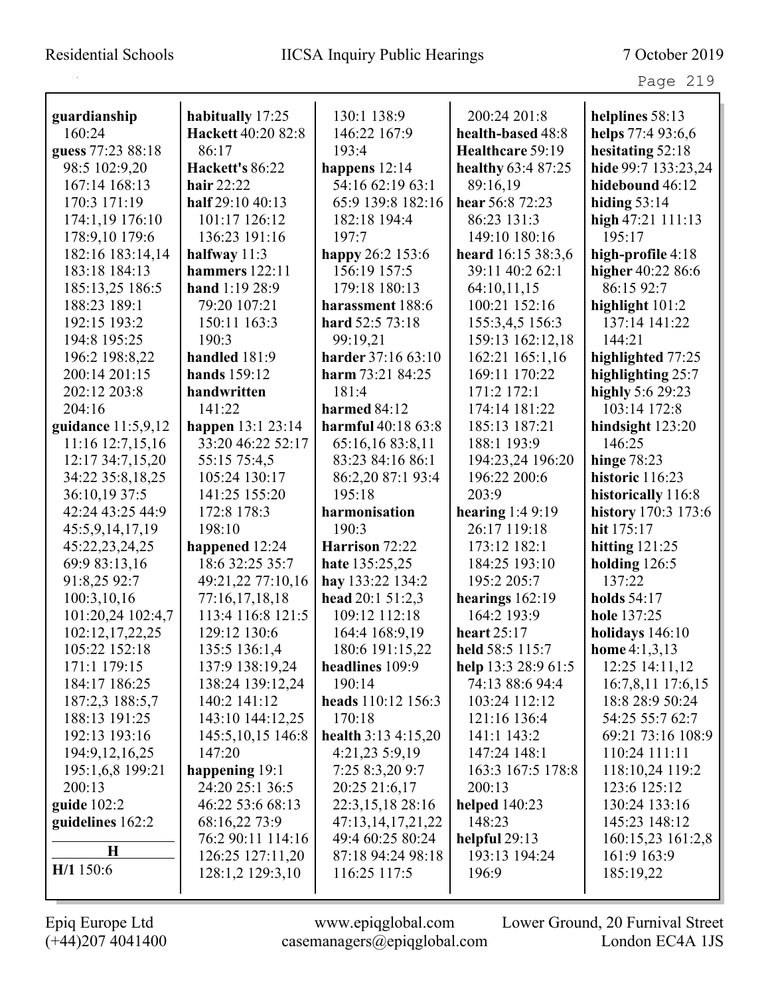| guardianship       | habitually 17:25    | 130:1 138:9           | 200:24 201:8         | helplines 58:13     |
|--------------------|---------------------|-----------------------|----------------------|---------------------|
| 160:24             | Hackett 40:20 82:8  | 146:22 167:9          | health-based 48:8    | helps 77:4 93:6,6   |
| guess 77:23 88:18  | 86:17               | 193:4                 | Healthcare 59:19     | hesitating 52:18    |
| 98:5 102:9,20      | Hackett's 86:22     | happens 12:14         | healthy 63:4 87:25   | hide 99:7 133:23,24 |
| 167:14 168:13      | hair $22:22$        | 54:16 62:19 63:1      | 89:16,19             | hidebound 46:12     |
| 170:3 171:19       | half 29:10 40:13    | 65:9 139:8 182:16     | hear 56:8 72:23      | hiding $53:14$      |
| 174:1,19 176:10    | 101:17 126:12       | 182:18 194:4          | 86:23 131:3          | high 47:21 111:13   |
| 178:9,10 179:6     | 136:23 191:16       | 197:7                 | 149:10 180:16        | 195:17              |
| 182:16 183:14,14   | halfway $11:3$      | happy 26:2 153:6      | heard 16:15 38:3,6   | high-profile 4:18   |
| 183:18 184:13      | hammers 122:11      | 156:19 157:5          | 39:11 40:2 62:1      | higher 40:22 86:6   |
| 185:13,25 186:5    | hand 1:19 28:9      | 179:18 180:13         | 64:10,11,15          | 86:15 92:7          |
| 188:23 189:1       | 79:20 107:21        | harassment 188:6      | 100:21 152:16        | highlight 101:2     |
| 192:15 193:2       | 150:11 163:3        | hard 52:5 73:18       | 155:3,4,5 156:3      | 137:14 141:22       |
| 194:8 195:25       | 190:3               | 99:19,21              | 159:13 162:12,18     | 144:21              |
| 196:2 198:8,22     | handled 181:9       | harder 37:16 63:10    | 162:21 165:1,16      | highlighted 77:25   |
| 200:14 201:15      | hands 159:12        | harm $73:2184:25$     | 169:11 170:22        | highlighting 25:7   |
| 202:12 203:8       | handwritten         | 181:4                 | 171:2 172:1          | highly 5:6 29:23    |
| 204:16             | 141:22              | harmed 84:12          | 174:14 181:22        | 103:14 172:8        |
| guidance 11:5,9,12 | happen 13:1 23:14   | harmful 40:18 63:8    | 185:13 187:21        | hindsight 123:20    |
| 11:16 12:7,15,16   | 33:20 46:22 52:17   | 65:16,16 83:8,11      | 188:1 193:9          | 146:25              |
| 12:17 34:7,15,20   | 55:15 75:4,5        | 83:23 84:16 86:1      | 194:23,24 196:20     | hinge $78:23$       |
| 34:22 35:8,18,25   | 105:24 130:17       | 86:2,20 87:1 93:4     | 196:22 200:6         | historic 116:23     |
| 36:10,19 37:5      | 141:25 155:20       | 195:18                | 203:9                | historically 116:8  |
| 42:24 43:25 44:9   | 172:8 178:3         | harmonisation         | hearing $1:49:19$    | history 170:3 173:6 |
| 45:5,9,14,17,19    | 198:10              | 190:3                 | 26:17 119:18         | hit 175:17          |
| 45:22,23,24,25     | happened 12:24      | Harrison 72:22        | 173:12 182:1         | hitting $121:25$    |
| 69:9 83:13,16      | 18:6 32:25 35:7     | hate 135:25,25        | 184:25 193:10        | holding 126:5       |
| 91:8,25 92:7       | 49:21,22 77:10,16   | hay 133:22 134:2      | 195:2 205:7          | 137:22              |
| 100:3,10,16        | 77:16,17,18,18      | head 20:1 51:2,3      | hearings $162:19$    | <b>holds</b> 54:17  |
| 101:20,24 102:4,7  | 113:4 116:8 121:5   | 109:12 112:18         | 164:2 193:9          | hole 137:25         |
| 102:12,17,22,25    | 129:12 130:6        | 164:4 168:9,19        | heart $25:17$        | holidays 146:10     |
| 105:22 152:18      | 135:5 136:1,4       | 180:6 191:15,22       | held 58:5 115:7      | home $4:1,3,13$     |
| 171:1 179:15       | 137:9 138:19,24     | headlines 109:9       | help 13:3 28:9 61:5  | 12:25 14:11,12      |
| 184:17 186:25      | 138:24 139:12,24    | 190:14                | 74:13 88:6 94:4      | 16:7,8,11 17:6,15   |
| 187:2,3 188:5,7    | 140:2 141:12        | heads 110:12 156:3    | 103:24 112:12        | 18:8 28:9 50:24     |
| 188:13 191:25      | 143:10 144:12,25    | 170:18                | 121:16 136:4         | 54:25 55:7 62:7     |
| 192:13 193:16      | 145:5, 10, 15 146:8 | health $3:13$ 4:15,20 | 141:1 143:2          | 69:21 73:16 108:9   |
| 194:9, 12, 16, 25  | 147:20              | 4:21,23 5:9,19        | 147:24 148:1         | 110:24 111:11       |
| 195:1,6,8 199:21   | happening 19:1      | 7:25 8:3,20 9:7       | 163:3 167:5 178:8    | 118:10,24 119:2     |
| 200:13             | 24:20 25:1 36:5     | 20:25 21:6,17         | 200:13               | 123:6 125:12        |
| guide $102:2$      | 46:22 53:6 68:13    | 22:3,15,18 28:16      | <b>helped</b> 140:23 | 130:24 133:16       |
| guidelines 162:2   | 68:16,22 73:9       | 47:13,14,17,21,22     | 148:23               | 145:23 148:12       |
|                    | 76:2 90:11 114:16   | 49:4 60:25 80:24      | helpful $29:13$      | 160:15,23 161:2,8   |
| $\bf H$            | 126:25 127:11,20    | 87:18 94:24 98:18     | 193:13 194:24        | 161:9 163:9         |
| H/1 150:6          | 128:1,2 129:3,10    | 116:25 117:5          | 196:9                | 185:19,22           |
|                    |                     |                       |                      |                     |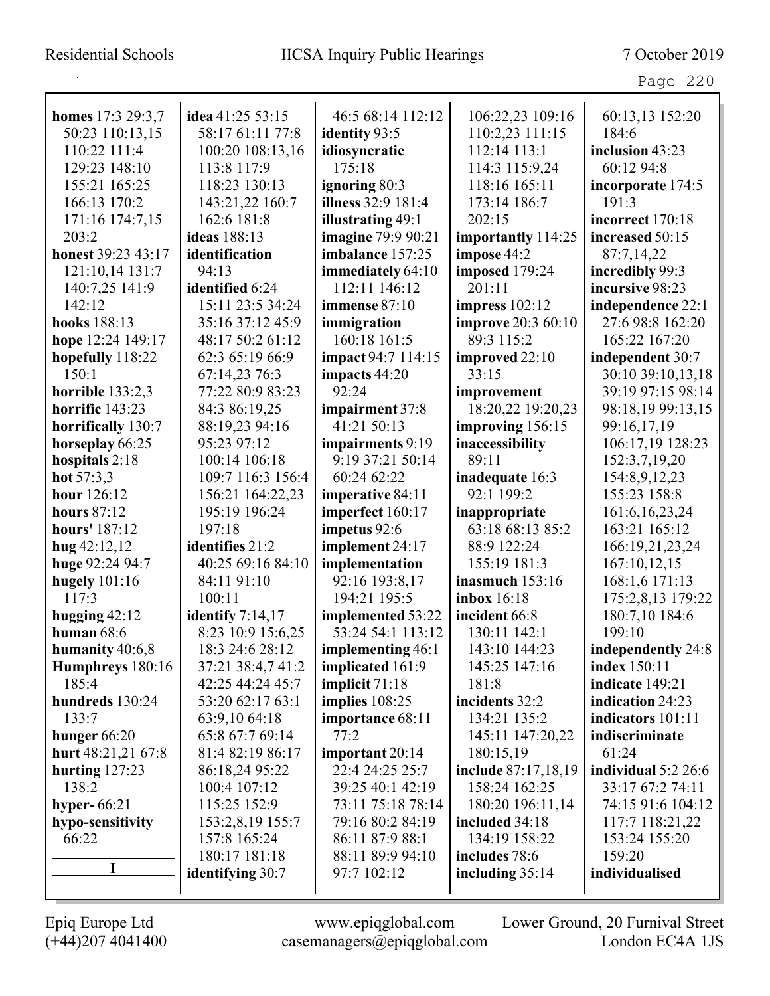# Residential Schools IICSA Inquiry Public Hearings 7 October 2019

| ۰ ت<br>21 C I | $\cdot$ |
|---------------|---------|
|---------------|---------|

| homes 17:3 29:3,7           | idea 41:25 53:15        | 46:5 68:14 112:12                      | 106:22,23 109:16          | 60:13,13 152:20            |
|-----------------------------|-------------------------|----------------------------------------|---------------------------|----------------------------|
| 50:23 110:13,15             | 58:17 61:11 77:8        | identity 93:5                          | 110:2,23 111:15           | 184:6                      |
| 110:22 111:4                | 100:20 108:13,16        | idiosyncratic                          | 112:14 113:1              | inclusion 43:23            |
| 129:23 148:10               | 113:8 117:9             | 175:18                                 | 114:3 115:9,24            | 60:12 94:8                 |
| 155:21 165:25               | 118:23 130:13           |                                        |                           |                            |
|                             |                         | ignoring 80:3<br>illness 32:9 181:4    | 118:16 165:11             | incorporate 174:5<br>191:3 |
| 166:13 170:2                | 143:21,22 160:7         |                                        | 173:14 186:7<br>202:15    |                            |
| 171:16 174:7,15             | 162:6 181:8             | <b>illustrating 49:1</b>               |                           | incorrect 170:18           |
| 203:2<br>honest 39:23 43:17 | ideas 188:13            | imagine 79:9 90:21<br>imbalance 157:25 | importantly 114:25        | increased 50:15            |
|                             | identification          |                                        | impose 44:2               | 87:7,14,22                 |
| 121:10,14 131:7             | 94:13                   | immediately 64:10                      | imposed 179:24<br>201:11  | incredibly 99:3            |
| 140:7,25 141:9              | identified 6:24         | 112:11 146:12                          |                           | incursive 98:23            |
| 142:12                      | 15:11 23:5 34:24        | immense 87:10                          | impress $102:12$          | independence 22:1          |
| hooks 188:13                | 35:16 37:12 45:9        | immigration                            | <b>improve</b> 20:3 60:10 | 27:6 98:8 162:20           |
| hope 12:24 149:17           | 48:17 50:2 61:12        | 160:18 161:5                           | 89:3 115:2                | 165:22 167:20              |
| hopefully 118:22            | 62:3 65:19 66:9         | <b>impact</b> 94:7 114:15              | improved 22:10            | independent 30:7           |
| 150:1                       | 67:14,23 76:3           | impacts 44:20                          | 33:15                     | 30:10 39:10,13,18          |
| horrible 133:2,3            | 77:22 80:9 83:23        | 92:24                                  | improvement               | 39:19 97:15 98:14          |
| horrific 143:23             | 84:3 86:19,25           | impairment 37:8                        | 18:20,22 19:20,23         | 98:18,19 99:13,15          |
| horrifically 130:7          | 88:19,23 94:16          | 41:21 50:13                            | improving 156:15          | 99:16,17,19                |
| horseplay 66:25             | 95:23 97:12             | impairments 9:19                       | inaccessibility           | 106:17,19 128:23           |
| hospitals 2:18              | 100:14 106:18           | 9:19 37:21 50:14                       | 89:11                     | 152:3,7,19,20              |
| hot $57:3,3$                | 109:7 116:3 156:4       | 60:24 62:22                            | inadequate 16:3           | 154:8,9,12,23              |
| hour 126:12                 | 156:21 164:22,23        | imperative 84:11                       | 92:1 199:2                | 155:23 158:8               |
| <b>hours</b> 87:12          | 195:19 196:24           | imperfect 160:17                       | inappropriate             | 161:6, 16, 23, 24          |
| hours' 187:12               | 197:18                  | impetus 92:6                           | 63:18 68:13 85:2          | 163:21 165:12              |
| $hug$ 42:12,12              | identifies 21:2         | implement 24:17                        | 88:9 122:24               | 166:19,21,23,24            |
| huge 92:24 94:7             | 40:25 69:16 84:10       | implementation                         | 155:19 181:3              | 167:10,12,15               |
| hugely $101:16$             | 84:11 91:10             | 92:16 193:8,17                         | inasmuch $153:16$         | 168:1,6 171:13             |
| 117:3                       | 100:11                  | 194:21 195:5                           | inbox 16:18               | 175:2,8,13 179:22          |
| hugging $42:12$             | identify $7:14,17$      | implemented 53:22                      | incident 66:8             | 180:7,10 184:6             |
| human $68:6$                | 8:23 10:9 15:6,25       | 53:24 54:1 113:12                      | 130:11 142:1              | 199:10                     |
| humanity 40:6,8             | 18:3 24:6 28:12         | implementing 46:1                      | 143:10 144:23             | independently 24:8         |
| Humphreys 180:16            | 37:21 38:4,7 41:2       | implicated 161:9                       | 145:25 147:16             | index 150:11               |
| 185:4                       | 42:25 44:24 45:7        | implicit 71:18                         | 181:8                     | indicate 149:21            |
| hundreds 130:24             | 53:20 62:17 63:1        | implies 108:25                         | incidents 32:2            | indication 24:23           |
| 133:7                       | 63:9,10 64:18           | importance 68:11                       | 134:21 135:2              | indicators 101:11          |
| hunger $66:20$              | 65:8 67:7 69:14         | 77:2                                   | 145:11 147:20,22          | indiscriminate             |
| hurt 48:21,21 67:8          | 81:4 82:19 86:17        | important 20:14                        | 180:15,19                 | 61:24                      |
| hurting $127:23$            | 86:18,24 95:22          | 22:4 24:25 25:7                        | include 87:17,18,19       | individual $5:2$ 26:6      |
| 138:2                       | 100:4 107:12            | 39:25 40:1 42:19                       | 158:24 162:25             | 33:17 67:2 74:11           |
| hyper- $66:21$              | 115:25 152:9            | 73:11 75:18 78:14                      | 180:20 196:11,14          | 74:15 91:6 104:12          |
| hypo-sensitivity            | 153:2,8,19 155:7        | 79:16 80:2 84:19                       | included 34:18            | 117:7 118:21,22            |
| 66:22                       | 157:8 165:24            | 86:11 87:9 88:1                        | 134:19 158:22             | 153:24 155:20              |
|                             | 180:17 181:18           | 88:11 89:9 94:10                       | includes 78:6             | 159:20                     |
| I                           | <b>identifying 30:7</b> | 97:7 102:12                            | including $35:14$         | individualised             |
|                             |                         |                                        |                           |                            |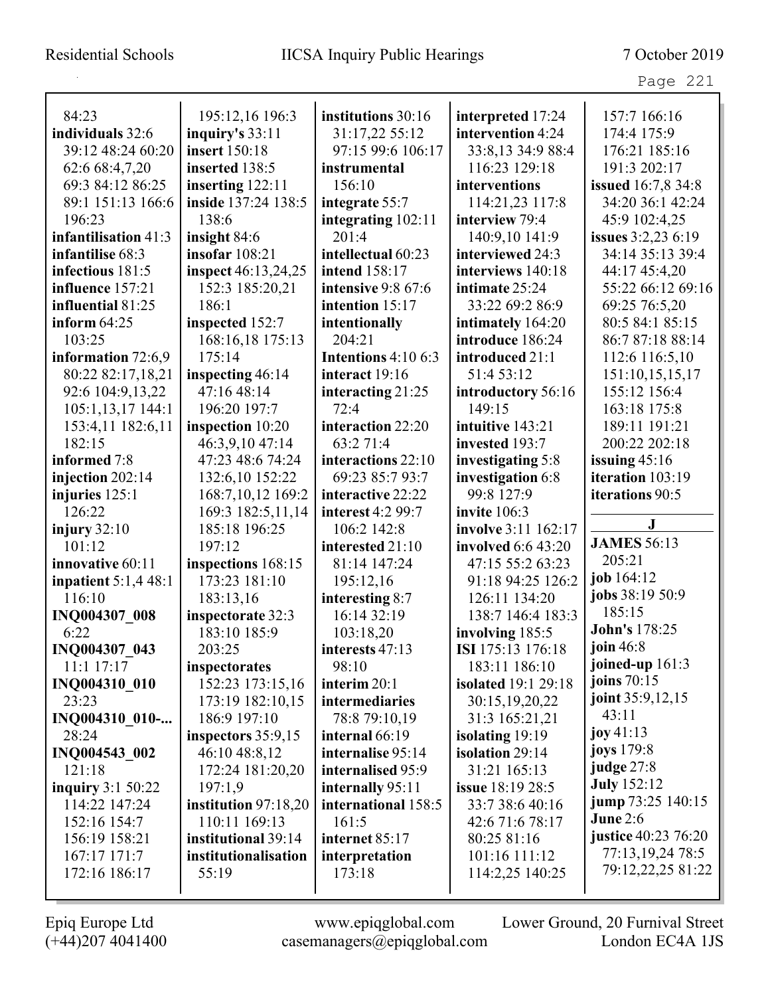| 84:23                              | 195:12,16 196:3               | institutions 30:16                      | interpreted 17:24                   | 157:7 166:16              |
|------------------------------------|-------------------------------|-----------------------------------------|-------------------------------------|---------------------------|
| individuals 32:6                   | inquiry's $33:11$             | 31:17,22 55:12                          | intervention 4:24                   | 174:4 175:9               |
| 39:12 48:24 60:20                  | insert 150:18                 | 97:15 99:6 106:17                       | 33:8,13 34:9 88:4                   | 176:21 185:16             |
| 62:6 68:4,7,20                     | inserted 138:5                | instrumental                            | 116:23 129:18                       | 191:3 202:17              |
| 69:3 84:12 86:25                   | inserting $122:11$            | 156:10                                  | interventions                       | <b>issued</b> 16:7,8 34:8 |
| 89:1 151:13 166:6                  | inside 137:24 138:5           | integrate 55:7                          | 114:21,23 117:8                     | 34:20 36:1 42:24          |
| 196:23                             | 138:6                         | integrating 102:11                      | interview 79:4                      | 45:9 102:4,25             |
| infantilisation 41:3               | insight 84:6                  | 201:4                                   | 140:9,10 141:9                      | issues 3:2,23 6:19        |
| infantilise 68:3                   | insofar $108:21$              | intellectual 60:23                      | interviewed 24:3                    | 34:14 35:13 39:4          |
| infectious 181:5                   | inspect 46:13,24,25           | intend 158:17                           | interviews 140:18                   | 44:17 45:4,20             |
| influence 157:21                   | 152:3 185:20,21               | intensive 9:8 67:6                      | intimate 25:24                      | 55:22 66:12 69:16         |
| influential 81:25                  | 186:1                         | intention 15:17                         | 33:22 69:2 86:9                     | 69:25 76:5,20             |
| inform $64:25$                     | inspected 152:7               | intentionally                           | intimately 164:20                   | 80:5 84:1 85:15           |
| 103:25                             | 168:16,18 175:13              | 204:21                                  | introduce 186:24                    | 86:7 87:18 88:14          |
| information 72:6,9                 | 175:14                        | Intentions 4:10 6:3                     | introduced 21:1                     | 112:6 116:5,10            |
| 80:22 82:17,18,21                  | inspecting 46:14              | interact 19:16                          | 51:4 53:12                          | 151:10,15,15,17           |
| 92:6 104:9,13,22                   | 47:16 48:14                   | interacting 21:25                       | introductory 56:16                  | 155:12 156:4              |
| 105:1,13,17 144:1                  | 196:20 197:7                  | 72:4                                    | 149:15                              | 163:18 175:8              |
| 153:4,11 182:6,11                  | inspection 10:20              | interaction 22:20                       | intuitive 143:21                    | 189:11 191:21             |
| 182:15                             | 46:3,9,10 47:14               | 63:2 71:4                               | invested 193:7                      | 200:22 202:18             |
| informed 7:8                       | 47:23 48:6 74:24              | interactions 22:10                      | investigating 5:8                   | issuing $45:16$           |
| injection $202:14$                 | 132:6,10 152:22               | 69:23 85:7 93:7                         | investigation 6:8                   | iteration 103:19          |
| injuries $125:1$                   | 168:7,10,12 169:2             | interactive 22:22                       | 99:8 127:9                          | iterations 90:5           |
| 126:22                             | 169:3 182:5,11,14             | interest 4:2 99:7                       | invite 106:3                        |                           |
| injury $32:10$                     | 185:18 196:25                 | 106:2 142:8                             | involve 3:11 162:17                 | $\bf J$                   |
| 101:12                             | 197:12                        | interested 21:10                        | involved 6:6 43:20                  | <b>JAMES 56:13</b>        |
|                                    |                               |                                         |                                     |                           |
| innovative 60:11                   | inspections 168:15            | 81:14 147:24                            | 47:15 55:2 63:23                    | 205:21                    |
| inpatient $5:1,4$ 48:1             | 173:23 181:10                 | 195:12,16                               | 91:18 94:25 126:2                   | job 164:12                |
| 116:10                             | 183:13,16                     | interesting 8:7                         | 126:11 134:20                       | jobs 38:19 50:9           |
|                                    | inspectorate 32:3             | 16:14 32:19                             | 138:7 146:4 183:3                   | 185:15                    |
| INQ004307_008<br>6:22              | 183:10 185:9                  | 103:18,20                               | involving 185:5                     | John's 178:25             |
| INQ004307 043                      | 203:25                        | interests 47:13                         | ISI 175:13 176:18                   | join $46:8$               |
| 11:1 17:17                         | inspectorates                 | 98:10                                   | 183:11 186:10                       | joined-up 161:3           |
| INQ004310 010                      | 152:23 173:15,16              | interim 20:1                            | <b>isolated</b> 19:1 29:18          | joins $70:15$             |
| 23:23                              | 173:19 182:10,15              | intermediaries                          | 30:15,19,20,22                      | joint 35:9,12,15          |
|                                    | 186:9 197:10                  | 78:8 79:10,19                           | 31:3 165:21,21                      | 43:11                     |
| INQ004310 010-<br>28:24            |                               | internal 66:19                          |                                     | joy $41:13$               |
|                                    | inspectors 35:9,15            | internalise 95:14                       | isolating 19:19<br>isolation 29:14  | <b>joys</b> 179:8         |
| INQ004543 002<br>121:18            | 46:10 48:8,12                 | internalised 95:9                       | 31:21 165:13                        | judge 27:8                |
|                                    | 172:24 181:20,20<br>197:1,9   |                                         |                                     | <b>July</b> 152:12        |
| inquiry 3:1 50:22<br>114:22 147:24 |                               | internally 95:11<br>international 158:5 | issue 18:19 28:5<br>33:7 38:6 40:16 | jump 73:25 140:15         |
|                                    | institution 97:18,20          |                                         |                                     | <b>June 2:6</b>           |
| 152:16 154:7                       | 110:11 169:13                 | 161:5                                   | 42:6 71:6 78:17                     | justice 40:23 76:20       |
| 156:19 158:21                      | institutional 39:14           | internet 85:17                          | 80:25 81:16                         | 77:13,19,24 78:5          |
| 167:17 171:7<br>172:16 186:17      | institutionalisation<br>55:19 | interpretation<br>173:18                | 101:16 111:12<br>114:2,25 140:25    | 79:12,22,25 81:22         |

 $\mathbf I$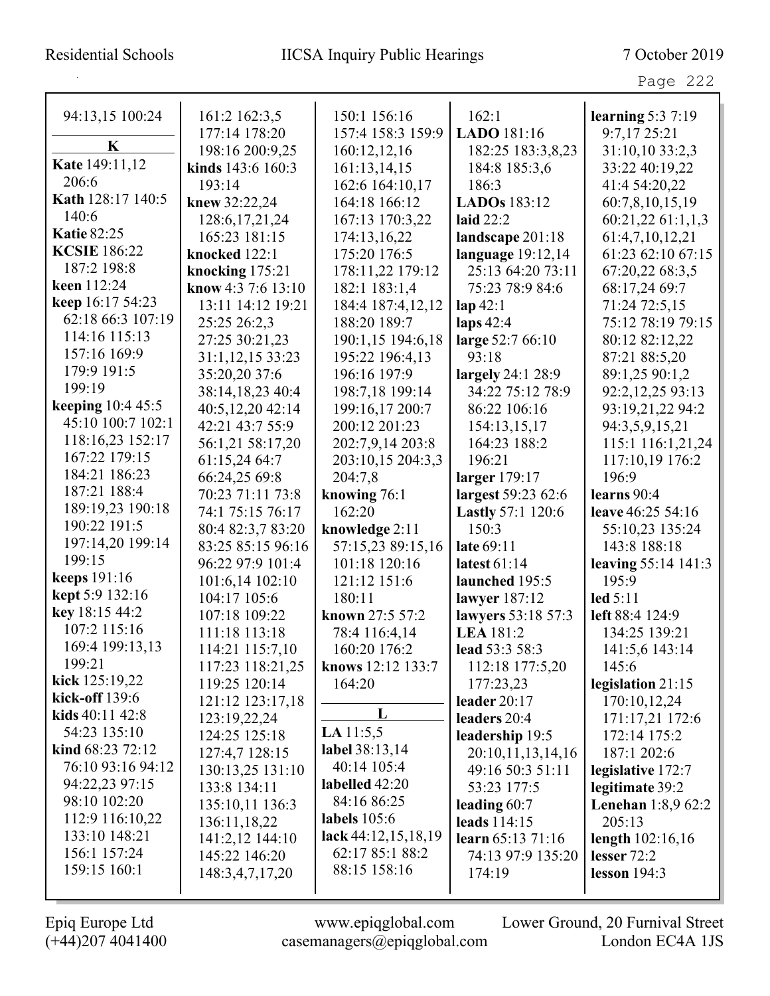| 94:13,15 100:24          | 161:2 162:3,5      | 150:1 156:16          | 162:1                    | learning $5:37:19$        |
|--------------------------|--------------------|-----------------------|--------------------------|---------------------------|
|                          | 177:14 178:20      | 157:4 158:3 159:9     | LADO 181:16              | 9:7,17 25:21              |
| K                        | 198:16 200:9,25    | 160:12,12,16          | 182:25 183:3,8,23        | 31:10,10 33:2,3           |
| Kate 149:11,12           | kinds 143:6 160:3  | 161:13,14,15          | 184:8 185:3,6            | 33:22 40:19,22            |
| 206:6                    | 193:14             | 162:6 164:10,17       | 186:3                    | 41:4 54:20,22             |
| Kath 128:17 140:5        | knew 32:22,24      | 164:18 166:12         | LADOs 183:12             | 60:7,8,10,15,19           |
| 140:6                    | 128:6, 17, 21, 24  | 167:13 170:3,22       | laid $22:2$              | 60:21,22 61:1,1,3         |
| <b>Katie 82:25</b>       | 165:23 181:15      | 174:13,16,22          | landscape 201:18         | 61:4,7,10,12,21           |
| <b>KCSIE</b> 186:22      | knocked 122:1      | 175:20 176:5          | language $19:12,14$      | 61:23 62:10 67:15         |
| 187:2 198:8              | knocking 175:21    | 178:11,22 179:12      | 25:13 64:20 73:11        | 67:20,22 68:3,5           |
| keen 112:24              | know 4:3 7:6 13:10 | 182:1 183:1,4         | 75:23 78:9 84:6          | 68:17,24 69:7             |
| keep 16:17 54:23         | 13:11 14:12 19:21  | 184:4 187:4,12,12     | $\mathbf{lap}42:1$       | 71:24 72:5,15             |
| 62:18 66:3 107:19        | 25:25 26:2,3       | 188:20 189:7          | laps $42:4$              | 75:12 78:19 79:15         |
| 114:16 115:13            | 27:25 30:21,23     | 190:1,15 194:6,18     | large 52:7 66:10         | 80:12 82:12,22            |
| 157:16 169:9             | 31:1,12,15 33:23   | 195:22 196:4,13       | 93:18                    | 87:21 88:5,20             |
| 179:9 191:5              | 35:20,20 37:6      | 196:16 197:9          | largely 24:1 28:9        | 89:1,25 90:1,2            |
| 199:19                   | 38:14,18,23 40:4   | 198:7,18 199:14       | 34:22 75:12 78:9         | 92:2,12,25 93:13          |
| <b>keeping</b> 10:4 45:5 | 40:5,12,20 42:14   | 199:16,17 200:7       | 86:22 106:16             | 93:19,21,22 94:2          |
| 45:10 100:7 102:1        | 42:21 43:7 55:9    | 200:12 201:23         | 154:13,15,17             | 94:3,5,9,15,21            |
| 118:16,23 152:17         | 56:1,21 58:17,20   | 202:7,9,14 203:8      | 164:23 188:2             | 115:1 116:1,21,24         |
| 167:22 179:15            | 61:15,24 64:7      | 203:10,15 204:3,3     | 196:21                   | 117:10,19 176:2           |
| 184:21 186:23            | 66:24,25 69:8      | 204:7,8               | larger 179:17            | 196:9                     |
| 187:21 188:4             | 70:23 71:11 73:8   | knowing 76:1          | largest 59:23 62:6       | learns 90:4               |
| 189:19,23 190:18         | 74:1 75:15 76:17   | 162:20                | <b>Lastly 57:1 120:6</b> | leave 46:25 54:16         |
| 190:22 191:5             | 80:4 82:3,7 83:20  | knowledge 2:11        | 150:3                    | 55:10,23 135:24           |
| 197:14,20 199:14         | 83:25 85:15 96:16  | 57:15,23 89:15,16     | late 69:11               | 143:8 188:18              |
| 199:15                   | 96:22 97:9 101:4   | 101:18 120:16         | latest 61:14             | leaving 55:14 141:3       |
| <b>keeps</b> 191:16      | 101:6,14 102:10    | 121:12 151:6          | launched 195:5           | 195:9                     |
| kept 5:9 132:16          | 104:17 105:6       | 180:11                | lawyer 187:12            | led 5:11                  |
| key 18:15 44:2           | 107:18 109:22      | known 27:5 57:2       | lawyers 53:18 57:3       | left 88:4 124:9           |
| 107:2 115:16             | 111:18 113:18      | 78:4 116:4,14         | <b>LEA</b> 181:2         | 134:25 139:21             |
| 169:4 199:13,13          | 114:21 115:7,10    | 160:20 176:2          | lead 53:3 58:3           | 141:5,6 143:14            |
| 199:21                   | 117:23 118:21,25   | knows 12:12 133:7     | 112:18 177:5,20          | 145:6                     |
| kick $125:19,22$         | 119:25 120:14      | 164:20                | 177:23,23                | legislation 21:15         |
| <b>kick-off</b> 139:6    | 121:12 123:17,18   |                       | leader $20:17$           | 170:10,12,24              |
| kids $40:11\,42:8$       | 123:19,22,24       | L                     | leaders 20:4             | 171:17,21 172:6           |
| 54:23 135:10             | 124:25 125:18      | LA $11:5,5$           | leadership 19:5          | 172:14 175:2              |
| kind 68:23 72:12         | 127:4,7 128:15     | label 38:13,14        | 20:10,11,13,14,16        | 187:1 202:6               |
| 76:10 93:16 94:12        | 130:13,25 131:10   | 40:14 105:4           | 49:16 50:3 51:11         | legislative 172:7         |
| 94:22,23 97:15           | 133:8 134:11       | labelled 42:20        | 53:23 177:5              | legitimate 39:2           |
| 98:10 102:20             | 135:10,11 136:3    | 84:16 86:25           | leading $60:7$           | <b>Lenehan</b> 1:8,9 62:2 |
| 112:9 116:10,22          | 136:11,18,22       | labels $105:6$        | leads $114:15$           | 205:13                    |
| 133:10 148:21            | 141:2,12 144:10    | lack $44:12,15,18,19$ | learn 65:13 71:16        | length 102:16,16          |
| 156:1 157:24             | 145:22 146:20      | 62:17 85:1 88:2       | 74:13 97:9 135:20        | lesser 72:2               |
| 159:15 160:1             | 148:3,4,7,17,20    | 88:15 158:16          | 174:19                   | lesson $194:3$            |
|                          |                    |                       |                          |                           |

(+44)207 4041400 casemanagers@epiqglobal.com London EC4A 1JS

Epiq Europe Ltd www.epiqglobal.com Lower Ground, 20 Furnival Street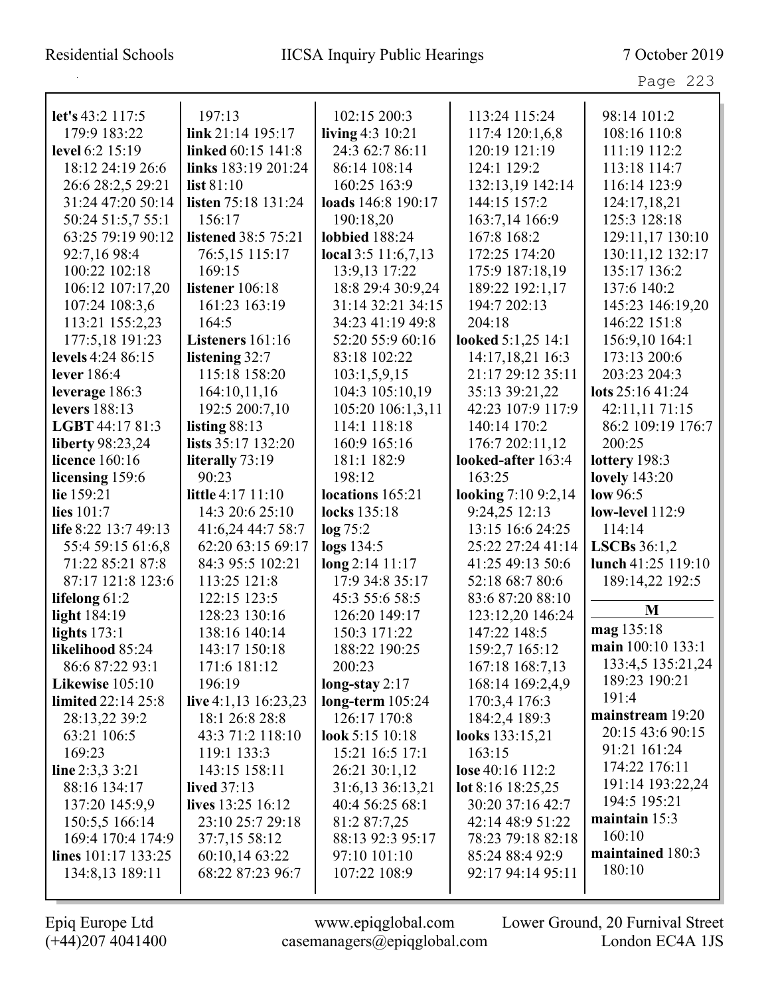| د،<br>aσ |  |
|----------|--|
|----------|--|

|                         |                            |                       | 113:24 115:24       |                    |
|-------------------------|----------------------------|-----------------------|---------------------|--------------------|
| let's 43:2 117:5        | 197:13                     | 102:15 200:3          |                     | 98:14 101:2        |
| 179:9 183:22            | link 21:14 195:17          | living $4:3$ 10:21    | 117:4 120:1,6,8     | 108:16 110:8       |
| level 6:2 15:19         | linked 60:15 141:8         | 24:3 62:7 86:11       | 120:19 121:19       | 111:19 112:2       |
| 18:12 24:19 26:6        | links 183:19 201:24        | 86:14 108:14          | 124:1 129:2         | 113:18 114:7       |
| 26:6 28:2,5 29:21       | list 81:10                 | 160:25 163:9          | 132:13,19 142:14    | 116:14 123:9       |
| 31:24 47:20 50:14       | listen 75:18 131:24        | loads 146:8 190:17    | 144:15 157:2        | 124:17,18,21       |
| 50:24 51:5,7 55:1       | 156:17                     | 190:18,20             | 163:7,14 166:9      | 125:3 128:18       |
| 63:25 79:19 90:12       | <b>listened</b> 38:5 75:21 | <b>lobbied</b> 188:24 | 167:8 168:2         | 129:11,17 130:10   |
| 92:7,16 98:4            | 76:5,15 115:17             | local $3:5$ 11:6,7,13 | 172:25 174:20       | 130:11,12 132:17   |
| 100:22 102:18           | 169:15                     | 13:9,13 17:22         | 175:9 187:18,19     | 135:17 136:2       |
| 106:12 107:17,20        | listener 106:18            | 18:8 29:4 30:9,24     | 189:22 192:1,17     | 137:6 140:2        |
| 107:24 108:3,6          | 161:23 163:19              | 31:14 32:21 34:15     | 194:7 202:13        | 145:23 146:19,20   |
| 113:21 155:2,23         | 164:5                      | 34:23 41:19 49:8      | 204:18              | 146:22 151:8       |
| 177:5,18 191:23         | Listeners 161:16           | 52:20 55:9 60:16      | looked 5:1,25 14:1  | 156:9,10 164:1     |
| levels 4:24 86:15       | listening 32:7             | 83:18 102:22          | 14:17,18,21 16:3    | 173:13 200:6       |
| lever 186:4             | 115:18 158:20              | 103:1,5,9,15          | 21:17 29:12 35:11   | 203:23 204:3       |
| leverage 186:3          | 164:10,11,16               | 104:3 105:10,19       | 35:13 39:21,22      | lots $25:1641:24$  |
| levers 188:13           | 192:5 200:7,10             | 105:20 106:1,3,11     | 42:23 107:9 117:9   | 42:11,11 71:15     |
| LGBT 44:17 81:3         | listing $88:13$            | 114:1 118:18          | 140:14 170:2        | 86:2 109:19 176:7  |
| <b>liberty</b> 98:23,24 | lists 35:17 132:20         | 160:9 165:16          | 176:7 202:11,12     | 200:25             |
| licence 160:16          | literally 73:19            | 181:1 182:9           | looked-after 163:4  | lottery 198:3      |
| licensing 159:6         | 90:23                      | 198:12                | 163:25              | lovely 143:20      |
| lie 159:21              | little 4:17 11:10          | locations 165:21      | looking 7:10 9:2,14 | low $96:5$         |
| lies 101:7              | 14:3 20:6 25:10            | locks 135:18          | 9:24,25 12:13       | low-level 112:9    |
| life 8:22 13:7 49:13    | 41:6,24 44:7 58:7          | $\log 75:2$           | 13:15 16:6 24:25    | 114:14             |
| 55:4 59:15 61:6,8       | 62:20 63:15 69:17          | logs 134:5            | 25:22 27:24 41:14   | LSCBs $36:1,2$     |
| 71:22 85:21 87:8        | 84:3 95:5 102:21           | long 2:14 11:17       | 41:25 49:13 50:6    | lunch 41:25 119:10 |
| 87:17 121:8 123:6       | 113:25 121:8               | 17:9 34:8 35:17       | 52:18 68:7 80:6     | 189:14,22 192:5    |
| lifelong 61:2           | 122:15 123:5               | 45:3 55:6 58:5        | 83:6 87:20 88:10    |                    |
| light 184:19            | 128:23 130:16              | 126:20 149:17         | 123:12,20 146:24    | M                  |
| lights $173:1$          | 138:16 140:14              | 150:3 171:22          | 147:22 148:5        | mag 135:18         |
| likelihood 85:24        | 143:17 150:18              | 188:22 190:25         | 159:2,7 165:12      | main 100:10 133:1  |
| 86:6 87:22 93:1         | 171:6 181:12               | 200:23                | 167:18 168:7,13     | 133:4,5 135:21,24  |
| Likewise 105:10         | 196:19                     | long-stay $2:17$      | 168:14 169:2,4,9    | 189:23 190:21      |
| limited 22:14 25:8      | live 4:1,13 16:23,23       | long-term $105:24$    | 170:3,4 176:3       | 191:4              |
| 28:13,22 39:2           | 18:1 26:8 28:8             | 126:17 170:8          | 184:2,4 189:3       | mainstream 19:20   |
| 63:21 106:5             | 43:3 71:2 118:10           | look 5:15 10:18       | looks 133:15,21     | 20:15 43:6 90:15   |
| 169:23                  | 119:1 133:3                | 15:21 16:5 17:1       | 163:15              | 91:21 161:24       |
| line $2:3,3,3:21$       | 143:15 158:11              | 26:21 30:1,12         | lose 40:16 112:2    | 174:22 176:11      |
| 88:16 134:17            | <b>lived</b> 37:13         | 31:6,13 36:13,21      | lot 8:16 $18:25,25$ | 191:14 193:22,24   |
| 137:20 145:9,9          | lives 13:25 16:12          | 40:4 56:25 68:1       | 30:20 37:16 42:7    | 194:5 195:21       |
| 150:5,5 166:14          | 23:10 25:7 29:18           | 81:2 87:7,25          | 42:14 48:9 51:22    | maintain $15:3$    |
| 169:4 170:4 174:9       | 37:7,15 58:12              | 88:13 92:3 95:17      | 78:23 79:18 82:18   | 160:10             |
| lines $101:17$ 133:25   | 60:10,14 63:22             | 97:10 101:10          | 85:24 88:4 92:9     | maintained 180:3   |
| 134:8,13 189:11         | 68:22 87:23 96:7           | 107:22 108:9          | 92:17 94:14 95:11   | 180:10             |
|                         |                            |                       |                     |                    |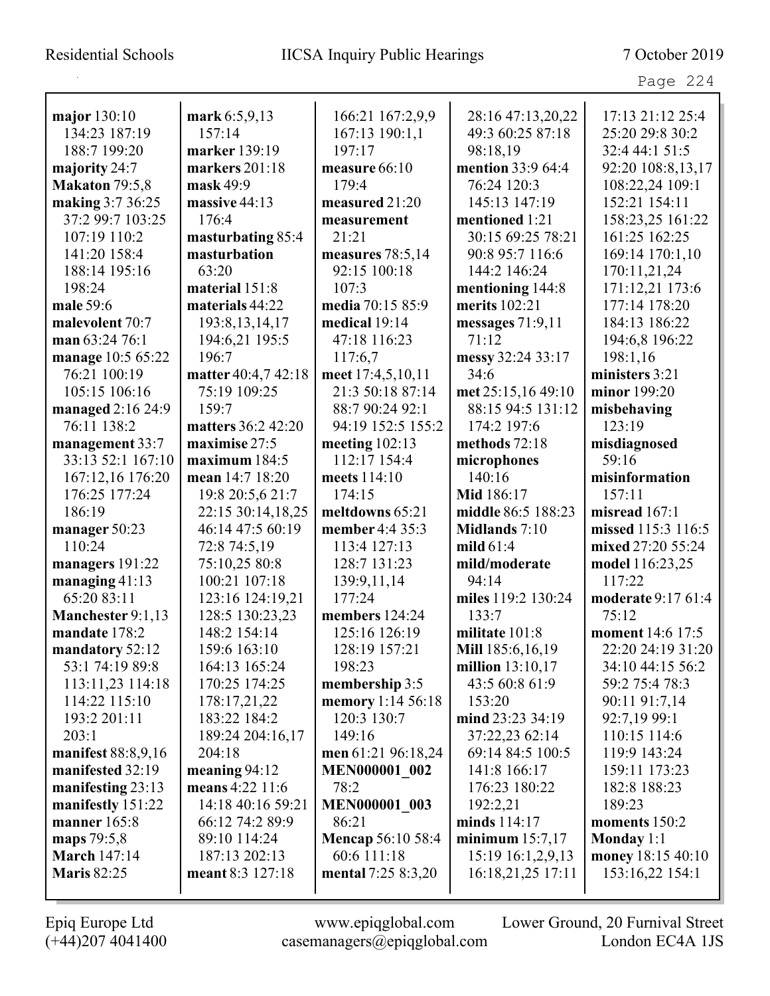#### Residential Schools IICSA Inquiry Public Hearings 7 October 2019

|                             |                                    |                              |                                    | Page 224                     |
|-----------------------------|------------------------------------|------------------------------|------------------------------------|------------------------------|
| major 130:10                | mark 6:5,9,13                      | 166:21 167:2,9,9             | 28:16 47:13,20,22                  | 17:13 21:12 25:4             |
| 134:23 187:19               | 157:14                             | 167:13 190:1,1               | 49:3 60:25 87:18                   | 25:20 29:8 30:2              |
| 188:7 199:20                | marker 139:19                      | 197:17                       | 98:18,19                           | 32:4 44:1 51:5               |
| majority 24:7               | markers $201:18$                   | measure 66:10                | mention 33:9 64:4                  | 92:20 108:8,13,17            |
| <b>Makaton</b> 79:5,8       | mask 49:9                          | 179:4                        | 76:24 120:3                        | 108:22,24 109:1              |
| making 3:7 36:25            | massive 44:13                      | measured 21:20               | 145:13 147:19                      | 152:21 154:11                |
| 37:2 99:7 103:25            | 176:4                              | measurement                  | mentioned 1:21                     | 158:23,25 161:22             |
| 107:19 110:2                | masturbating 85:4                  | 21:21                        | 30:15 69:25 78:21                  | 161:25 162:25                |
| 141:20 158:4                | masturbation                       | measures 78:5,14             | 90:8 95:7 116:6                    | 169:14 170:1,10              |
| 188:14 195:16               | 63:20                              | 92:15 100:18                 | 144:2 146:24                       | 170:11,21,24                 |
| 198:24                      | material 151:8                     | 107:3                        | mentioning 144:8                   | 171:12,21 173:6              |
| male 59:6                   | materials 44:22                    | media 70:15 85:9             | merits 102:21                      | 177:14 178:20                |
| malevolent 70:7             | 193:8, 13, 14, 17                  | medical 19:14                | messages $71:9,11$                 | 184:13 186:22                |
| man 63:24 76:1              | 194:6,21 195:5                     | 47:18 116:23                 | 71:12                              | 194:6,8 196:22               |
| manage 10:5 65:22           | 196:7                              | 117:6,7                      | messy 32:24 33:17                  | 198:1,16                     |
| 76:21 100:19                | matter 40:4,7 42:18                | meet 17:4,5,10,11            | 34:6                               | ministers 3:21               |
| 105:15 106:16               | 75:19 109:25                       | 21:3 50:18 87:14             | met 25:15,16 49:10                 | minor 199:20                 |
| managed 2:16 24:9           | 159:7                              | 88:7 90:24 92:1              | 88:15 94:5 131:12                  | misbehaving                  |
| 76:11 138:2                 | matters 36:2 42:20                 | 94:19 152:5 155:2            | 174:2 197:6                        | 123:19                       |
| management 33:7             | maximise 27:5                      | meeting $102:13$             | methods 72:18                      | misdiagnosed                 |
| 33:13 52:1 167:10           | maximum $184:5$                    | 112:17 154:4                 | microphones                        | 59:16                        |
| 167:12,16 176:20            | mean 14:7 18:20                    | meets 114:10                 | 140:16                             | misinformation               |
| 176:25 177:24               | 19:8 20:5,6 21:7                   | 174:15                       | Mid 186:17                         | 157:11                       |
| 186:19                      | 22:15 30:14,18,25                  | meltdowns 65:21              | middle 86:5 188:23                 | misread $167:1$              |
| manager 50:23               | 46:14 47:5 60:19                   | member 4:4 35:3              | Midlands 7:10                      | missed 115:3 116:5           |
| 110:24                      | 72:8 74:5,19                       | 113:4 127:13                 | mild $61:4$                        | mixed 27:20 55:24            |
| managers 191:22             | 75:10,25 80:8                      | 128:7 131:23                 | mild/moderate                      | model 116:23,25              |
| managing $41:13$            | 100:21 107:18                      | 139:9,11,14                  | 94:14                              | 117:22                       |
| 65:20 83:11                 | 123:16 124:19,21                   | 177:24                       | miles 119:2 130:24                 | moderate 9:17 61:4           |
| <b>Manchester</b> 9:1,13    | 128:5 130:23,23                    | members 124:24               | 133:7                              | 75:12                        |
| mandate 178:2               | 148:2 154:14                       | 125:16 126:19                | militate $101:8$                   | <b>moment</b> $14:6$ 17:5    |
| mandatory 52:12             | 159:6 163:10                       | 128:19 157:21                | Mill 185:6,16,19                   | 22:20 24:19 31:20            |
| 53:1 74:19 89:8             | 164:13 165:24                      | 198:23                       | million 13:10,17                   | 34:10 44:15 56:2             |
| 113:11,23 114:18            | 170:25 174:25                      | membership 3:5               | 43:5 60:8 61:9                     | 59:2 75:4 78:3               |
| 114:22 115:10               | 178:17,21,22                       | memory 1:14 56:18            | 153:20                             | 90:11 91:7,14                |
| 193:2 201:11                | 183:22 184:2                       | 120:3 130:7                  | mind 23:23 34:19                   | 92:7,19 99:1                 |
| 203:1<br>manifest 88:8,9,16 | 189:24 204:16,17<br>204:18         | 149:16<br>men 61:21 96:18,24 | 37:22,23 62:14<br>69:14 84:5 100:5 | 110:15 114:6<br>119:9 143:24 |
| manifested 32:19            |                                    | <b>MEN000001 002</b>         | 141:8 166:17                       | 159:11 173:23                |
| manifesting 23:13           | meaning $94:12$<br>means 4:22 11:6 | 78:2                         | 176:23 180:22                      | 182:8 188:23                 |
| manifestly 151:22           | 14:18 40:16 59:21                  | <b>MEN000001 003</b>         | 192:2,21                           | 189:23                       |
| <b>manner</b> 165:8         | 66:12 74:2 89:9                    | 86:21                        | minds 114:17                       | moments 150:2                |
| maps 79:5,8                 | 89:10 114:24                       | <b>Mencap 56:10 58:4</b>     | minimum $15:7,17$                  | Monday 1:1                   |
| <b>March 147:14</b>         | 187:13 202:13                      | 60:6 111:18                  | 15:19 16:1,2,9,13                  | money 18:15 40:10            |
| <b>Maris 82:25</b>          | meant 8:3 127:18                   | mental 7:25 8:3,20           | 16:18,21,25 17:11                  | 153:16,22 154:1              |
|                             |                                    |                              |                                    |                              |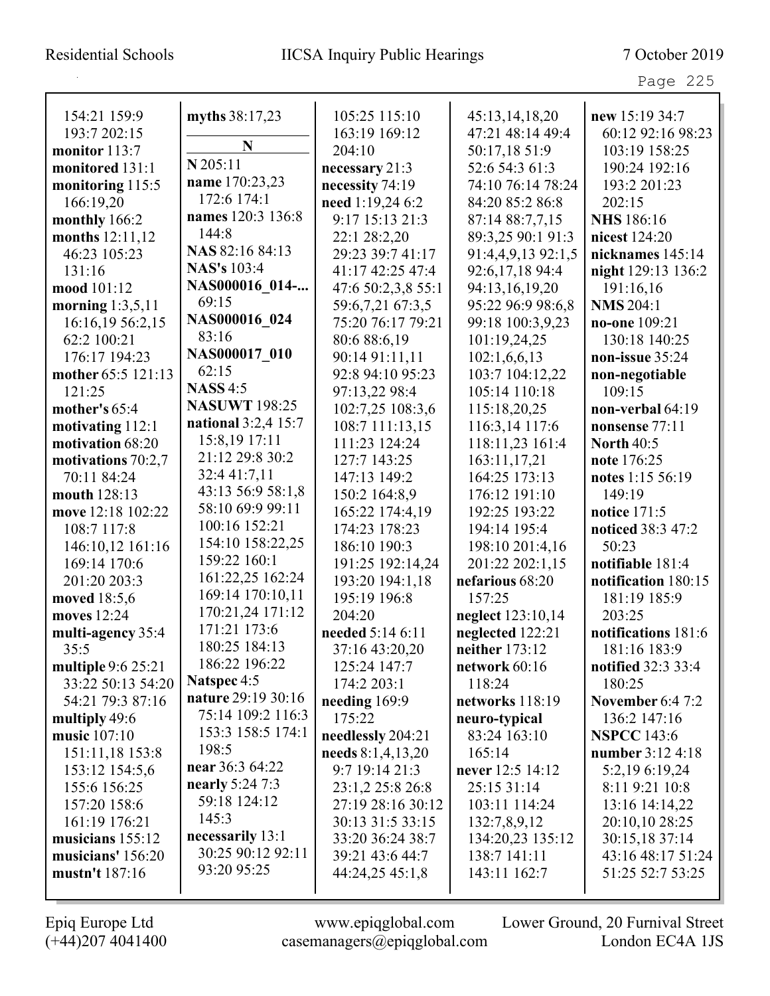## Residential Schools IICSA Inquiry Public Hearings 7 October 2019

Page 225

| 154:21 159:9         | myths 38:17,23         | 105:25 115:10      | 45:13,14,18,20     | new 15:19 34:7            |
|----------------------|------------------------|--------------------|--------------------|---------------------------|
| 193:7 202:15         | N                      | 163:19 169:12      | 47:21 48:14 49:4   | 60:12 92:16 98:23         |
| monitor 113:7        | $N$ 205:11             | 204:10             | 50:17,18 51:9      | 103:19 158:25             |
| monitored 131:1      | name 170:23,23         | necessary 21:3     | 52:6 54:3 61:3     | 190:24 192:16             |
| monitoring 115:5     |                        | necessity 74:19    | 74:10 76:14 78:24  | 193:2 201:23              |
| 166:19,20            | 172:6 174:1            | need 1:19,24 6:2   | 84:20 85:2 86:8    | 202:15                    |
| monthly 166:2        | names 120:3 136:8      | 9:17 15:13 21:3    | 87:14 88:7,7,15    | <b>NHS</b> 186:16         |
| months 12:11,12      | 144:8                  | 22:1 28:2,20       | 89:3,25 90:1 91:3  | nicest 124:20             |
| 46:23 105:23         | NAS 82:16 84:13        | 29:23 39:7 41:17   | 91:4,4,9,13 92:1,5 | nicknames 145:14          |
| 131:16               | <b>NAS's 103:4</b>     | 41:17 42:25 47:4   | 92:6,17,18 94:4    | night 129:13 136:2        |
| mood 101:12          | NAS000016 014-         | 47:6 50:2,3,8 55:1 | 94:13,16,19,20     | 191:16,16                 |
| morning $1:3,5,11$   | 69:15                  | 59:6,7,21 67:3,5   | 95:22 96:9 98:6,8  | <b>NMS 204:1</b>          |
| 16:16,19 56:2,15     | NAS000016 024          | 75:20 76:17 79:21  | 99:18 100:3,9,23   | no-one 109:21             |
| 62:2 100:21          | 83:16                  | 80:6 88:6,19       | 101:19,24,25       | 130:18 140:25             |
| 176:17 194:23        | NAS000017 010          | 90:14 91:11,11     | 102:1,6,6,13       | non-issue 35:24           |
| mother 65:5 121:13   | 62:15                  | 92:8 94:10 95:23   | 103:7 104:12,22    | non-negotiable            |
| 121:25               | <b>NASS</b> 4:5        | 97:13,22 98:4      | 105:14 110:18      | 109:15                    |
| mother's $65:4$      | <b>NASUWT 198:25</b>   | 102:7,25 108:3,6   | 115:18,20,25       | non-verbal 64:19          |
| motivating 112:1     | national $3:2,4$ 15:7  | 108:7 111:13,15    | 116:3,14 117:6     | nonsense 77:11            |
| motivation 68:20     | 15:8,19 17:11          | 111:23 124:24      | 118:11,23 161:4    | <b>North 40:5</b>         |
| motivations $70:2,7$ | 21:12 29:8 30:2        | 127:7 143:25       | 163:11,17,21       | note 176:25               |
| 70:11 84:24          | 32:4 41:7,11           | 147:13 149:2       | 164:25 173:13      | notes 1:15 56:19          |
| mouth 128:13         | 43:13 56:9 58:1,8      | 150:2 164:8,9      | 176:12 191:10      | 149:19                    |
| move 12:18 102:22    | 58:10 69:9 99:11       | 165:22 174:4,19    | 192:25 193:22      | notice 171:5              |
| 108:7 117:8          | 100:16 152:21          | 174:23 178:23      | 194:14 195:4       | noticed 38:3 47:2         |
| 146:10,12 161:16     | 154:10 158:22,25       | 186:10 190:3       | 198:10 201:4,16    | 50:23                     |
| 169:14 170:6         | 159:22 160:1           | 191:25 192:14,24   | 201:22 202:1,15    | notifiable 181:4          |
| 201:20 203:3         | 161:22,25 162:24       | 193:20 194:1,18    | nefarious 68:20    | notification 180:15       |
| moved 18:5,6         | 169:14 170:10,11       | 195:19 196:8       | 157:25             | 181:19 185:9              |
| moves 12:24          | 170:21,24 171:12       | 204:20             | neglect 123:10,14  | 203:25                    |
| multi-agency 35:4    | 171:21 173:6           | needed 5:14 6:11   | neglected 122:21   | notifications 181:6       |
| 35:5                 | 180:25 184:13          | 37:16 43:20,20     | neither 173:12     | 181:16 183:9              |
| multiple 9:6 25:21   | 186:22 196:22          | 125:24 147:7       | network 60:16      | <b>notified</b> 32:3 33:4 |
| 33:22 50:13 54:20    | Natspec 4:5            | 174:2 203:1        | 118:24             | 180:25                    |
| 54:21 79:3 87:16     | nature 29:19 30:16     | needing $169:9$    | networks 118:19    | <b>November 6:4 7:2</b>   |
| multiply 49:6        | 75:14 109:2 116:3      | 175:22             | neuro-typical      | 136:2 147:16              |
| music 107:10         | 153:3 158:5 174:1      | needlessly 204:21  | 83:24 163:10       | <b>NSPCC</b> 143:6        |
| 151:11,18 153:8      | 198:5                  | needs 8:1,4,13,20  | 165:14             | number 3:12 4:18          |
| 153:12 154:5,6       | near 36:3 64:22        | 9:7 19:14 21:3     | never 12:5 14:12   | 5:2,19 6:19,24            |
| 155:6 156:25         | <b>nearly</b> 5:24 7:3 | 23:1,2 25:8 26:8   | 25:15 31:14        | 8:11 9:21 10:8            |
| 157:20 158:6         | 59:18 124:12           | 27:19 28:16 30:12  | 103:11 114:24      | 13:16 14:14,22            |
| 161:19 176:21        | 145:3                  | 30:13 31:5 33:15   | 132:7,8,9,12       | 20:10,10 28:25            |
| musicians $155:12$   | necessarily 13:1       | 33:20 36:24 38:7   | 134:20,23 135:12   | 30:15,18 37:14            |
| musicians' 156:20    | 30:25 90:12 92:11      | 39:21 43:6 44:7    | 138:7 141:11       | 43:16 48:17 51:24         |
| mustn't 187:16       | 93:20 95:25            | 44:24,25 45:1,8    | 143:11 162:7       | 51:25 52:7 53:25          |
|                      |                        |                    |                    |                           |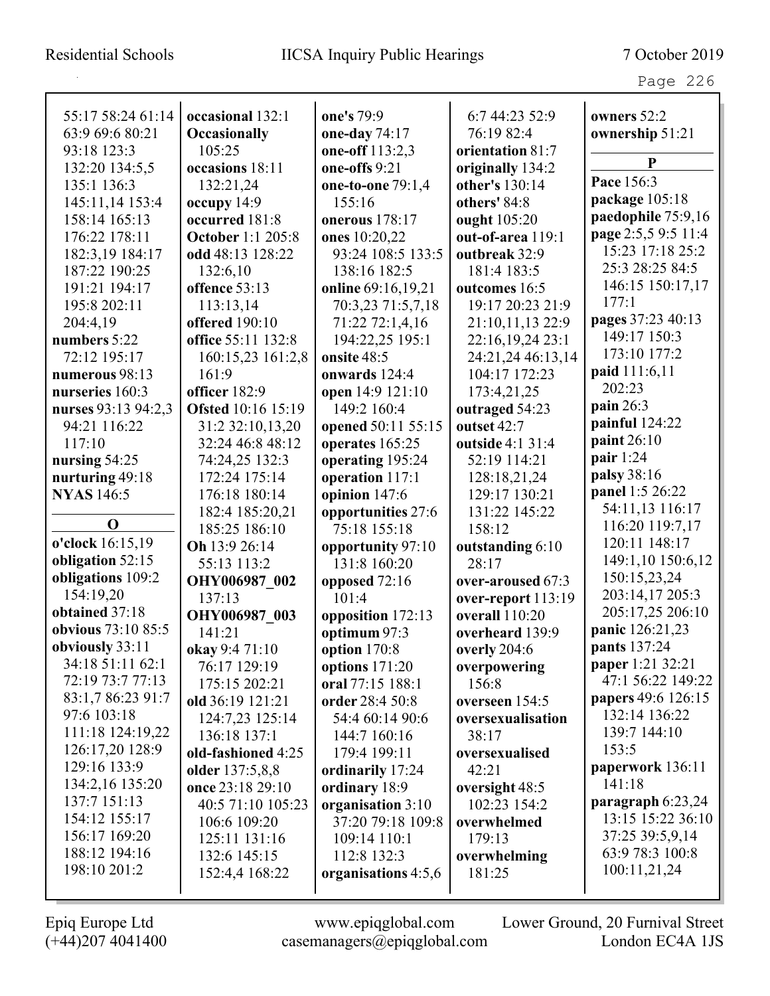| 55:17 58:24 61:14         | occasional 132:1          | one's 79:9          | 6:7 44:23 52:9     | owners 52:2         |
|---------------------------|---------------------------|---------------------|--------------------|---------------------|
| 63:9 69:6 80:21           | <b>Occasionally</b>       | one-day 74:17       | 76:19 82:4         | ownership 51:21     |
| 93:18 123:3               | 105:25                    | one-off 113:2,3     | orientation 81:7   |                     |
| 132:20 134:5,5            | occasions 18:11           | one-offs 9:21       | originally 134:2   | P                   |
| 135:1 136:3               | 132:21,24                 | one-to-one 79:1,4   | other's 130:14     | Pace 156:3          |
| 145:11,14 153:4           | occupy $14:9$             | 155:16              | others' 84:8       | package 105:18      |
| 158:14 165:13             | occurred 181:8            | onerous 178:17      | ought 105:20       | paedophile 75:9,16  |
| 176:22 178:11             | <b>October 1:1 205:8</b>  | ones 10:20,22       | out-of-area 119:1  | page 2:5,5 9:5 11:4 |
| 182:3,19 184:17           | odd 48:13 128:22          | 93:24 108:5 133:5   | outbreak 32:9      | 15:23 17:18 25:2    |
| 187:22 190:25             | 132:6,10                  | 138:16 182:5        | 181:4 183:5        | 25:3 28:25 84:5     |
| 191:21 194:17             | offence 53:13             | online 69:16,19,21  | outcomes 16:5      | 146:15 150:17,17    |
| 195:8 202:11              | 113:13,14                 | 70:3,23 71:5,7,18   | 19:17 20:23 21:9   | 177:1               |
| 204:4,19                  | <b>offered</b> 190:10     | 71:22 72:1,4,16     | 21:10,11,13 22:9   | pages 37:23 40:13   |
| numbers 5:22              | office 55:11 132:8        | 194:22,25 195:1     | 22:16,19,24 23:1   | 149:17 150:3        |
| 72:12 195:17              | 160:15,23 161:2,8         | onsite 48:5         | 24:21,24 46:13,14  | 173:10 177:2        |
| numerous 98:13            | 161:9                     | onwards 124:4       | 104:17 172:23      | paid 111:6,11       |
| nurseries 160:3           | officer 182:9             | open 14:9 121:10    | 173:4,21,25        | 202:23              |
| nurses 93:13 94:2,3       | <b>Ofsted</b> 10:16 15:19 | 149:2 160:4         | outraged 54:23     | pain 26:3           |
| 94:21 116:22              | 31:2 32:10,13,20          | opened 50:11 55:15  | outset 42:7        | painful 124:22      |
| 117:10                    | 32:24 46:8 48:12          | operates 165:25     | outside 4:1 31:4   | paint 26:10         |
| nursing 54:25             | 74:24,25 132:3            | operating 195:24    | 52:19 114:21       | pair $1:24$         |
| nurturing 49:18           | 172:24 175:14             | operation 117:1     | 128:18,21,24       | palsy 38:16         |
| <b>NYAS</b> 146:5         | 176:18 180:14             | opinion 147:6       | 129:17 130:21      | panel 1:5 26:22     |
|                           | 182:4 185:20,21           | opportunities 27:6  | 131:22 145:22      | 54:11,13 116:17     |
| $\mathbf 0$               | 185:25 186:10             | 75:18 155:18        | 158:12             | 116:20 119:7,17     |
| o'clock 16:15,19          | Oh 13:9 26:14             | opportunity 97:10   | outstanding 6:10   | 120:11 148:17       |
| obligation 52:15          | 55:13 113:2               | 131:8 160:20        | 28:17              | 149:1,10 150:6,12   |
| obligations 109:2         | OHY006987 002             | opposed 72:16       | over-aroused 67:3  | 150:15,23,24        |
| 154:19,20                 | 137:13                    | 101:4               | over-report 113:19 | 203:14,17 205:3     |
| obtained 37:18            | OHY006987 003             | opposition 172:13   | overall 110:20     | 205:17,25 206:10    |
| <b>obvious</b> 73:10 85:5 | 141:21                    | optimum 97:3        | overheard 139:9    | panic 126:21,23     |
| obviously 33:11           | okay 9:4 71:10            | option 170:8        | overly 204:6       | pants 137:24        |
| 34:18 51:11 62:1          | 76:17 129:19              | options $171:20$    | overpowering       | paper 1:21 32:21    |
| 72:19 73:7 77:13          | 175:15 202:21             | oral 77:15 188:1    | 156:8              | 47:1 56:22 149:22   |
| 83:1,7 86:23 91:7         | old 36:19 121:21          | order 28:4 50:8     | overseen 154:5     | papers 49:6 126:15  |
| 97:6 103:18               | 124:7,23 125:14           | 54:4 60:14 90:6     | oversexualisation  | 132:14 136:22       |
| 111:18 124:19,22          | 136:18 137:1              | 144:7 160:16        | 38:17              | 139:7 144:10        |
| 126:17,20 128:9           | old-fashioned 4:25        | 179:4 199:11        | oversexualised     | 153:5               |
| 129:16 133:9              | older 137:5,8,8           | ordinarily 17:24    | 42:21              | paperwork 136:11    |
| 134:2,16 135:20           | once 23:18 29:10          | ordinary 18:9       | oversight 48:5     | 141:18              |
| 137:7 151:13              | 40:5 71:10 105:23         | organisation 3:10   | 102:23 154:2       | paragraph 6:23,24   |
| 154:12 155:17             | 106:6 109:20              | 37:20 79:18 109:8   | overwhelmed        | 13:15 15:22 36:10   |
| 156:17 169:20             | 125:11 131:16             | 109:14 110:1        | 179:13             | 37:25 39:5,9,14     |
| 188:12 194:16             | 132:6 145:15              | 112:8 132:3         | overwhelming       | 63:9 78:3 100:8     |
| 198:10 201:2              | 152:4,4 168:22            | organisations 4:5,6 | 181:25             | 100:11,21,24        |
|                           |                           |                     |                    |                     |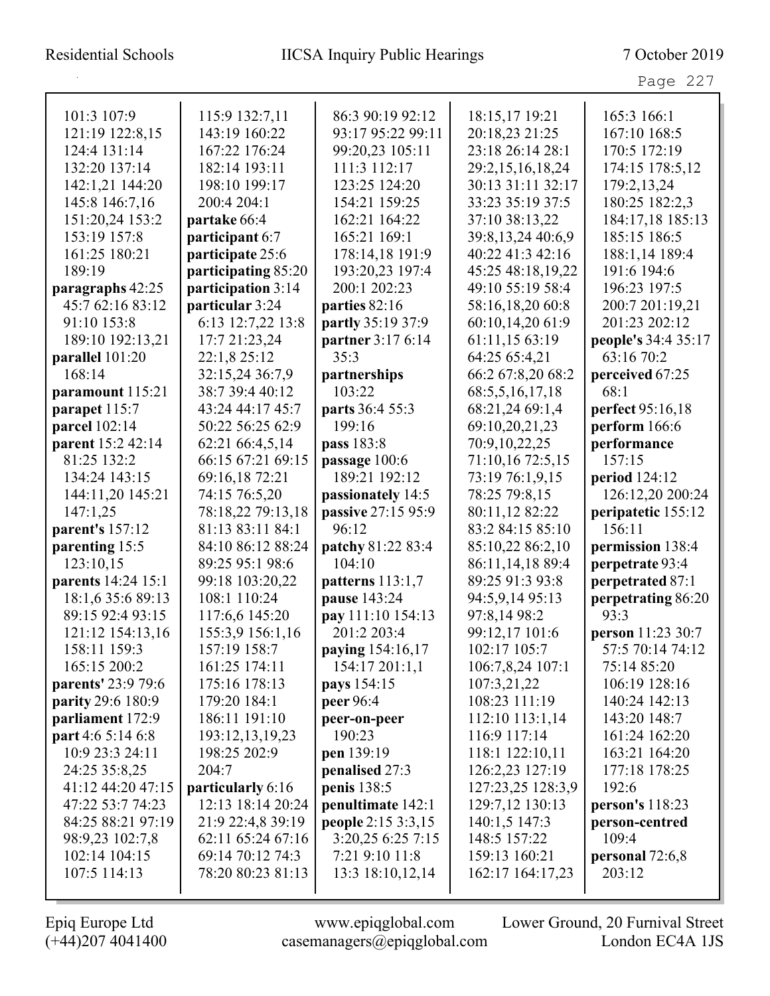| 101:3 107:9              | 115:9 132:7,11      | 86:3 90:19 92:12   | 18:15,17 19:21       | 165:3 166:1         |
|--------------------------|---------------------|--------------------|----------------------|---------------------|
| 121:19 122:8,15          | 143:19 160:22       | 93:17 95:22 99:11  | 20:18,23 21:25       | 167:10 168:5        |
| 124:4 131:14             | 167:22 176:24       | 99:20,23 105:11    | 23:18 26:14 28:1     | 170:5 172:19        |
| 132:20 137:14            | 182:14 193:11       | 111:3 112:17       | 29:2,15,16,18,24     | 174:15 178:5,12     |
| 142:1,21 144:20          | 198:10 199:17       | 123:25 124:20      | 30:13 31:11 32:17    | 179:2, 13, 24       |
| 145:8 146:7,16           | 200:4 204:1         | 154:21 159:25      | 33:23 35:19 37:5     | 180:25 182:2,3      |
| 151:20,24 153:2          | partake 66:4        | 162:21 164:22      | 37:10 38:13,22       | 184:17,18 185:13    |
| 153:19 157:8             | participant 6:7     | 165:21 169:1       | 39:8, 13, 24 40:6, 9 | 185:15 186:5        |
| 161:25 180:21            | participate 25:6    | 178:14,18 191:9    | 40:22 41:3 42:16     | 188:1,14 189:4      |
| 189:19                   | participating 85:20 | 193:20,23 197:4    | 45:25 48:18,19,22    | 191:6 194:6         |
| paragraphs 42:25         | participation 3:14  | 200:1 202:23       | 49:10 55:19 58:4     | 196:23 197:5        |
| 45:7 62:16 83:12         | particular 3:24     | parties 82:16      | 58:16,18,20 60:8     | 200:7 201:19,21     |
| 91:10 153:8              | 6:13 12:7,22 13:8   | partly 35:19 37:9  | 60:10,14,20 61:9     | 201:23 202:12       |
| 189:10 192:13,21         | 17:7 21:23,24       | partner 3:17 6:14  | 61:11,15 63:19       | people's 34:4 35:17 |
| parallel 101:20          | 22:1,8 25:12        | 35:3               | 64:25 65:4,21        | 63:16 70:2          |
| 168:14                   | 32:15,24 36:7,9     | partnerships       | 66:2 67:8,20 68:2    | perceived 67:25     |
| paramount 115:21         | 38:7 39:4 40:12     | 103:22             | 68:5,5,16,17,18      | 68:1                |
| parapet 115:7            | 43:24 44:17 45:7    | parts 36:4 55:3    | 68:21,24 69:1,4      | perfect 95:16,18    |
| parcel 102:14            | 50:22 56:25 62:9    | 199:16             | 69:10,20,21,23       | perform 166:6       |
| parent 15:2 42:14        | 62:21 66:4,5,14     | pass 183:8         | 70:9,10,22,25        | performance         |
| 81:25 132:2              | 66:15 67:21 69:15   | passage 100:6      | 71:10,16 72:5,15     | 157:15              |
| 134:24 143:15            | 69:16,18 72:21      | 189:21 192:12      | 73:19 76:1,9,15      | period 124:12       |
| 144:11,20 145:21         | 74:15 76:5,20       | passionately 14:5  | 78:25 79:8,15        | 126:12,20 200:24    |
| 147:1,25                 | 78:18,22 79:13,18   | passive 27:15 95:9 | 80:11,12 82:22       | peripatetic 155:12  |
| parent's 157:12          | 81:13 83:11 84:1    | 96:12              | 83:2 84:15 85:10     | 156:11              |
| parenting 15:5           | 84:10 86:12 88:24   | patchy 81:22 83:4  | 85:10,22 86:2,10     | permission 138:4    |
| 123:10,15                | 89:25 95:1 98:6     | 104:10             | 86:11,14,18 89:4     | perpetrate 93:4     |
| parents 14:24 15:1       | 99:18 103:20,22     | patterns 113:1,7   | 89:25 91:3 93:8      | perpetrated 87:1    |
| 18:1,6 35:6 89:13        | 108:1 110:24        | pause 143:24       | 94:5,9,14 95:13      | perpetrating 86:20  |
| 89:15 92:4 93:15         | 117:6,6 145:20      | pay 111:10 154:13  | 97:8,14 98:2         | 93:3                |
| 121:12 154:13,16         | 155:3,9 156:1,16    | 201:2 203:4        | 99:12,17 101:6       | person 11:23 30:7   |
| 158:11 159:3             | 157:19 158:7        | paying 154:16,17   | 102:17 105:7         | 57:5 70:14 74:12    |
| 165:15 200:2             | 161:25 174:11       | 154:17 201:1,1     | 106:7,8,24 107:1     | 75:14 85:20         |
| parents' 23:9 79:6       | 175:16 178:13       | pays 154:15        | 107:3,21,22          | 106:19 128:16       |
| parity 29:6 180:9        | 179:20 184:1        | peer 96:4          | 108:23 111:19        | 140:24 142:13       |
| parliament 172:9         | 186:11 191:10       | peer-on-peer       | 112:10 113:1,14      | 143:20 148:7        |
| <b>part</b> 4:6 5:14 6:8 | 193:12,13,19,23     | 190:23             | 116:9 117:14         | 161:24 162:20       |
| 10:9 23:3 24:11          | 198:25 202:9        | pen 139:19         | 118:1 122:10,11      | 163:21 164:20       |
| 24:25 35:8,25            | 204:7               | penalised 27:3     | 126:2,23 127:19      | 177:18 178:25       |
| 41:12 44:20 47:15        | particularly 6:16   | penis 138:5        | 127:23,25 128:3,9    | 192:6               |
| 47:22 53:7 74:23         | 12:13 18:14 20:24   | penultimate 142:1  | 129:7,12 130:13      | person's 118:23     |
| 84:25 88:21 97:19        | 21:9 22:4,8 39:19   | people 2:15 3:3,15 | 140:1,5 147:3        | person-centred      |
| 98:9,23 102:7,8          | 62:11 65:24 67:16   | 3:20,25 6:25 7:15  | 148:5 157:22         | 109:4               |
| 102:14 104:15            | 69:14 70:12 74:3    | 7:21 9:10 11:8     | 159:13 160:21        | personal $72:6,8$   |
| 107:5 114:13             | 78:20 80:23 81:13   | 13:3 18:10,12,14   | 162:17 164:17,23     | 203:12              |
|                          |                     |                    |                      |                     |

 $\mathbf{I}$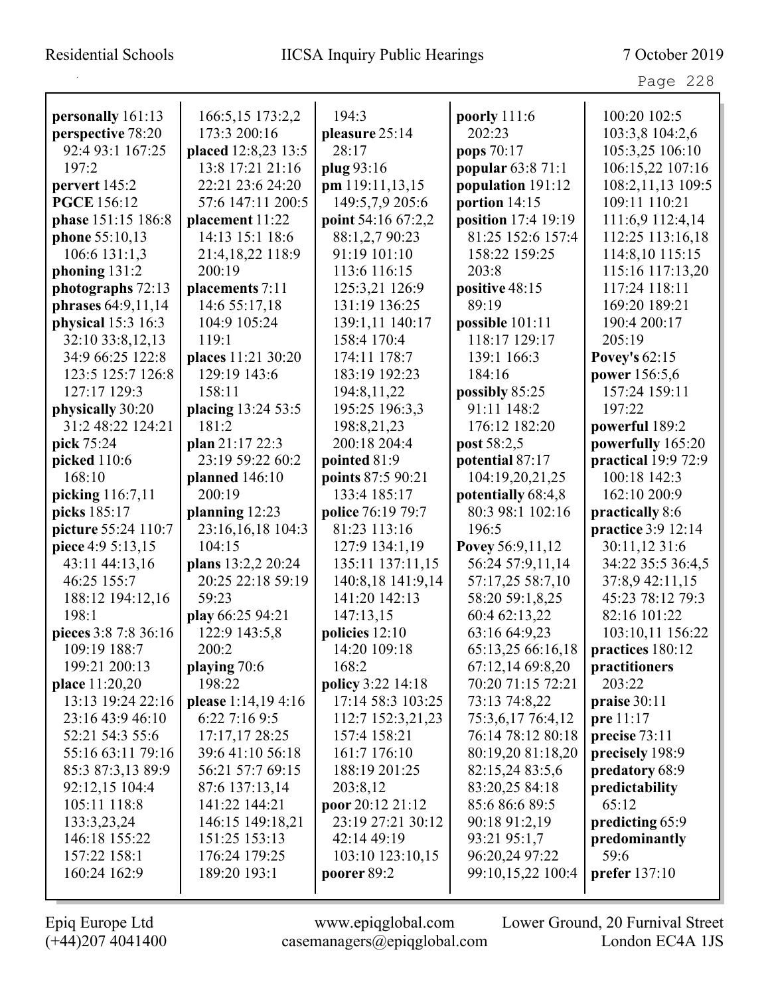| personally 161:13    | 166:5,15 173:2,2    | 194:3              | poorly 111:6             | 100:20 102:5         |
|----------------------|---------------------|--------------------|--------------------------|----------------------|
| perspective 78:20    | 173:3 200:16        | pleasure 25:14     | 202:23                   | 103:3,8 104:2,6      |
| 92:4 93:1 167:25     | placed 12:8,23 13:5 | 28:17              | pops 70:17               | 105:3,25 106:10      |
| 197:2                | 13:8 17:21 21:16    | plug 93:16         | <b>popular 63:8 71:1</b> | 106:15,22 107:16     |
| pervert 145:2        | 22:21 23:6 24:20    | pm 119:11,13,15    | population 191:12        | 108:2,11,13 109:5    |
| <b>PGCE</b> 156:12   | 57:6 147:11 200:5   | 149:5,7,9 205:6    | portion 14:15            | 109:11 110:21        |
| phase 151:15 186:8   | placement 11:22     | point 54:16 67:2,2 | position 17:4 19:19      | 111:6,9 112:4,14     |
| phone 55:10,13       | 14:13 15:1 18:6     | 88:1,2,7 90:23     | 81:25 152:6 157:4        | 112:25 113:16,18     |
| $106:6$ 131:1,3      | 21:4,18,22 118:9    | 91:19 101:10       | 158:22 159:25            | 114:8,10 115:15      |
| phoning 131:2        | 200:19              | 113:6 116:15       | 203:8                    | 115:16 117:13,20     |
| photographs 72:13    | placements 7:11     | 125:3,21 126:9     | positive 48:15           | 117:24 118:11        |
| phrases 64:9,11,14   | 14:6 55:17,18       | 131:19 136:25      | 89:19                    | 169:20 189:21        |
| physical 15:3 16:3   | 104:9 105:24        | 139:1,11 140:17    | possible 101:11          | 190:4 200:17         |
| 32:10 33:8,12,13     | 119:1               | 158:4 170:4        | 118:17 129:17            | 205:19               |
| 34:9 66:25 122:8     | places 11:21 30:20  | 174:11 178:7       | 139:1 166:3              | <b>Povey's 62:15</b> |
| 123:5 125:7 126:8    | 129:19 143:6        | 183:19 192:23      | 184:16                   | power 156:5,6        |
| 127:17 129:3         | 158:11              | 194:8,11,22        | possibly 85:25           | 157:24 159:11        |
| physically 30:20     | placing 13:24 53:5  | 195:25 196:3,3     | 91:11 148:2              | 197:22               |
| 31:2 48:22 124:21    | 181:2               | 198:8,21,23        | 176:12 182:20            | powerful 189:2       |
| pick 75:24           | plan $21:1722:3$    | 200:18 204:4       | post 58:2,5              | powerfully 165:20    |
| picked 110:6         | 23:19 59:22 60:2    | pointed 81:9       | potential 87:17          | practical 19:9 72:9  |
| 168:10               | planned $146:10$    | points 87:5 90:21  | 104:19,20,21,25          | 100:18 142:3         |
| picking 116:7,11     | 200:19              | 133:4 185:17       | potentially 68:4,8       | 162:10 200:9         |
| picks 185:17         | planning 12:23      | police 76:19 79:7  | 80:3 98:1 102:16         | practically 8:6      |
| picture 55:24 110:7  | 23:16,16,18 104:3   | 81:23 113:16       | 196:5                    | practice 3:9 12:14   |
| piece 4:9 5:13,15    | 104:15              | 127:9 134:1,19     | Povey 56:9,11,12         | 30:11,12 31:6        |
| 43:11 44:13,16       | plans 13:2,2 20:24  | 135:11 137:11,15   | 56:24 57:9,11,14         | 34:22 35:5 36:4,5    |
| 46:25 155:7          | 20:25 22:18 59:19   | 140:8,18 141:9,14  | 57:17,25 58:7,10         | 37:8,9 42:11,15      |
| 188:12 194:12,16     | 59:23               | 141:20 142:13      | 58:20 59:1,8,25          | 45:23 78:12 79:3     |
| 198:1                | play 66:25 94:21    | 147:13,15          | 60:4 62:13,22            | 82:16 101:22         |
| pieces 3:8 7:8 36:16 | 122:9 143:5,8       | policies 12:10     | 63:16 64:9,23            | 103:10,11 156:22     |
| 109:19 188:7         | 200:2               | 14:20 109:18       | 65:13,25 66:16,18        | practices 180:12     |
| 199:21 200:13        | playing $70:6$      | 168:2              | 67:12,14 69:8,20         | practitioners        |
| place 11:20,20       | 198:22              | policy 3:22 14:18  | 70:20 71:15 72:21        | 203:22               |
| 13:13 19:24 22:16    | please 1:14,19 4:16 | 17:14 58:3 103:25  | 73:13 74:8,22            | praise 30:11         |
| 23:16 43:9 46:10     | 6:22 7:16 9:5       | 112:7 152:3,21,23  | 75:3,6,17 76:4,12        | pre 11:17            |
| 52:21 54:3 55:6      | 17:17,17 28:25      | 157:4 158:21       | 76:14 78:12 80:18        | precise 73:11        |
| 55:16 63:11 79:16    | 39:6 41:10 56:18    | 161:7 176:10       | 80:19,20 81:18,20        | precisely 198:9      |
| 85:3 87:3,13 89:9    | 56:21 57:7 69:15    | 188:19 201:25      | 82:15,24 83:5,6          | predatory 68:9       |
| 92:12,15 104:4       | 87:6 137:13,14      | 203:8,12           | 83:20,25 84:18           | predictability       |
| 105:11 118:8         | 141:22 144:21       | poor 20:12 21:12   | 85:6 86:6 89:5           | 65:12                |
| 133:3,23,24          | 146:15 149:18,21    | 23:19 27:21 30:12  | 90:18 91:2,19            | predicting 65:9      |
| 146:18 155:22        | 151:25 153:13       | 42:14 49:19        | 93:21 95:1,7             | predominantly        |
| 157:22 158:1         | 176:24 179:25       | 103:10 123:10,15   | 96:20,24 97:22           | 59:6                 |
| 160:24 162:9         | 189:20 193:1        | poorer 89:2        | 99:10,15,22 100:4        | prefer 137:10        |
|                      |                     |                    |                          |                      |

 $\mathbf I$ 

(+44)207 4041400 casemanagers@epiqglobal.com London EC4A 1JS

Epiq Europe Ltd www.epiqglobal.com Lower Ground, 20 Furnival Street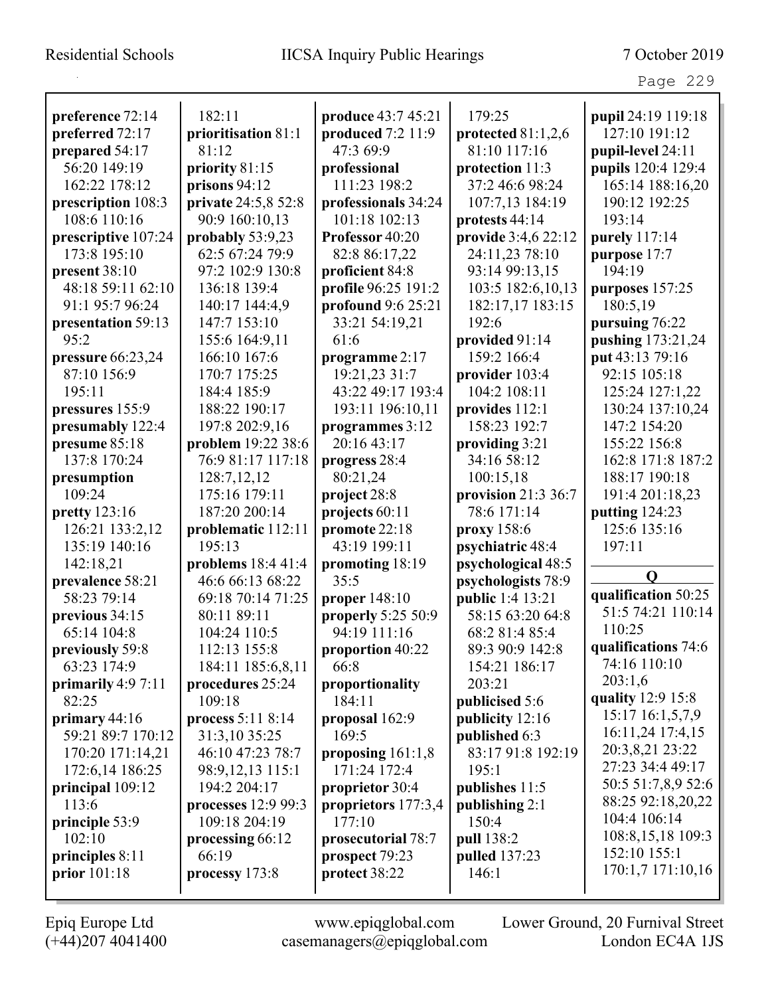| preference 72:14     | 182:11              | <b>produce</b> 43:7 45:21 | 179:25               | pupil 24:19 119:18  |
|----------------------|---------------------|---------------------------|----------------------|---------------------|
| preferred 72:17      | prioritisation 81:1 | produced 7:2 11:9         | protected $81:1,2,6$ | 127:10 191:12       |
| prepared 54:17       | 81:12               | 47:3 69:9                 | 81:10 117:16         | pupil-level 24:11   |
| 56:20 149:19         | priority 81:15      | professional              | protection 11:3      | pupils 120:4 129:4  |
| 162:22 178:12        | prisons 94:12       | 111:23 198:2              | 37:2 46:6 98:24      | 165:14 188:16,20    |
| prescription 108:3   | private 24:5,8 52:8 | professionals 34:24       | 107:7,13 184:19      | 190:12 192:25       |
| 108:6 110:16         | 90:9 160:10,13      | 101:18 102:13             | protests 44:14       | 193:14              |
| prescriptive 107:24  | probably 53:9,23    | Professor 40:20           | provide 3:4,6 22:12  | purely 117:14       |
| 173:8 195:10         | 62:5 67:24 79:9     | 82:8 86:17,22             | 24:11,23 78:10       | purpose 17:7        |
| present $38:10$      | 97:2 102:9 130:8    | proficient 84:8           | 93:14 99:13,15       | 194:19              |
| 48:18 59:11 62:10    | 136:18 139:4        | profile 96:25 191:2       | 103:5 182:6,10,13    | purposes 157:25     |
| 91:1 95:7 96:24      | 140:17 144:4,9      | profound 9:6 25:21        | 182:17,17 183:15     | 180:5,19            |
| presentation 59:13   | 147:7 153:10        | 33:21 54:19,21            | 192:6                | pursuing 76:22      |
| 95:2                 | 155:6 164:9,11      | 61:6                      | provided 91:14       | pushing 173:21,24   |
| pressure $66:23,24$  | 166:10 167:6        | programme 2:17            | 159:2 166:4          | put 43:13 79:16     |
| 87:10 156:9          | 170:7 175:25        | 19:21,23 31:7             | provider 103:4       | 92:15 105:18        |
| 195:11               | 184:4 185:9         | 43:22 49:17 193:4         | 104:2 108:11         | 125:24 127:1,22     |
| pressures 155:9      | 188:22 190:17       | 193:11 196:10,11          | provides 112:1       | 130:24 137:10,24    |
| presumably 122:4     | 197:8 202:9,16      | programmes 3:12           | 158:23 192:7         | 147:2 154:20        |
| presume 85:18        | problem 19:22 38:6  | 20:16 43:17               | providing 3:21       | 155:22 156:8        |
| 137:8 170:24         | 76:9 81:17 117:18   | progress 28:4             | 34:16 58:12          | 162:8 171:8 187:2   |
| presumption          | 128:7,12,12         | 80:21,24                  | 100:15,18            | 188:17 190:18       |
| 109:24               | 175:16 179:11       | project 28:8              | provision $21:336:7$ | 191:4 201:18,23     |
| <b>pretty</b> 123:16 | 187:20 200:14       | projects 60:11            | 78:6 171:14          | putting 124:23      |
| 126:21 133:2,12      | problematic 112:11  | promote 22:18             | proxy 158:6          | 125:6 135:16        |
| 135:19 140:16        | 195:13              | 43:19 199:11              | psychiatric 48:4     | 197:11              |
| 142:18,21            | problems 18:4 41:4  | promoting 18:19           | psychological 48:5   |                     |
| prevalence 58:21     | 46:6 66:13 68:22    | 35:5                      | psychologists 78:9   | $\mathbf 0$         |
| 58:23 79:14          | 69:18 70:14 71:25   | proper $148:10$           | public 1:4 13:21     | qualification 50:25 |
| previous 34:15       | 80:11 89:11         | properly 5:25 50:9        | 58:15 63:20 64:8     | 51:5 74:21 110:14   |
| 65:14 104:8          | 104:24 110:5        | 94:19 111:16              | 68:2 81:4 85:4       | 110:25              |
| previously 59:8      | 112:13 155:8        | proportion 40:22          | 89:3 90:9 142:8      | qualifications 74:6 |
| 63:23 174:9          | 184:11 185:6,8,11   | 66:8                      | 154:21 186:17        | 74:16 110:10        |
| primarily $4:97:11$  | procedures 25:24    | proportionality           | 203:21               | 203:1,6             |
| 82:25                | 109:18              | 184:11                    | publicised 5:6       | quality 12:9 15:8   |
| primary $44:16$      | process 5:11 8:14   | proposal 162:9            | publicity 12:16      | 15:17 16:1,5,7,9    |
| 59:21 89:7 170:12    | 31:3,10 35:25       | 169:5                     | published 6:3        | 16:11,24 17:4,15    |
| 170:20 171:14,21     | 46:10 47:23 78:7    | proposing $161:1,8$       | 83:17 91:8 192:19    | 20:3,8,21 23:22     |
| 172:6,14 186:25      | 98:9,12,13 115:1    | 171:24 172:4              | 195:1                | 27:23 34:4 49:17    |
| principal 109:12     | 194:2 204:17        | proprietor 30:4           | publishes 11:5       | 50:5 51:7,8,9 52:6  |
| 113:6                | processes 12:9 99:3 | proprietors 177:3,4       | publishing 2:1       | 88:25 92:18,20,22   |
| principle 53:9       | 109:18 204:19       | 177:10                    | 150:4                | 104:4 106:14        |
| 102:10               | processing 66:12    | prosecutorial 78:7        | pull 138:2           | 108:8,15,18 109:3   |
| principles $8:11$    | 66:19               | prospect 79:23            | pulled 137:23        | 152:10 155:1        |
| prior 101:18         | processy 173:8      | protect 38:22             | 146:1                | 170:1,7 171:10,16   |
|                      |                     |                           |                      |                     |

L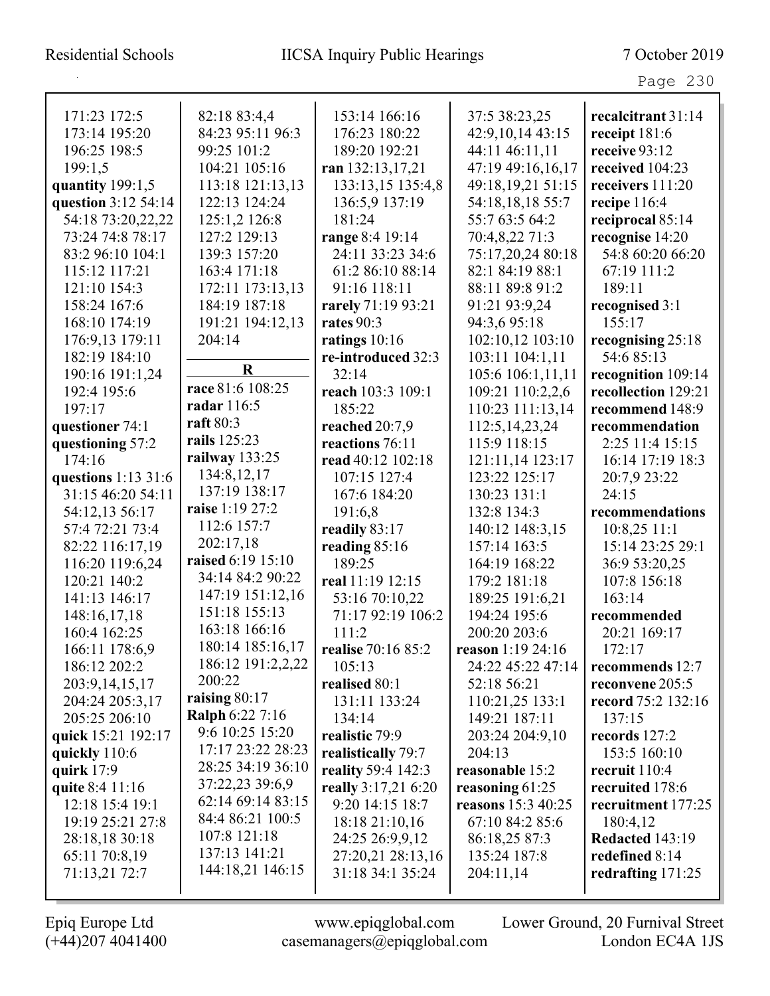| 171:23 172:5        | 82:18 83:4,4           | 153:14 166:16       | 37:5 38:23,25      | recalcitrant 31:14  |
|---------------------|------------------------|---------------------|--------------------|---------------------|
| 173:14 195:20       | 84:23 95:11 96:3       | 176:23 180:22       | 42:9,10,14 43:15   | receipt 181:6       |
| 196:25 198:5        | 99:25 101:2            | 189:20 192:21       | 44:11 46:11,11     | receive 93:12       |
| 199:1,5             | 104:21 105:16          | ran 132:13,17,21    | 47:19 49:16,16,17  | received 104:23     |
| quantity 199:1,5    | 113:18 121:13,13       | 133:13,15 135:4,8   | 49:18,19,21 51:15  | receivers 111:20    |
| question 3:12 54:14 | 122:13 124:24          | 136:5,9 137:19      | 54:18,18,18 55:7   | recipe $116:4$      |
| 54:18 73:20,22,22   | 125:1,2 126:8          | 181:24              | 55:7 63:5 64:2     | reciprocal 85:14    |
| 73:24 74:8 78:17    | 127:2 129:13           | range 8:4 19:14     | 70:4,8,22 71:3     | recognise 14:20     |
| 83:2 96:10 104:1    | 139:3 157:20           | 24:11 33:23 34:6    | 75:17,20,24 80:18  | 54:8 60:20 66:20    |
| 115:12 117:21       | 163:4 171:18           | 61:2 86:10 88:14    | 82:1 84:19 88:1    | 67:19 111:2         |
| 121:10 154:3        | 172:11 173:13,13       | 91:16 118:11        | 88:11 89:8 91:2    | 189:11              |
| 158:24 167:6        | 184:19 187:18          | rarely 71:19 93:21  | 91:21 93:9,24      | recognised 3:1      |
| 168:10 174:19       | 191:21 194:12,13       | rates 90:3          | 94:3,6 95:18       | 155:17              |
| 176:9,13 179:11     | 204:14                 | ratings $10:16$     | 102:10,12 103:10   | recognising 25:18   |
| 182:19 184:10       |                        | re-introduced 32:3  | 103:11 104:1,11    | 54:6 85:13          |
| 190:16 191:1,24     | $\bf R$                | 32:14               | 105:6 106:1,11,11  | recognition 109:14  |
| 192:4 195:6         | race 81:6 108:25       | reach 103:3 109:1   | 109:21 110:2,2,6   | recollection 129:21 |
| 197:17              | radar 116:5            | 185:22              | 110:23 111:13,14   | recommend 148:9     |
| questioner 74:1     | raft 80:3              | reached 20:7,9      | 112:5, 14, 23, 24  | recommendation      |
| questioning 57:2    | rails 125:23           | reactions 76:11     | 115:9 118:15       | 2:25 11:4 15:15     |
| 174:16              | railway 133:25         | read 40:12 102:18   | 121:11,14 123:17   | 16:14 17:19 18:3    |
| questions 1:13 31:6 | 134:8, 12, 17          | 107:15 127:4        | 123:22 125:17      | 20:7,9 23:22        |
| 31:15 46:20 54:11   | 137:19 138:17          | 167:6 184:20        | 130:23 131:1       | 24:15               |
| 54:12,13 56:17      | raise 1:19 27:2        | 191:6,8             | 132:8 134:3        | recommendations     |
| 57:4 72:21 73:4     | 112:6 157:7            | readily 83:17       | 140:12 148:3,15    | 10:8,25 11:1        |
| 82:22 116:17,19     | 202:17,18              | reading 85:16       | 157:14 163:5       | 15:14 23:25 29:1    |
| 116:20 119:6,24     | raised 6:19 15:10      | 189:25              | 164:19 168:22      | 36:9 53:20,25       |
| 120:21 140:2        | 34:14 84:2 90:22       | real 11:19 12:15    | 179:2 181:18       | 107:8 156:18        |
| 141:13 146:17       | 147:19 151:12,16       | 53:16 70:10,22      | 189:25 191:6,21    | 163:14              |
| 148:16,17,18        | 151:18 155:13          | 71:17 92:19 106:2   | 194:24 195:6       | recommended         |
| 160:4 162:25        | 163:18 166:16          | 111:2               | 200:20 203:6       | 20:21 169:17        |
| 166:11 178:6,9      | 180:14 185:16,17       | realise 70:16 85:2  | reason 1:19 24:16  | 172:17              |
| 186:12 202:2        | 186:12 191:2,2,22      | 105:13              | 24:22 45:22 47:14  | recommends 12:7     |
| 203:9,14,15,17      | 200:22                 | realised 80:1       | 52:18 56:21        | reconvene 205:5     |
| 204:24 205:3,17     | raising $80:17$        | 131:11 133:24       | 110:21,25 133:1    | record 75:2 132:16  |
| 205:25 206:10       | <b>Ralph 6:22 7:16</b> | 134:14              | 149:21 187:11      | 137:15              |
| quick 15:21 192:17  | 9:6 10:25 15:20        | realistic 79:9      | 203:24 204:9,10    | records $127:2$     |
| quickly 110:6       | 17:17 23:22 28:23      | realistically 79:7  | 204:13             | 153:5 160:10        |
| quirk 17:9          | 28:25 34:19 36:10      | reality 59:4 142:3  | reasonable 15:2    | recruit 110:4       |
| quite 8:4 11:16     | 37:22,23 39:6,9        | really 3:17,21 6:20 | reasoning 61:25    | recruited 178:6     |
| 12:18 15:4 19:1     | 62:14 69:14 83:15      | 9:20 14:15 18:7     | reasons 15:3 40:25 | recruitment 177:25  |
| 19:19 25:21 27:8    | 84:4 86:21 100:5       | 18:18 21:10,16      | 67:10 84:2 85:6    | 180:4,12            |
| 28:18,18 30:18      | 107:8 121:18           | 24:25 26:9,9,12     | 86:18,25 87:3      | Redacted 143:19     |
| 65:11 70:8,19       | 137:13 141:21          | 27:20,21 28:13,16   | 135:24 187:8       | redefined 8:14      |
| 71:13,21 72:7       | 144:18,21 146:15       | 31:18 34:1 35:24    | 204:11,14          | redrafting $171:25$ |
|                     |                        |                     |                    |                     |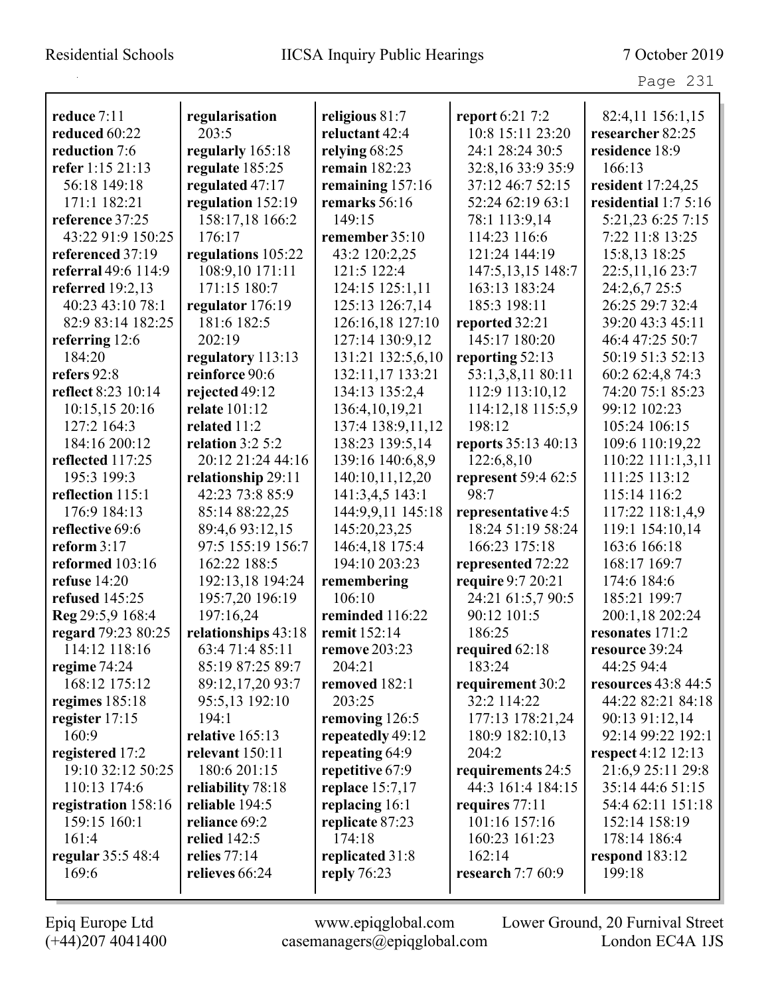| reduce 7:11         |                     |                      |                     |                         |
|---------------------|---------------------|----------------------|---------------------|-------------------------|
|                     | regularisation      | religious 81:7       | report 6:21 7:2     | 82:4,11 156:1,15        |
| reduced 60:22       | 203:5               | reluctant 42:4       | 10:8 15:11 23:20    | researcher 82:25        |
| reduction 7:6       | regularly 165:18    | relying $68:25$      | 24:1 28:24 30:5     | residence 18:9          |
| refer 1:15 21:13    | regulate 185:25     | remain 182:23        | 32:8,16 33:9 35:9   | 166:13                  |
| 56:18 149:18        | regulated 47:17     | remaining 157:16     | 37:12 46:7 52:15    | resident 17:24,25       |
| 171:1 182:21        | regulation 152:19   | remarks 56:16        | 52:24 62:19 63:1    | residential $1:75:16$   |
| reference 37:25     | 158:17,18 166:2     | 149:15               | 78:1 113:9,14       | 5:21,23 6:25 7:15       |
| 43:22 91:9 150:25   | 176:17              | remember 35:10       | 114:23 116:6        | 7:22 11:8 13:25         |
| referenced 37:19    | regulations 105:22  | 43:2 120:2,25        | 121:24 144:19       | 15:8,13 18:25           |
| referral 49:6 114:9 | 108:9,10 171:11     | 121:5 122:4          | 147:5, 13, 15 148:7 | 22:5, 11, 16 23:7       |
| referred $19:2,13$  | 171:15 180:7        | 124:15 125:1,11      | 163:13 183:24       | 24:2,6,7 25:5           |
| 40:23 43:10 78:1    | regulator 176:19    | 125:13 126:7,14      | 185:3 198:11        | 26:25 29:7 32:4         |
| 82:9 83:14 182:25   | 181:6 182:5         | 126:16,18 127:10     | reported 32:21      | 39:20 43:3 45:11        |
| referring 12:6      | 202:19              | 127:14 130:9,12      | 145:17 180:20       | 46:4 47:25 50:7         |
| 184:20              | regulatory 113:13   | 131:21 132:5,6,10    | reporting 52:13     | 50:19 51:3 52:13        |
| refers 92:8         | reinforce 90:6      | 132:11,17 133:21     | 53:1,3,8,11 80:11   | 60:2 62:4,8 74:3        |
| reflect 8:23 10:14  | rejected 49:12      | 134:13 135:2,4       | 112:9 113:10,12     | 74:20 75:1 85:23        |
| 10:15,15 20:16      | relate 101:12       | 136:4, 10, 19, 21    | 114:12,18 115:5,9   | 99:12 102:23            |
| 127:2 164:3         | related 11:2        | 137:4 138:9,11,12    | 198:12              | 105:24 106:15           |
| 184:16 200:12       | relation $3:2$ 5:2  | 138:23 139:5,14      | reports 35:13 40:13 | 109:6 110:19,22         |
| reflected 117:25    | 20:12 21:24 44:16   | 139:16 140:6,8,9     | 122:6,8,10          | 110:22 111:1,3,11       |
| 195:3 199:3         | relationship 29:11  | 140:10,11,12,20      | represent 59:4 62:5 | 111:25 113:12           |
| reflection 115:1    | 42:23 73:8 85:9     | 141:3,4,5 143:1      | 98:7                | 115:14 116:2            |
| 176:9 184:13        | 85:14 88:22,25      | 144:9,9,11 145:18    | representative 4:5  | 117:22 118:1,4,9        |
| reflective 69:6     | 89:4,693:12,15      | 145:20,23,25         | 18:24 51:19 58:24   | 119:1 154:10,14         |
| reform $3:17$       | 97:5 155:19 156:7   | 146:4,18 175:4       | 166:23 175:18       | 163:6 166:18            |
| reformed 103:16     | 162:22 188:5        | 194:10 203:23        | represented 72:22   | 168:17 169:7            |
| refuse $14:20$      | 192:13,18 194:24    | remembering          | require 9:7 20:21   | 174:6 184:6             |
| refused 145:25      | 195:7,20 196:19     | 106:10               | 24:21 61:5,7 90:5   | 185:21 199:7            |
| Reg 29:5,9 168:4    | 197:16,24           | reminded 116:22      | 90:12 101:5         | 200:1,18 202:24         |
| regard 79:23 80:25  | relationships 43:18 | remit 152:14         | 186:25              | resonates 171:2         |
| 114:12 118:16       | 63:4 71:4 85:11     | <b>remove 203:23</b> | required 62:18      | resource 39:24          |
| regime $74:24$      | 85:19 87:25 89:7    | 204:21               | 183:24              | 44:25 94:4              |
| 168:12 175:12       | 89:12,17,20 93:7    | removed 182:1        | requirement 30:2    | resources $43:8$ $44:5$ |
| regimes $185:18$    | 95:5,13 192:10      | 203:25               | 32:2 114:22         | 44:22 82:21 84:18       |
| register 17:15      | 194:1               | removing 126:5       | 177:13 178:21,24    | 90:13 91:12,14          |
| 160:9               | relative 165:13     | repeatedly 49:12     | 180:9 182:10,13     | 92:14 99:22 192:1       |
| registered 17:2     | relevant 150:11     | repeating 64:9       | 204:2               | respect 4:12 12:13      |
| 19:10 32:12 50:25   | 180:6 201:15        | repetitive 67:9      | requirements 24:5   | 21:6,9 25:11 29:8       |
| 110:13 174:6        | reliability 78:18   | replace $15:7,17$    | 44:3 161:4 184:15   | 35:14 44:6 51:15        |
| registration 158:16 | reliable 194:5      | replacing 16:1       | requires 77:11      | 54:4 62:11 151:18       |
| 159:15 160:1        | reliance 69:2       | replicate 87:23      | 101:16 157:16       | 152:14 158:19           |
| 161:4               | relied $142:5$      | 174:18               | 160:23 161:23       | 178:14 186:4            |
| regular 35:5 48:4   | relies 77:14        | replicated 31:8      | 162:14              | respond $183:12$        |
| 169:6               | relieves 66:24      | reply 76:23          | research 7:7 60:9   | 199:18                  |
|                     |                     |                      |                     |                         |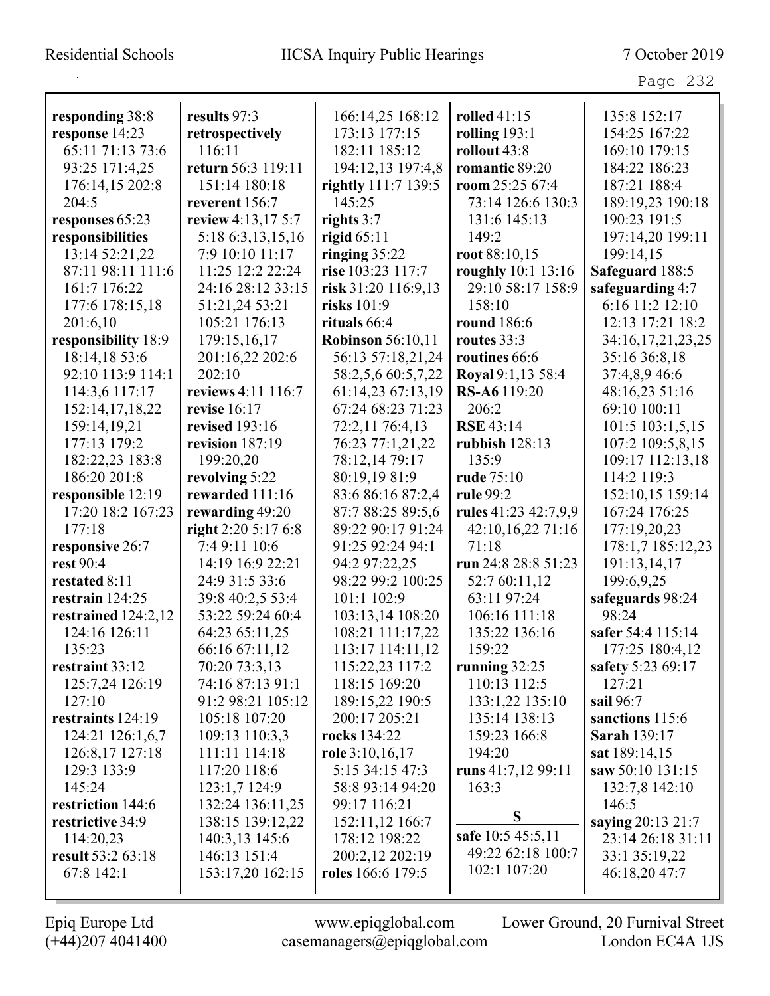| responding 38:8       | results 97:3        | 166:14,25 168:12         | <b>rolled</b> 41:15  | 135:8 152:17        |
|-----------------------|---------------------|--------------------------|----------------------|---------------------|
| response 14:23        | retrospectively     | 173:13 177:15            | rolling $193:1$      | 154:25 167:22       |
| 65:11 71:13 73:6      | 116:11              | 182:11 185:12            | rollout 43:8         | 169:10 179:15       |
| 93:25 171:4,25        | return 56:3 119:11  |                          | romantic 89:20       | 184:22 186:23       |
|                       |                     | 194:12,13 197:4,8        | room 25:25 67:4      | 187:21 188:4        |
| 176:14,15 202:8       | 151:14 180:18       | rightly 111:7 139:5      |                      |                     |
| 204:5                 | reverent 156:7      | 145:25                   | 73:14 126:6 130:3    | 189:19,23 190:18    |
| responses 65:23       | review 4:13,17 5:7  | rights 3:7               | 131:6 145:13         | 190:23 191:5        |
| responsibilities      | 5:18 6:3,13,15,16   | rigid $65:11$            | 149:2                | 197:14,20 199:11    |
| 13:14 52:21,22        | 7:9 10:10 11:17     | ringing $35:22$          | root 88:10,15        | 199:14,15           |
| 87:11 98:11 111:6     | 11:25 12:2 22:24    | rise 103:23 117:7        | roughly 10:1 13:16   | Safeguard 188:5     |
| 161:7 176:22          | 24:16 28:12 33:15   | risk 31:20 116:9,13      | 29:10 58:17 158:9    | safeguarding 4:7    |
| 177:6 178:15,18       | 51:21,24 53:21      | risks 101:9              | 158:10               | 6:16 11:2 12:10     |
| 201:6,10              | 105:21 176:13       | rituals 66:4             | <b>round</b> 186:6   | 12:13 17:21 18:2    |
| responsibility 18:9   | 179:15,16,17        | <b>Robinson</b> 56:10,11 | routes $33:3$        | 34:16,17,21,23,25   |
| 18:14,18 53:6         | 201:16,22 202:6     | 56:13 57:18,21,24        | routines 66:6        | 35:16 36:8,18       |
| 92:10 113:9 114:1     | 202:10              | 58:2,5,6 60:5,7,22       | Royal 9:1,13 58:4    | 37:4,8,9 46:6       |
| 114:3,6 117:17        | reviews 4:11 116:7  | 61:14,23 67:13,19        | RS-A6119:20          | 48:16,23 51:16      |
| 152:14,17,18,22       | revise 16:17        | 67:24 68:23 71:23        | 206:2                | 69:10 100:11        |
| 159:14,19,21          | revised 193:16      | 72:2,11 76:4,13          | <b>RSE 43:14</b>     | 101:5 103:1,5,15    |
| 177:13 179:2          | revision 187:19     | 76:23 77:1,21,22         | rubbish 128:13       | 107:2 109:5,8,15    |
| 182:22,23 183:8       | 199:20,20           | 78:12,14 79:17           | 135:9                | 109:17 112:13,18    |
| 186:20 201:8          | revolving 5:22      | 80:19,19 81:9            | rude 75:10           | 114:2 119:3         |
| responsible 12:19     | rewarded 111:16     | 83:6 86:16 87:2,4        | rule 99:2            | 152:10,15 159:14    |
| 17:20 18:2 167:23     | rewarding 49:20     | 87:7 88:25 89:5,6        | rules 41:23 42:7,9,9 | 167:24 176:25       |
| 177:18                | right 2:20 5:17 6:8 | 89:22 90:17 91:24        | 42:10,16,22 71:16    | 177:19,20,23        |
| responsive 26:7       | 7:4 9:11 10:6       | 91:25 92:24 94:1         | 71:18                | 178:1,7 185:12,23   |
| rest 90:4             | 14:19 16:9 22:21    | 94:2 97:22,25            | run 24:8 28:8 51:23  | 191:13,14,17        |
| restated 8:11         | 24:9 31:5 33:6      | 98:22 99:2 100:25        | 52:7 60:11,12        | 199:6,9,25          |
| restrain 124:25       | 39:8 40:2,5 53:4    | 101:1 102:9              | 63:11 97:24          | safeguards 98:24    |
| restrained $124:2,12$ | 53:22 59:24 60:4    | 103:13,14 108:20         | 106:16 111:18        | 98:24               |
| 124:16 126:11         | 64:23 65:11,25      | 108:21 111:17,22         | 135:22 136:16        | safer 54:4 115:14   |
| 135:23                | 66:16 67:11,12      | 113:17 114:11,12         | 159:22               | 177:25 180:4,12     |
| restraint 33:12       | 70:20 73:3,13       | 115:22,23 117:2          | running $32:25$      | safety 5:23 69:17   |
| 125:7,24 126:19       | 74:16 87:13 91:1    | 118:15 169:20            | 110:13 112:5         | 127:21              |
| 127:10                | 91:2 98:21 105:12   | 189:15,22 190:5          | 133:1,22 135:10      | sail 96:7           |
| restraints 124:19     | 105:18 107:20       | 200:17 205:21            | 135:14 138:13        | sanctions 115:6     |
| 124:21 126:1,6,7      | 109:13 110:3,3      | rocks 134:22             | 159:23 166:8         | <b>Sarah 139:17</b> |
| 126:8,17 127:18       | 111:11 114:18       | role 3:10,16,17          | 194:20               | sat 189:14,15       |
| 129:3 133:9           | 117:20 118:6        | 5:15 34:15 47:3          | runs $41:7,1299:11$  | saw 50:10 131:15    |
| 145:24                | 123:1,7 124:9       | 58:8 93:14 94:20         | 163:3                | 132:7,8 142:10      |
| restriction 144:6     | 132:24 136:11,25    | 99:17 116:21             |                      | 146:5               |
| restrictive 34:9      | 138:15 139:12,22    | 152:11,12 166:7          | S                    | saying 20:13 21:7   |
| 114:20,23             | 140:3,13 145:6      | 178:12 198:22            | safe 10:5 45:5,11    | 23:14 26:18 31:11   |
| result 53:2 63:18     | 146:13 151:4        | 200:2,12 202:19          | 49:22 62:18 100:7    | 33:1 35:19,22       |
| 67:8 142:1            | 153:17,20 162:15    | <b>roles</b> 166:6 179:5 | 102:1 107:20         | 46:18,20 47:7       |
|                       |                     |                          |                      |                     |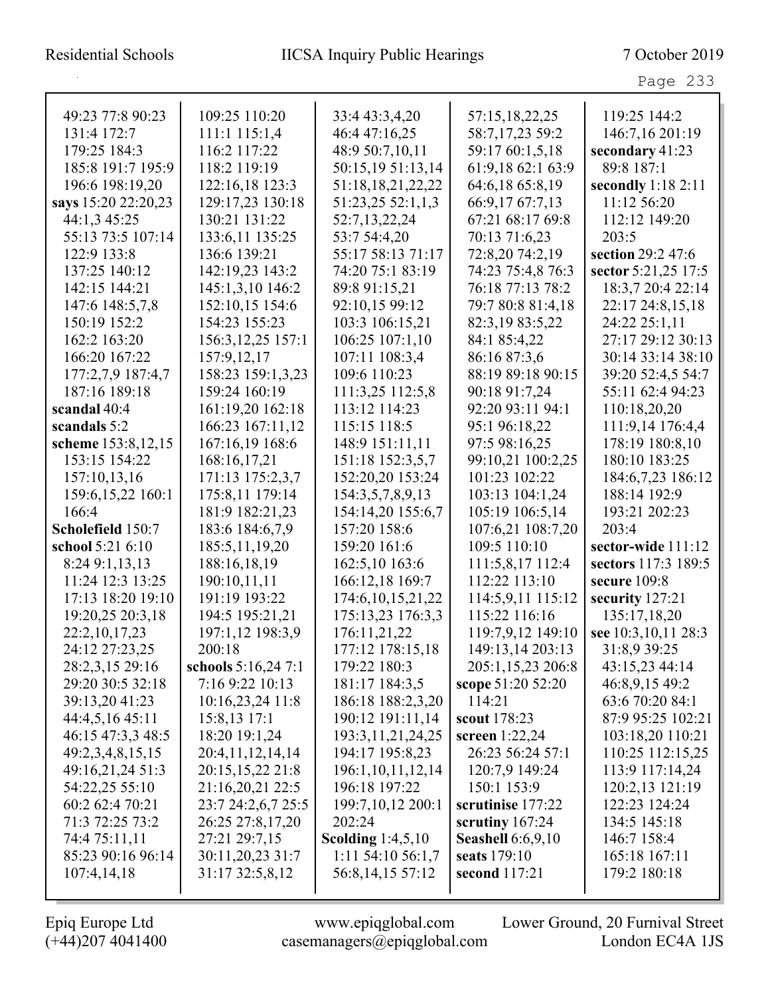| 49:23 77:8 90:23    | 109:25 110:20       | 33:4 43:3,4,20        | 57:15,18,22,25           | 119:25 144:2        |
|---------------------|---------------------|-----------------------|--------------------------|---------------------|
| 131:4 172:7         | 111:1 115:1,4       | 46:4 47:16,25         | 58:7,17,23 59:2          | 146:7,16 201:19     |
| 179:25 184:3        | 116:2 117:22        | 48:9 50:7,10,11       | 59:17 60:1,5,18          | secondary 41:23     |
| 185:8 191:7 195:9   | 118:2 119:19        | 50:15,19 51:13,14     | 61:9,18 62:1 63:9        | 89:8 187:1          |
| 196:6 198:19,20     | 122:16,18 123:3     | 51:18,18,21,22,22     | 64:6,18 65:8,19          | secondly $1:182:11$ |
| says 15:20 22:20,23 | 129:17,23 130:18    | 51:23,25 52:1,1,3     | 66:9,17 67:7,13          | 11:12 56:20         |
| 44:1,3 45:25        | 130:21 131:22       | 52:7,13,22,24         | 67:21 68:17 69:8         | 112:12 149:20       |
| 55:13 73:5 107:14   | 133:6,11 135:25     | 53:7 54:4,20          | 70:13 71:6,23            | 203:5               |
| 122:9 133:8         | 136:6 139:21        | 55:17 58:13 71:17     | 72:8,20 74:2,19          | section 29:2 47:6   |
| 137:25 140:12       | 142:19,23 143:2     | 74:20 75:1 83:19      | 74:23 75:4,8 76:3        | sector 5:21,25 17:5 |
| 142:15 144:21       | 145:1,3,10 146:2    | 89:8 91:15,21         | 76:18 77:13 78:2         | 18:3,7 20:4 22:14   |
| 147:6 148:5,7,8     | 152:10,15 154:6     | 92:10,15 99:12        | 79:7 80:8 81:4,18        | 22:17 24:8,15,18    |
| 150:19 152:2        | 154:23 155:23       | 103:3 106:15,21       | 82:3,19 83:5,22          | 24:22 25:1,11       |
| 162:2 163:20        | 156:3, 12, 25 157:1 | 106:25 107:1,10       | 84:1 85:4,22             | 27:17 29:12 30:13   |
| 166:20 167:22       | 157:9,12,17         | 107:11 108:3,4        | 86:16 87:3,6             | 30:14 33:14 38:10   |
| 177:2,7,9 187:4,7   | 158:23 159:1,3,23   | 109:6 110:23          | 88:19 89:18 90:15        | 39:20 52:4,5 54:7   |
| 187:16 189:18       | 159:24 160:19       | 111:3,25 112:5,8      | 90:18 91:7,24            | 55:11 62:4 94:23    |
| scandal 40:4        | 161:19,20 162:18    | 113:12 114:23         | 92:20 93:11 94:1         | 110:18,20,20        |
| scandals 5:2        | 166:23 167:11,12    | 115:15 118:5          | 95:1 96:18,22            | 111:9,14 176:4,4    |
| scheme 153:8,12,15  | 167:16,19 168:6     | 148:9 151:11,11       | 97:5 98:16,25            | 178:19 180:8,10     |
| 153:15 154:22       | 168:16,17,21        | 151:18 152:3,5,7      | 99:10,21 100:2,25        | 180:10 183:25       |
| 157:10,13,16        | 171:13 175:2,3,7    | 152:20,20 153:24      | 101:23 102:22            | 184:6,7,23 186:12   |
| 159:6, 15, 22 160:1 | 175:8,11 179:14     | 154:3,5,7,8,9,13      | 103:13 104:1,24          | 188:14 192:9        |
| 166:4               | 181:9 182:21,23     | 154:14,20 155:6,7     | 105:19 106:5,14          | 193:21 202:23       |
| Scholefield 150:7   | 183:6 184:6,7,9     | 157:20 158:6          | 107:6,21 108:7,20        | 203:4               |
| school 5:21 6:10    | 185:5, 11, 19, 20   | 159:20 161:6          | 109:5 110:10             | sector-wide 111:12  |
| 8:24 9:1,13,13      | 188:16,18,19        | 162:5,10 163:6        | 111:5,8,17 112:4         | sectors 117:3 189:5 |
| 11:24 12:3 13:25    | 190:10,11,11        | 166:12,18 169:7       | 112:22 113:10            | secure 109:8        |
| 17:13 18:20 19:10   | 191:19 193:22       | 174:6, 10, 15, 21, 22 | 114:5,9,11 115:12        | security 127:21     |
| 19:20,25 20:3,18    | 194:5 195:21,21     | 175:13,23 176:3,3     | 115:22 116:16            | 135:17,18,20        |
| 22:2,10,17,23       | 197:1,12 198:3,9    | 176:11,21,22          | 119:7,9,12 149:10        | see 10:3,10,11 28:3 |
| 24:12 27:23,25      | 200:18              | 177:12 178:15,18      | 149:13,14 203:13         | 31:8,9 39:25        |
| 28:2,3,15 29:16     | schools 5:16,24 7:1 | 179:22 180:3          | 205:1,15,23 206:8        | 43:15,23 44:14      |
| 29:20 30:5 32:18    | 7:16 9:22 10:13     | 181:17 184:3,5        | scope 51:20 52:20        | 46:8,9,15 49:2      |
| 39:13,20 41:23      | $10:16,23,24$ 11:8  | 186:18 188:2,3,20     | 114:21                   | 63:6 70:20 84:1     |
| 44:4,5,16 45:11     | 15:8,13 17:1        | 190:12 191:11,14      | scout 178:23             | 87:9 95:25 102:21   |
| 46:15 47:3,3 48:5   | 18:20 19:1,24       | 193:3, 11, 21, 24, 25 | screen $1:22,24$         | 103:18,20 110:21    |
| 49:2,3,4,8,15,15    | 20:4,11,12,14,14    | 194:17 195:8,23       | 26:23 56:24 57:1         | 110:25 112:15,25    |
| 49:16,21,24 51:3    | 20:15,15,22 21:8    | 196:1,10,11,12,14     | 120:7,9 149:24           | 113:9 117:14,24     |
| 54:22,25 55:10      | 21:16,20,21 22:5    | 196:18 197:22         | 150:1 153:9              | 120:2,13 121:19     |
| 60:2 62:4 70:21     | 23:7 24:2,6,7 25:5  | 199:7,10,12 200:1     | scrutinise 177:22        | 122:23 124:24       |
| 71:3 72:25 73:2     | 26:25 27:8,17,20    | 202:24                | scrutiny $167:24$        | 134:5 145:18        |
| 74:4 75:11,11       | 27:21 29:7,15       | Scolding $1:4,5,10$   | <b>Seashell</b> 6:6,9,10 | 146:7 158:4         |
| 85:23 90:16 96:14   | 30:11,20,23 31:7    | 1:11 54:10 56:1,7     | seats 179:10             | 165:18 167:11       |
| 107:4,14,18         | 31:17 32:5,8,12     | 56:8,14,15 57:12      | second 117:21            | 179:2 180:18        |
|                     |                     |                       |                          |                     |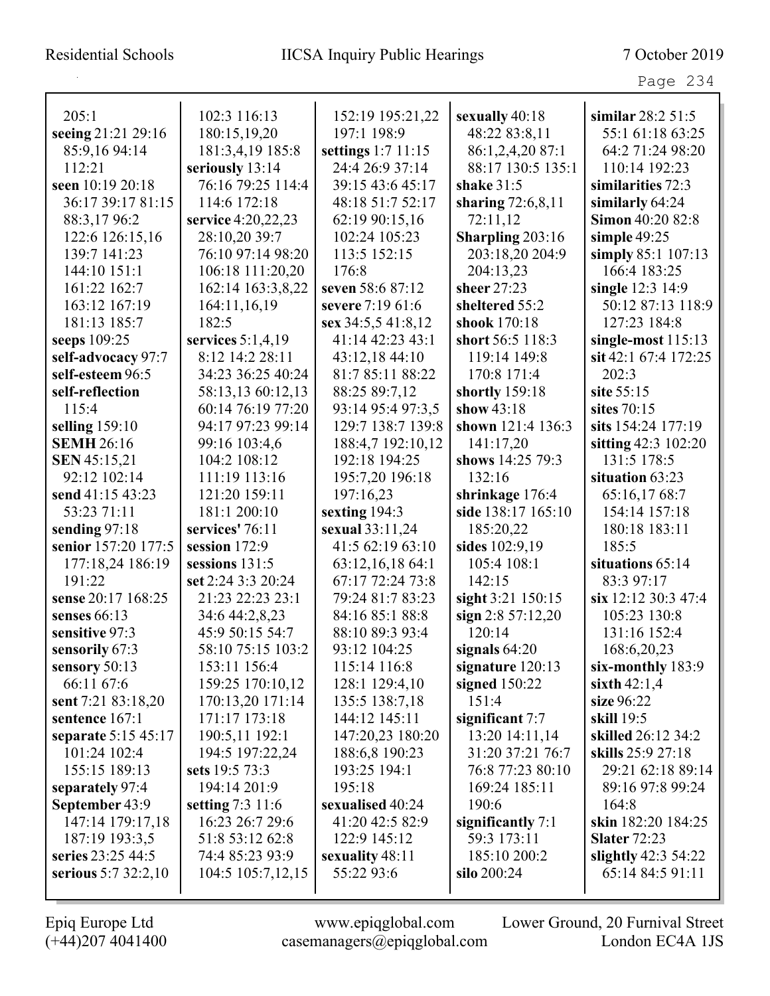| 205:1               | 102:3 116:13        | 152:19 195:21,22   | sexually 40:18      | similar $28:251:5$   |
|---------------------|---------------------|--------------------|---------------------|----------------------|
| seeing 21:21 29:16  | 180:15,19,20        | 197:1 198:9        | 48:22 83:8,11       | 55:1 61:18 63:25     |
| 85:9,16 94:14       | 181:3,4,19 185:8    | settings 1:7 11:15 | 86:1,2,4,20 87:1    | 64:2 71:24 98:20     |
| 112:21              | seriously 13:14     | 24:4 26:9 37:14    | 88:17 130:5 135:1   | 110:14 192:23        |
| seen 10:19 20:18    | 76:16 79:25 114:4   | 39:15 43:6 45:17   | shake $31:5$        | similarities 72:3    |
| 36:17 39:17 81:15   | 114:6 172:18        | 48:18 51:7 52:17   | sharing $72:6,8,11$ | similarly 64:24      |
| 88:3,1796:2         | service 4:20,22,23  | 62:19 90:15,16     | 72:11,12            | Simon 40:20 82:8     |
| 122:6 126:15,16     | 28:10,20 39:7       | 102:24 105:23      | Sharpling 203:16    | simple $49:25$       |
| 139:7 141:23        | 76:10 97:14 98:20   | 113:5 152:15       | 203:18,20 204:9     | simply 85:1 107:13   |
| 144:10 151:1        | 106:18 111:20,20    | 176:8              | 204:13,23           | 166:4 183:25         |
| 161:22 162:7        | 162:14 163:3,8,22   | seven 58:6 87:12   | sheer 27:23         | single 12:3 14:9     |
| 163:12 167:19       | 164:11,16,19        | severe 7:19 61:6   | sheltered 55:2      | 50:12 87:13 118:9    |
| 181:13 185:7        | 182:5               | sex 34:5,5 41:8,12 | shook 170:18        | 127:23 184:8         |
| seeps 109:25        | services $5:1,4,19$ | 41:14 42:23 43:1   | short 56:5 118:3    | single-most $115:13$ |
| self-advocacy 97:7  | 8:12 14:2 28:11     | 43:12,18 44:10     | 119:14 149:8        | sit 42:1 67:4 172:25 |
| self-esteem 96:5    | 34:23 36:25 40:24   | 81:7 85:11 88:22   | 170:8 171:4         | 202:3                |
| self-reflection     | 58:13,13 60:12,13   | 88:25 89:7,12      | shortly 159:18      | site 55:15           |
| 115:4               | 60:14 76:19 77:20   | 93:14 95:4 97:3,5  | show $43:18$        | sites 70:15          |
| selling $159:10$    | 94:17 97:23 99:14   | 129:7 138:7 139:8  | shown 121:4 136:3   | sits 154:24 177:19   |
| <b>SEMH 26:16</b>   | 99:16 103:4,6       | 188:4,7 192:10,12  | 141:17,20           | sitting 42:3 102:20  |
| <b>SEN 45:15,21</b> | 104:2 108:12        | 192:18 194:25      | shows 14:25 79:3    | 131:5 178:5          |
| 92:12 102:14        | 111:19 113:16       | 195:7,20 196:18    | 132:16              | situation 63:23      |
| send 41:15 43:23    | 121:20 159:11       | 197:16,23          | shrinkage 176:4     | 65:16,1768:7         |
| 53:23 71:11         | 181:1 200:10        | sexting 194:3      | side 138:17 165:10  | 154:14 157:18        |
| sending 97:18       | services' 76:11     | sexual 33:11,24    | 185:20,22           | 180:18 183:11        |
| senior 157:20 177:5 | session $172:9$     | 41:5 62:19 63:10   | sides 102:9,19      | 185:5                |
| 177:18,24 186:19    | sessions 131:5      | 63:12,16,18 64:1   | 105:4 108:1         | situations 65:14     |
| 191:22              | set 2:24 3:3 20:24  | 67:17 72:24 73:8   | 142:15              | 83:3 97:17           |
| sense 20:17 168:25  | 21:23 22:23 23:1    | 79:24 81:7 83:23   | sight 3:21 150:15   | six 12:12 30:3 47:4  |
| senses $66:13$      | 34:6 44:2,8,23      | 84:16 85:1 88:8    | sign $2:857:12,20$  | 105:23 130:8         |
| sensitive 97:3      | 45:9 50:15 54:7     | 88:10 89:3 93:4    | 120:14              | 131:16 152:4         |
| sensorily 67:3      | 58:10 75:15 103:2   | 93:12 104:25       | signals $64:20$     | 168:6,20,23          |
| sensory $50:13$     | 153:11 156:4        | 115:14 116:8       | signature $120:13$  | six-monthly 183:9    |
| 66:11 67:6          | 159:25 170:10,12    | 128:1 129:4,10     | signed $150:22$     | sixth $42:1,4$       |
| sent 7:21 83:18,20  | 170:13,20 171:14    | 135:5 138:7,18     | 151:4               | size 96:22           |
| sentence 167:1      | 171:17 173:18       | 144:12 145:11      | significant $7:7$   | skill 19:5           |
| separate 5:15 45:17 | 190:5,11 192:1      | 147:20,23 180:20   | 13:20 14:11,14      | skilled 26:12 34:2   |
| 101:24 102:4        | 194:5 197:22,24     | 188:6,8 190:23     | 31:20 37:21 76:7    | skills 25:9 27:18    |
| 155:15 189:13       | sets 19:5 73:3      | 193:25 194:1       | 76:8 77:23 80:10    | 29:21 62:18 89:14    |
| separately 97:4     | 194:14 201:9        | 195:18             | 169:24 185:11       | 89:16 97:8 99:24     |
| September 43:9      | setting $7:3$ 11:6  | sexualised 40:24   | 190:6               | 164:8                |
| 147:14 179:17,18    | 16:23 26:7 29:6     | 41:20 42:5 82:9    | significantly 7:1   | skin 182:20 184:25   |
| 187:19 193:3,5      | 51:8 53:12 62:8     | 122:9 145:12       | 59:3 173:11         | <b>Slater 72:23</b>  |
| series 23:25 44:5   | 74:4 85:23 93:9     | sexuality 48:11    | 185:10 200:2        | slightly $42:354:22$ |
| serious 5:7 32:2,10 | 104:5 105:7,12,15   | 55:22 93:6         | silo 200:24         | 65:14 84:5 91:11     |
|                     |                     |                    |                     |                      |

 $\mathbf I$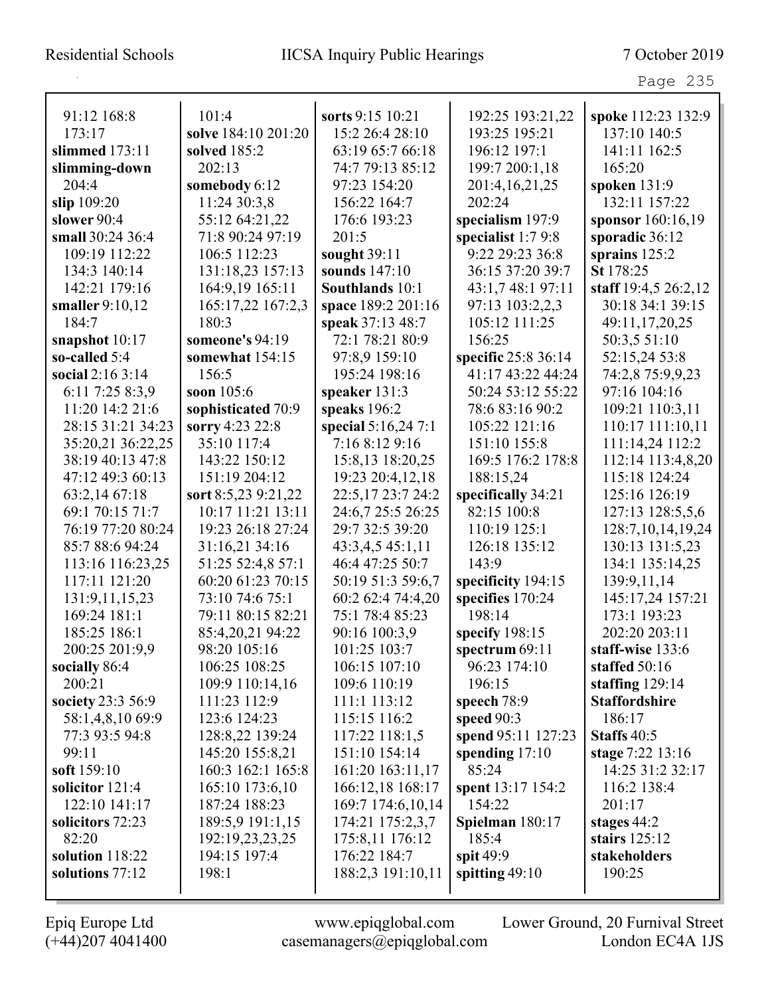|                   |                     |                    |                     | Page 235              |
|-------------------|---------------------|--------------------|---------------------|-----------------------|
| 91:12 168:8       | 101:4               | sorts 9:15 10:21   | 192:25 193:21,22    | spoke 112:23 132:9    |
| 173:17            | solve 184:10 201:20 | 15:2 26:4 28:10    | 193:25 195:21       | 137:10 140:5          |
| slimmed $173:11$  | solved 185:2        | 63:19 65:7 66:18   | 196:12 197:1        | 141:11 162:5          |
| slimming-down     | 202:13              | 74:7 79:13 85:12   | 199:7 200:1,18      | 165:20                |
| 204:4             | somebody 6:12       | 97:23 154:20       | 201:4, 16, 21, 25   | spoken 131:9          |
| slip 109:20       | 11:24 30:3,8        | 156:22 164:7       | 202:24              | 132:11 157:22         |
| slower 90:4       | 55:12 64:21,22      | 176:6 193:23       | specialism 197:9    | sponsor 160:16,19     |
| small 30:24 36:4  | 71:8 90:24 97:19    | 201:5              | specialist $1:79:8$ | sporadic 36:12        |
| 109:19 112:22     | 106:5 112:23        | sought 39:11       | 9:22 29:23 36:8     | sprains $125:2$       |
| 134:3 140:14      | 131:18,23 157:13    | sounds 147:10      | 36:15 37:20 39:7    | St 178:25             |
| 142:21 179:16     | 164:9,19 165:11     | Southlands 10:1    | 43:1,7 48:1 97:11   | staff 19:4,5 26:2,12  |
| smaller $9:10,12$ | 165:17,22 167:2,3   | space 189:2 201:16 | 97:13 103:2,2,3     | 30:18 34:1 39:15      |
| 184:7             | 180:3               | speak 37:13 48:7   | 105:12 111:25       | 49:11,17,20,25        |
| snapshot 10:17    | someone's 94:19     | 72:1 78:21 80:9    | 156:25              | 50:3,5 51:10          |
| so-called $5:4$   | somewhat 154:15     | 97:8,9 159:10      | specific 25:8 36:14 | 52:15,24 53:8         |
| social $2:163:14$ | 156:5               | 195:24 198:16      | 41:17 43:22 44:24   | 74:2,8 75:9,9,23      |
| 6:11 7:25 8:3,9   | soon $105:6$        | speaker $131:3$    | 50:24 53:12 55:22   | 97:16 104:16          |
| 11:20 14:2 21:6   | sophisticated 70:9  | speaks 196:2       | 78:6 83:16 90:2     | 109:21 110:3,11       |
| 28:15 31:21 34:23 | sorry 4:23 22:8     | special 5:16,247:1 | 105:22 121:16       | 110:17 111:10,11      |
| 35:20,21 36:22,25 | 35:10 117:4         | 7:16 8:12 9:16     | 151:10 155:8        | 111:14,24 112:2       |
| 38:19 40:13 47:8  | 143:22 150:12       | 15:8,13 18:20,25   | 169:5 176:2 178:8   | 112:14 113:4,8,20     |
| 47:12 49:3 60:13  | 151:19 204:12       | 19:23 20:4,12,18   | 188:15,24           | 115:18 124:24         |
| 63:2,14 67:18     | sort 8:5,23 9:21,22 | 22:5,17 23:7 24:2  | specifically 34:21  | 125:16 126:19         |
| 69:1 70:15 71:7   | 10:17 11:21 13:11   | 24:6,7 25:5 26:25  | 82:15 100:8         | 127:13 128:5,5,6      |
| 76:19 77:20 80:24 | 19:23 26:18 27:24   | 29:7 32:5 39:20    | 110:19 125:1        | 128:7, 10, 14, 19, 24 |
| 85:7 88:6 94:24   | 31:16,21 34:16      | 43:3,4,5 45:1,11   | 126:18 135:12       | 130:13 131:5,23       |
| 113:16 116:23,25  | 51:25 52:4,8 57:1   | 46:4 47:25 50:7    | 143:9               | 134:1 135:14,25       |
| 117:11 121:20     | 60:20 61:23 70:15   | 50:19 51:3 59:6,7  | specificity 194:15  | 139:9,11,14           |
| 131:9, 11, 15, 23 | 73:10 74:6 75:1     | 60:2 62:4 74:4,20  | specifies 170:24    | 145:17,24 157:21      |
| 169:24 181:1      | 79:11 80:15 82:21   | 75:1 78:4 85:23    | 198:14              | 173:1 193:23          |
| 185:25 186:1      | 85:4,20,21 94:22    | 90:16 100:3,9      | specify 198:15      | 202:20 203:11         |
| 200:25 201:9,9    | 98:20 105:16        | 101:25 103:7       | spectrum 69:11      | staff-wise 133:6      |
| socially 86:4     | 106:25 108:25       | 106:15 107:10      | 96:23 174:10        | staffed 50:16         |
| 200:21            | 109:9 110:14,16     | 109:6 110:19       | 196:15              | staffing $129:14$     |
| society 23:3 56:9 | 111:23 112:9        | 111:1 113:12       | speech $78:9$       | <b>Staffordshire</b>  |
| 58:1,4,8,10 69:9  | 123:6 124:23        | 115:15 116:2       | speed $90:3$        | 186:17                |
| 77:3 93:5 94:8    | 128:8,22 139:24     | 117:22 118:1,5     | spend 95:11 127:23  | Staffs 40:5           |
| 99:11             | 145:20 155:8,21     | 151:10 154:14      | spending $17:10$    | stage 7:22 13:16      |
| soft 159:10       | 160:3 162:1 165:8   | 161:20 163:11,17   | 85:24               | 14:25 31:2 32:17      |
| solicitor 121:4   | 165:10 173:6,10     | 166:12,18 168:17   | spent 13:17 154:2   | 116:2 138:4           |
| 122:10 141:17     | 187:24 188:23       | 169:7 174:6,10,14  | 154:22              | 201:17                |
| solicitors 72:23  | 189:5,9 191:1,15    | 174:21 175:2,3,7   | Spielman 180:17     | stages $44:2$         |
| 82:20             | 192:19,23,23,25     | 175:8,11 176:12    | 185:4               | stairs $125:12$       |
| solution 118:22   | 194:15 197:4        | 176:22 184:7       | spit $49:9$         | stakeholders          |
| solutions 77:12   | 198:1               | 188:2,3 191:10,11  | spitting 49:10      | 190:25                |
|                   |                     |                    |                     |                       |

L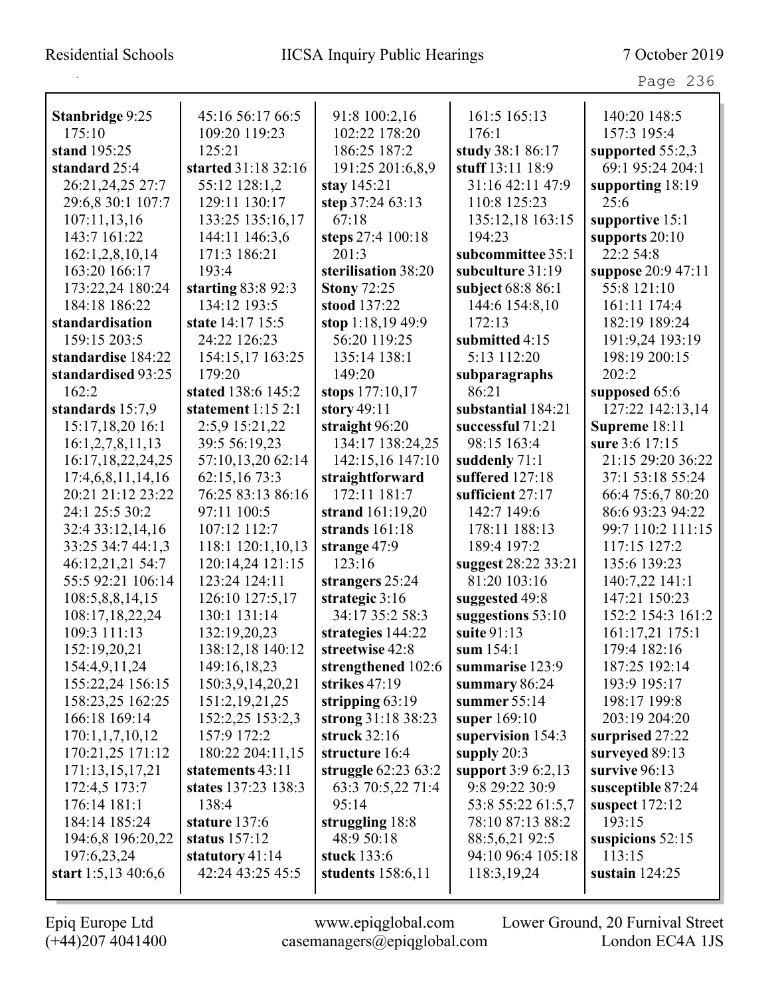Page 236

| Stanbridge 9:25       | 45:16 56:17 66:5     | 91:8 100:2,16       | 161:5 165:13        | 140:20 148:5       |
|-----------------------|----------------------|---------------------|---------------------|--------------------|
| 175:10                | 109:20 119:23        | 102:22 178:20       | 176:1               | 157:3 195:4        |
| stand 195:25          | 125:21               | 186:25 187:2        | study 38:1 86:17    | supported $55:2,3$ |
| standard 25:4         | started 31:18 32:16  | 191:25 201:6,8,9    | stuff 13:11 18:9    | 69:1 95:24 204:1   |
| 26:21,24,25 27:7      | 55:12 128:1,2        | stay 145:21         | 31:16 42:11 47:9    | supporting 18:19   |
| 29:6,8 30:1 107:7     | 129:11 130:17        | step 37:24 63:13    | 110:8 125:23        | 25:6               |
| 107:11,13,16          | 133:25 135:16,17     | 67:18               | 135:12,18 163:15    | supportive 15:1    |
| 143:7 161:22          | 144:11 146:3,6       | steps 27:4 100:18   | 194:23              | supports $20:10$   |
| 162:1,2,8,10,14       | 171:3 186:21         | 201:3               | subcommittee 35:1   | 22:2 54:8          |
| 163:20 166:17         | 193:4                | sterilisation 38:20 | subculture 31:19    | suppose 20:9 47:11 |
| 173:22,24 180:24      | starting $83:892:3$  | <b>Stony 72:25</b>  | subject 68:8 86:1   | 55:8 121:10        |
| 184:18 186:22         | 134:12 193:5         | stood 137:22        | 144:6 154:8,10      | 161:11 174:4       |
| standardisation       | state 14:17 15:5     | stop 1:18,19 49:9   | 172:13              | 182:19 189:24      |
| 159:15 203:5          | 24:22 126:23         | 56:20 119:25        | submitted 4:15      | 191:9,24 193:19    |
| standardise 184:22    | 154:15,17 163:25     | 135:14 138:1        | 5:13 112:20         | 198:19 200:15      |
| standardised 93:25    | 179:20               | 149:20              | subparagraphs       | 202:2              |
| 162:2                 | stated 138:6 145:2   | stops 177:10,17     | 86:21               | supposed 65:6      |
| standards 15:7,9      | statement $1:15$ 2:1 | story $49:11$       | substantial 184:21  | 127:22 142:13,14   |
| 15:17,18,20 16:1      | 2:5,9 15:21,22       | straight 96:20      | successful 71:21    | Supreme 18:11      |
| 16:1,2,7,8,11,13      | 39:5 56:19,23        | 134:17 138:24,25    | 98:15 163:4         | sure 3:6 17:15     |
| 16:17,18,22,24,25     | 57:10,13,20 62:14    | 142:15,16 147:10    | suddenly 71:1       | 21:15 29:20 36:22  |
| 17:4,6,8,11,14,16     | 62:15,16 73:3        | straightforward     | suffered $127:18$   | 37:1 53:18 55:24   |
| 20:21 21:12 23:22     | 76:25 83:13 86:16    | 172:11 181:7        | sufficient 27:17    | 66:4 75:6,7 80:20  |
| 24:1 25:5 30:2        | 97:11 100:5          | strand 161:19,20    | 142:7 149:6         | 86:6 93:23 94:22   |
| 32:4 33:12,14,16      | 107:12 112:7         | strands $161:18$    | 178:11 188:13       | 99:7 110:2 111:15  |
| 33:25 34:7 44:1,3     | 118:1 120:1,10,13    | strange 47:9        | 189:4 197:2         | 117:15 127:2       |
| 46:12,21,21 54:7      | 120:14,24 121:15     | 123:16              | suggest 28:22 33:21 | 135:6 139:23       |
| 55:5 92:21 106:14     | 123:24 124:11        | strangers 25:24     | 81:20 103:16        | 140:7,22 141:1     |
| 108:5,8,8,14,15       | 126:10 127:5,17      | strategic 3:16      | suggested 49:8      | 147:21 150:23      |
| 108:17,18,22,24       | 130:1 131:14         | 34:17 35:2 58:3     | suggestions 53:10   | 152:2 154:3 161:2  |
| 109:3 111:13          | 132:19,20,23         | strategies 144:22   | suite 91:13         | 161:17,21 175:1    |
| 152:19,20,21          | 138:12,18 140:12     | streetwise 42:8     | sum 154:1           | 179:4 182:16       |
| 154:4,9,11,24         | 149:16,18,23         | strengthened 102:6  | summarise 123:9     | 187:25 192:14      |
| 155:22,24 156:15      | 150:3,9,14,20,21     | strikes 47:19       | summary $86:24$     | 193:9 195:17       |
| 158:23,25 162:25      | 151:2, 19, 21, 25    | stripping $63:19$   | summer $55:14$      | 198:17 199:8       |
| 166:18 169:14         | 152:2,25 153:2,3     | strong 31:18 38:23  | super 169:10        | 203:19 204:20      |
| 170:1,1,7,10,12       | 157:9 172:2          | struck $32:16$      | supervision 154:3   | surprised 27:22    |
| 170:21,25 171:12      | 180:22 204:11,15     | structure 16:4      | supply $20:3$       | surveyed 89:13     |
| 171:13,15,17,21       | statements 43:11     | struggle 62:23 63:2 | support 3:9 6:2,13  | survive 96:13      |
| 172:4,5 173:7         | states 137:23 138:3  | 63:3 70:5,22 71:4   | 9:8 29:22 30:9      | susceptible 87:24  |
| 176:14 181:1          | 138:4                | 95:14               | 53:8 55:22 61:5,7   | suspect $172:12$   |
| 184:14 185:24         | stature 137:6        | struggling 18:8     | 78:10 87:13 88:2    | 193:15             |
| 194:6,8 196:20,22     | status 157:12        | 48:9 50:18          | 88:5,6,21 92:5      | suspicions $52:15$ |
| 197:6,23,24           | statutory $41:14$    | stuck 133:6         | 94:10 96:4 105:18   | 113:15             |
| start $1:5,13,40:6,6$ | 42:24 43:25 45:5     | students $158:6,11$ | 118:3,19,24         | sustain $124:25$   |
|                       |                      |                     |                     |                    |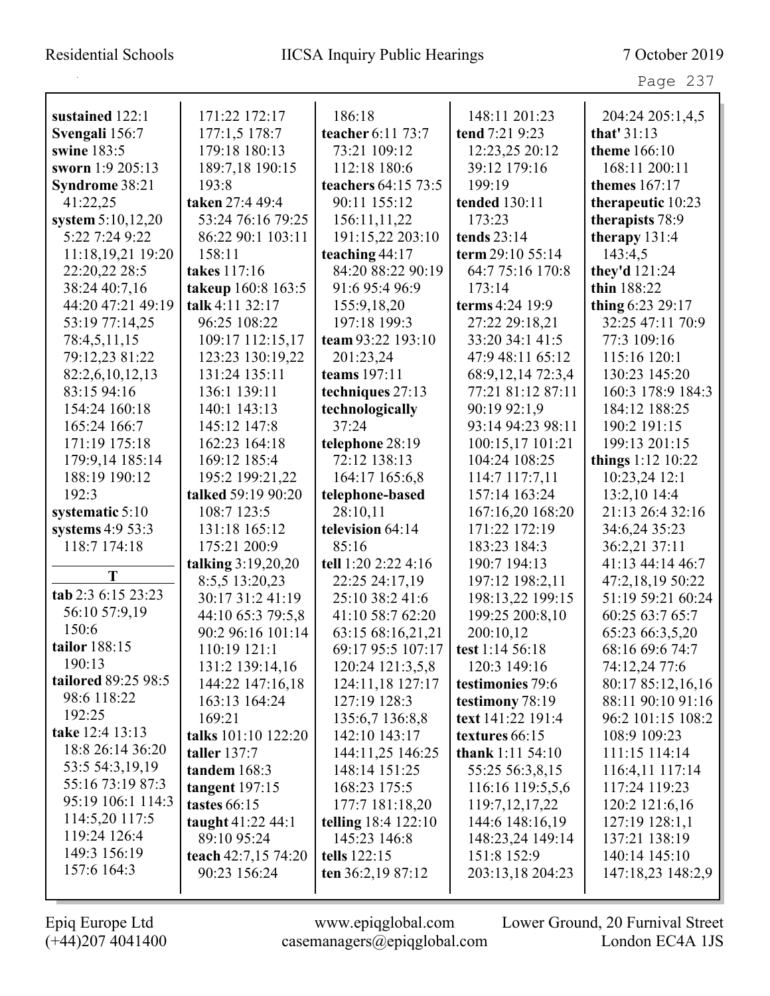Page 237

| sustained 122:1     | 171:22 172:17       | 186:18                     | 148:11 201:23        | 204:24 205:1,4,5    |
|---------------------|---------------------|----------------------------|----------------------|---------------------|
| Svengali 156:7      | 177:1,5 178:7       | teacher 6:11 73:7          | tend 7:21 9:23       | that' 31:13         |
| swine 183:5         | 179:18 180:13       | 73:21 109:12               | 12:23,25 20:12       | <b>theme</b> 166:10 |
| sworn 1:9 205:13    | 189:7,18 190:15     | 112:18 180:6               | 39:12 179:16         | 168:11 200:11       |
| Syndrome 38:21      | 193:8               | teachers 64:15 73:5        | 199:19               | themes 167:17       |
| 41:22,25            | taken 27:4 49:4     | 90:11 155:12               | tended 130:11        | therapeutic 10:23   |
| system $5:10,12,20$ | 53:24 76:16 79:25   | 156:11,11,22               | 173:23               | therapists 78:9     |
| 5:22 7:24 9:22      | 86:22 90:1 103:11   | 191:15,22 203:10           | tends $23:14$        | therapy $131:4$     |
| 11:18,19,21 19:20   | 158:11              | teaching 44:17             | term 29:10 55:14     | 143:4,5             |
| 22:20,22 28:5       | takes 117:16        | 84:20 88:22 90:19          | 64:7 75:16 170:8     | they'd 121:24       |
| 38:24 40:7,16       | takeup 160:8 163:5  | 91:6 95:4 96:9             | 173:14               | thin 188:22         |
| 44:20 47:21 49:19   | talk 4:11 32:17     | 155:9,18,20                | terms 4:24 19:9      | thing 6:23 29:17    |
| 53:19 77:14,25      | 96:25 108:22        | 197:18 199:3               | 27:22 29:18,21       | 32:25 47:11 70:9    |
| 78:4,5,11,15        | 109:17 112:15,17    | team 93:22 193:10          | 33:20 34:1 41:5      | 77:3 109:16         |
| 79:12,23 81:22      | 123:23 130:19,22    | 201:23,24                  | 47:9 48:11 65:12     | 115:16 120:1        |
| 82:2,6,10,12,13     | 131:24 135:11       | teams 197:11               | 68:9, 12, 14 72:3, 4 | 130:23 145:20       |
| 83:15 94:16         | 136:1 139:11        | techniques 27:13           | 77:21 81:12 87:11    | 160:3 178:9 184:3   |
| 154:24 160:18       | 140:1 143:13        | technologically            | 90:19 92:1,9         | 184:12 188:25       |
| 165:24 166:7        | 145:12 147:8        | 37:24                      | 93:14 94:23 98:11    | 190:2 191:15        |
| 171:19 175:18       | 162:23 164:18       | telephone 28:19            | 100:15,17 101:21     | 199:13 201:15       |
| 179:9,14 185:14     | 169:12 185:4        | 72:12 138:13               | 104:24 108:25        | things 1:12 10:22   |
| 188:19 190:12       | 195:2 199:21,22     | 164:17 165:6,8             | 114:7 117:7,11       | 10:23,24 12:1       |
| 192:3               | talked 59:19 90:20  | telephone-based            | 157:14 163:24        | 13:2,10 14:4        |
| systematic $5:10$   | 108:7 123:5         | 28:10,11                   | 167:16,20 168:20     | 21:13 26:4 32:16    |
| systems $4:953:3$   | 131:18 165:12       | television 64:14           | 171:22 172:19        | 34:6,24 35:23       |
| 118:7 174:18        | 175:21 200:9        | 85:16                      | 183:23 184:3         | 36:2,21 37:11       |
|                     | talking 3:19,20,20  | tell 1:20 2:22 4:16        | 190:7 194:13         | 41:13 44:14 46:7    |
| T                   | 8:5,5 13:20,23      | 22:25 24:17,19             | 197:12 198:2,11      | 47:2,18,19 50:22    |
| tab 2:3 6:15 23:23  | 30:17 31:2 41:19    | 25:10 38:2 41:6            | 198:13,22 199:15     | 51:19 59:21 60:24   |
| 56:10 57:9,19       | 44:10 65:3 79:5,8   | 41:10 58:7 62:20           | 199:25 200:8,10      | 60:25 63:7 65:7     |
| 150:6               | 90:2 96:16 101:14   | 63:15 68:16,21,21          | 200:10,12            | 65:23 66:3,5,20     |
| tailor 188:15       | 110:19 121:1        | 69:17 95:5 107:17          | test 1:14 56:18      | 68:16 69:6 74:7     |
| 190:13              | 131:2 139:14,16     | 120:24 121:3,5,8           | 120:3 149:16         | 74:12,24 77:6       |
| tailored 89:25 98:5 | 144:22 147:16,18    | 124:11,18 127:17           | testimonies 79:6     | 80:17 85:12,16,16   |
| 98:6 118:22         | 163:13 164:24       | 127:19 128:3               | testimony 78:19      | 88:11 90:10 91:16   |
| 192:25              | 169:21              | 135:6,7 136:8,8            | text 141:22 191:4    | 96:2 101:15 108:2   |
| take 12:4 13:13     | talks 101:10 122:20 | 142:10 143:17              | textures 66:15       | 108:9 109:23        |
| 18:8 26:14 36:20    | <b>taller</b> 137:7 | 144:11,25 146:25           | thank $1:11\,54:10$  | 111:15 114:14       |
| 53:5 54:3,19,19     | tandem 168:3        | 148:14 151:25              | 55:25 56:3,8,15      | 116:4,11 117:14     |
| 55:16 73:19 87:3    | tangent $197:15$    | 168:23 175:5               | 116:16 119:5,5,6     | 117:24 119:23       |
| 95:19 106:1 114:3   | tastes 66:15        | 177:7 181:18,20            | 119:7, 12, 17, 22    | 120:2 121:6,16      |
| 114:5,20 117:5      | taught 41:22 44:1   | <b>telling</b> 18:4 122:10 | 144:6 148:16,19      | 127:19 128:1,1      |
| 119:24 126:4        | 89:10 95:24         | 145:23 146:8               | 148:23,24 149:14     | 137:21 138:19       |
| 149:3 156:19        | teach 42:7,15 74:20 | tells 122:15               | 151:8 152:9          | 140:14 145:10       |
| 157:6 164:3         | 90:23 156:24        | ten $36:2,1987:12$         | 203:13,18 204:23     | 147:18,23 148:2,9   |
|                     |                     |                            |                      |                     |

L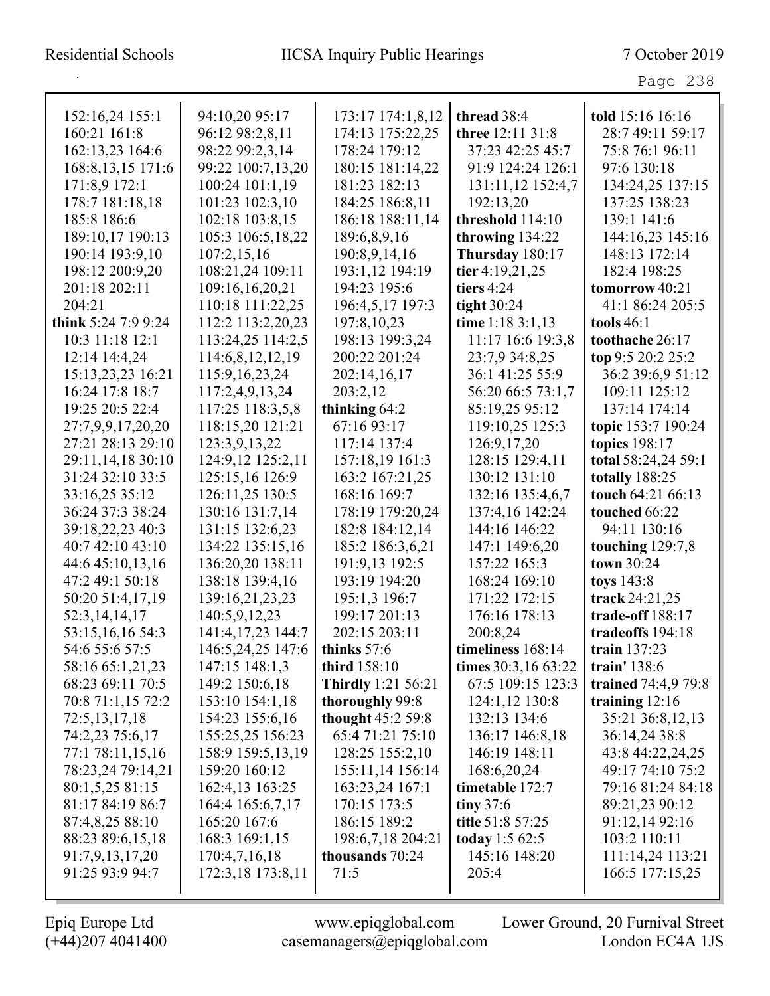| 152:16,24 155:1     | 94:10,20 95:17    | 173:17 174:1,8,12         | thread 38:4         | told 15:16 16:16    |
|---------------------|-------------------|---------------------------|---------------------|---------------------|
| 160:21 161:8        | 96:12 98:2,8,11   | 174:13 175:22,25          | three 12:11 31:8    | 28:7 49:11 59:17    |
| 162:13,23 164:6     | 98:22 99:2,3,14   | 178:24 179:12             | 37:23 42:25 45:7    | 75:8 76:1 96:11     |
| 168:8, 13, 15 171:6 | 99:22 100:7,13,20 | 180:15 181:14,22          | 91:9 124:24 126:1   | 97:6 130:18         |
| 171:8,9 172:1       | 100:24 101:1,19   | 181:23 182:13             | 131:11,12 152:4,7   | 134:24,25 137:15    |
| 178:7 181:18,18     | 101:23 102:3,10   | 184:25 186:8,11           | 192:13,20           | 137:25 138:23       |
| 185:8 186:6         | 102:18 103:8,15   | 186:18 188:11,14          | threshold 114:10    | 139:1 141:6         |
| 189:10,17 190:13    | 105:3 106:5,18,22 | 189:6,8,9,16              | throwing 134:22     | 144:16,23 145:16    |
| 190:14 193:9,10     | 107:2,15,16       | 190:8,9,14,16             | Thursday 180:17     | 148:13 172:14       |
| 198:12 200:9,20     | 108:21,24 109:11  | 193:1,12 194:19           | tier 4:19,21,25     | 182:4 198:25        |
| 201:18 202:11       | 109:16,16,20,21   | 194:23 195:6              | tiers $4:24$        | tomorrow 40:21      |
| 204:21              | 110:18 111:22,25  | 196:4,5,17 197:3          | tight $30:24$       | 41:1 86:24 205:5    |
| think 5:24 7:9 9:24 | 112:2 113:2,20,23 | 197:8,10,23               | time 1:18 $3:1,13$  | tools $46:1$        |
| 10:3 11:18 12:1     | 113:24,25 114:2,5 | 198:13 199:3,24           | 11:17 16:6 19:3,8   | toothache 26:17     |
| 12:14 14:4,24       | 114:6,8,12,12,19  | 200:22 201:24             | 23:7,9 34:8,25      | top 9:5 20:2 25:2   |
| 15:13,23,23 16:21   | 115:9, 16, 23, 24 | 202:14,16,17              | 36:1 41:25 55:9     | 36:2 39:6,9 51:12   |
| 16:24 17:8 18:7     | 117:2,4,9,13,24   | 203:2,12                  | 56:20 66:5 73:1,7   | 109:11 125:12       |
| 19:25 20:5 22:4     | 117:25 118:3,5,8  | thinking 64:2             | 85:19,25 95:12      | 137:14 174:14       |
| 27:7,9,9,17,20,20   | 118:15,20 121:21  | 67:16 93:17               | 119:10,25 125:3     | topic 153:7 190:24  |
| 27:21 28:13 29:10   | 123:3,9,13,22     | 117:14 137:4              | 126:9,17,20         | topics 198:17       |
| 29:11,14,18 30:10   | 124:9,12 125:2,11 | 157:18,19 161:3           | 128:15 129:4,11     | total 58:24,24 59:1 |
| 31:24 32:10 33:5    | 125:15,16 126:9   | 163:2 167:21,25           | 130:12 131:10       | totally 188:25      |
| 33:16,25 35:12      | 126:11,25 130:5   | 168:16 169:7              | 132:16 135:4,6,7    | touch 64:21 66:13   |
| 36:24 37:3 38:24    | 130:16 131:7,14   | 178:19 179:20,24          | 137:4,16 142:24     | touched 66:22       |
| 39:18,22,23 40:3    | 131:15 132:6,23   | 182:8 184:12,14           | 144:16 146:22       | 94:11 130:16        |
| 40:7 42:10 43:10    | 134:22 135:15,16  | 185:2 186:3,6,21          | 147:1 149:6,20      | touching $129:7,8$  |
| 44:6 45:10,13,16    | 136:20,20 138:11  | 191:9,13 192:5            | 157:22 165:3        | town 30:24          |
| 47:2 49:1 50:18     | 138:18 139:4,16   | 193:19 194:20             | 168:24 169:10       | toys 143:8          |
| 50:20 51:4,17,19    | 139:16,21,23,23   | 195:1,3 196:7             | 171:22 172:15       | track 24:21,25      |
| 52:3,14,14,17       | 140:5,9,12,23     | 199:17 201:13             | 176:16 178:13       | trade-off 188:17    |
| 53:15,16,16 54:3    | 141:4,17,23 144:7 | 202:15 203:11             | 200:8,24            | tradeoffs 194:18    |
| 54:6 55:6 57:5      | 146:5,24,25 147:6 | thinks 57:6               | timeliness 168:14   | train 137:23        |
| 58:16 65:1,21,23    | 147:15 148:1,3    | third 158:10              | times 30:3,16 63:22 | train' 138:6        |
| 68:23 69:11 70:5    | 149:2 150:6,18    | <b>Thirdly</b> 1:21 56:21 | 67:5 109:15 123:3   | trained 74:4,9 79:8 |
| 70:8 71:1,15 72:2   | 153:10 154:1,18   | thoroughly 99:8           | 124:1,12 130:8      | training $12:16$    |
| 72:5, 13, 17, 18    | 154:23 155:6,16   | thought 45:2 59:8         | 132:13 134:6        | 35:21 36:8,12,13    |
| 74:2,23 75:6,17     | 155:25,25 156:23  | 65:4 71:21 75:10          | 136:17 146:8,18     | 36:14,24 38:8       |
| 77:1 78:11,15,16    | 158:9 159:5,13,19 | 128:25 155:2,10           | 146:19 148:11       | 43:8 44:22,24,25    |
| 78:23,24 79:14,21   | 159:20 160:12     | 155:11,14 156:14          | 168:6,20,24         | 49:17 74:10 75:2    |
| 80:1,5,25 81:15     | 162:4,13 163:25   | 163:23,24 167:1           | timetable 172:7     | 79:16 81:24 84:18   |
| 81:17 84:19 86:7    | 164:4 165:6,7,17  | 170:15 173:5              | tiny $37:6$         | 89:21,23 90:12      |
| 87:4,8,25 88:10     | 165:20 167:6      | 186:15 189:2              | title 51:8 57:25    | 91:12,14 92:16      |
| 88:23 89:6,15,18    | 168:3 169:1,15    | 198:6,7,18 204:21         | today 1:5 62:5      | 103:2 110:11        |
| 91:7,9,13,17,20     | 170:4,7,16,18     | thousands 70:24           | 145:16 148:20       | 111:14,24 113:21    |
| 91:25 93:9 94:7     | 172:3,18 173:8,11 | 71:5                      | 205:4               | 166:5 177:15,25     |
|                     |                   |                           |                     |                     |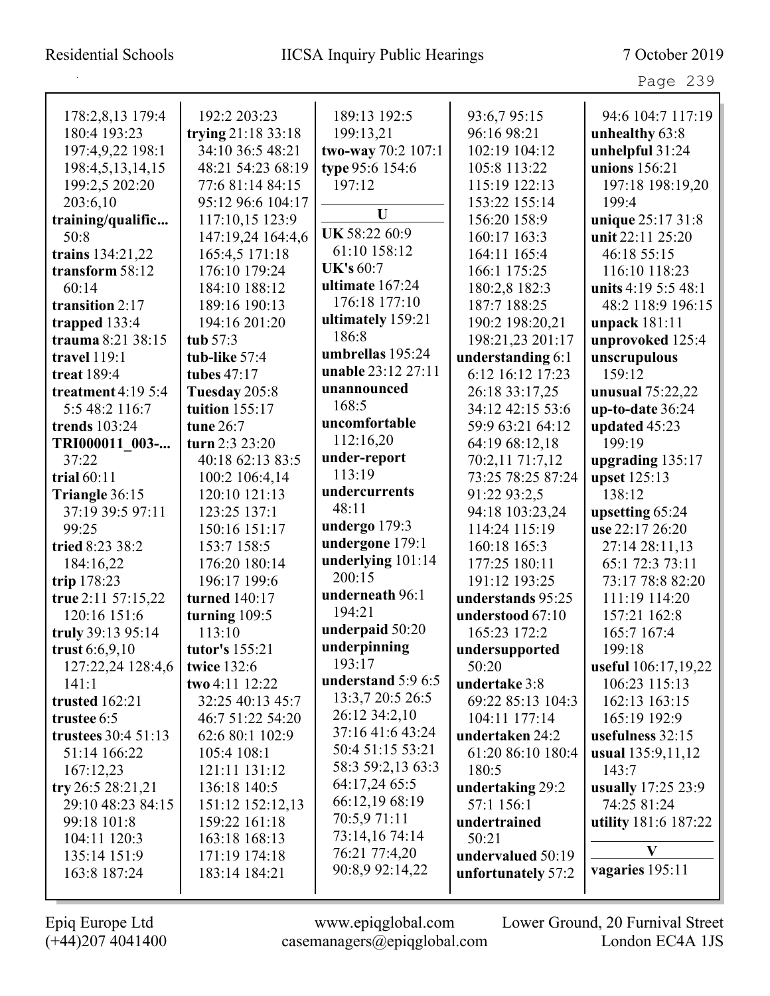| 178:2,8,13 179:4    | 192:2 203:23       | 189:13 192:5       | 93:6,7 95:15       | 94:6 104:7 117:19    |
|---------------------|--------------------|--------------------|--------------------|----------------------|
| 180:4 193:23        | trying 21:18 33:18 | 199:13,21          | 96:16 98:21        | unhealthy 63:8       |
| 197:4,9,22 198:1    | 34:10 36:5 48:21   | two-way 70:2 107:1 | 102:19 104:12      | unhelpful 31:24      |
| 198:4,5,13,14,15    | 48:21 54:23 68:19  | type 95:6 154:6    | 105:8 113:22       | unions 156:21        |
| 199:2,5 202:20      | 77:6 81:14 84:15   | 197:12             | 115:19 122:13      | 197:18 198:19,20     |
| 203:6,10            | 95:12 96:6 104:17  |                    | 153:22 155:14      | 199:4                |
| training/qualific   | 117:10,15 123:9    | U                  | 156:20 158:9       | unique 25:17 31:8    |
| 50:8                | 147:19,24 164:4,6  | UK 58:22 60:9      | 160:17 163:3       | unit 22:11 25:20     |
| trains 134:21,22    | 165:4,5 171:18     | 61:10 158:12       | 164:11 165:4       | 46:18 55:15          |
| transform 58:12     | 176:10 179:24      | <b>UK's 60:7</b>   | 166:1 175:25       | 116:10 118:23        |
| 60:14               | 184:10 188:12      | ultimate 167:24    | 180:2,8 182:3      | units 4:19 5:5 48:1  |
| transition 2:17     | 189:16 190:13      | 176:18 177:10      | 187:7 188:25       | 48:2 118:9 196:15    |
| trapped $133:4$     | 194:16 201:20      | ultimately 159:21  | 190:2 198:20,21    | unpack 181:11        |
| trauma 8:21 38:15   | tub 57:3           | 186:8              | 198:21,23 201:17   | unprovoked 125:4     |
| travel 119:1        | tub-like 57:4      | umbrellas 195:24   | understanding 6:1  | unscrupulous         |
| treat 189:4         | tubes 47:17        | unable 23:12 27:11 | 6:12 16:12 17:23   | 159:12               |
| treatment $4:195:4$ | Tuesday 205:8      | unannounced        | 26:18 33:17,25     | unusual 75:22,22     |
| 5:5 48:2 116:7      | tuition $155:17$   | 168:5              | 34:12 42:15 53:6   | $up-to-date 36:24$   |
| trends 103:24       | tune 26:7          | uncomfortable      | 59:9 63:21 64:12   | updated 45:23        |
| TRI000011 003-      | turn $2:3 23:20$   | 112:16,20          | 64:19 68:12,18     | 199:19               |
| 37:22               | 40:18 62:13 83:5   | under-report       | 70:2,11 71:7,12    | upgrading $135:17$   |
| trial $60:11$       | 100:2 106:4,14     | 113:19             | 73:25 78:25 87:24  | upset 125:13         |
| Triangle 36:15      | 120:10 121:13      | undercurrents      | 91:22 93:2,5       | 138:12               |
| 37:19 39:5 97:11    | 123:25 137:1       | 48:11              | 94:18 103:23,24    | upsetting 65:24      |
| 99:25               | 150:16 151:17      | undergo 179:3      | 114:24 115:19      | use 22:17 26:20      |
| tried 8:23 38:2     | 153:7 158:5        | undergone 179:1    | 160:18 165:3       | 27:14 28:11,13       |
| 184:16,22           | 176:20 180:14      | underlying 101:14  | 177:25 180:11      | 65:1 72:3 73:11      |
| trip 178:23         | 196:17 199:6       | 200:15             | 191:12 193:25      | 73:17 78:8 82:20     |
| true 2:11 57:15,22  | turned 140:17      | underneath 96:1    | understands 95:25  | 111:19 114:20        |
| 120:16 151:6        | turning 109:5      | 194:21             | understood 67:10   | 157:21 162:8         |
| truly 39:13 95:14   | 113:10             | underpaid 50:20    | 165:23 172:2       | 165:7 167:4          |
| trust $6:6,9,10$    | tutor's 155:21     | underpinning       | undersupported     | 199:18               |
| 127:22,24 128:4,6   | <b>twice 132:6</b> | 193:17             | 50:20              | useful 106:17,19,22  |
| 141:1               | two 4:11 12:22     | understand 5:9 6:5 | undertake 3:8      | 106:23 115:13        |
| trusted 162:21      | 32:25 40:13 45:7   | 13:3,7 20:5 26:5   | 69:22 85:13 104:3  | 162:13 163:15        |
| trustee 6:5         | 46:7 51:22 54:20   | 26:12 34:2,10      | 104:11 177:14      | 165:19 192:9         |
| trustees 30:4 51:13 | 62:6 80:1 102:9    | 37:16 41:6 43:24   | undertaken 24:2    | usefulness 32:15     |
| 51:14 166:22        | 105:4 108:1        | 50:4 51:15 53:21   | 61:20 86:10 180:4  | usual 135:9,11,12    |
| 167:12,23           | 121:11 131:12      | 58:3 59:2,13 63:3  | 180:5              | 143:7                |
| try 26:5 28:21,21   | 136:18 140:5       | 64:17,24 65:5      | undertaking 29:2   | usually 17:25 23:9   |
| 29:10 48:23 84:15   | 151:12 152:12,13   | 66:12,19 68:19     | 57:1 156:1         | 74:25 81:24          |
| 99:18 101:8         | 159:22 161:18      | 70:5,9 71:11       | undertrained       | utility 181:6 187:22 |
| 104:11 120:3        | 163:18 168:13      | 73:14,16 74:14     | 50:21              |                      |
| 135:14 151:9        | 171:19 174:18      | 76:21 77:4,20      | undervalued 50:19  | V                    |
| 163:8 187:24        | 183:14 184:21      | 90:8,9 92:14,22    | unfortunately 57:2 | vagaries 195:11      |
|                     |                    |                    |                    |                      |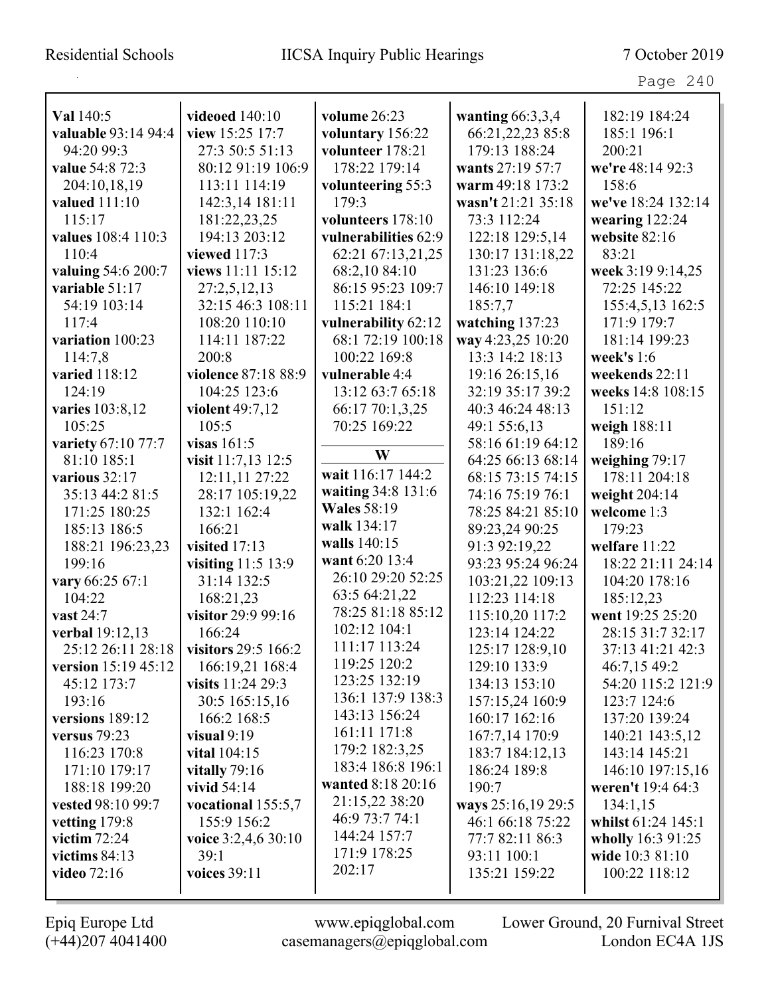| Val 140:5           | <b>videoed</b> 140:10 | volume 26:23         | wanting $66:3,3,4$ | 182:19 184:24      |
|---------------------|-----------------------|----------------------|--------------------|--------------------|
| valuable 93:14 94:4 | view 15:25 17:7       | voluntary 156:22     | 66:21,22,23 85:8   | 185:1 196:1        |
| 94:20 99:3          | 27:3 50:5 51:13       | volunteer 178:21     | 179:13 188:24      | 200:21             |
| value 54:8 72:3     | 80:12 91:19 106:9     | 178:22 179:14        | wants 27:19 57:7   | we're 48:14 92:3   |
| 204:10,18,19        | 113:11 114:19         | volunteering 55:3    | warm 49:18 173:2   | 158:6              |
| valued 111:10       | 142:3,14 181:11       | 179:3                | wasn't 21:21 35:18 | we've 18:24 132:14 |
| 115:17              | 181:22,23,25          | volunteers 178:10    | 73:3 112:24        | wearing $122:24$   |
| values 108:4 110:3  | 194:13 203:12         | vulnerabilities 62:9 | 122:18 129:5,14    | website 82:16      |
| 110:4               | viewed 117:3          | 62:21 67:13,21,25    | 130:17 131:18,22   | 83:21              |
| valuing 54:6 200:7  | views 11:11 15:12     | 68:2,10 84:10        | 131:23 136:6       | week 3:19 9:14,25  |
| variable 51:17      | 27:2,5,12,13          | 86:15 95:23 109:7    | 146:10 149:18      | 72:25 145:22       |
| 54:19 103:14        | 32:15 46:3 108:11     | 115:21 184:1         | 185:7,7            | 155:4,5,13 162:5   |
| 117:4               | 108:20 110:10         | vulnerability 62:12  | watching 137:23    | 171:9 179:7        |
| variation 100:23    | 114:11 187:22         | 68:1 72:19 100:18    | way 4:23,25 10:20  | 181:14 199:23      |
| 114:7,8             | 200:8                 | 100:22 169:8         | 13:3 14:2 18:13    | week's 1:6         |
| varied 118:12       | violence 87:18 88:9   | vulnerable 4:4       | 19:16 26:15,16     | weekends 22:11     |
| 124:19              | 104:25 123:6          | 13:12 63:7 65:18     | 32:19 35:17 39:2   | weeks 14:8 108:15  |
| varies 103:8,12     | violent 49:7,12       | 66:17 70:1,3,25      | 40:3 46:24 48:13   | 151:12             |
| 105:25              | 105:5                 | 70:25 169:22         | 49:1 55:6,13       | weigh 188:11       |
| variety 67:10 77:7  | visas $161:5$         |                      | 58:16 61:19 64:12  | 189:16             |
| 81:10 185:1         | visit 11:7,13 12:5    | W                    | 64:25 66:13 68:14  | weighing 79:17     |
| various 32:17       | 12:11,11 27:22        | wait 116:17 144:2    | 68:15 73:15 74:15  | 178:11 204:18      |
| 35:13 44:2 81:5     | 28:17 105:19,22       | waiting 34:8 131:6   | 74:16 75:19 76:1   | weight 204:14      |
| 171:25 180:25       | 132:1 162:4           | <b>Wales</b> 58:19   | 78:25 84:21 85:10  | welcome 1:3        |
| 185:13 186:5        | 166:21                | walk 134:17          | 89:23,24 90:25     | 179:23             |
| 188:21 196:23,23    | visited 17:13         | walls 140:15         | 91:3 92:19,22      | welfare 11:22      |
| 199:16              | visiting 11:5 13:9    | want 6:20 13:4       | 93:23 95:24 96:24  | 18:22 21:11 24:14  |
| vary 66:25 67:1     | 31:14 132:5           | 26:10 29:20 52:25    | 103:21,22 109:13   | 104:20 178:16      |
| 104:22              | 168:21,23             | 63:5 64:21,22        | 112:23 114:18      | 185:12,23          |
| vast 24:7           | visitor 29:9 99:16    | 78:25 81:18 85:12    | 115:10,20 117:2    | went 19:25 25:20   |
| verbal 19:12,13     | 166:24                | 102:12 104:1         | 123:14 124:22      | 28:15 31:7 32:17   |
| 25:12 26:11 28:18   | visitors 29:5 166:2   | 111:17 113:24        | 125:17 128:9,10    | 37:13 41:21 42:3   |
| version 15:19 45:12 | 166:19,21 168:4       | 119:25 120:2         | 129:10 133:9       | 46:7,15 49:2       |
| 45:12 173:7         | visits $11:2429:3$    | 123:25 132:19        | 134:13 153:10      | 54:20 115:2 121:9  |
| 193:16              | 30:5 165:15,16        | 136:1 137:9 138:3    | 157:15,24 160:9    | 123:7 124:6        |
| versions 189:12     | 166:2 168:5           | 143:13 156:24        | 160:17 162:16      | 137:20 139:24      |
| versus $79:23$      | visual $9:19$         | 161:11 171:8         | 167:7,14 170:9     | 140:21 143:5,12    |
| 116:23 170:8        | <b>vital</b> 104:15   | 179:2 182:3,25       | 183:7 184:12,13    | 143:14 145:21      |
| 171:10 179:17       | vitally $79:16$       | 183:4 186:8 196:1    | 186:24 189:8       | 146:10 197:15,16   |
| 188:18 199:20       | vivid 54:14           | wanted 8:18 20:16    | 190:7              | weren't 19:4 64:3  |
| vested 98:10 99:7   | vocational 155:5,7    | 21:15,22 38:20       | ways 25:16,19 29:5 | 134:1,15           |
| vetting $179:8$     | 155:9 156:2           | 46:9 73:7 74:1       | 46:1 66:18 75:22   | whilst 61:24 145:1 |
| victim $72:24$      | voice 3:2,4,6 30:10   | 144:24 157:7         | 77:7 82:11 86:3    | wholly 16:3 91:25  |
| victims $84:13$     | 39:1                  | 171:9 178:25         | 93:11 100:1        | wide 10:3 81:10    |
| <b>video</b> 72:16  | voices 39:11          | 202:17               | 135:21 159:22      | 100:22 118:12      |
|                     |                       |                      |                    |                    |

(+44)207 4041400 casemanagers@epiqglobal.com London EC4A 1JS

Epiq Europe Ltd www.epiqglobal.com Lower Ground, 20 Furnival Street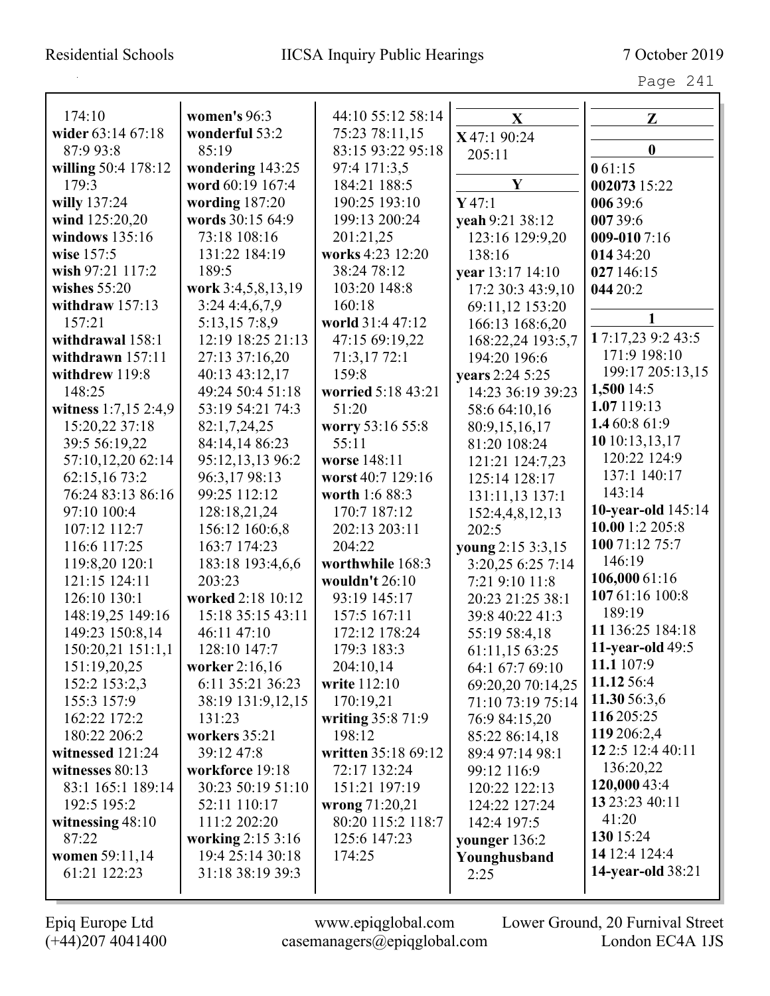| 174:10                                 | women's 96:3                         | 44:10 55:12 58:14             | X                                    | Z                        |
|----------------------------------------|--------------------------------------|-------------------------------|--------------------------------------|--------------------------|
| wider 63:14 67:18                      | wonderful 53:2                       | 75:23 78:11,15                | X47:1 90:24                          |                          |
| 87:9 93:8                              | 85:19                                | 83:15 93:22 95:18             | 205:11                               | $\bf{0}$                 |
| willing 50:4 178:12<br>179:3           | wondering 143:25<br>word 60:19 167:4 | 97:4 171:3,5                  | $\mathbf Y$                          | 061:15                   |
|                                        |                                      | 184:21 188:5<br>190:25 193:10 |                                      | 002073 15:22             |
| willy 137:24<br>wind 125:20,20         | wording $187:20$<br>words 30:15 64:9 | 199:13 200:24                 | Y47:1                                | 006 39:6                 |
| windows 135:16                         |                                      |                               | yeah 9:21 38:12                      | 00739:6                  |
| wise 157:5                             | 73:18 108:16<br>131:22 184:19        | 201:21,25<br>works 4:23 12:20 | 123:16 129:9,20<br>138:16            | $009 - 0107:16$          |
| wish 97:21 117:2                       | 189:5                                | 38:24 78:12                   |                                      | 014 34:20                |
| wishes $55:20$                         | work 3:4,5,8,13,19                   | 103:20 148:8                  | year 13:17 14:10                     | 027 146:15               |
|                                        |                                      |                               | 17:2 30:3 43:9,10                    | 044 20:2                 |
| withdraw $157:13$<br>157:21            | 3:244:4,6,7,9                        | 160:18<br>world 31:4 47:12    | 69:11,12 153:20                      |                          |
|                                        | 5:13,15 7:8,9                        |                               | 166:13 168:6,20                      | 17:17,23 9:2 43:5        |
| withdrawal 158:1<br>withdrawn $157:11$ | 12:19 18:25 21:13<br>27:13 37:16,20  | 47:15 69:19,22<br>71:3,1772:1 | 168:22,24 193:5,7                    | 171:9 198:10             |
| withdrew 119:8                         | 40:13 43:12,17                       | 159:8                         | 194:20 196:6                         | 199:17 205:13,15         |
| 148:25                                 | 49:24 50:4 51:18                     | worried 5:18 43:21            | years 2:24 5:25<br>14:23 36:19 39:23 | 1,500 14:5               |
| witness 1:7,15 2:4,9                   | 53:19 54:21 74:3                     | 51:20                         |                                      | 1.07 119:13              |
| 15:20,22 37:18                         | 82:1,7,24,25                         | worry 53:16 55:8              | 58:6 64:10,16                        | 1.4 60:8 61:9            |
| 39:5 56:19,22                          | 84:14,14 86:23                       | 55:11                         | 80:9,15,16,17<br>81:20 108:24        | 1010:13,13,17            |
| 57:10,12,20 62:14                      | 95:12,13,13 96:2                     | worse 148:11                  |                                      | 120:22 124:9             |
| 62:15,16 73:2                          | 96:3,17 98:13                        | worst 40:7 129:16             | 121:21 124:7,23                      | 137:1 140:17             |
| 76:24 83:13 86:16                      | 99:25 112:12                         | worth 1:6 88:3                | 125:14 128:17                        | 143:14                   |
| 97:10 100:4                            | 128:18,21,24                         | 170:7 187:12                  | 131:11,13 137:1                      | 10-year-old 145:14       |
| 107:12 112:7                           | 156:12 160:6,8                       | 202:13 203:11                 | 152:4,4,8,12,13<br>202:5             | 10.00 1:2 205:8          |
| 116:6 117:25                           | 163:7 174:23                         | 204:22                        | young 2:15 3:3,15                    | 100 71:12 75:7           |
| 119:8,20 120:1                         | 183:18 193:4,6,6                     | worthwhile 168:3              | 3:20,25 6:25 7:14                    | 146:19                   |
| 121:15 124:11                          | 203:23                               | wouldn't 26:10                | 7:21 9:10 11:8                       | 106,000 61:16            |
| 126:10 130:1                           | worked 2:18 10:12                    | 93:19 145:17                  | 20:23 21:25 38:1                     | 107 61:16 100:8          |
| 148:19,25 149:16                       | 15:18 35:15 43:11                    | 157:5 167:11                  | 39:8 40:22 41:3                      | 189:19                   |
| 149:23 150:8,14                        | 46:11 47:10                          | 172:12 178:24                 | 55:19 58:4,18                        | 11 136:25 184:18         |
| 150:20,21 151:1,1                      | 128:10 147:7                         | 179:3 183:3                   | 61:11,15 63:25                       | <b>11-year-old 49:5</b>  |
| 151:19,20,25                           | worker 2:16,16                       | 204:10,14                     | 64:1 67:7 69:10                      | 11.1 107:9               |
| 152:2 153:2,3                          | 6:11 35:21 36:23                     | write 112:10                  | 69:20,20 70:14,25                    | 11.12 56:4               |
| 155:3 157:9                            | 38:19 131:9,12,15                    | 170:19,21                     | 71:10 73:19 75:14                    | 11.30 56:3,6             |
| 162:22 172:2                           | 131:23                               | writing 35:8 71:9             | 76:9 84:15,20                        | 116 205:25               |
| 180:22 206:2                           | workers 35:21                        | 198:12                        | 85:22 86:14,18                       | 119 206:2,4              |
| witnessed 121:24                       | 39:12 47:8                           | written 35:18 69:12           | 89:4 97:14 98:1                      | 12 2:5 12:4 40:11        |
| witnesses 80:13                        | workforce 19:18                      | 72:17 132:24                  | 99:12 116:9                          | 136:20,22                |
| 83:1 165:1 189:14                      | 30:23 50:19 51:10                    | 151:21 197:19                 | 120:22 122:13                        | 120,000 43:4             |
| 192:5 195:2                            | 52:11 110:17                         | wrong 71:20,21                | 124:22 127:24                        | 13 23:23 40:11           |
| witnessing $48:10$                     | 111:2 202:20                         | 80:20 115:2 118:7             | 142:4 197:5                          | 41:20                    |
| 87:22                                  | working 2:15 3:16                    | 125:6 147:23                  | younger 136:2                        | 130 15:24                |
| women 59:11,14                         | 19:4 25:14 30:18                     | 174:25                        | Younghusband                         | 14 12:4 124:4            |
| 61:21 122:23                           | 31:18 38:19 39:3                     |                               | 2:25                                 | <b>14-year-old</b> 38:21 |
|                                        |                                      |                               |                                      |                          |

 $\mathbf{I}$